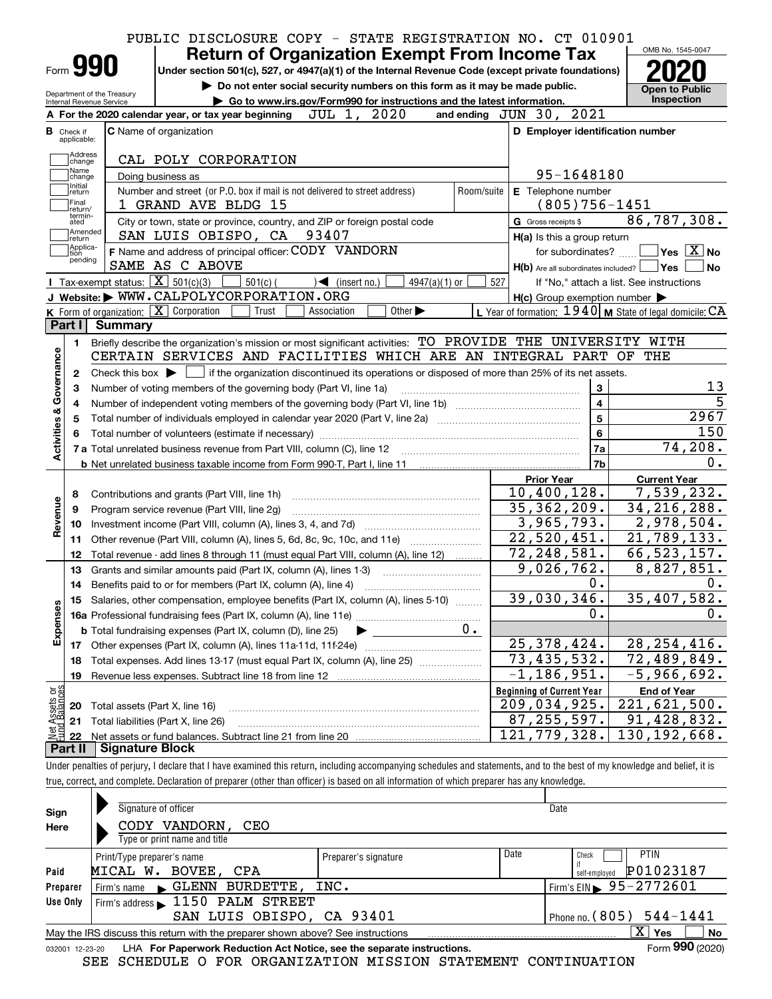| <b>Return of Organization Exempt From Income Tax</b><br>Form 990<br>Under section 501(c), 527, or 4947(a)(1) of the Internal Revenue Code (except private foundations)<br>Do not enter social security numbers on this form as it may be made public.<br>Department of the Treasury<br>Go to www.irs.gov/Form990 for instructions and the latest information.<br>Internal Revenue Service<br>JUL 1, 2020<br>and ending JUN 30, 2021<br>A For the 2020 calendar year, or tax year beginning<br>C Name of organization<br><b>B</b> Check if<br>applicable:<br>Address<br>CAL POLY CORPORATION<br>change<br>Name<br>Doing business as<br>change<br>Initial<br>Number and street (or P.O. box if mail is not delivered to street address)<br>Room/suite<br>return<br>Final<br>1 GRAND AVE BLDG 15<br>return/<br>termin-<br>City or town, state or province, country, and ZIP or foreign postal code<br>ated<br>Amended<br>SAN LUIS OBISPO, CA 93407<br> return<br>Applica-<br>tion<br>F Name and address of principal officer: CODY VANDORN<br>pending<br>SAME AS C ABOVE<br>Tax-exempt status: $\boxed{\mathbf{X}}$ 501(c)(3)<br>$501(c)$ (<br>$\sqrt{\frac{1}{1}}$ (insert no.)<br>$4947(a)(1)$ or<br>527<br>J Website: WWW.CALPOLYCORPORATION.ORG<br>K Form of organization: X Corporation<br>L Year of formation: 1940   M State of legal domicile: CA<br>Trust<br>Other $\blacktriangleright$<br>Association<br>Part I Summary<br>Briefly describe the organization's mission or most significant activities: TO PROVIDE THE UNIVERSITY WITH<br>1.<br>CERTAIN SERVICES AND FACILITIES WHICH ARE AN INTEGRAL PART OF<br>Check this box $\blacktriangleright$ $\Box$ if the organization discontinued its operations or disposed of more than 25% of its net assets.<br>2<br>Number of voting members of the governing body (Part VI, line 1a)<br>З<br>4<br>5<br><b>b</b> Net unrelated business taxable income from Form 990-T, Part I, line 11 <b>manual</b> content to the term of the term of<br>Contributions and grants (Part VIII, line 1h)<br>Program service revenue (Part VIII, line 2g)<br>10<br>Other revenue (Part VIII, column (A), lines 5, 6d, 8c, 9c, 10c, and 11e)<br>11<br>12<br>Total revenue - add lines 8 through 11 (must equal Part VIII, column (A), line 12)<br>13<br>Grants and similar amounts paid (Part IX, column (A), lines 1-3)<br>14 Benefits paid to or for members (Part IX, column (A), line 4)<br>Salaries, other compensation, employee benefits (Part IX, column (A), lines 5-10)<br>15<br>0.<br><b>b</b> Total fundraising expenses (Part IX, column (D), line 25)<br>Other expenses (Part IX, column (A), lines 11a-11d, 11f-24e)<br>17<br>Total expenses. Add lines 13-17 (must equal Part IX, column (A), line 25) [<br>18 | D Employer identification number<br>95-1648180<br>E Telephone number | <b>Open to Public</b><br>Inspection              |
|-----------------------------------------------------------------------------------------------------------------------------------------------------------------------------------------------------------------------------------------------------------------------------------------------------------------------------------------------------------------------------------------------------------------------------------------------------------------------------------------------------------------------------------------------------------------------------------------------------------------------------------------------------------------------------------------------------------------------------------------------------------------------------------------------------------------------------------------------------------------------------------------------------------------------------------------------------------------------------------------------------------------------------------------------------------------------------------------------------------------------------------------------------------------------------------------------------------------------------------------------------------------------------------------------------------------------------------------------------------------------------------------------------------------------------------------------------------------------------------------------------------------------------------------------------------------------------------------------------------------------------------------------------------------------------------------------------------------------------------------------------------------------------------------------------------------------------------------------------------------------------------------------------------------------------------------------------------------------------------------------------------------------------------------------------------------------------------------------------------------------------------------------------------------------------------------------------------------------------------------------------------------------------------------------------------------------------------------------------------------------------------------------------------------------------------------------------------------------------------------------------------------------------------------------------------------------------------------------------------------------------------------------------------------------------------------------------------------------------------------------------------------------|----------------------------------------------------------------------|--------------------------------------------------|
|                                                                                                                                                                                                                                                                                                                                                                                                                                                                                                                                                                                                                                                                                                                                                                                                                                                                                                                                                                                                                                                                                                                                                                                                                                                                                                                                                                                                                                                                                                                                                                                                                                                                                                                                                                                                                                                                                                                                                                                                                                                                                                                                                                                                                                                                                                                                                                                                                                                                                                                                                                                                                                                                                                                                                                       |                                                                      |                                                  |
|                                                                                                                                                                                                                                                                                                                                                                                                                                                                                                                                                                                                                                                                                                                                                                                                                                                                                                                                                                                                                                                                                                                                                                                                                                                                                                                                                                                                                                                                                                                                                                                                                                                                                                                                                                                                                                                                                                                                                                                                                                                                                                                                                                                                                                                                                                                                                                                                                                                                                                                                                                                                                                                                                                                                                                       |                                                                      |                                                  |
|                                                                                                                                                                                                                                                                                                                                                                                                                                                                                                                                                                                                                                                                                                                                                                                                                                                                                                                                                                                                                                                                                                                                                                                                                                                                                                                                                                                                                                                                                                                                                                                                                                                                                                                                                                                                                                                                                                                                                                                                                                                                                                                                                                                                                                                                                                                                                                                                                                                                                                                                                                                                                                                                                                                                                                       |                                                                      |                                                  |
|                                                                                                                                                                                                                                                                                                                                                                                                                                                                                                                                                                                                                                                                                                                                                                                                                                                                                                                                                                                                                                                                                                                                                                                                                                                                                                                                                                                                                                                                                                                                                                                                                                                                                                                                                                                                                                                                                                                                                                                                                                                                                                                                                                                                                                                                                                                                                                                                                                                                                                                                                                                                                                                                                                                                                                       |                                                                      |                                                  |
|                                                                                                                                                                                                                                                                                                                                                                                                                                                                                                                                                                                                                                                                                                                                                                                                                                                                                                                                                                                                                                                                                                                                                                                                                                                                                                                                                                                                                                                                                                                                                                                                                                                                                                                                                                                                                                                                                                                                                                                                                                                                                                                                                                                                                                                                                                                                                                                                                                                                                                                                                                                                                                                                                                                                                                       |                                                                      |                                                  |
|                                                                                                                                                                                                                                                                                                                                                                                                                                                                                                                                                                                                                                                                                                                                                                                                                                                                                                                                                                                                                                                                                                                                                                                                                                                                                                                                                                                                                                                                                                                                                                                                                                                                                                                                                                                                                                                                                                                                                                                                                                                                                                                                                                                                                                                                                                                                                                                                                                                                                                                                                                                                                                                                                                                                                                       |                                                                      |                                                  |
|                                                                                                                                                                                                                                                                                                                                                                                                                                                                                                                                                                                                                                                                                                                                                                                                                                                                                                                                                                                                                                                                                                                                                                                                                                                                                                                                                                                                                                                                                                                                                                                                                                                                                                                                                                                                                                                                                                                                                                                                                                                                                                                                                                                                                                                                                                                                                                                                                                                                                                                                                                                                                                                                                                                                                                       |                                                                      |                                                  |
|                                                                                                                                                                                                                                                                                                                                                                                                                                                                                                                                                                                                                                                                                                                                                                                                                                                                                                                                                                                                                                                                                                                                                                                                                                                                                                                                                                                                                                                                                                                                                                                                                                                                                                                                                                                                                                                                                                                                                                                                                                                                                                                                                                                                                                                                                                                                                                                                                                                                                                                                                                                                                                                                                                                                                                       |                                                                      |                                                  |
|                                                                                                                                                                                                                                                                                                                                                                                                                                                                                                                                                                                                                                                                                                                                                                                                                                                                                                                                                                                                                                                                                                                                                                                                                                                                                                                                                                                                                                                                                                                                                                                                                                                                                                                                                                                                                                                                                                                                                                                                                                                                                                                                                                                                                                                                                                                                                                                                                                                                                                                                                                                                                                                                                                                                                                       |                                                                      |                                                  |
|                                                                                                                                                                                                                                                                                                                                                                                                                                                                                                                                                                                                                                                                                                                                                                                                                                                                                                                                                                                                                                                                                                                                                                                                                                                                                                                                                                                                                                                                                                                                                                                                                                                                                                                                                                                                                                                                                                                                                                                                                                                                                                                                                                                                                                                                                                                                                                                                                                                                                                                                                                                                                                                                                                                                                                       | $(805)756 - 1451$                                                    |                                                  |
|                                                                                                                                                                                                                                                                                                                                                                                                                                                                                                                                                                                                                                                                                                                                                                                                                                                                                                                                                                                                                                                                                                                                                                                                                                                                                                                                                                                                                                                                                                                                                                                                                                                                                                                                                                                                                                                                                                                                                                                                                                                                                                                                                                                                                                                                                                                                                                                                                                                                                                                                                                                                                                                                                                                                                                       | G Gross receipts \$                                                  | 86,787,308.                                      |
|                                                                                                                                                                                                                                                                                                                                                                                                                                                                                                                                                                                                                                                                                                                                                                                                                                                                                                                                                                                                                                                                                                                                                                                                                                                                                                                                                                                                                                                                                                                                                                                                                                                                                                                                                                                                                                                                                                                                                                                                                                                                                                                                                                                                                                                                                                                                                                                                                                                                                                                                                                                                                                                                                                                                                                       | H(a) Is this a group return                                          |                                                  |
|                                                                                                                                                                                                                                                                                                                                                                                                                                                                                                                                                                                                                                                                                                                                                                                                                                                                                                                                                                                                                                                                                                                                                                                                                                                                                                                                                                                                                                                                                                                                                                                                                                                                                                                                                                                                                                                                                                                                                                                                                                                                                                                                                                                                                                                                                                                                                                                                                                                                                                                                                                                                                                                                                                                                                                       | for subordinates? $\Box$                                             | $\overline{\ }$ Yes $\overline{\phantom{a}X}$ No |
|                                                                                                                                                                                                                                                                                                                                                                                                                                                                                                                                                                                                                                                                                                                                                                                                                                                                                                                                                                                                                                                                                                                                                                                                                                                                                                                                                                                                                                                                                                                                                                                                                                                                                                                                                                                                                                                                                                                                                                                                                                                                                                                                                                                                                                                                                                                                                                                                                                                                                                                                                                                                                                                                                                                                                                       | $H(b)$ Are all subordinates included? $\Box$ Yes                     | ∣No                                              |
|                                                                                                                                                                                                                                                                                                                                                                                                                                                                                                                                                                                                                                                                                                                                                                                                                                                                                                                                                                                                                                                                                                                                                                                                                                                                                                                                                                                                                                                                                                                                                                                                                                                                                                                                                                                                                                                                                                                                                                                                                                                                                                                                                                                                                                                                                                                                                                                                                                                                                                                                                                                                                                                                                                                                                                       |                                                                      | If "No," attach a list. See instructions         |
|                                                                                                                                                                                                                                                                                                                                                                                                                                                                                                                                                                                                                                                                                                                                                                                                                                                                                                                                                                                                                                                                                                                                                                                                                                                                                                                                                                                                                                                                                                                                                                                                                                                                                                                                                                                                                                                                                                                                                                                                                                                                                                                                                                                                                                                                                                                                                                                                                                                                                                                                                                                                                                                                                                                                                                       | $H(c)$ Group exemption number $\blacktriangleright$                  |                                                  |
|                                                                                                                                                                                                                                                                                                                                                                                                                                                                                                                                                                                                                                                                                                                                                                                                                                                                                                                                                                                                                                                                                                                                                                                                                                                                                                                                                                                                                                                                                                                                                                                                                                                                                                                                                                                                                                                                                                                                                                                                                                                                                                                                                                                                                                                                                                                                                                                                                                                                                                                                                                                                                                                                                                                                                                       |                                                                      |                                                  |
|                                                                                                                                                                                                                                                                                                                                                                                                                                                                                                                                                                                                                                                                                                                                                                                                                                                                                                                                                                                                                                                                                                                                                                                                                                                                                                                                                                                                                                                                                                                                                                                                                                                                                                                                                                                                                                                                                                                                                                                                                                                                                                                                                                                                                                                                                                                                                                                                                                                                                                                                                                                                                                                                                                                                                                       |                                                                      |                                                  |
|                                                                                                                                                                                                                                                                                                                                                                                                                                                                                                                                                                                                                                                                                                                                                                                                                                                                                                                                                                                                                                                                                                                                                                                                                                                                                                                                                                                                                                                                                                                                                                                                                                                                                                                                                                                                                                                                                                                                                                                                                                                                                                                                                                                                                                                                                                                                                                                                                                                                                                                                                                                                                                                                                                                                                                       |                                                                      | THE                                              |
|                                                                                                                                                                                                                                                                                                                                                                                                                                                                                                                                                                                                                                                                                                                                                                                                                                                                                                                                                                                                                                                                                                                                                                                                                                                                                                                                                                                                                                                                                                                                                                                                                                                                                                                                                                                                                                                                                                                                                                                                                                                                                                                                                                                                                                                                                                                                                                                                                                                                                                                                                                                                                                                                                                                                                                       |                                                                      |                                                  |
|                                                                                                                                                                                                                                                                                                                                                                                                                                                                                                                                                                                                                                                                                                                                                                                                                                                                                                                                                                                                                                                                                                                                                                                                                                                                                                                                                                                                                                                                                                                                                                                                                                                                                                                                                                                                                                                                                                                                                                                                                                                                                                                                                                                                                                                                                                                                                                                                                                                                                                                                                                                                                                                                                                                                                                       |                                                                      |                                                  |
|                                                                                                                                                                                                                                                                                                                                                                                                                                                                                                                                                                                                                                                                                                                                                                                                                                                                                                                                                                                                                                                                                                                                                                                                                                                                                                                                                                                                                                                                                                                                                                                                                                                                                                                                                                                                                                                                                                                                                                                                                                                                                                                                                                                                                                                                                                                                                                                                                                                                                                                                                                                                                                                                                                                                                                       | 3<br>$\overline{\mathbf{4}}$                                         |                                                  |
|                                                                                                                                                                                                                                                                                                                                                                                                                                                                                                                                                                                                                                                                                                                                                                                                                                                                                                                                                                                                                                                                                                                                                                                                                                                                                                                                                                                                                                                                                                                                                                                                                                                                                                                                                                                                                                                                                                                                                                                                                                                                                                                                                                                                                                                                                                                                                                                                                                                                                                                                                                                                                                                                                                                                                                       | $\overline{5}$                                                       | 2967                                             |
|                                                                                                                                                                                                                                                                                                                                                                                                                                                                                                                                                                                                                                                                                                                                                                                                                                                                                                                                                                                                                                                                                                                                                                                                                                                                                                                                                                                                                                                                                                                                                                                                                                                                                                                                                                                                                                                                                                                                                                                                                                                                                                                                                                                                                                                                                                                                                                                                                                                                                                                                                                                                                                                                                                                                                                       | $6\phantom{a}$                                                       | 150                                              |
|                                                                                                                                                                                                                                                                                                                                                                                                                                                                                                                                                                                                                                                                                                                                                                                                                                                                                                                                                                                                                                                                                                                                                                                                                                                                                                                                                                                                                                                                                                                                                                                                                                                                                                                                                                                                                                                                                                                                                                                                                                                                                                                                                                                                                                                                                                                                                                                                                                                                                                                                                                                                                                                                                                                                                                       | 7a                                                                   | 74, 208.                                         |
|                                                                                                                                                                                                                                                                                                                                                                                                                                                                                                                                                                                                                                                                                                                                                                                                                                                                                                                                                                                                                                                                                                                                                                                                                                                                                                                                                                                                                                                                                                                                                                                                                                                                                                                                                                                                                                                                                                                                                                                                                                                                                                                                                                                                                                                                                                                                                                                                                                                                                                                                                                                                                                                                                                                                                                       | 7 <sub>b</sub>                                                       |                                                  |
|                                                                                                                                                                                                                                                                                                                                                                                                                                                                                                                                                                                                                                                                                                                                                                                                                                                                                                                                                                                                                                                                                                                                                                                                                                                                                                                                                                                                                                                                                                                                                                                                                                                                                                                                                                                                                                                                                                                                                                                                                                                                                                                                                                                                                                                                                                                                                                                                                                                                                                                                                                                                                                                                                                                                                                       | <b>Prior Year</b>                                                    | <b>Current Year</b>                              |
|                                                                                                                                                                                                                                                                                                                                                                                                                                                                                                                                                                                                                                                                                                                                                                                                                                                                                                                                                                                                                                                                                                                                                                                                                                                                                                                                                                                                                                                                                                                                                                                                                                                                                                                                                                                                                                                                                                                                                                                                                                                                                                                                                                                                                                                                                                                                                                                                                                                                                                                                                                                                                                                                                                                                                                       | 10,400,128.                                                          | 7,539,232.                                       |
|                                                                                                                                                                                                                                                                                                                                                                                                                                                                                                                                                                                                                                                                                                                                                                                                                                                                                                                                                                                                                                                                                                                                                                                                                                                                                                                                                                                                                                                                                                                                                                                                                                                                                                                                                                                                                                                                                                                                                                                                                                                                                                                                                                                                                                                                                                                                                                                                                                                                                                                                                                                                                                                                                                                                                                       | 35, 362, 209.                                                        | 34, 216, 288.                                    |
|                                                                                                                                                                                                                                                                                                                                                                                                                                                                                                                                                                                                                                                                                                                                                                                                                                                                                                                                                                                                                                                                                                                                                                                                                                                                                                                                                                                                                                                                                                                                                                                                                                                                                                                                                                                                                                                                                                                                                                                                                                                                                                                                                                                                                                                                                                                                                                                                                                                                                                                                                                                                                                                                                                                                                                       | 3,965,793.                                                           | 2,978,504.                                       |
|                                                                                                                                                                                                                                                                                                                                                                                                                                                                                                                                                                                                                                                                                                                                                                                                                                                                                                                                                                                                                                                                                                                                                                                                                                                                                                                                                                                                                                                                                                                                                                                                                                                                                                                                                                                                                                                                                                                                                                                                                                                                                                                                                                                                                                                                                                                                                                                                                                                                                                                                                                                                                                                                                                                                                                       | $\overline{22,520,451}$ .                                            | 21,789,133.                                      |
|                                                                                                                                                                                                                                                                                                                                                                                                                                                                                                                                                                                                                                                                                                                                                                                                                                                                                                                                                                                                                                                                                                                                                                                                                                                                                                                                                                                                                                                                                                                                                                                                                                                                                                                                                                                                                                                                                                                                                                                                                                                                                                                                                                                                                                                                                                                                                                                                                                                                                                                                                                                                                                                                                                                                                                       | 72, 248, 581.                                                        | 66, 523, 157.                                    |
|                                                                                                                                                                                                                                                                                                                                                                                                                                                                                                                                                                                                                                                                                                                                                                                                                                                                                                                                                                                                                                                                                                                                                                                                                                                                                                                                                                                                                                                                                                                                                                                                                                                                                                                                                                                                                                                                                                                                                                                                                                                                                                                                                                                                                                                                                                                                                                                                                                                                                                                                                                                                                                                                                                                                                                       | 9,026,762.                                                           | 8,827,851.                                       |
|                                                                                                                                                                                                                                                                                                                                                                                                                                                                                                                                                                                                                                                                                                                                                                                                                                                                                                                                                                                                                                                                                                                                                                                                                                                                                                                                                                                                                                                                                                                                                                                                                                                                                                                                                                                                                                                                                                                                                                                                                                                                                                                                                                                                                                                                                                                                                                                                                                                                                                                                                                                                                                                                                                                                                                       | 0.                                                                   |                                                  |
|                                                                                                                                                                                                                                                                                                                                                                                                                                                                                                                                                                                                                                                                                                                                                                                                                                                                                                                                                                                                                                                                                                                                                                                                                                                                                                                                                                                                                                                                                                                                                                                                                                                                                                                                                                                                                                                                                                                                                                                                                                                                                                                                                                                                                                                                                                                                                                                                                                                                                                                                                                                                                                                                                                                                                                       | 39,030,346.                                                          | 35,407,582.                                      |
|                                                                                                                                                                                                                                                                                                                                                                                                                                                                                                                                                                                                                                                                                                                                                                                                                                                                                                                                                                                                                                                                                                                                                                                                                                                                                                                                                                                                                                                                                                                                                                                                                                                                                                                                                                                                                                                                                                                                                                                                                                                                                                                                                                                                                                                                                                                                                                                                                                                                                                                                                                                                                                                                                                                                                                       | 0.                                                                   |                                                  |
|                                                                                                                                                                                                                                                                                                                                                                                                                                                                                                                                                                                                                                                                                                                                                                                                                                                                                                                                                                                                                                                                                                                                                                                                                                                                                                                                                                                                                                                                                                                                                                                                                                                                                                                                                                                                                                                                                                                                                                                                                                                                                                                                                                                                                                                                                                                                                                                                                                                                                                                                                                                                                                                                                                                                                                       |                                                                      |                                                  |
|                                                                                                                                                                                                                                                                                                                                                                                                                                                                                                                                                                                                                                                                                                                                                                                                                                                                                                                                                                                                                                                                                                                                                                                                                                                                                                                                                                                                                                                                                                                                                                                                                                                                                                                                                                                                                                                                                                                                                                                                                                                                                                                                                                                                                                                                                                                                                                                                                                                                                                                                                                                                                                                                                                                                                                       | 25, 378, 424.                                                        | 28, 254, 416.                                    |
|                                                                                                                                                                                                                                                                                                                                                                                                                                                                                                                                                                                                                                                                                                                                                                                                                                                                                                                                                                                                                                                                                                                                                                                                                                                                                                                                                                                                                                                                                                                                                                                                                                                                                                                                                                                                                                                                                                                                                                                                                                                                                                                                                                                                                                                                                                                                                                                                                                                                                                                                                                                                                                                                                                                                                                       | $\overline{73}$ , 435, 532.                                          | 72,489,849.                                      |
| Revenue less expenses. Subtract line 18 from line 12<br>19                                                                                                                                                                                                                                                                                                                                                                                                                                                                                                                                                                                                                                                                                                                                                                                                                                                                                                                                                                                                                                                                                                                                                                                                                                                                                                                                                                                                                                                                                                                                                                                                                                                                                                                                                                                                                                                                                                                                                                                                                                                                                                                                                                                                                                                                                                                                                                                                                                                                                                                                                                                                                                                                                                            | $-1, 186, 951.$                                                      | $\overline{-5}$ ,966,692.                        |
|                                                                                                                                                                                                                                                                                                                                                                                                                                                                                                                                                                                                                                                                                                                                                                                                                                                                                                                                                                                                                                                                                                                                                                                                                                                                                                                                                                                                                                                                                                                                                                                                                                                                                                                                                                                                                                                                                                                                                                                                                                                                                                                                                                                                                                                                                                                                                                                                                                                                                                                                                                                                                                                                                                                                                                       |                                                                      | <b>End of Year</b>                               |
| Total assets (Part X, line 16)<br>20                                                                                                                                                                                                                                                                                                                                                                                                                                                                                                                                                                                                                                                                                                                                                                                                                                                                                                                                                                                                                                                                                                                                                                                                                                                                                                                                                                                                                                                                                                                                                                                                                                                                                                                                                                                                                                                                                                                                                                                                                                                                                                                                                                                                                                                                                                                                                                                                                                                                                                                                                                                                                                                                                                                                  |                                                                      | 221,621,500.                                     |
| Total liabilities (Part X, line 26)<br>21                                                                                                                                                                                                                                                                                                                                                                                                                                                                                                                                                                                                                                                                                                                                                                                                                                                                                                                                                                                                                                                                                                                                                                                                                                                                                                                                                                                                                                                                                                                                                                                                                                                                                                                                                                                                                                                                                                                                                                                                                                                                                                                                                                                                                                                                                                                                                                                                                                                                                                                                                                                                                                                                                                                             | <b>Beginning of Current Year</b>                                     | 91, 428, 832.                                    |
| 121,<br>22                                                                                                                                                                                                                                                                                                                                                                                                                                                                                                                                                                                                                                                                                                                                                                                                                                                                                                                                                                                                                                                                                                                                                                                                                                                                                                                                                                                                                                                                                                                                                                                                                                                                                                                                                                                                                                                                                                                                                                                                                                                                                                                                                                                                                                                                                                                                                                                                                                                                                                                                                                                                                                                                                                                                                            | 209,034,925.                                                         | 130, 192, 668.                                   |
| <b>Signature Block</b><br>Part II                                                                                                                                                                                                                                                                                                                                                                                                                                                                                                                                                                                                                                                                                                                                                                                                                                                                                                                                                                                                                                                                                                                                                                                                                                                                                                                                                                                                                                                                                                                                                                                                                                                                                                                                                                                                                                                                                                                                                                                                                                                                                                                                                                                                                                                                                                                                                                                                                                                                                                                                                                                                                                                                                                                                     | 87, 255, 597.<br>779,328.                                            |                                                  |

| Sign                                                                                                         | Signature of officer                                    |                      |      | Date                                       |  |  |
|--------------------------------------------------------------------------------------------------------------|---------------------------------------------------------|----------------------|------|--------------------------------------------|--|--|
| Here                                                                                                         | CODY VANDORN, CEO                                       |                      |      |                                            |  |  |
|                                                                                                              | Type or print name and title                            |                      |      |                                            |  |  |
|                                                                                                              | Print/Type preparer's name                              | Preparer's signature | Date | <b>PTIN</b><br>Check                       |  |  |
| Paid                                                                                                         | MICAL W.<br>BOVEE, CPA                                  |                      |      | P01023187<br>self-emploved                 |  |  |
| Preparer                                                                                                     | Firm's name GLENN BURDETTE, INC.                        |                      |      | $I$ Firm's EIN $\triangleright$ 95-2772601 |  |  |
| Use Only                                                                                                     | Firm's address > 1150 PALM STREET                       |                      |      |                                            |  |  |
|                                                                                                              | Phone no. $(805)$ 544-1441<br>SAN LUIS OBISPO, CA 93401 |                      |      |                                            |  |  |
| $X \vert Y$ es<br>No<br>May the IRS discuss this return with the preparer shown above? See instructions      |                                                         |                      |      |                                            |  |  |
| Form 990 (2020)<br>LHA For Paperwork Reduction Act Notice, see the separate instructions.<br>032001 12-23-20 |                                                         |                      |      |                                            |  |  |

SEE SCHEDULE O FOR ORGANIZATION MISSION STATEMENT CONTINUATION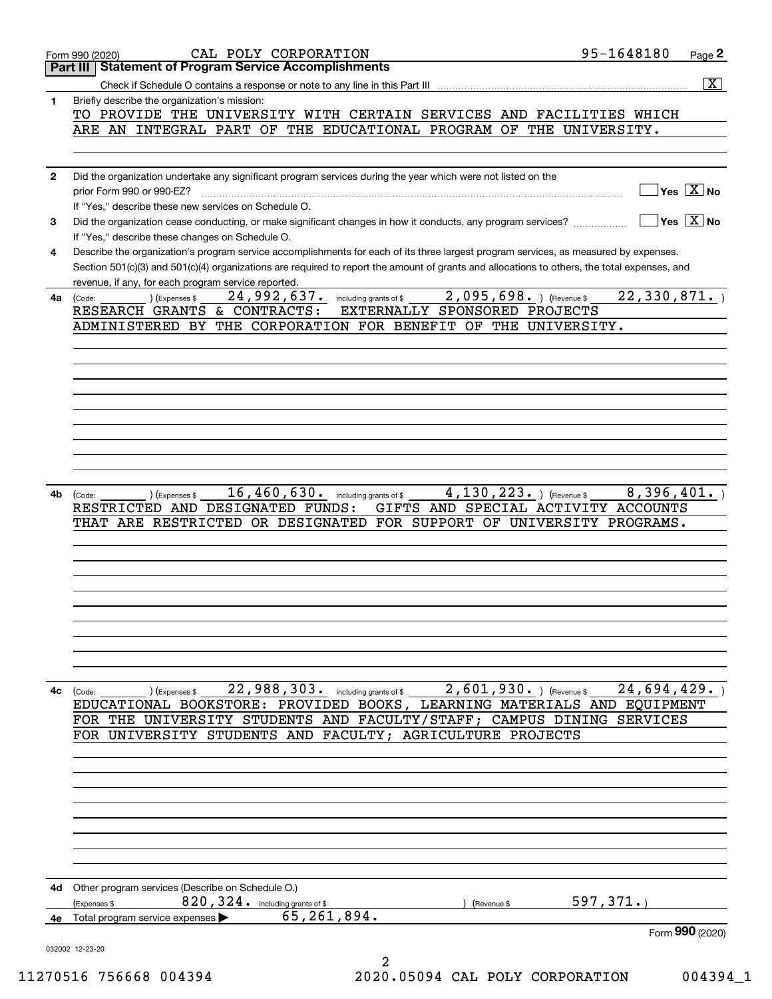|              | CAL POLY CORPORATION<br>Form 990 (2020)                                                                                                                                                 | 95-1648180                             | Page 2             |
|--------------|-----------------------------------------------------------------------------------------------------------------------------------------------------------------------------------------|----------------------------------------|--------------------|
|              | <b>Part III   Statement of Program Service Accomplishments</b>                                                                                                                          |                                        |                    |
|              | Check if Schedule O contains a response or note to any line in this Part III                                                                                                            |                                        | $\boxed{\text{X}}$ |
| 1            | Briefly describe the organization's mission:                                                                                                                                            |                                        |                    |
|              | TO PROVIDE THE UNIVERSITY WITH CERTAIN SERVICES AND FACILITIES WHICH<br>ARE AN INTEGRAL PART OF THE EDUCATIONAL PROGRAM OF THE UNIVERSITY.                                              |                                        |                    |
|              |                                                                                                                                                                                         |                                        |                    |
|              |                                                                                                                                                                                         |                                        |                    |
| $\mathbf{2}$ | Did the organization undertake any significant program services during the year which were not listed on the                                                                            |                                        |                    |
|              | prior Form 990 or 990-EZ?                                                                                                                                                               | $Yes \quad X \quad No$                 |                    |
|              | If "Yes," describe these new services on Schedule O.                                                                                                                                    |                                        |                    |
| 3            | Did the organization cease conducting, or make significant changes in how it conducts, any program services?                                                                            | $\sqrt{}$ Yes $\sqrt{}$ X $\sqrt{}$ No |                    |
| 4            | If "Yes," describe these changes on Schedule O.<br>Describe the organization's program service accomplishments for each of its three largest program services, as measured by expenses. |                                        |                    |
|              | Section 501(c)(3) and 501(c)(4) organizations are required to report the amount of grants and allocations to others, the total expenses, and                                            |                                        |                    |
|              | revenue, if any, for each program service reported.                                                                                                                                     |                                        |                    |
| 4a           | 2,095,698. ) (Revenue \$<br>$24,992,637$ $\cdot$ including grants of \$<br>) (Expenses \$<br>(Code:                                                                                     | 22, 330, 871.                          |                    |
|              | RESEARCH GRANTS & CONTRACTS:<br>EXTERNALLY SPONSORED PROJECTS                                                                                                                           |                                        |                    |
|              | ADMINISTERED BY THE CORPORATION FOR BENEFIT OF THE UNIVERSITY.                                                                                                                          |                                        |                    |
|              |                                                                                                                                                                                         |                                        |                    |
|              |                                                                                                                                                                                         |                                        |                    |
|              |                                                                                                                                                                                         |                                        |                    |
|              |                                                                                                                                                                                         |                                        |                    |
|              |                                                                                                                                                                                         |                                        |                    |
|              |                                                                                                                                                                                         |                                        |                    |
|              |                                                                                                                                                                                         |                                        |                    |
|              |                                                                                                                                                                                         |                                        |                    |
|              |                                                                                                                                                                                         |                                        |                    |
| 4b           | 16, 460, 630. including grants of \$<br>4, 130, 223. ) (Revenue \$<br>(Expenses \$<br>(Code:<br>RESTRICTED AND DESIGNATED FUNDS:<br>GIFTS AND SPECIAL ACTIVITY ACCOUNTS                 | 8,396,401.                             |                    |
|              | THAT ARE RESTRICTED OR DESIGNATED FOR SUPPORT OF UNIVERSITY PROGRAMS.                                                                                                                   |                                        |                    |
|              |                                                                                                                                                                                         |                                        |                    |
|              |                                                                                                                                                                                         |                                        |                    |
|              |                                                                                                                                                                                         |                                        |                    |
|              |                                                                                                                                                                                         |                                        |                    |
|              |                                                                                                                                                                                         |                                        |                    |
|              |                                                                                                                                                                                         |                                        |                    |
|              |                                                                                                                                                                                         |                                        |                    |
|              |                                                                                                                                                                                         |                                        |                    |
|              |                                                                                                                                                                                         |                                        |                    |
| 4с           | 22,988,303. including grants of \$2,601,930. ) (Revenue \$<br>(Code:<br>Expenses \$                                                                                                     | 24,694,429.                            |                    |
|              | EDUCATIONAL BOOKSTORE: PROVIDED BOOKS, LEARNING MATERIALS AND EQUIPMENT                                                                                                                 |                                        |                    |
|              | FOR THE UNIVERSITY STUDENTS AND FACULTY/STAFF; CAMPUS DINING SERVICES                                                                                                                   |                                        |                    |
|              | FOR UNIVERSITY STUDENTS AND FACULTY; AGRICULTURE PROJECTS                                                                                                                               |                                        |                    |
|              |                                                                                                                                                                                         |                                        |                    |
|              |                                                                                                                                                                                         |                                        |                    |
|              |                                                                                                                                                                                         |                                        |                    |
|              |                                                                                                                                                                                         |                                        |                    |
|              |                                                                                                                                                                                         |                                        |                    |
|              |                                                                                                                                                                                         |                                        |                    |
|              |                                                                                                                                                                                         |                                        |                    |
|              |                                                                                                                                                                                         |                                        |                    |
|              | 4d Other program services (Describe on Schedule O.)                                                                                                                                     |                                        |                    |
|              | 820, 324. including grants of \$<br>(Expenses \$<br>Revenue \$                                                                                                                          | 597, 371.                              |                    |
|              | 65, 261, 894.<br>4e Total program service expenses >                                                                                                                                    |                                        |                    |
|              |                                                                                                                                                                                         | Form 990 (2020)                        |                    |
|              | 032002 12-23-20<br>2                                                                                                                                                                    |                                        |                    |
|              |                                                                                                                                                                                         |                                        |                    |

11270516 756668 004394 2020.05094 CAL POLY CORPORATION 004394\_1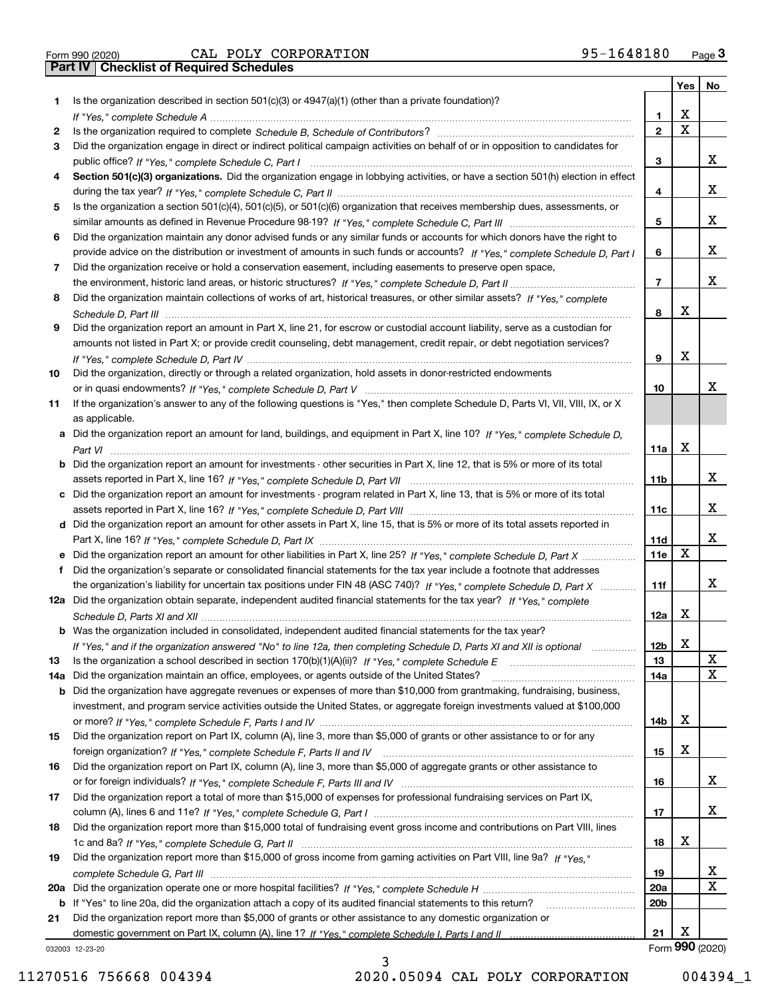Form 990 (2020) CAL POLY CORPORATION 95-1648180 <sub>Page</sub> 3<br>**Part IV | Checklist of Required Schedules** 

|     |                                                                                                                                       |                 | Yes                     | No                      |
|-----|---------------------------------------------------------------------------------------------------------------------------------------|-----------------|-------------------------|-------------------------|
| 1.  | Is the organization described in section $501(c)(3)$ or $4947(a)(1)$ (other than a private foundation)?                               |                 |                         |                         |
|     |                                                                                                                                       | 1               | X                       |                         |
| 2   |                                                                                                                                       | $\overline{2}$  | $\overline{\mathbf{x}}$ |                         |
| 3   | Did the organization engage in direct or indirect political campaign activities on behalf of or in opposition to candidates for       |                 |                         |                         |
|     |                                                                                                                                       | 3               |                         | x                       |
| 4   | Section 501(c)(3) organizations. Did the organization engage in lobbying activities, or have a section 501(h) election in effect      |                 |                         |                         |
|     |                                                                                                                                       | 4               |                         | x                       |
| 5   | Is the organization a section 501(c)(4), 501(c)(5), or 501(c)(6) organization that receives membership dues, assessments, or          |                 |                         |                         |
|     |                                                                                                                                       | 5               |                         | x                       |
| 6   | Did the organization maintain any donor advised funds or any similar funds or accounts for which donors have the right to             |                 |                         | x                       |
|     | provide advice on the distribution or investment of amounts in such funds or accounts? If "Yes," complete Schedule D, Part I          | 6               |                         |                         |
| 7   | Did the organization receive or hold a conservation easement, including easements to preserve open space,                             | $\overline{7}$  |                         | x                       |
|     | Did the organization maintain collections of works of art, historical treasures, or other similar assets? If "Yes," complete          |                 |                         |                         |
| 8   |                                                                                                                                       | 8               | х                       |                         |
| 9   | Did the organization report an amount in Part X, line 21, for escrow or custodial account liability, serve as a custodian for         |                 |                         |                         |
|     | amounts not listed in Part X; or provide credit counseling, debt management, credit repair, or debt negotiation services?             |                 |                         |                         |
|     |                                                                                                                                       | 9               | X                       |                         |
| 10  | Did the organization, directly or through a related organization, hold assets in donor-restricted endowments                          |                 |                         |                         |
|     |                                                                                                                                       | 10              |                         | x                       |
| 11  | If the organization's answer to any of the following questions is "Yes," then complete Schedule D, Parts VI, VIII, VIII, IX, or X     |                 |                         |                         |
|     | as applicable.                                                                                                                        |                 |                         |                         |
|     | a Did the organization report an amount for land, buildings, and equipment in Part X, line 10? If "Yes." complete Schedule D.         |                 |                         |                         |
|     |                                                                                                                                       | 11a             | X                       |                         |
|     | <b>b</b> Did the organization report an amount for investments - other securities in Part X, line 12, that is 5% or more of its total |                 |                         |                         |
|     |                                                                                                                                       | 11b             |                         | x                       |
|     | c Did the organization report an amount for investments - program related in Part X, line 13, that is 5% or more of its total         |                 |                         |                         |
|     |                                                                                                                                       | 11c             |                         | x                       |
|     | d Did the organization report an amount for other assets in Part X, line 15, that is 5% or more of its total assets reported in       |                 |                         |                         |
|     |                                                                                                                                       | 11d             |                         | x                       |
|     | e Did the organization report an amount for other liabilities in Part X, line 25? If "Yes," complete Schedule D, Part X               | 11e             | X                       |                         |
| f   | Did the organization's separate or consolidated financial statements for the tax year include a footnote that addresses               |                 |                         |                         |
|     | the organization's liability for uncertain tax positions under FIN 48 (ASC 740)? If "Yes," complete Schedule D, Part X                | 11f             |                         | x                       |
|     | 12a Did the organization obtain separate, independent audited financial statements for the tax year? If "Yes," complete               |                 |                         |                         |
|     |                                                                                                                                       | 12a             | Х                       |                         |
|     | <b>b</b> Was the organization included in consolidated, independent audited financial statements for the tax year?                    |                 |                         |                         |
|     | If "Yes," and if the organization answered "No" to line 12a, then completing Schedule D, Parts XI and XII is optional                 | 12b             | ▵                       |                         |
| 13  |                                                                                                                                       | 13              |                         | X                       |
| 14a | Did the organization maintain an office, employees, or agents outside of the United States?                                           | 14a             |                         | $\mathbf X$             |
|     | <b>b</b> Did the organization have aggregate revenues or expenses of more than \$10,000 from grantmaking, fundraising, business,      |                 |                         |                         |
|     | investment, and program service activities outside the United States, or aggregate foreign investments valued at \$100,000            |                 |                         |                         |
|     |                                                                                                                                       | 14b             | х                       |                         |
| 15  | Did the organization report on Part IX, column (A), line 3, more than \$5,000 of grants or other assistance to or for any             |                 |                         |                         |
|     |                                                                                                                                       | 15              | х                       |                         |
| 16  | Did the organization report on Part IX, column (A), line 3, more than \$5,000 of aggregate grants or other assistance to              |                 |                         |                         |
|     |                                                                                                                                       | 16              |                         | x                       |
| 17  | Did the organization report a total of more than \$15,000 of expenses for professional fundraising services on Part IX,               |                 |                         |                         |
|     |                                                                                                                                       | 17              |                         | x                       |
| 18  | Did the organization report more than \$15,000 total of fundraising event gross income and contributions on Part VIII, lines          |                 | х                       |                         |
|     | Did the organization report more than \$15,000 of gross income from gaming activities on Part VIII, line 9a? If "Yes."                | 18              |                         |                         |
| 19  |                                                                                                                                       | 19              |                         | X                       |
|     |                                                                                                                                       | 20a             |                         | $\overline{\mathbf{x}}$ |
|     | b If "Yes" to line 20a, did the organization attach a copy of its audited financial statements to this return?                        | 20 <sub>b</sub> |                         |                         |
| 21  | Did the organization report more than \$5,000 of grants or other assistance to any domestic organization or                           |                 |                         |                         |
|     |                                                                                                                                       | 21              | х                       |                         |
|     | 032003 12-23-20                                                                                                                       |                 |                         | Form 990 (2020)         |

032003 12-23-20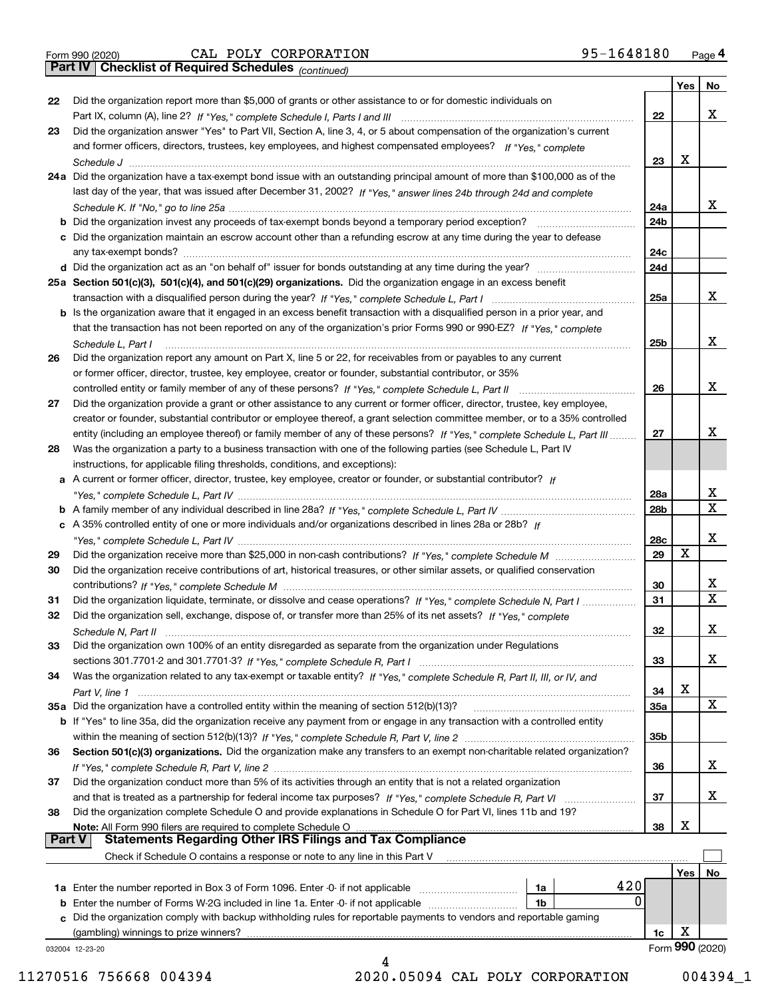|  | Form 990 (2020) |
|--|-----------------|
|  |                 |

Form 990 (2020) CAL POLY CORPORATION 95-1648180 <sub>Page</sub> 4<br>**Part IV | Checklist of Required Schedules** <sub>(continued)</sub>

*(continued)*

|        |                                                                                                                              |                 | Yes | No.             |
|--------|------------------------------------------------------------------------------------------------------------------------------|-----------------|-----|-----------------|
| 22     | Did the organization report more than \$5,000 of grants or other assistance to or for domestic individuals on                |                 |     |                 |
|        |                                                                                                                              | 22              |     | х               |
| 23     | Did the organization answer "Yes" to Part VII, Section A, line 3, 4, or 5 about compensation of the organization's current   |                 |     |                 |
|        | and former officers, directors, trustees, key employees, and highest compensated employees? If "Yes," complete               |                 |     |                 |
|        |                                                                                                                              | 23              | X   |                 |
|        | 24a Did the organization have a tax-exempt bond issue with an outstanding principal amount of more than \$100,000 as of the  |                 |     |                 |
|        | last day of the year, that was issued after December 31, 2002? If "Yes," answer lines 24b through 24d and complete           |                 |     |                 |
|        |                                                                                                                              | 24a             |     | x               |
|        | b Did the organization invest any proceeds of tax-exempt bonds beyond a temporary period exception?                          | 24b             |     |                 |
|        | c Did the organization maintain an escrow account other than a refunding escrow at any time during the year to defease       |                 |     |                 |
|        | any tax-exempt bonds?                                                                                                        | 24c             |     |                 |
|        |                                                                                                                              | 24d             |     |                 |
|        | 25a Section 501(c)(3), 501(c)(4), and 501(c)(29) organizations. Did the organization engage in an excess benefit             |                 |     |                 |
|        |                                                                                                                              | 25a             |     | х               |
|        | b Is the organization aware that it engaged in an excess benefit transaction with a disqualified person in a prior year, and |                 |     |                 |
|        | that the transaction has not been reported on any of the organization's prior Forms 990 or 990-EZ? If "Yes," complete        |                 |     |                 |
|        | Schedule L, Part I                                                                                                           | 25 <sub>b</sub> |     | х               |
| 26     | Did the organization report any amount on Part X, line 5 or 22, for receivables from or payables to any current              |                 |     |                 |
|        | or former officer, director, trustee, key employee, creator or founder, substantial contributor, or 35%                      |                 |     |                 |
|        |                                                                                                                              | 26              |     | х               |
| 27     | Did the organization provide a grant or other assistance to any current or former officer, director, trustee, key employee,  |                 |     |                 |
|        | creator or founder, substantial contributor or employee thereof, a grant selection committee member, or to a 35% controlled  |                 |     |                 |
|        | entity (including an employee thereof) or family member of any of these persons? If "Yes," complete Schedule L, Part III     | 27              |     | x               |
| 28     | Was the organization a party to a business transaction with one of the following parties (see Schedule L, Part IV            |                 |     |                 |
|        | instructions, for applicable filing thresholds, conditions, and exceptions):                                                 |                 |     |                 |
|        | a A current or former officer, director, trustee, key employee, creator or founder, or substantial contributor? If           |                 |     |                 |
|        |                                                                                                                              | 28a             |     | х               |
|        |                                                                                                                              | 28 <sub>b</sub> |     | $\mathbf X$     |
|        | c A 35% controlled entity of one or more individuals and/or organizations described in lines 28a or 28b? If                  |                 |     |                 |
|        |                                                                                                                              | 28c             |     | х               |
| 29     |                                                                                                                              | 29              | X   |                 |
| 30     | Did the organization receive contributions of art, historical treasures, or other similar assets, or qualified conservation  |                 |     |                 |
|        |                                                                                                                              | 30              |     | X               |
| 31     | Did the organization liquidate, terminate, or dissolve and cease operations? If "Yes," complete Schedule N, Part I           | 31              |     | $\mathbf x$     |
| 32     | Did the organization sell, exchange, dispose of, or transfer more than 25% of its net assets? If "Yes," complete             |                 |     |                 |
|        |                                                                                                                              | 32              |     | x               |
| 33     | Did the organization own 100% of an entity disregarded as separate from the organization under Regulations                   |                 |     |                 |
|        |                                                                                                                              | 33              |     | X               |
| 34     | Was the organization related to any tax-exempt or taxable entity? If "Yes," complete Schedule R, Part II, III, or IV, and    |                 |     |                 |
|        |                                                                                                                              | 34              | X   |                 |
|        | 35a Did the organization have a controlled entity within the meaning of section 512(b)(13)?                                  | <b>35a</b>      |     | X               |
|        | b If "Yes" to line 35a, did the organization receive any payment from or engage in any transaction with a controlled entity  |                 |     |                 |
|        |                                                                                                                              | 35b             |     |                 |
| 36     | Section 501(c)(3) organizations. Did the organization make any transfers to an exempt non-charitable related organization?   |                 |     |                 |
|        |                                                                                                                              | 36              |     | x               |
| 37     | Did the organization conduct more than 5% of its activities through an entity that is not a related organization             |                 |     |                 |
|        | and that is treated as a partnership for federal income tax purposes? If "Yes," complete Schedule R, Part VI                 | 37              |     | x               |
| 38     | Did the organization complete Schedule O and provide explanations in Schedule O for Part VI, lines 11b and 19?               |                 |     |                 |
|        | Note: All Form 990 filers are required to complete Schedule O                                                                | 38              | х   |                 |
| Part V | <b>Statements Regarding Other IRS Filings and Tax Compliance</b>                                                             |                 |     |                 |
|        | Check if Schedule O contains a response or note to any line in this Part V                                                   |                 |     |                 |
|        |                                                                                                                              |                 | Yes | No              |
|        | 420<br><b>1a</b> Enter the number reported in Box 3 of Form 1096. Enter -0- if not applicable <i>manumumumum</i><br>1a       |                 |     |                 |
|        | 0<br><b>b</b> Enter the number of Forms W-2G included in line 1a. Enter -0- if not applicable <i>manumumumum</i><br>1b       |                 |     |                 |
|        | c Did the organization comply with backup withholding rules for reportable payments to vendors and reportable gaming         |                 |     |                 |
|        | (gambling) winnings to prize winners?                                                                                        | 1c              | х   |                 |
|        | 032004 12-23-20                                                                                                              |                 |     | Form 990 (2020) |
|        | 4                                                                                                                            |                 |     |                 |

11270516 756668 004394 2020.05094 CAL POLY CORPORATION 004394\_1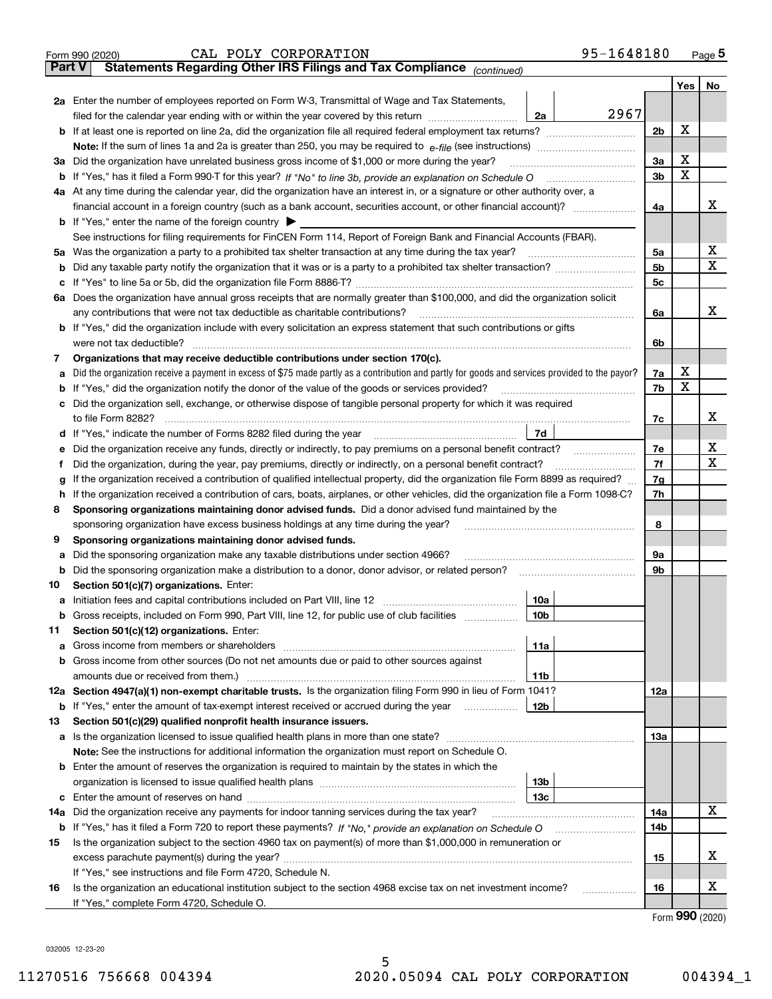|                                                                                                                                             | 95-1648180<br>CAL POLY CORPORATION<br>Form 990 (2020)                                                                                           |                |         | <u>Page</u> 5         |  |  |  |
|---------------------------------------------------------------------------------------------------------------------------------------------|-------------------------------------------------------------------------------------------------------------------------------------------------|----------------|---------|-----------------------|--|--|--|
| <b>Part V</b>                                                                                                                               | Statements Regarding Other IRS Filings and Tax Compliance (continued)                                                                           |                |         |                       |  |  |  |
|                                                                                                                                             |                                                                                                                                                 |                | Yes $ $ | No                    |  |  |  |
|                                                                                                                                             | 2a Enter the number of employees reported on Form W-3, Transmittal of Wage and Tax Statements,                                                  |                |         |                       |  |  |  |
|                                                                                                                                             | 2967<br>filed for the calendar year ending with or within the year covered by this return <i>manumumumum</i><br>2a                              |                |         |                       |  |  |  |
|                                                                                                                                             |                                                                                                                                                 | 2 <sub>b</sub> | х       |                       |  |  |  |
|                                                                                                                                             |                                                                                                                                                 |                |         |                       |  |  |  |
|                                                                                                                                             | 3a Did the organization have unrelated business gross income of \$1,000 or more during the year?                                                | 3a             | х       |                       |  |  |  |
|                                                                                                                                             |                                                                                                                                                 | 3 <sub>b</sub> | X       |                       |  |  |  |
|                                                                                                                                             | 4a At any time during the calendar year, did the organization have an interest in, or a signature or other authority over, a                    |                |         |                       |  |  |  |
|                                                                                                                                             |                                                                                                                                                 | 4a             |         | х                     |  |  |  |
|                                                                                                                                             | <b>b</b> If "Yes," enter the name of the foreign country $\blacktriangleright$                                                                  |                |         |                       |  |  |  |
|                                                                                                                                             |                                                                                                                                                 |                |         |                       |  |  |  |
|                                                                                                                                             | See instructions for filing requirements for FinCEN Form 114, Report of Foreign Bank and Financial Accounts (FBAR).                             |                |         | X                     |  |  |  |
|                                                                                                                                             | 5a Was the organization a party to a prohibited tax shelter transaction at any time during the tax year?                                        | 5a             |         | х                     |  |  |  |
| b                                                                                                                                           |                                                                                                                                                 | 5 <sub>b</sub> |         |                       |  |  |  |
|                                                                                                                                             |                                                                                                                                                 | 5 <sub>c</sub> |         |                       |  |  |  |
|                                                                                                                                             | 6a Does the organization have annual gross receipts that are normally greater than \$100,000, and did the organization solicit                  |                |         |                       |  |  |  |
|                                                                                                                                             |                                                                                                                                                 | 6a             |         | х                     |  |  |  |
|                                                                                                                                             | <b>b</b> If "Yes," did the organization include with every solicitation an express statement that such contributions or gifts                   |                |         |                       |  |  |  |
|                                                                                                                                             | were not tax deductible?                                                                                                                        | 6b             |         |                       |  |  |  |
| 7                                                                                                                                           | Organizations that may receive deductible contributions under section 170(c).                                                                   |                |         |                       |  |  |  |
| а                                                                                                                                           | Did the organization receive a payment in excess of \$75 made partly as a contribution and partly for goods and services provided to the payor? | 7a             | х       |                       |  |  |  |
|                                                                                                                                             | <b>b</b> If "Yes," did the organization notify the donor of the value of the goods or services provided?                                        | 7b             | X       |                       |  |  |  |
|                                                                                                                                             | c Did the organization sell, exchange, or otherwise dispose of tangible personal property for which it was required                             |                |         |                       |  |  |  |
|                                                                                                                                             |                                                                                                                                                 | 7с             |         | х                     |  |  |  |
|                                                                                                                                             | 7d                                                                                                                                              |                |         |                       |  |  |  |
| е                                                                                                                                           |                                                                                                                                                 | 7e             |         | х                     |  |  |  |
| f                                                                                                                                           | Did the organization, during the year, pay premiums, directly or indirectly, on a personal benefit contract?                                    | 7f             |         | x                     |  |  |  |
| If the organization received a contribution of qualified intellectual property, did the organization file Form 8899 as required?<br>7g<br>g |                                                                                                                                                 |                |         |                       |  |  |  |
| h.                                                                                                                                          | If the organization received a contribution of cars, boats, airplanes, or other vehicles, did the organization file a Form 1098-C?              | 7h             |         |                       |  |  |  |
| 8                                                                                                                                           | Sponsoring organizations maintaining donor advised funds. Did a donor advised fund maintained by the                                            |                |         |                       |  |  |  |
|                                                                                                                                             | sponsoring organization have excess business holdings at any time during the year?                                                              | 8              |         |                       |  |  |  |
| 9                                                                                                                                           | Sponsoring organizations maintaining donor advised funds.                                                                                       |                |         |                       |  |  |  |
|                                                                                                                                             | Did the sponsoring organization make any taxable distributions under section 4966?                                                              | 9а             |         |                       |  |  |  |
| а                                                                                                                                           |                                                                                                                                                 | 9b             |         |                       |  |  |  |
|                                                                                                                                             | <b>b</b> Did the sponsoring organization make a distribution to a donor, donor advisor, or related person?                                      |                |         |                       |  |  |  |
| 10                                                                                                                                          | Section 501(c)(7) organizations. Enter:                                                                                                         |                |         |                       |  |  |  |
|                                                                                                                                             | 10a                                                                                                                                             |                |         |                       |  |  |  |
|                                                                                                                                             | 10b <br>Gross receipts, included on Form 990, Part VIII, line 12, for public use of club facilities                                             |                |         |                       |  |  |  |
| 11                                                                                                                                          | Section 501(c)(12) organizations. Enter:                                                                                                        |                |         |                       |  |  |  |
|                                                                                                                                             | 11a                                                                                                                                             |                |         |                       |  |  |  |
|                                                                                                                                             | b Gross income from other sources (Do not net amounts due or paid to other sources against                                                      |                |         |                       |  |  |  |
|                                                                                                                                             | 11b                                                                                                                                             |                |         |                       |  |  |  |
|                                                                                                                                             | 12a Section 4947(a)(1) non-exempt charitable trusts. Is the organization filing Form 990 in lieu of Form 1041?                                  | 12a            |         |                       |  |  |  |
|                                                                                                                                             | 12b<br><b>b</b> If "Yes," enter the amount of tax-exempt interest received or accrued during the year <i>manument</i>                           |                |         |                       |  |  |  |
| 13                                                                                                                                          | Section 501(c)(29) qualified nonprofit health insurance issuers.                                                                                |                |         |                       |  |  |  |
|                                                                                                                                             | a Is the organization licensed to issue qualified health plans in more than one state?                                                          | 13а            |         |                       |  |  |  |
|                                                                                                                                             | Note: See the instructions for additional information the organization must report on Schedule O.                                               |                |         |                       |  |  |  |
|                                                                                                                                             | <b>b</b> Enter the amount of reserves the organization is required to maintain by the states in which the                                       |                |         |                       |  |  |  |
|                                                                                                                                             | 13b                                                                                                                                             |                |         |                       |  |  |  |
|                                                                                                                                             | 13с                                                                                                                                             |                |         |                       |  |  |  |
| 14a                                                                                                                                         | Did the organization receive any payments for indoor tanning services during the tax year?                                                      | 14a            |         | x                     |  |  |  |
|                                                                                                                                             | b If "Yes," has it filed a Form 720 to report these payments? If "No," provide an explanation on Schedule O                                     | 14b            |         |                       |  |  |  |
| 15                                                                                                                                          | Is the organization subject to the section 4960 tax on payment(s) of more than \$1,000,000 in remuneration or                                   |                |         |                       |  |  |  |
|                                                                                                                                             |                                                                                                                                                 |                |         |                       |  |  |  |
|                                                                                                                                             |                                                                                                                                                 | 15             |         | x                     |  |  |  |
|                                                                                                                                             | If "Yes," see instructions and file Form 4720, Schedule N.                                                                                      |                |         | х                     |  |  |  |
| 16                                                                                                                                          | Is the organization an educational institution subject to the section 4968 excise tax on net investment income?                                 | 16             |         |                       |  |  |  |
|                                                                                                                                             | If "Yes," complete Form 4720, Schedule O.                                                                                                       |                |         | $000 \; \text{const}$ |  |  |  |

5

Form (2020) **990**

032005 12-23-20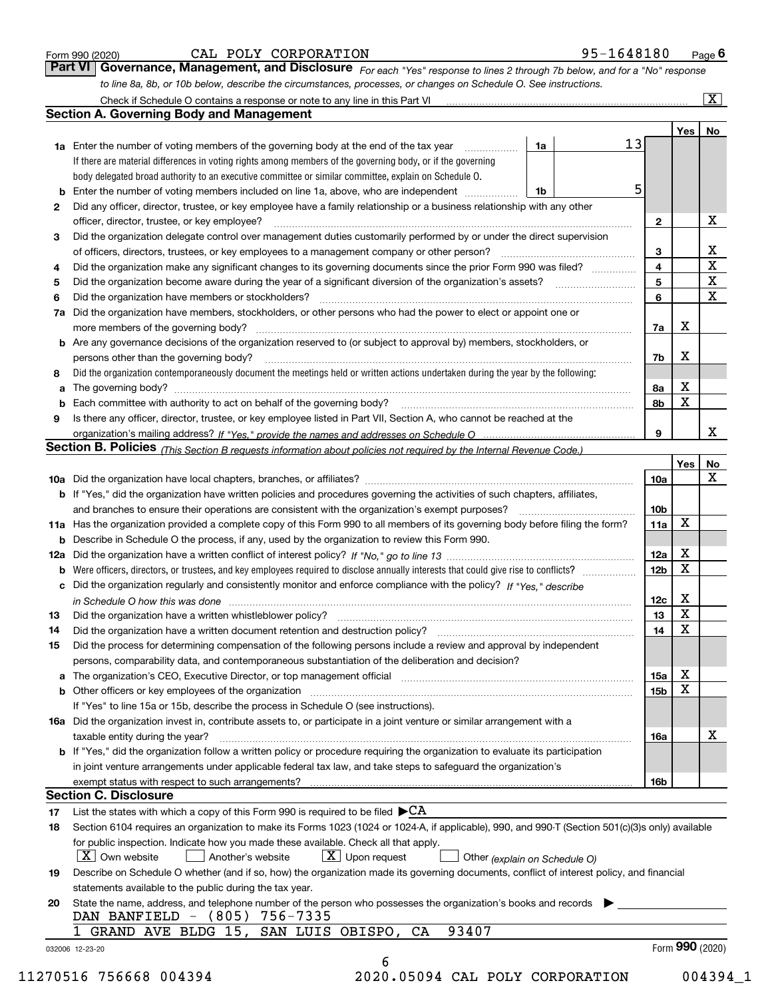|  | Form 990 (2020) |  |
|--|-----------------|--|
|  |                 |  |

#### CAL POLY CORPORATION 95-1648180

*For each "Yes" response to lines 2 through 7b below, and for a "No" response to line 8a, 8b, or 10b below, describe the circumstances, processes, or changes on Schedule O. See instructions.* Form 990 (2020) **CAL POLY CORPORATION** 95-1648180 Page 6<br>**Part VI Governance, Management, and Disclosure** For each "Yes" response to lines 2 through 7b below, and for a "No" response

|              |                                                                                                                                                                               |    |    |                         | Yes             | No                      |
|--------------|-------------------------------------------------------------------------------------------------------------------------------------------------------------------------------|----|----|-------------------------|-----------------|-------------------------|
|              | <b>1a</b> Enter the number of voting members of the governing body at the end of the tax year                                                                                 | 1a | 13 |                         |                 |                         |
|              | If there are material differences in voting rights among members of the governing body, or if the governing                                                                   |    |    |                         |                 |                         |
|              | body delegated broad authority to an executive committee or similar committee, explain on Schedule O.                                                                         |    |    |                         |                 |                         |
|              |                                                                                                                                                                               | 1b | 5  |                         |                 |                         |
| $\mathbf{2}$ | Did any officer, director, trustee, or key employee have a family relationship or a business relationship with any other                                                      |    |    |                         |                 |                         |
|              | officer, director, trustee, or key employee?                                                                                                                                  |    |    | $\mathbf{2}$            |                 | X                       |
| 3            | Did the organization delegate control over management duties customarily performed by or under the direct supervision                                                         |    |    |                         |                 |                         |
|              |                                                                                                                                                                               |    |    | 3                       |                 | X                       |
| 4            | Did the organization make any significant changes to its governing documents since the prior Form 990 was filed?                                                              |    |    | $\overline{\mathbf{4}}$ |                 | $\overline{\textbf{X}}$ |
| 5            |                                                                                                                                                                               |    |    | 5                       |                 | $\mathbf X$             |
| 6            | Did the organization have members or stockholders?                                                                                                                            |    |    | 6                       |                 | $\mathbf x$             |
|              | 7a Did the organization have members, stockholders, or other persons who had the power to elect or appoint one or                                                             |    |    |                         |                 |                         |
|              |                                                                                                                                                                               |    |    | 7a                      | x               |                         |
|              | <b>b</b> Are any governance decisions of the organization reserved to (or subject to approval by) members, stockholders, or                                                   |    |    |                         |                 |                         |
|              | persons other than the governing body?                                                                                                                                        |    |    | 7b                      | X               |                         |
| 8            | Did the organization contemporaneously document the meetings held or written actions undertaken during the year by the following:                                             |    |    |                         |                 |                         |
| a            |                                                                                                                                                                               |    |    | 8a                      | X               |                         |
|              |                                                                                                                                                                               |    |    | 8b                      | X               |                         |
| 9            | Is there any officer, director, trustee, or key employee listed in Part VII, Section A, who cannot be reached at the                                                          |    |    |                         |                 |                         |
|              |                                                                                                                                                                               |    |    | 9                       |                 | х                       |
|              | Section B. Policies (This Section B requests information about policies not required by the Internal Revenue Code.)                                                           |    |    |                         |                 |                         |
|              |                                                                                                                                                                               |    |    |                         | Yes             | No                      |
|              |                                                                                                                                                                               |    |    | 10a                     |                 | X                       |
|              |                                                                                                                                                                               |    |    |                         |                 |                         |
|              | <b>b</b> If "Yes," did the organization have written policies and procedures governing the activities of such chapters, affiliates,                                           |    |    |                         |                 |                         |
|              |                                                                                                                                                                               |    |    | 10 <sub>b</sub>         | X               |                         |
|              | 11a Has the organization provided a complete copy of this Form 990 to all members of its governing body before filing the form?                                               |    |    | 11a                     |                 |                         |
|              | <b>b</b> Describe in Schedule O the process, if any, used by the organization to review this Form 990.                                                                        |    |    |                         |                 |                         |
|              |                                                                                                                                                                               |    |    | 12a                     | X               |                         |
| b            |                                                                                                                                                                               |    |    | 12b                     | X               |                         |
|              | c Did the organization regularly and consistently monitor and enforce compliance with the policy? If "Yes," describe                                                          |    |    |                         |                 |                         |
|              | in Schedule O how this was done manufactured and continuum control of the Schedule O how this was done manufactured and continuum control of the Schedule O how this was done |    |    | 12c                     | х               |                         |
| 13           |                                                                                                                                                                               |    |    | 13                      | X               |                         |
| 14           | Did the organization have a written document retention and destruction policy? manufactured and the organization have a written document retention and destruction policy?    |    |    | 14                      | X               |                         |
| 15           | Did the process for determining compensation of the following persons include a review and approval by independent                                                            |    |    |                         |                 |                         |
|              | persons, comparability data, and contemporaneous substantiation of the deliberation and decision?                                                                             |    |    |                         |                 |                         |
|              |                                                                                                                                                                               |    |    | 15a                     | X               |                         |
|              |                                                                                                                                                                               |    |    | 15b                     | X               |                         |
|              | If "Yes" to line 15a or 15b, describe the process in Schedule O (see instructions).                                                                                           |    |    |                         |                 |                         |
|              | 16a Did the organization invest in, contribute assets to, or participate in a joint venture or similar arrangement with a                                                     |    |    |                         |                 |                         |
|              | taxable entity during the year?                                                                                                                                               |    |    | 16a                     |                 | X                       |
|              | b If "Yes," did the organization follow a written policy or procedure requiring the organization to evaluate its participation                                                |    |    |                         |                 |                         |
|              | in joint venture arrangements under applicable federal tax law, and take steps to safequard the organization's                                                                |    |    |                         |                 |                         |
|              | exempt status with respect to such arrangements?                                                                                                                              |    |    | 16b                     |                 |                         |
|              | <b>Section C. Disclosure</b>                                                                                                                                                  |    |    |                         |                 |                         |
| 17           | List the states with which a copy of this Form 990 is required to be filed $\blacktriangleright$ CA                                                                           |    |    |                         |                 |                         |
| 18           | Section 6104 requires an organization to make its Forms 1023 (1024 or 1024-A, if applicable), 990, and 990-T (Section 501(c)(3)s only) available                              |    |    |                         |                 |                         |
|              | for public inspection. Indicate how you made these available. Check all that apply.                                                                                           |    |    |                         |                 |                         |
|              | $\lfloor X \rfloor$ Own website<br>$X$ Upon request<br>Another's website<br>Other (explain on Schedule O)                                                                     |    |    |                         |                 |                         |
| 19           | Describe on Schedule O whether (and if so, how) the organization made its governing documents, conflict of interest policy, and financial                                     |    |    |                         |                 |                         |
|              | statements available to the public during the tax year.                                                                                                                       |    |    |                         |                 |                         |
| 20           | State the name, address, and telephone number of the person who possesses the organization's books and records                                                                |    |    |                         |                 |                         |
|              | DAN BANFIELD - (805) 756-7335                                                                                                                                                 |    |    |                         |                 |                         |
|              | 93407<br>SAN LUIS OBISPO, CA<br>1 GRAND AVE BLDG 15,                                                                                                                          |    |    |                         |                 |                         |
|              |                                                                                                                                                                               |    |    |                         | Form 990 (2020) |                         |
|              | 032006 12-23-20                                                                                                                                                               |    |    |                         |                 |                         |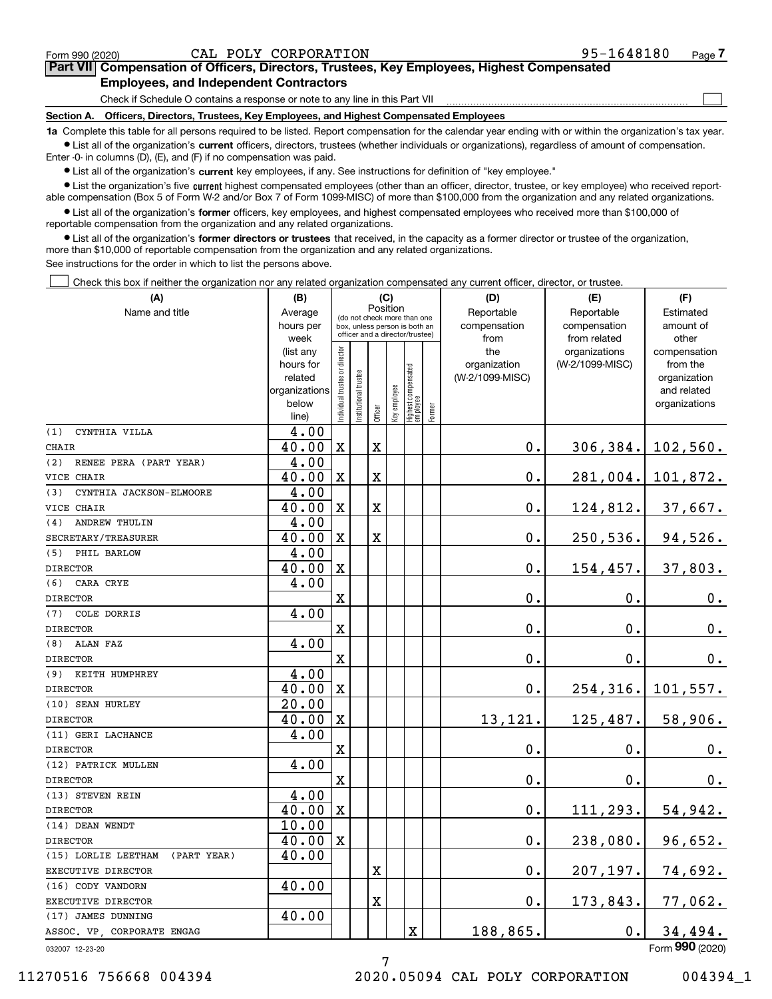$\mathcal{L}^{\text{max}}$ 

| Form 990 (2020) |                                               | CAL POLY CORPORATION | 95-1648180                                                                                 | Page 7 |
|-----------------|-----------------------------------------------|----------------------|--------------------------------------------------------------------------------------------|--------|
|                 |                                               |                      | Part VII Compensation of Officers, Directors, Trustees, Key Employees, Highest Compensated |        |
|                 | <b>Employees, and Independent Contractors</b> |                      |                                                                                            |        |

Check if Schedule O contains a response or note to any line in this Part VII

**Section A. Officers, Directors, Trustees, Key Employees, and Highest Compensated Employees**

**1a**  Complete this table for all persons required to be listed. Report compensation for the calendar year ending with or within the organization's tax year. **•** List all of the organization's current officers, directors, trustees (whether individuals or organizations), regardless of amount of compensation.

Enter -0- in columns (D), (E), and (F) if no compensation was paid.

 $\bullet$  List all of the organization's  $\,$ current key employees, if any. See instructions for definition of "key employee."

**•** List the organization's five current highest compensated employees (other than an officer, director, trustee, or key employee) who received reportable compensation (Box 5 of Form W-2 and/or Box 7 of Form 1099-MISC) of more than \$100,000 from the organization and any related organizations.

**•** List all of the organization's former officers, key employees, and highest compensated employees who received more than \$100,000 of reportable compensation from the organization and any related organizations.

**former directors or trustees**  ¥ List all of the organization's that received, in the capacity as a former director or trustee of the organization, more than \$10,000 of reportable compensation from the organization and any related organizations.

See instructions for the order in which to list the persons above.

Check this box if neither the organization nor any related organization compensated any current officer, director, or trustee.  $\mathcal{L}^{\text{max}}$ 

| (A)                             | (B)                      |                                |                                                                  |         | (C)          |                                 |        | (D)                | (E)             | (F)                         |
|---------------------------------|--------------------------|--------------------------------|------------------------------------------------------------------|---------|--------------|---------------------------------|--------|--------------------|-----------------|-----------------------------|
| Name and title                  | Average                  |                                | (do not check more than one                                      |         | Position     |                                 |        | Reportable         | Reportable      | Estimated                   |
|                                 | hours per                |                                | box, unless person is both an<br>officer and a director/trustee) |         |              |                                 |        | compensation       | compensation    | amount of                   |
|                                 | week                     |                                |                                                                  |         |              |                                 |        | from               | from related    | other                       |
|                                 | (list any                |                                |                                                                  |         |              |                                 |        | the                | organizations   | compensation                |
|                                 | hours for                |                                |                                                                  |         |              |                                 |        | organization       | (W-2/1099-MISC) | from the                    |
|                                 | related<br>organizations |                                |                                                                  |         |              |                                 |        | (W-2/1099-MISC)    |                 | organization<br>and related |
|                                 | below                    |                                |                                                                  |         |              |                                 |        |                    |                 | organizations               |
|                                 | line)                    | Individual trustee or director | Institutional trustee                                            | Officer | Key employee | Highest compensated<br>employee | Former |                    |                 |                             |
| (1)<br>CYNTHIA VILLA            | 4.00                     |                                |                                                                  |         |              |                                 |        |                    |                 |                             |
| <b>CHAIR</b>                    | 40.00                    | $\mathbf X$                    |                                                                  | X       |              |                                 |        | 0.                 |                 | $306, 384.$ 102, 560.       |
| (2)<br>RENEE PERA (PART YEAR)   | 4.00                     |                                |                                                                  |         |              |                                 |        |                    |                 |                             |
| VICE CHAIR                      | 40.00                    | $\mathbf X$                    |                                                                  | X       |              |                                 |        | $0$ .              |                 | 281,004. 101,872.           |
| (3)<br>CYNTHIA JACKSON-ELMOORE  | 4.00                     |                                |                                                                  |         |              |                                 |        |                    |                 |                             |
| VICE CHAIR                      | 40.00                    | $\mathbf X$                    |                                                                  | X       |              |                                 |        | $0$ .              | 124,812.        | 37,667.                     |
| <b>ANDREW THULIN</b><br>(4)     | 4.00                     |                                |                                                                  |         |              |                                 |        |                    |                 |                             |
| SECRETARY/TREASURER             | 40.00                    | $\mathbf X$                    |                                                                  | X       |              |                                 |        | $0$ .              | 250,536.        | 94,526.                     |
| PHIL BARLOW<br>(5)              | 4.00                     |                                |                                                                  |         |              |                                 |        |                    |                 |                             |
| <b>DIRECTOR</b>                 | 40.00                    | X                              |                                                                  |         |              |                                 |        | 0.                 | 154, 457.       | 37,803.                     |
| CARA CRYE<br>(6)                | 4.00                     |                                |                                                                  |         |              |                                 |        |                    |                 |                             |
| <b>DIRECTOR</b>                 |                          | $\mathbf X$                    |                                                                  |         |              |                                 |        | 0.                 | 0.              | $0_{.}$                     |
| COLE DORRIS<br>(7)              | 4.00                     |                                |                                                                  |         |              |                                 |        |                    |                 |                             |
| <b>DIRECTOR</b>                 |                          | $\mathbf X$                    |                                                                  |         |              |                                 |        | 0.                 | 0.              | $0_{.}$                     |
| ALAN FAZ<br>(8)                 | 4.00                     |                                |                                                                  |         |              |                                 |        |                    |                 |                             |
| <b>DIRECTOR</b>                 |                          | $\mathbf X$                    |                                                                  |         |              |                                 |        | 0.                 | 0.              | 0.                          |
| KEITH HUMPHREY<br>(9)           | 4.00                     |                                |                                                                  |         |              |                                 |        |                    |                 |                             |
| <b>DIRECTOR</b>                 | 40.00                    | $\mathbf X$                    |                                                                  |         |              |                                 |        | $\mathbf 0$ .      | 254, 316.       | 101,557.                    |
| (10) SEAN HURLEY                | 20.00                    |                                |                                                                  |         |              |                                 |        |                    |                 |                             |
| <b>DIRECTOR</b>                 | 40.00                    | $\mathbf X$                    |                                                                  |         |              |                                 |        | 13,121.            | 125,487.        | 58,906.                     |
| (11) GERI LACHANCE              | 4.00                     |                                |                                                                  |         |              |                                 |        |                    |                 |                             |
| <b>DIRECTOR</b>                 |                          | $\mathbf X$                    |                                                                  |         |              |                                 |        | 0.                 | 0.              | $0_{.}$                     |
| (12) PATRICK MULLEN             | 4.00                     |                                |                                                                  |         |              |                                 |        |                    |                 |                             |
| <b>DIRECTOR</b>                 |                          | $\mathbf X$                    |                                                                  |         |              |                                 |        | 0.                 | 0.              | 0.                          |
| (13) STEVEN REIN                | 4.00                     |                                |                                                                  |         |              |                                 |        |                    |                 |                             |
| <b>DIRECTOR</b>                 | 40.00                    | $\mathbf X$                    |                                                                  |         |              |                                 |        | $\mathbf 0$ .      | 111, 293.       | 54,942.                     |
| (14) DEAN WENDT                 | 10.00                    |                                |                                                                  |         |              |                                 |        |                    |                 |                             |
| <b>DIRECTOR</b>                 | 40.00                    | $\boldsymbol{\mathrm{X}}$      |                                                                  |         |              |                                 |        | $\mathbf 0$ .      | 238,080.        | 96,652.                     |
| (15) LORLIE LEETHAM (PART YEAR) | 40.00                    |                                |                                                                  |         |              |                                 |        |                    |                 |                             |
| EXECUTIVE DIRECTOR              |                          |                                |                                                                  | X       |              |                                 |        | $\mathbf 0$ .      | 207,197.        | <u>74,692.</u>              |
| (16) CODY VANDORN               | 40.00                    |                                |                                                                  |         |              |                                 |        |                    |                 |                             |
| EXECUTIVE DIRECTOR              |                          |                                |                                                                  | Χ       |              |                                 |        | $\boldsymbol{0}$ . | 173,843.        | <u>77,062.</u>              |
| (17) JAMES DUNNING              | 40.00                    |                                |                                                                  |         |              |                                 |        |                    |                 |                             |
| ASSOC. VP, CORPORATE ENGAG      |                          |                                |                                                                  |         |              | х                               |        | 188,865.           | $\mathbf 0$ .   | 34,494.                     |
| 032007 12-23-20                 |                          |                                |                                                                  |         |              |                                 |        |                    |                 | Form 990 (2020)             |

7

032007 12-23-20

11270516 756668 004394 2020.05094 CAL POLY CORPORATION 004394\_1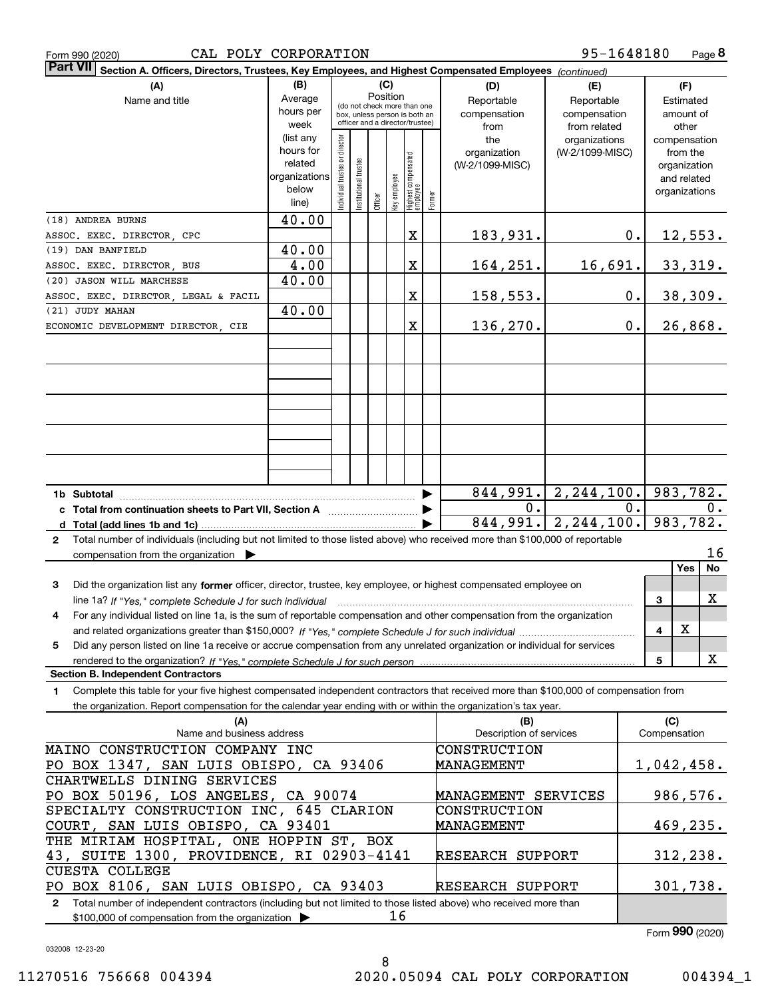|  | Form 990 (2020) |
|--|-----------------|
|  |                 |

| <b>Part VII</b><br>Section A. Officers, Directors, Trustees, Key Employees, and Highest Compensated Employees (continued)                    |                          |                               |                                         |         |              |                                 |        |                         |                 |    |                          |
|----------------------------------------------------------------------------------------------------------------------------------------------|--------------------------|-------------------------------|-----------------------------------------|---------|--------------|---------------------------------|--------|-------------------------|-----------------|----|--------------------------|
| (A)                                                                                                                                          | (B)<br>(C)<br>(D)<br>(E) |                               |                                         |         |              |                                 |        | (F)                     |                 |    |                          |
| Average<br>Name and title                                                                                                                    |                          |                               | Position<br>(do not check more than one |         |              |                                 |        | Reportable              | Reportable      |    | Estimated                |
|                                                                                                                                              | hours per                |                               |                                         |         |              | box, unless person is both an   |        | compensation            | compensation    |    | amount of                |
|                                                                                                                                              | week                     |                               |                                         |         |              | officer and a director/trustee) |        | from                    | from related    |    | other                    |
|                                                                                                                                              | (list any                |                               |                                         |         |              |                                 |        | the                     | organizations   |    | compensation             |
|                                                                                                                                              | hours for                |                               |                                         |         |              |                                 |        | organization            | (W-2/1099-MISC) |    | from the                 |
|                                                                                                                                              | related                  |                               |                                         |         |              |                                 |        | (W-2/1099-MISC)         |                 |    | organization             |
|                                                                                                                                              | organizations            |                               |                                         |         |              |                                 |        |                         |                 |    | and related              |
|                                                                                                                                              | below<br>line)           | ndividual trustee or director | Institutional trustee                   | Officer | key employee | Highest compensated<br>employee | Former |                         |                 |    | organizations            |
|                                                                                                                                              |                          |                               |                                         |         |              |                                 |        |                         |                 |    |                          |
| (18) ANDREA BURNS                                                                                                                            | 40.00                    |                               |                                         |         |              |                                 |        |                         |                 |    |                          |
| ASSOC. EXEC. DIRECTOR, CPC                                                                                                                   |                          |                               |                                         |         |              | X                               |        | 183,931.                |                 | 0. | <u>12,553.</u>           |
| (19) DAN BANFIELD                                                                                                                            | 40.00                    |                               |                                         |         |              |                                 |        |                         |                 |    |                          |
| ASSOC. EXEC. DIRECTOR, BUS                                                                                                                   | 4.00                     |                               |                                         |         |              | Χ                               |        | 164,251.                | 16,691.         |    | 33,319.                  |
| (20) JASON WILL MARCHESE                                                                                                                     | 40.00                    |                               |                                         |         |              |                                 |        |                         |                 |    |                          |
| ASSOC. EXEC. DIRECTOR, LEGAL & FACIL                                                                                                         |                          |                               |                                         |         |              | Χ                               |        | 158,553.                |                 | 0. | 38,309.                  |
| (21) JUDY MAHAN                                                                                                                              | 40.00                    |                               |                                         |         |              |                                 |        |                         |                 |    |                          |
| ECONOMIC DEVELOPMENT DIRECTOR, CIE                                                                                                           |                          |                               |                                         |         |              | X                               |        | 136, 270.               |                 | 0. | 26,868.                  |
|                                                                                                                                              |                          |                               |                                         |         |              |                                 |        |                         |                 |    |                          |
|                                                                                                                                              |                          |                               |                                         |         |              |                                 |        |                         |                 |    |                          |
|                                                                                                                                              |                          |                               |                                         |         |              |                                 |        |                         |                 |    |                          |
|                                                                                                                                              |                          |                               |                                         |         |              |                                 |        |                         |                 |    |                          |
|                                                                                                                                              |                          |                               |                                         |         |              |                                 |        |                         |                 |    |                          |
|                                                                                                                                              |                          |                               |                                         |         |              |                                 |        |                         |                 |    |                          |
|                                                                                                                                              |                          |                               |                                         |         |              |                                 |        |                         |                 |    |                          |
|                                                                                                                                              |                          |                               |                                         |         |              |                                 |        |                         |                 |    |                          |
|                                                                                                                                              |                          |                               |                                         |         |              |                                 |        |                         |                 |    |                          |
|                                                                                                                                              |                          |                               |                                         |         |              |                                 |        |                         |                 |    |                          |
|                                                                                                                                              |                          |                               |                                         |         |              |                                 |        |                         |                 |    |                          |
|                                                                                                                                              |                          |                               |                                         |         |              |                                 |        | 844,991.                | 2, 244, 100.    |    | 983,782.                 |
|                                                                                                                                              |                          |                               |                                         |         |              |                                 |        | 0.                      |                 | 0. | 0.                       |
|                                                                                                                                              |                          |                               |                                         |         |              |                                 |        | $\sqrt{844,991}$ .      |                 |    | $2, 244, 100.$ 983, 782. |
| Total number of individuals (including but not limited to those listed above) who received more than \$100,000 of reportable<br>$\mathbf{2}$ |                          |                               |                                         |         |              |                                 |        |                         |                 |    |                          |
| compensation from the organization $\blacktriangleright$                                                                                     |                          |                               |                                         |         |              |                                 |        |                         |                 |    | 16                       |
|                                                                                                                                              |                          |                               |                                         |         |              |                                 |        |                         |                 |    | <b>Yes</b><br>No         |
| 3<br>Did the organization list any former officer, director, trustee, key employee, or highest compensated employee on                       |                          |                               |                                         |         |              |                                 |        |                         |                 |    |                          |
| line 1a? If "Yes," complete Schedule J for such individual                                                                                   |                          |                               |                                         |         |              |                                 |        |                         |                 |    | X<br>3                   |
| For any individual listed on line 1a, is the sum of reportable compensation and other compensation from the organization<br>4                |                          |                               |                                         |         |              |                                 |        |                         |                 |    |                          |
|                                                                                                                                              |                          |                               |                                         |         |              |                                 |        |                         |                 |    | X<br>4                   |
| Did any person listed on line 1a receive or accrue compensation from any unrelated organization or individual for services<br>5              |                          |                               |                                         |         |              |                                 |        |                         |                 |    |                          |
|                                                                                                                                              |                          |                               |                                         |         |              |                                 |        |                         |                 |    | x<br>5                   |
| <b>Section B. Independent Contractors</b>                                                                                                    |                          |                               |                                         |         |              |                                 |        |                         |                 |    |                          |
| Complete this table for your five highest compensated independent contractors that received more than \$100,000 of compensation from<br>1.   |                          |                               |                                         |         |              |                                 |        |                         |                 |    |                          |
| the organization. Report compensation for the calendar year ending with or within the organization's tax year.                               |                          |                               |                                         |         |              |                                 |        |                         |                 |    |                          |
| (A)                                                                                                                                          |                          |                               |                                         |         |              |                                 |        | (B)                     |                 |    | (C)                      |
| Name and business address                                                                                                                    |                          |                               |                                         |         |              |                                 |        | Description of services |                 |    | Compensation             |
| MAINO CONSTRUCTION COMPANY INC                                                                                                               |                          |                               |                                         |         |              |                                 |        | CONSTRUCTION            |                 |    |                          |
| PO BOX 1347, SAN LUIS OBISPO, CA 93406                                                                                                       |                          |                               |                                         |         |              |                                 |        | MANAGEMENT              |                 |    | 1,042,458.               |
| CHARTWELLS DINING SERVICES                                                                                                                   |                          |                               |                                         |         |              |                                 |        |                         |                 |    |                          |
| PO BOX 50196, LOS ANGELES, CA 90074                                                                                                          |                          |                               |                                         |         |              |                                 |        | MANAGEMENT SERVICES     |                 |    | 986,576.                 |
|                                                                                                                                              |                          |                               |                                         |         |              |                                 |        |                         |                 |    |                          |
| SPECIALTY CONSTRUCTION INC, 645 CLARION                                                                                                      |                          |                               |                                         |         |              |                                 |        | CONSTRUCTION            |                 |    |                          |
| COURT, SAN LUIS OBISPO, CA 93401                                                                                                             |                          |                               |                                         |         |              |                                 |        | MANAGEMENT              |                 |    | 469, 235.                |
| THE MIRIAM HOSPITAL, ONE HOPPIN ST, BOX                                                                                                      |                          |                               |                                         |         |              |                                 |        |                         |                 |    |                          |
| 43, SUITE 1300, PROVIDENCE, RI 02903-4141                                                                                                    |                          |                               |                                         |         |              |                                 |        | RESEARCH SUPPORT        |                 |    | 312, 238.                |
| <b>CUESTA COLLEGE</b>                                                                                                                        |                          |                               |                                         |         |              |                                 |        |                         |                 |    |                          |
| PO BOX 8106, SAN LUIS OBISPO, CA 93403                                                                                                       |                          |                               |                                         |         |              |                                 |        | RESEARCH SUPPORT        |                 |    | 301,738.                 |

**2**Total number of independent contractors (including but not limited to those listed above) who received more than \$100,000 of compensation from the organization  $\blacktriangleright$ PO BOX 8106, SAN LUIS OBISPO, CA 93403 RESEARCH SUPPORT 16

8

Form (2020) **990**

032008 12-23-20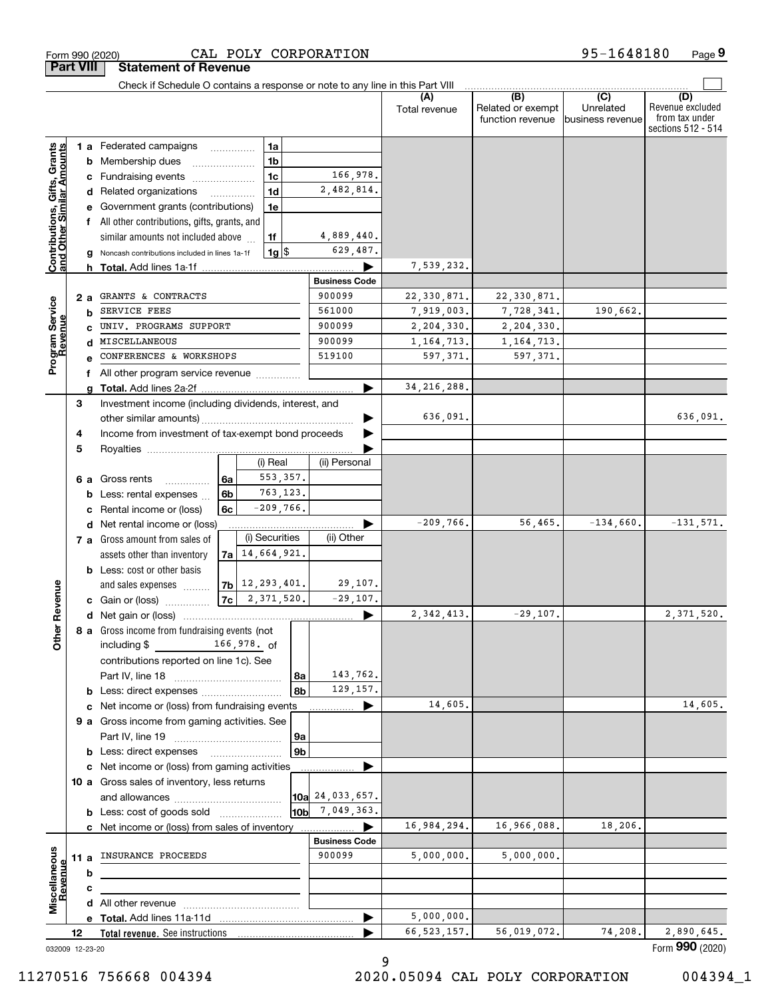|                                                           |                                            |   | Check if Schedule O contains a response or note to any line in this Part VIII |                                            |  |                      |                      |               |                                              |                                      |                                                                 |
|-----------------------------------------------------------|--------------------------------------------|---|-------------------------------------------------------------------------------|--------------------------------------------|--|----------------------|----------------------|---------------|----------------------------------------------|--------------------------------------|-----------------------------------------------------------------|
|                                                           |                                            |   |                                                                               |                                            |  |                      |                      | Total revenue | (B)<br>Related or exempt<br>function revenue | (C)<br>Unrelated<br>business revenue | (D)<br>Revenue excluded<br>from tax under<br>sections 512 - 514 |
|                                                           |                                            |   | 1 a Federated campaigns                                                       |                                            |  | 1a                   |                      |               |                                              |                                      |                                                                 |
| Contributions, Gifts, Grants<br>and Other Similar Amounts | 1 <sub>b</sub><br><b>b</b> Membership dues |   |                                                                               |                                            |  |                      |                      |               |                                              |                                      |                                                                 |
|                                                           |                                            |   | c Fundraising events                                                          |                                            |  | 1 <sub>c</sub>       | 166,978.             |               |                                              |                                      |                                                                 |
|                                                           |                                            |   | d Related organizations                                                       | 1 <sub>d</sub><br>$\overline{\phantom{a}}$ |  |                      | 2,482,814.           |               |                                              |                                      |                                                                 |
|                                                           |                                            |   | e Government grants (contributions)                                           |                                            |  | 1e                   |                      |               |                                              |                                      |                                                                 |
|                                                           |                                            |   | f All other contributions, gifts, grants, and                                 |                                            |  |                      |                      |               |                                              |                                      |                                                                 |
|                                                           |                                            |   | similar amounts not included above                                            |                                            |  | 1f                   | 4,889,440.           |               |                                              |                                      |                                                                 |
|                                                           |                                            |   | g Noncash contributions included in lines 1a-1f                               |                                            |  | 1g                   | 629,487.             |               |                                              |                                      |                                                                 |
|                                                           |                                            |   |                                                                               |                                            |  |                      |                      | 7,539,232.    |                                              |                                      |                                                                 |
|                                                           |                                            |   |                                                                               |                                            |  |                      | <b>Business Code</b> |               |                                              |                                      |                                                                 |
|                                                           | 2 a                                        |   | GRANTS & CONTRACTS                                                            |                                            |  |                      | 900099               | 22,330,871.   | 22,330,871.                                  |                                      |                                                                 |
|                                                           |                                            | b | SERVICE FEES                                                                  |                                            |  |                      | 561000               | 7,919,003.    | 7,728,341.                                   | 190,662.                             |                                                                 |
|                                                           |                                            |   | UNIV. PROGRAMS SUPPORT                                                        |                                            |  |                      | 900099               | 2,204,330.    | 2,204,330.                                   |                                      |                                                                 |
|                                                           |                                            |   | MISCELLANEOUS                                                                 |                                            |  |                      | 900099               | 1, 164, 713.  | 1, 164, 713.                                 |                                      |                                                                 |
| Program Service<br>Revenue                                |                                            |   | CONFERENCES & WORKSHOPS                                                       |                                            |  |                      | 519100               | 597,371.      | 597,371.                                     |                                      |                                                                 |
|                                                           |                                            |   | f All other program service revenue                                           |                                            |  |                      |                      |               |                                              |                                      |                                                                 |
|                                                           |                                            |   |                                                                               |                                            |  |                      |                      | 34, 216, 288. |                                              |                                      |                                                                 |
|                                                           | 3                                          |   | Investment income (including dividends, interest, and                         |                                            |  |                      |                      |               |                                              |                                      |                                                                 |
|                                                           |                                            |   |                                                                               |                                            |  |                      |                      | 636,091.      |                                              |                                      | 636,091.                                                        |
|                                                           | 4                                          |   | Income from investment of tax-exempt bond proceeds                            |                                            |  |                      |                      |               |                                              |                                      |                                                                 |
|                                                           | 5                                          |   |                                                                               |                                            |  |                      |                      |               |                                              |                                      |                                                                 |
|                                                           |                                            |   |                                                                               |                                            |  | (i) Real             | (ii) Personal        |               |                                              |                                      |                                                                 |
|                                                           |                                            |   | <b>6 a</b> Gross rents                                                        | 6a                                         |  | 553, 357.            |                      |               |                                              |                                      |                                                                 |
|                                                           |                                            |   | <b>b</b> Less: rental expenses                                                | 6 <sub>b</sub>                             |  | 763,123.             |                      |               |                                              |                                      |                                                                 |
|                                                           |                                            |   | c Rental income or (loss)                                                     | 6c                                         |  | $-209,766.$          |                      |               |                                              |                                      |                                                                 |
|                                                           |                                            |   | d Net rental income or (loss)                                                 |                                            |  |                      |                      | $-209,766.$   | 56,465.                                      | $-134,660.$                          | $-131,571.$                                                     |
|                                                           |                                            |   | 7 a Gross amount from sales of                                                |                                            |  | (i) Securities       | (ii) Other           |               |                                              |                                      |                                                                 |
|                                                           |                                            |   | assets other than inventory                                                   |                                            |  | $7a$ 14, 664, 921.   |                      |               |                                              |                                      |                                                                 |
|                                                           |                                            |   | <b>b</b> Less: cost or other basis                                            |                                            |  |                      |                      |               |                                              |                                      |                                                                 |
|                                                           |                                            |   | and sales expenses                                                            |                                            |  | $ 7b $ 12, 293, 401. | 29,107.              |               |                                              |                                      |                                                                 |
| Revenue                                                   |                                            |   |                                                                               |                                            |  |                      | $-29,107.$           |               |                                              |                                      |                                                                 |
|                                                           |                                            |   |                                                                               |                                            |  |                      |                      | 2, 342, 413.  | $-29,107.$                                   |                                      | 2, 371, 520.                                                    |
| ther                                                      |                                            |   | 8 a Gross income from fundraising events (not                                 |                                            |  |                      |                      |               |                                              |                                      |                                                                 |
| ō                                                         |                                            |   | $166,978.$ of<br>including \$                                                 |                                            |  |                      |                      |               |                                              |                                      |                                                                 |
|                                                           |                                            |   | contributions reported on line 1c). See                                       |                                            |  |                      |                      |               |                                              |                                      |                                                                 |
|                                                           |                                            |   | Part IV, line 18                                                              |                                            |  | 8а                   | 143,762.             |               |                                              |                                      |                                                                 |
|                                                           |                                            |   |                                                                               |                                            |  | 8 <sub>b</sub>       | 129, 157.            |               |                                              |                                      |                                                                 |
|                                                           |                                            |   | c Net income or (loss) from fundraising events                                |                                            |  |                      |                      | 14,605.       |                                              |                                      | 14,605,                                                         |
|                                                           |                                            |   | 9 a Gross income from gaming activities. See                                  |                                            |  |                      |                      |               |                                              |                                      |                                                                 |
|                                                           |                                            |   |                                                                               |                                            |  | 9а                   |                      |               |                                              |                                      |                                                                 |
|                                                           |                                            |   | <b>b</b> Less: direct expenses <b>manually</b>                                |                                            |  | 9b                   |                      |               |                                              |                                      |                                                                 |
|                                                           |                                            |   | c Net income or (loss) from gaming activities                                 |                                            |  |                      |                      |               |                                              |                                      |                                                                 |
|                                                           |                                            |   | 10 a Gross sales of inventory, less returns                                   |                                            |  |                      |                      |               |                                              |                                      |                                                                 |
|                                                           |                                            |   |                                                                               |                                            |  |                      | 10a 24,033,657.      |               |                                              |                                      |                                                                 |
|                                                           |                                            |   | <b>b</b> Less: cost of goods sold                                             |                                            |  | 10b                  | 7,049,363.           |               |                                              |                                      |                                                                 |
|                                                           |                                            |   | <b>c</b> Net income or (loss) from sales of inventory                         |                                            |  |                      |                      | 16,984,294.   | 16,966,088.                                  | 18,206.                              |                                                                 |
|                                                           |                                            |   |                                                                               |                                            |  |                      | <b>Business Code</b> |               |                                              |                                      |                                                                 |
|                                                           | 11 a                                       |   | INSURANCE PROCEEDS                                                            |                                            |  |                      | 900099               | 5,000,000.    | 5,000,000.                                   |                                      |                                                                 |
|                                                           |                                            | b |                                                                               |                                            |  |                      |                      |               |                                              |                                      |                                                                 |
| Miscellaneous<br>Revenue                                  |                                            | c |                                                                               |                                            |  |                      |                      |               |                                              |                                      |                                                                 |
|                                                           |                                            |   | A Total Add lings 11s.11d                                                     |                                            |  |                      |                      | 5 000 000.    |                                              |                                      |                                                                 |
|                                                           |                                            |   |                                                                               |                                            |  |                      |                      |               |                                              |                                      |                                                                 |

032009 12-23-20

**Total revenue. 12** See instructions

**e Total.**  Add lines 11a-11d |

9

 $\blacktriangleright$ 

11270516 756668 004394 2020.05094 CAL POLY CORPORATION 004394\_1

5,000,000.

66,523,157. 56,019,072. 74,208. 2,890,645.

Form (2020) **990**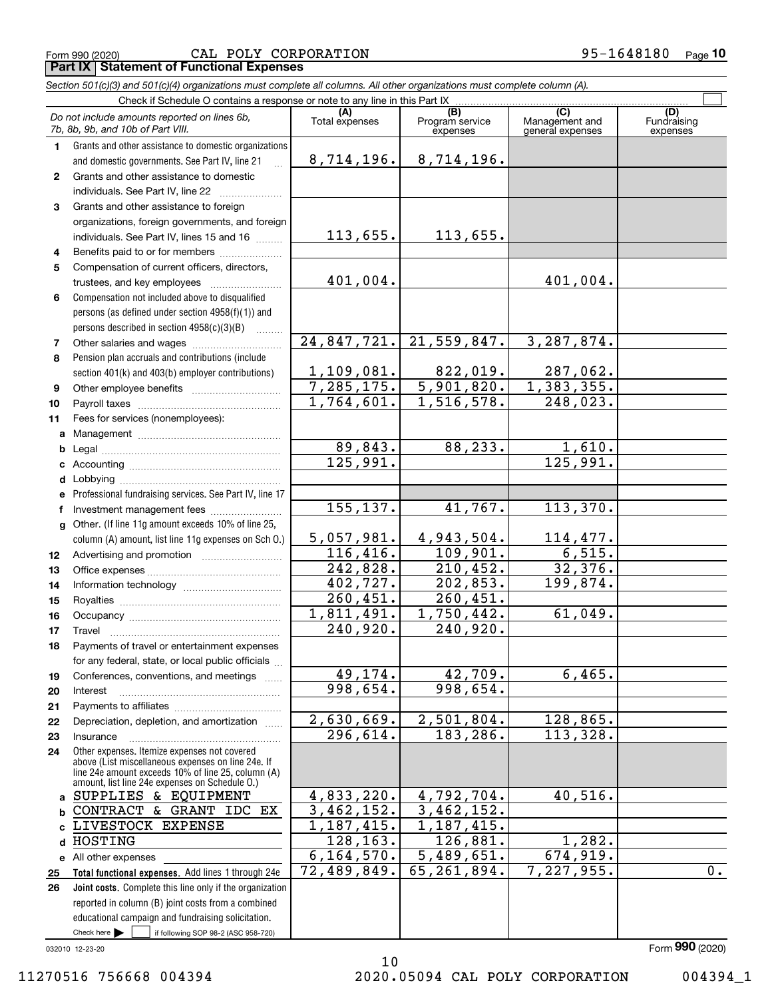$_{\rm Form}$  990 (2020) CAL POLY CORPORATION 95-1648180  $_{\rm Page}$ **Part IX Statement of Functional Expenses**

|              | Section 501(c)(3) and 501(c)(4) organizations must complete all columns. All other organizations must complete column (A).                                                                                 |                         |                                    |                                    |                                |
|--------------|------------------------------------------------------------------------------------------------------------------------------------------------------------------------------------------------------------|-------------------------|------------------------------------|------------------------------------|--------------------------------|
|              | Check if Schedule O contains a response or note to any line in this Part IX                                                                                                                                | (A)                     |                                    | (C)                                |                                |
|              | Do not include amounts reported on lines 6b,<br>7b, 8b, 9b, and 10b of Part VIII.                                                                                                                          | Total expenses          | (B)<br>Program service<br>expenses | Management and<br>general expenses | (D)<br>Fundraising<br>expenses |
| 1.           | Grants and other assistance to domestic organizations                                                                                                                                                      |                         |                                    |                                    |                                |
|              | and domestic governments. See Part IV, line 21<br>$\mathbb{R}$                                                                                                                                             | 8,714,196.              | 8,714,196.                         |                                    |                                |
| $\mathbf{2}$ | Grants and other assistance to domestic                                                                                                                                                                    |                         |                                    |                                    |                                |
|              | individuals. See Part IV, line 22                                                                                                                                                                          |                         |                                    |                                    |                                |
| 3            | Grants and other assistance to foreign                                                                                                                                                                     |                         |                                    |                                    |                                |
|              | organizations, foreign governments, and foreign                                                                                                                                                            |                         |                                    |                                    |                                |
|              | individuals. See Part IV, lines 15 and 16                                                                                                                                                                  | 113,655.                | 113,655.                           |                                    |                                |
| 4            | Benefits paid to or for members                                                                                                                                                                            |                         |                                    |                                    |                                |
| 5            | Compensation of current officers, directors,                                                                                                                                                               |                         |                                    |                                    |                                |
|              | trustees, and key employees                                                                                                                                                                                | 401,004.                |                                    | 401,004.                           |                                |
| 6            | Compensation not included above to disqualified                                                                                                                                                            |                         |                                    |                                    |                                |
|              | persons (as defined under section 4958(f)(1)) and                                                                                                                                                          |                         |                                    |                                    |                                |
|              | persons described in section $4958(c)(3)(B)$                                                                                                                                                               | 24,847,721.             | 21,559,847.                        | 3,287,874.                         |                                |
| 7            |                                                                                                                                                                                                            |                         |                                    |                                    |                                |
| 8            | Pension plan accruals and contributions (include                                                                                                                                                           | 1,109,081.              | 822,019.                           | 287,062.                           |                                |
| 9            | section 401(k) and 403(b) employer contributions)                                                                                                                                                          |                         | $7,285,175.$ 5,901,820.            | 1, 383, 355.                       |                                |
| 10           |                                                                                                                                                                                                            | 1,764,601.              | 1,516,578.                         | 248,023.                           |                                |
| 11           | Fees for services (nonemployees):                                                                                                                                                                          |                         |                                    |                                    |                                |
| a            |                                                                                                                                                                                                            |                         |                                    |                                    |                                |
| b            |                                                                                                                                                                                                            | 89,843.                 | 88,233.                            | 1,610.                             |                                |
| c            |                                                                                                                                                                                                            | 125,991.                |                                    | 125,991.                           |                                |
| d            |                                                                                                                                                                                                            |                         |                                    |                                    |                                |
| е            | Professional fundraising services. See Part IV, line 17                                                                                                                                                    |                         |                                    |                                    |                                |
| f            | Investment management fees                                                                                                                                                                                 | 155, 137.               | 41,767.                            | 113,370.                           |                                |
| g            | Other. (If line 11g amount exceeds 10% of line 25,                                                                                                                                                         |                         |                                    |                                    |                                |
|              | column (A) amount, list line 11g expenses on Sch O.)                                                                                                                                                       | 5,057,981.              | 4,943,504.                         |                                    |                                |
| 12           |                                                                                                                                                                                                            | 116,416.                | 109,901.                           | $\frac{114,477.}{6,515.}$          |                                |
| 13           |                                                                                                                                                                                                            | 242,828.                | 210, 452.                          | 32,376.                            |                                |
| 14           |                                                                                                                                                                                                            | 402,727.                | 202,853.                           | 199,874.                           |                                |
| 15           |                                                                                                                                                                                                            | $\overline{260, 451}$ . | 260, 451.                          |                                    |                                |
| 16           |                                                                                                                                                                                                            | 1,811,491.              | 1,750,442.                         | 61,049.                            |                                |
| 17           |                                                                                                                                                                                                            | $\overline{240}$ , 920. | 240,920.                           |                                    |                                |
| 18           | Payments of travel or entertainment expenses                                                                                                                                                               |                         |                                    |                                    |                                |
|              | for any federal, state, or local public officials                                                                                                                                                          |                         |                                    |                                    |                                |
| 19           | Conferences, conventions, and meetings                                                                                                                                                                     | 49,174.                 | 42,709.                            | 6,465.                             |                                |
| 20           | Interest                                                                                                                                                                                                   | 998,654.                | 998,654.                           |                                    |                                |
| 21           |                                                                                                                                                                                                            |                         |                                    |                                    |                                |
| 22           | Depreciation, depletion, and amortization                                                                                                                                                                  | 2,630,669.              | 2,501,804.                         | 128,865.                           |                                |
| 23           | Insurance                                                                                                                                                                                                  | 296,614.                | 183,286.                           | 113,328.                           |                                |
| 24           | Other expenses. Itemize expenses not covered<br>above (List miscellaneous expenses on line 24e. If<br>line 24e amount exceeds 10% of line 25, column (A)<br>amount, list line 24e expenses on Schedule O.) |                         |                                    |                                    |                                |
| a            | SUPPLIES & EQUIPMENT                                                                                                                                                                                       | 4,833,220.              | 4,792,704.                         | 40,516.                            |                                |
| b            | CONTRACT & GRANT IDC EX                                                                                                                                                                                    | 3,462,152.              | 3,462,152.                         |                                    |                                |
|              | LIVESTOCK EXPENSE                                                                                                                                                                                          | 1,187,415.              | 1,187,415.                         |                                    |                                |
| d            | HOSTING                                                                                                                                                                                                    | 128,163.                | 126,881.                           | 1,282.                             |                                |
|              | e All other expenses                                                                                                                                                                                       | 6, 164, 570.            | 5,489,651.                         | 674,919.                           |                                |
| 25           | Total functional expenses. Add lines 1 through 24e                                                                                                                                                         | 72,489,849.             | 65, 261, 894.                      | 7,227,955.                         | 0.                             |
| 26           | Joint costs. Complete this line only if the organization                                                                                                                                                   |                         |                                    |                                    |                                |
|              | reported in column (B) joint costs from a combined                                                                                                                                                         |                         |                                    |                                    |                                |
|              | educational campaign and fundraising solicitation.                                                                                                                                                         |                         |                                    |                                    |                                |
|              | Check here $\blacktriangleright$<br>if following SOP 98-2 (ASC 958-720)                                                                                                                                    |                         |                                    |                                    |                                |

032010 12-23-20

10 11270516 756668 004394 2020.05094 CAL POLY CORPORATION 004394\_1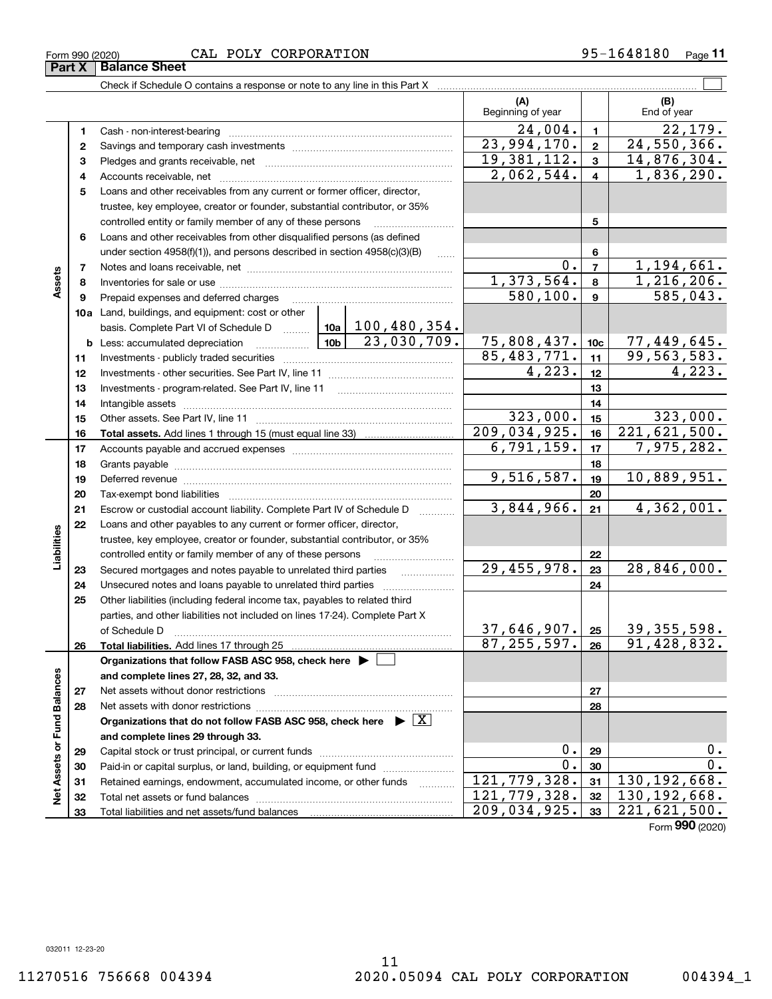#### $_{\rm Form}$  990 (2020) CAL POLY CORPORATION 95-1648180  $_{\rm Page}$

**Part X Balance Sheet**<br>**Part X Balance Sheet** 

|                             |          | Check if Schedule O contains a response or note to any line in this Part X                                          |                                       |                |                          |                          |                |                                    |
|-----------------------------|----------|---------------------------------------------------------------------------------------------------------------------|---------------------------------------|----------------|--------------------------|--------------------------|----------------|------------------------------------|
|                             |          |                                                                                                                     |                                       |                |                          | (A)<br>Beginning of year |                | (B)<br>End of year                 |
|                             | 1        |                                                                                                                     |                                       |                |                          | 24,004.                  | $\mathbf{1}$   | 22,179.                            |
|                             | 2        |                                                                                                                     |                                       |                |                          | 23,994,170.              | $\overline{2}$ | 24,550,366.                        |
|                             | з        |                                                                                                                     |                                       |                |                          | 19, 381, 112.            | 3              | 14,876,304.                        |
|                             | 4        |                                                                                                                     | 2,062,544.                            | $\overline{4}$ | 1,836,290.               |                          |                |                                    |
|                             | 5        | Loans and other receivables from any current or former officer, director,                                           |                                       |                |                          |                          |                |                                    |
|                             |          | trustee, key employee, creator or founder, substantial contributor, or 35%                                          |                                       |                |                          |                          |                |                                    |
|                             |          | controlled entity or family member of any of these persons                                                          |                                       |                |                          |                          | 5              |                                    |
|                             | 6        | Loans and other receivables from other disqualified persons (as defined                                             |                                       |                |                          |                          |                |                                    |
|                             |          | under section $4958(f)(1)$ , and persons described in section $4958(c)(3)(B)$                                       |                                       | 6              |                          |                          |                |                                    |
|                             | 7        |                                                                                                                     |                                       |                |                          | $0$ .                    | $\overline{7}$ | 1,194,661.                         |
| Assets                      | 8        |                                                                                                                     |                                       |                |                          | 1,373,564.               | 8              | 1,216,206.                         |
|                             | 9        | Prepaid expenses and deferred charges                                                                               |                                       |                |                          | 580,100.                 | $\mathbf{9}$   | 585,043.                           |
|                             |          | 10a Land, buildings, and equipment: cost or other                                                                   |                                       |                |                          |                          |                |                                    |
|                             |          | basis. Complete Part VI of Schedule D    10a   100, 480, 354.                                                       | 10 <sub>b</sub>                       | $23,030,709$ . |                          |                          |                |                                    |
|                             |          | <b>b</b> Less: accumulated depreciation<br>. 1                                                                      | 75,808,437. 10c                       |                | 77,449,645.              |                          |                |                                    |
|                             | 11       |                                                                                                                     | $\overline{85,483,771.}$              | 11             | 99, 563, 583.            |                          |                |                                    |
|                             | 12       |                                                                                                                     | 4,223.                                | 12             | 4,223.                   |                          |                |                                    |
|                             | 13       |                                                                                                                     |                                       | 13             |                          |                          |                |                                    |
|                             | 14       |                                                                                                                     |                                       | 14             |                          |                          |                |                                    |
|                             | 15       |                                                                                                                     | 323,000.<br>$\overline{209,034,925.}$ | 15             | 323,000.<br>221,621,500. |                          |                |                                    |
|                             | 16       |                                                                                                                     |                                       |                |                          | 6,791,159.               | 16<br>17       | 7,975,282.                         |
|                             | 17       |                                                                                                                     |                                       |                |                          |                          |                |                                    |
|                             | 18<br>19 |                                                                                                                     | 9,516,587.                            | 18<br>19       | 10,889,951.              |                          |                |                                    |
|                             | 20       | Deferred revenue manual contracts and contracts are all the manual contracts and contracts are all the contracts of |                                       | 20             |                          |                          |                |                                    |
|                             | 21       | Escrow or custodial account liability. Complete Part IV of Schedule D                                               |                                       |                |                          | 3,844,966.               | 21             | 4,362,001.                         |
|                             | 22       | Loans and other payables to any current or former officer, director,                                                |                                       |                |                          |                          |                |                                    |
| Liabilities                 |          | trustee, key employee, creator or founder, substantial contributor, or 35%                                          |                                       |                |                          |                          |                |                                    |
|                             |          | controlled entity or family member of any of these persons                                                          |                                       |                |                          |                          | 22             |                                    |
|                             | 23       | Secured mortgages and notes payable to unrelated third parties                                                      |                                       |                | .                        | 29,455,978.              | 23             | 28,846,000.                        |
|                             | 24       | Unsecured notes and loans payable to unrelated third parties                                                        |                                       |                |                          |                          | 24             |                                    |
|                             | 25       | Other liabilities (including federal income tax, payables to related third                                          |                                       |                |                          |                          |                |                                    |
|                             |          | parties, and other liabilities not included on lines 17-24). Complete Part X                                        |                                       |                |                          |                          |                |                                    |
|                             |          |                                                                                                                     |                                       |                |                          | $37,646,907$ . 25        |                | 39, 355, 598.                      |
|                             | 26       |                                                                                                                     |                                       |                |                          | 87, 255, 597.            | 26             | $\overline{91, 428, 832.}$         |
|                             |          | Organizations that follow FASB ASC 958, check here $\blacktriangleright$                                            |                                       |                |                          |                          |                |                                    |
|                             |          | and complete lines 27, 28, 32, and 33.                                                                              |                                       |                |                          |                          |                |                                    |
|                             | 27       | Net assets without donor restrictions                                                                               |                                       |                |                          |                          | 27             |                                    |
|                             | 28       |                                                                                                                     |                                       |                |                          |                          | 28             |                                    |
|                             |          | Organizations that do not follow FASB ASC 958, check here $\triangleright \lfloor X \rfloor$                        |                                       |                |                          |                          |                |                                    |
|                             |          | and complete lines 29 through 33.                                                                                   |                                       |                |                          |                          |                |                                    |
| Net Assets or Fund Balances | 29       |                                                                                                                     |                                       |                |                          | $0$ .                    | 29             | 0.                                 |
|                             | 30       | Paid-in or capital surplus, or land, building, or equipment fund                                                    |                                       |                |                          | 0.                       | 30             | 0.                                 |
|                             | 31       | Retained earnings, endowment, accumulated income, or other funds                                                    |                                       |                |                          | 121,779,328.             | 31             | $\overline{130, 192, 668}$ .       |
|                             | 32       |                                                                                                                     |                                       |                |                          | 121,779,328.             | 32             | $\overline{130, 192, 668}$ .       |
|                             | 33       |                                                                                                                     |                                       |                |                          | 209,034,925.             | 33             | 221,621,500.<br>$F_{2}$ 000 (0000) |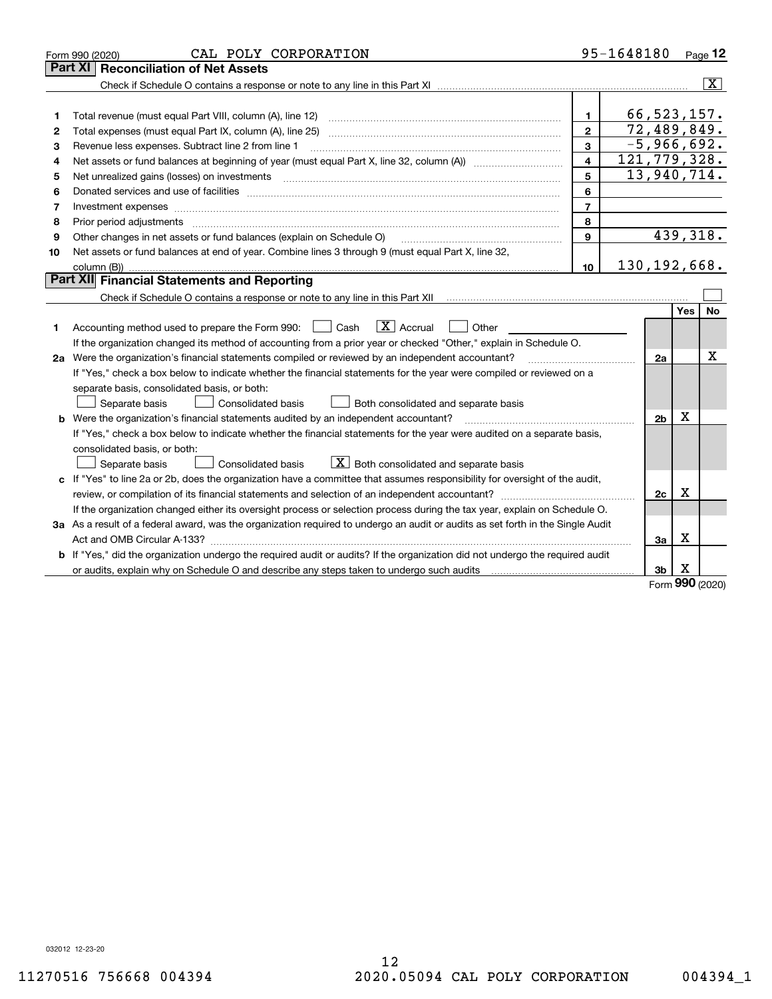|    | CAL POLY CORPORATION<br>Form 990 (2020)                                                                                                                                                                                        |                         | 95-1648180     |                |     | Page 12                 |
|----|--------------------------------------------------------------------------------------------------------------------------------------------------------------------------------------------------------------------------------|-------------------------|----------------|----------------|-----|-------------------------|
|    | Part XI<br><b>Reconciliation of Net Assets</b>                                                                                                                                                                                 |                         |                |                |     |                         |
|    |                                                                                                                                                                                                                                |                         |                |                |     | $\overline{\mathbf{x}}$ |
|    |                                                                                                                                                                                                                                |                         |                |                |     |                         |
| 1  |                                                                                                                                                                                                                                | $\mathbf{1}$            |                | 66, 523, 157.  |     |                         |
| 2  | Total expenses (must equal Part IX, column (A), line 25)                                                                                                                                                                       | $\mathbf{2}$            |                | 72,489,849.    |     |                         |
| з  | Revenue less expenses. Subtract line 2 from line 1                                                                                                                                                                             | 3                       |                | $-5,966,692.$  |     |                         |
| 4  |                                                                                                                                                                                                                                | $\overline{\mathbf{4}}$ | 121,779,328.   |                |     |                         |
| 5  |                                                                                                                                                                                                                                | 5                       |                | 13,940,714.    |     |                         |
| 6  | Donated services and use of facilities [111] matter contracts and the service of facilities [11] matter contracts and use of facilities [11] matter contracts and the service of facilities [11] matter contracts and the serv | 6                       |                |                |     |                         |
| 7  | Investment expenses                                                                                                                                                                                                            | $\overline{7}$          |                |                |     |                         |
| 8  | Prior period adjustments material contents and content of the content of the content of the content of the content of the content of the content of the content of the content of the content of the content of the content of | 8                       |                |                |     |                         |
| 9  | Other changes in net assets or fund balances (explain on Schedule O)                                                                                                                                                           | $\mathbf{9}$            |                |                |     | 439,318.                |
| 10 | Net assets or fund balances at end of year. Combine lines 3 through 9 (must equal Part X, line 32,                                                                                                                             |                         |                |                |     |                         |
|    | column (B))                                                                                                                                                                                                                    | 10 <sup>1</sup>         | 130, 192, 668. |                |     |                         |
|    | Part XII Financial Statements and Reporting                                                                                                                                                                                    |                         |                |                |     |                         |
|    | Check if Schedule O contains a response or note to any line in this Part XII [11] [11] [11] [11] [11] [11] Check if Schedule O contains a response or note to any line in this Part XII                                        |                         |                |                |     |                         |
|    |                                                                                                                                                                                                                                |                         |                |                | Yes | No.                     |
| 1  | $\mathbf{X}$ Accrual<br>Accounting method used to prepare the Form 990: <u>I</u> Cash<br>Other<br>$\perp$                                                                                                                      |                         |                |                |     |                         |
|    | If the organization changed its method of accounting from a prior year or checked "Other," explain in Schedule O.                                                                                                              |                         |                |                |     |                         |
|    | 2a Were the organization's financial statements compiled or reviewed by an independent accountant?                                                                                                                             |                         |                | 2a             |     | X                       |
|    | If "Yes," check a box below to indicate whether the financial statements for the year were compiled or reviewed on a                                                                                                           |                         |                |                |     |                         |
|    | separate basis, consolidated basis, or both:                                                                                                                                                                                   |                         |                |                |     |                         |
|    | Separate basis<br>Consolidated basis<br>Both consolidated and separate basis                                                                                                                                                   |                         |                |                |     |                         |
|    | b Were the organization's financial statements audited by an independent accountant?                                                                                                                                           |                         |                | 2 <sub>b</sub> | X   |                         |
|    | If "Yes," check a box below to indicate whether the financial statements for the year were audited on a separate basis,                                                                                                        |                         |                |                |     |                         |
|    | consolidated basis, or both:                                                                                                                                                                                                   |                         |                |                |     |                         |
|    | $X$ Both consolidated and separate basis<br>Separate basis<br>Consolidated basis                                                                                                                                               |                         |                |                |     |                         |
|    | c If "Yes" to line 2a or 2b, does the organization have a committee that assumes responsibility for oversight of the audit,                                                                                                    |                         |                |                |     |                         |
|    | review, or compilation of its financial statements and selection of an independent accountant?                                                                                                                                 |                         |                | 2c             | Х   |                         |
|    | If the organization changed either its oversight process or selection process during the tax year, explain on Schedule O.                                                                                                      |                         |                |                |     |                         |
|    | 3a As a result of a federal award, was the organization required to undergo an audit or audits as set forth in the Single Audit                                                                                                |                         |                |                |     |                         |
|    |                                                                                                                                                                                                                                |                         |                | За             | X   |                         |
|    | <b>b</b> If "Yes," did the organization undergo the required audit or audits? If the organization did not undergo the required audit                                                                                           |                         |                |                |     |                         |
|    | or audits, explain why on Schedule O and describe any steps taken to undergo such audits [11] content to under                                                                                                                 |                         |                | 3b             | х   |                         |
|    |                                                                                                                                                                                                                                |                         |                |                |     |                         |

Form (2020) **990**

032012 12-23-20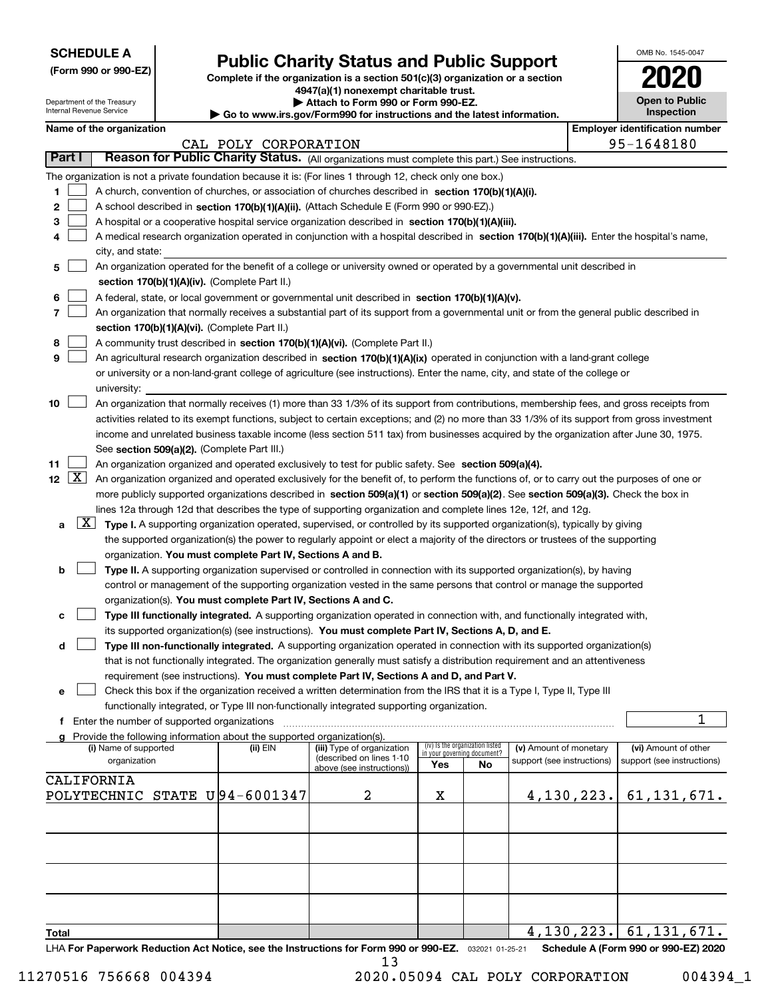| <b>SCHEDULE A</b> |  |
|-------------------|--|
|-------------------|--|

Department of the Treasury Internal Revenue Service

|  |  |  | (Form 990 or 990-EZ) |  |
|--|--|--|----------------------|--|
|--|--|--|----------------------|--|

## **Public Charity Status and Public Support**

**Complete if the organization is a section 501(c)(3) organization or a section 4947(a)(1) nonexempt charitable trust.**

**| Attach to Form 990 or Form 990-EZ.** 

**| Go to www.irs.gov/Form990 for instructions and the latest information.**

| OMB No. 1545-0047                   |
|-------------------------------------|
| 020                                 |
| <b>Open to Public</b><br>Inspection |

| Name of the organization |  |
|--------------------------|--|
|--------------------------|--|

|       | Name of the organization<br><b>Employer identification number</b> |                                                                                                                                              |                      |                                                        |     |                                                                |                                                      |            |                                                    |  |
|-------|-------------------------------------------------------------------|----------------------------------------------------------------------------------------------------------------------------------------------|----------------------|--------------------------------------------------------|-----|----------------------------------------------------------------|------------------------------------------------------|------------|----------------------------------------------------|--|
|       |                                                                   |                                                                                                                                              | CAL POLY CORPORATION |                                                        |     |                                                                |                                                      | 95-1648180 |                                                    |  |
|       | Part I                                                            | Reason for Public Charity Status. (All organizations must complete this part.) See instructions.                                             |                      |                                                        |     |                                                                |                                                      |            |                                                    |  |
|       |                                                                   | The organization is not a private foundation because it is: (For lines 1 through 12, check only one box.)                                    |                      |                                                        |     |                                                                |                                                      |            |                                                    |  |
| 1     |                                                                   | A church, convention of churches, or association of churches described in section 170(b)(1)(A)(i).                                           |                      |                                                        |     |                                                                |                                                      |            |                                                    |  |
| 2     |                                                                   | A school described in section 170(b)(1)(A)(ii). (Attach Schedule E (Form 990 or 990-EZ).)                                                    |                      |                                                        |     |                                                                |                                                      |            |                                                    |  |
| з     |                                                                   | A hospital or a cooperative hospital service organization described in section 170(b)(1)(A)(iii).                                            |                      |                                                        |     |                                                                |                                                      |            |                                                    |  |
| 4     |                                                                   | A medical research organization operated in conjunction with a hospital described in section 170(b)(1)(A)(iii). Enter the hospital's name,   |                      |                                                        |     |                                                                |                                                      |            |                                                    |  |
|       |                                                                   | city, and state:                                                                                                                             |                      |                                                        |     |                                                                |                                                      |            |                                                    |  |
| 5     |                                                                   | An organization operated for the benefit of a college or university owned or operated by a governmental unit described in                    |                      |                                                        |     |                                                                |                                                      |            |                                                    |  |
|       |                                                                   | section 170(b)(1)(A)(iv). (Complete Part II.)                                                                                                |                      |                                                        |     |                                                                |                                                      |            |                                                    |  |
| 6     |                                                                   | A federal, state, or local government or governmental unit described in section 170(b)(1)(A)(v).                                             |                      |                                                        |     |                                                                |                                                      |            |                                                    |  |
| 7     |                                                                   | An organization that normally receives a substantial part of its support from a governmental unit or from the general public described in    |                      |                                                        |     |                                                                |                                                      |            |                                                    |  |
|       |                                                                   | section 170(b)(1)(A)(vi). (Complete Part II.)                                                                                                |                      |                                                        |     |                                                                |                                                      |            |                                                    |  |
| 8     |                                                                   | A community trust described in section 170(b)(1)(A)(vi). (Complete Part II.)                                                                 |                      |                                                        |     |                                                                |                                                      |            |                                                    |  |
| 9     |                                                                   | An agricultural research organization described in section 170(b)(1)(A)(ix) operated in conjunction with a land-grant college                |                      |                                                        |     |                                                                |                                                      |            |                                                    |  |
|       |                                                                   | or university or a non-land-grant college of agriculture (see instructions). Enter the name, city, and state of the college or               |                      |                                                        |     |                                                                |                                                      |            |                                                    |  |
|       |                                                                   | university:                                                                                                                                  |                      |                                                        |     |                                                                |                                                      |            |                                                    |  |
| 10    |                                                                   | An organization that normally receives (1) more than 33 1/3% of its support from contributions, membership fees, and gross receipts from     |                      |                                                        |     |                                                                |                                                      |            |                                                    |  |
|       |                                                                   | activities related to its exempt functions, subject to certain exceptions; and (2) no more than 33 1/3% of its support from gross investment |                      |                                                        |     |                                                                |                                                      |            |                                                    |  |
|       |                                                                   | income and unrelated business taxable income (less section 511 tax) from businesses acquired by the organization after June 30, 1975.        |                      |                                                        |     |                                                                |                                                      |            |                                                    |  |
|       |                                                                   | See section 509(a)(2). (Complete Part III.)                                                                                                  |                      |                                                        |     |                                                                |                                                      |            |                                                    |  |
| 11    |                                                                   | An organization organized and operated exclusively to test for public safety. See section 509(a)(4).                                         |                      |                                                        |     |                                                                |                                                      |            |                                                    |  |
|       | $12 \quad \boxed{X}$                                              | An organization organized and operated exclusively for the benefit of, to perform the functions of, or to carry out the purposes of one or   |                      |                                                        |     |                                                                |                                                      |            |                                                    |  |
|       |                                                                   | more publicly supported organizations described in section 509(a)(1) or section 509(a)(2). See section 509(a)(3). Check the box in           |                      |                                                        |     |                                                                |                                                      |            |                                                    |  |
|       |                                                                   | lines 12a through 12d that describes the type of supporting organization and complete lines 12e, 12f, and 12g.                               |                      |                                                        |     |                                                                |                                                      |            |                                                    |  |
|       | $\lfloor x \rfloor$                                               | Type I. A supporting organization operated, supervised, or controlled by its supported organization(s), typically by giving                  |                      |                                                        |     |                                                                |                                                      |            |                                                    |  |
| a     |                                                                   |                                                                                                                                              |                      |                                                        |     |                                                                |                                                      |            |                                                    |  |
|       |                                                                   | the supported organization(s) the power to regularly appoint or elect a majority of the directors or trustees of the supporting              |                      |                                                        |     |                                                                |                                                      |            |                                                    |  |
|       |                                                                   | organization. You must complete Part IV, Sections A and B.                                                                                   |                      |                                                        |     |                                                                |                                                      |            |                                                    |  |
| b     |                                                                   | Type II. A supporting organization supervised or controlled in connection with its supported organization(s), by having                      |                      |                                                        |     |                                                                |                                                      |            |                                                    |  |
|       |                                                                   | control or management of the supporting organization vested in the same persons that control or manage the supported                         |                      |                                                        |     |                                                                |                                                      |            |                                                    |  |
|       |                                                                   | organization(s). You must complete Part IV, Sections A and C.                                                                                |                      |                                                        |     |                                                                |                                                      |            |                                                    |  |
|       |                                                                   | Type III functionally integrated. A supporting organization operated in connection with, and functionally integrated with,                   |                      |                                                        |     |                                                                |                                                      |            |                                                    |  |
|       |                                                                   | its supported organization(s) (see instructions). You must complete Part IV, Sections A, D, and E.                                           |                      |                                                        |     |                                                                |                                                      |            |                                                    |  |
| d     |                                                                   | Type III non-functionally integrated. A supporting organization operated in connection with its supported organization(s)                    |                      |                                                        |     |                                                                |                                                      |            |                                                    |  |
|       |                                                                   | that is not functionally integrated. The organization generally must satisfy a distribution requirement and an attentiveness                 |                      |                                                        |     |                                                                |                                                      |            |                                                    |  |
|       |                                                                   | requirement (see instructions). You must complete Part IV, Sections A and D, and Part V.                                                     |                      |                                                        |     |                                                                |                                                      |            |                                                    |  |
| е     |                                                                   | Check this box if the organization received a written determination from the IRS that it is a Type I, Type II, Type III                      |                      |                                                        |     |                                                                |                                                      |            |                                                    |  |
|       |                                                                   | functionally integrated, or Type III non-functionally integrated supporting organization.                                                    |                      |                                                        |     |                                                                |                                                      |            |                                                    |  |
| f     |                                                                   | Enter the number of supported organizations                                                                                                  |                      |                                                        |     |                                                                |                                                      |            | 1                                                  |  |
|       |                                                                   | g Provide the following information about the supported organization(s).                                                                     |                      |                                                        |     |                                                                |                                                      |            |                                                    |  |
|       |                                                                   | (i) Name of supported<br>organization                                                                                                        | (ii) EIN             | (iii) Type of organization<br>(described on lines 1-10 |     | (iv) Is the organization listed<br>in your governing document? | (v) Amount of monetary<br>support (see instructions) |            | (vi) Amount of other<br>support (see instructions) |  |
|       |                                                                   |                                                                                                                                              |                      | above (see instructions))                              | Yes | No                                                             |                                                      |            |                                                    |  |
|       |                                                                   | CALIFORNIA                                                                                                                                   |                      |                                                        |     |                                                                |                                                      |            |                                                    |  |
|       |                                                                   | POLYTECHNIC STATE U94-6001347                                                                                                                |                      | 2                                                      | х   |                                                                |                                                      | 4,130,223. | 61, 131, 671.                                      |  |
|       |                                                                   |                                                                                                                                              |                      |                                                        |     |                                                                |                                                      |            |                                                    |  |
|       |                                                                   |                                                                                                                                              |                      |                                                        |     |                                                                |                                                      |            |                                                    |  |
|       |                                                                   |                                                                                                                                              |                      |                                                        |     |                                                                |                                                      |            |                                                    |  |
|       |                                                                   |                                                                                                                                              |                      |                                                        |     |                                                                |                                                      |            |                                                    |  |
|       |                                                                   |                                                                                                                                              |                      |                                                        |     |                                                                |                                                      |            |                                                    |  |
|       |                                                                   |                                                                                                                                              |                      |                                                        |     |                                                                |                                                      |            |                                                    |  |
|       |                                                                   |                                                                                                                                              |                      |                                                        |     |                                                                |                                                      |            |                                                    |  |
|       |                                                                   |                                                                                                                                              |                      |                                                        |     |                                                                |                                                      |            |                                                    |  |
| Total |                                                                   |                                                                                                                                              |                      |                                                        |     |                                                                |                                                      | 4,130,223. | 61, 131, 671.                                      |  |
|       |                                                                   | LHA For Paperwork Reduction Act Notice, see the Instructions for Form 990 or 990-EZ. 032021 01-25-21                                         |                      |                                                        |     |                                                                |                                                      |            | Schedule A (Form 990 or 990-EZ) 2020               |  |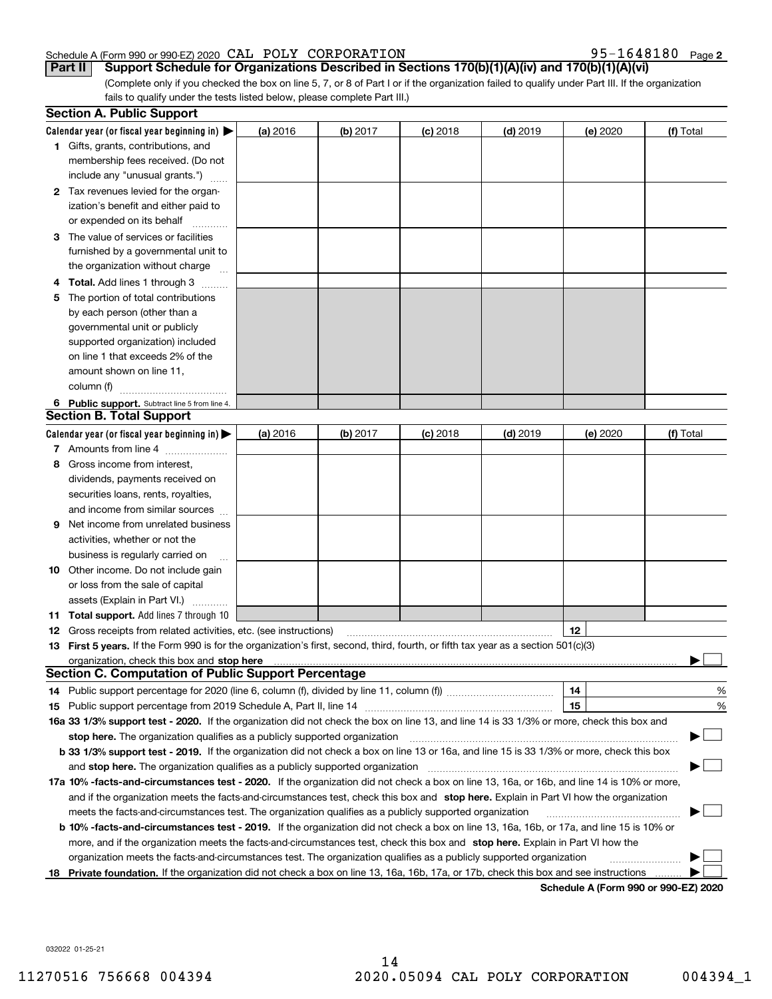#### Schedule A (Form 990 or 990-EZ) 2020 Page CAL POLY CORPORATION 95-1648180

95-1648180 Page 2

(Complete only if you checked the box on line 5, 7, or 8 of Part I or if the organization failed to qualify under Part III. If the organization fails to qualify under the tests listed below, please complete Part III.) **Part II** Support Schedule for Organizations Described in Sections 170(b)(1)(A)(iv) and 170(b)(1)(A)(vi)

|    | <b>Section A. Public Support</b>                                                                                                               |          |            |            |            |          |                                      |
|----|------------------------------------------------------------------------------------------------------------------------------------------------|----------|------------|------------|------------|----------|--------------------------------------|
|    | Calendar year (or fiscal year beginning in) $\blacktriangleright$                                                                              | (a) 2016 | $(b)$ 2017 | $(c)$ 2018 | $(d)$ 2019 | (e) 2020 | (f) Total                            |
|    | <b>1</b> Gifts, grants, contributions, and                                                                                                     |          |            |            |            |          |                                      |
|    | membership fees received. (Do not                                                                                                              |          |            |            |            |          |                                      |
|    | include any "unusual grants.")                                                                                                                 |          |            |            |            |          |                                      |
|    | 2 Tax revenues levied for the organ-                                                                                                           |          |            |            |            |          |                                      |
|    | ization's benefit and either paid to                                                                                                           |          |            |            |            |          |                                      |
|    | or expended on its behalf                                                                                                                      |          |            |            |            |          |                                      |
|    | 3 The value of services or facilities                                                                                                          |          |            |            |            |          |                                      |
|    | furnished by a governmental unit to                                                                                                            |          |            |            |            |          |                                      |
|    | the organization without charge                                                                                                                |          |            |            |            |          |                                      |
|    | 4 Total. Add lines 1 through 3                                                                                                                 |          |            |            |            |          |                                      |
| 5. | The portion of total contributions                                                                                                             |          |            |            |            |          |                                      |
|    | by each person (other than a                                                                                                                   |          |            |            |            |          |                                      |
|    | governmental unit or publicly                                                                                                                  |          |            |            |            |          |                                      |
|    | supported organization) included                                                                                                               |          |            |            |            |          |                                      |
|    | on line 1 that exceeds 2% of the                                                                                                               |          |            |            |            |          |                                      |
|    | amount shown on line 11,                                                                                                                       |          |            |            |            |          |                                      |
|    | column (f)                                                                                                                                     |          |            |            |            |          |                                      |
|    | 6 Public support. Subtract line 5 from line 4.                                                                                                 |          |            |            |            |          |                                      |
|    | <b>Section B. Total Support</b>                                                                                                                |          |            |            |            |          |                                      |
|    | Calendar year (or fiscal year beginning in) $\blacktriangleright$                                                                              | (a) 2016 | $(b)$ 2017 | $(c)$ 2018 | $(d)$ 2019 | (e) 2020 | (f) Total                            |
|    | 7 Amounts from line 4                                                                                                                          |          |            |            |            |          |                                      |
|    | 8 Gross income from interest,                                                                                                                  |          |            |            |            |          |                                      |
|    | dividends, payments received on                                                                                                                |          |            |            |            |          |                                      |
|    | securities loans, rents, royalties,                                                                                                            |          |            |            |            |          |                                      |
|    | and income from similar sources                                                                                                                |          |            |            |            |          |                                      |
|    | <b>9</b> Net income from unrelated business                                                                                                    |          |            |            |            |          |                                      |
|    | activities, whether or not the                                                                                                                 |          |            |            |            |          |                                      |
|    | business is regularly carried on                                                                                                               |          |            |            |            |          |                                      |
|    | <b>10</b> Other income. Do not include gain                                                                                                    |          |            |            |            |          |                                      |
|    | or loss from the sale of capital                                                                                                               |          |            |            |            |          |                                      |
|    | assets (Explain in Part VI.)                                                                                                                   |          |            |            |            |          |                                      |
|    | <b>11 Total support.</b> Add lines 7 through 10                                                                                                |          |            |            |            |          |                                      |
|    | <b>12</b> Gross receipts from related activities, etc. (see instructions)                                                                      |          |            |            |            | 12       |                                      |
|    | 13 First 5 years. If the Form 990 is for the organization's first, second, third, fourth, or fifth tax year as a section 501(c)(3)             |          |            |            |            |          |                                      |
|    | <b>Section C. Computation of Public Support Percentage</b>                                                                                     |          |            |            |            |          |                                      |
|    | 14 Public support percentage for 2020 (line 6, column (f), divided by line 11, column (f) <i>mummumumum</i>                                    |          |            |            |            | 14       | %                                    |
|    |                                                                                                                                                |          |            |            |            | 15       | %                                    |
|    | 16a 33 1/3% support test - 2020. If the organization did not check the box on line 13, and line 14 is 33 1/3% or more, check this box and      |          |            |            |            |          |                                      |
|    | stop here. The organization qualifies as a publicly supported organization                                                                     |          |            |            |            |          |                                      |
|    | b 33 1/3% support test - 2019. If the organization did not check a box on line 13 or 16a, and line 15 is 33 1/3% or more, check this box       |          |            |            |            |          |                                      |
|    | and stop here. The organization qualifies as a publicly supported organization                                                                 |          |            |            |            |          |                                      |
|    | 17a 10% -facts-and-circumstances test - 2020. If the organization did not check a box on line 13, 16a, or 16b, and line 14 is 10% or more,     |          |            |            |            |          |                                      |
|    | and if the organization meets the facts-and-circumstances test, check this box and stop here. Explain in Part VI how the organization          |          |            |            |            |          |                                      |
|    | meets the facts-and-circumstances test. The organization qualifies as a publicly supported organization                                        |          |            |            |            |          |                                      |
|    | <b>b 10% -facts-and-circumstances test - 2019.</b> If the organization did not check a box on line 13, 16a, 16b, or 17a, and line 15 is 10% or |          |            |            |            |          |                                      |
|    | more, and if the organization meets the facts-and-circumstances test, check this box and stop here. Explain in Part VI how the                 |          |            |            |            |          |                                      |
|    | organization meets the facts-and-circumstances test. The organization qualifies as a publicly supported organization                           |          |            |            |            |          |                                      |
| 18 | Private foundation. If the organization did not check a box on line 13, 16a, 16b, 17a, or 17b, check this box and see instructions             |          |            |            |            |          |                                      |
|    |                                                                                                                                                |          |            |            |            |          | Schedule A (Form 990 or 990-F7) 2020 |

**Schedule A (Form 990 or 990-EZ) 2020**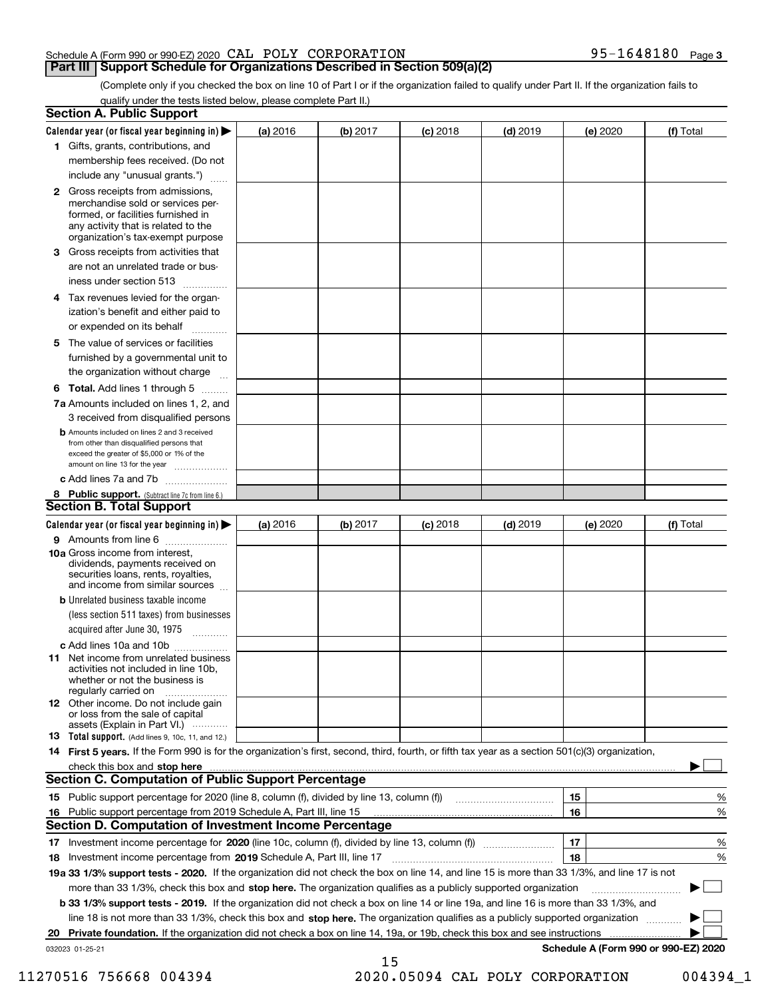#### Schedule A (Form 990 or 990-EZ) 2020 Page CAL POLY CORPORATION 95-1648180

### **Part III Support Schedule for Organizations Described in Section 509(a)(2)**

**3**

(Complete only if you checked the box on line 10 of Part I or if the organization failed to qualify under Part II. If the organization fails to qualify under the tests listed below, please complete Part II.)

| <b>Section A. Public Support</b>                                                                                                                                                                                                                                                             |          |          |            |            |          |                                      |
|----------------------------------------------------------------------------------------------------------------------------------------------------------------------------------------------------------------------------------------------------------------------------------------------|----------|----------|------------|------------|----------|--------------------------------------|
| Calendar year (or fiscal year beginning in) $\blacktriangleright$                                                                                                                                                                                                                            | (a) 2016 | (b) 2017 | $(c)$ 2018 | $(d)$ 2019 | (e) 2020 | (f) Total                            |
| 1 Gifts, grants, contributions, and                                                                                                                                                                                                                                                          |          |          |            |            |          |                                      |
| membership fees received. (Do not                                                                                                                                                                                                                                                            |          |          |            |            |          |                                      |
| include any "unusual grants.")                                                                                                                                                                                                                                                               |          |          |            |            |          |                                      |
| <b>2</b> Gross receipts from admissions,<br>merchandise sold or services per-<br>formed, or facilities furnished in<br>any activity that is related to the<br>organization's tax-exempt purpose                                                                                              |          |          |            |            |          |                                      |
| 3 Gross receipts from activities that                                                                                                                                                                                                                                                        |          |          |            |            |          |                                      |
| are not an unrelated trade or bus-                                                                                                                                                                                                                                                           |          |          |            |            |          |                                      |
| iness under section 513                                                                                                                                                                                                                                                                      |          |          |            |            |          |                                      |
| 4 Tax revenues levied for the organ-<br>ization's benefit and either paid to                                                                                                                                                                                                                 |          |          |            |            |          |                                      |
| or expended on its behalf                                                                                                                                                                                                                                                                    |          |          |            |            |          |                                      |
| 5 The value of services or facilities<br>furnished by a governmental unit to                                                                                                                                                                                                                 |          |          |            |            |          |                                      |
| the organization without charge                                                                                                                                                                                                                                                              |          |          |            |            |          |                                      |
| <b>6 Total.</b> Add lines 1 through 5                                                                                                                                                                                                                                                        |          |          |            |            |          |                                      |
| 7a Amounts included on lines 1, 2, and<br>3 received from disqualified persons                                                                                                                                                                                                               |          |          |            |            |          |                                      |
| <b>b</b> Amounts included on lines 2 and 3 received<br>from other than disqualified persons that<br>exceed the greater of \$5,000 or 1% of the<br>amount on line 13 for the year                                                                                                             |          |          |            |            |          |                                      |
| c Add lines 7a and 7b                                                                                                                                                                                                                                                                        |          |          |            |            |          |                                      |
| 8 Public support. (Subtract line 7c from line 6.)<br><b>Section B. Total Support</b>                                                                                                                                                                                                         |          |          |            |            |          |                                      |
| Calendar year (or fiscal year beginning in)                                                                                                                                                                                                                                                  | (a) 2016 | (b) 2017 | $(c)$ 2018 | $(d)$ 2019 | (e) 2020 | (f) Total                            |
| 9 Amounts from line 6                                                                                                                                                                                                                                                                        |          |          |            |            |          |                                      |
| 10a Gross income from interest,<br>dividends, payments received on<br>securities loans, rents, royalties,<br>and income from similar sources                                                                                                                                                 |          |          |            |            |          |                                      |
| <b>b</b> Unrelated business taxable income                                                                                                                                                                                                                                                   |          |          |            |            |          |                                      |
| (less section 511 taxes) from businesses                                                                                                                                                                                                                                                     |          |          |            |            |          |                                      |
| acquired after June 30, 1975                                                                                                                                                                                                                                                                 |          |          |            |            |          |                                      |
| c Add lines 10a and 10b                                                                                                                                                                                                                                                                      |          |          |            |            |          |                                      |
| <b>11</b> Net income from unrelated business<br>activities not included in line 10b,<br>whether or not the business is<br>regularly carried on                                                                                                                                               |          |          |            |            |          |                                      |
| <b>12</b> Other income. Do not include gain<br>or loss from the sale of capital<br>assets (Explain in Part VI.)                                                                                                                                                                              |          |          |            |            |          |                                      |
| <b>13 Total support.</b> (Add lines 9, 10c, 11, and 12.)                                                                                                                                                                                                                                     |          |          |            |            |          |                                      |
| 14 First 5 years. If the Form 990 is for the organization's first, second, third, fourth, or fifth tax year as a section 501(c)(3) organization,                                                                                                                                             |          |          |            |            |          |                                      |
| check this box and stop here measurements and contact the state of the state of the state of the state of the state of the state of the state of the state of the state of the state of the state of the state of the state of<br><b>Section C. Computation of Public Support Percentage</b> |          |          |            |            |          |                                      |
|                                                                                                                                                                                                                                                                                              |          |          |            |            | 15       | %                                    |
| 16 Public support percentage from 2019 Schedule A, Part III, line 15<br><b>Section D. Computation of Investment Income Percentage</b>                                                                                                                                                        |          |          |            |            | 16       | %                                    |
| 17 Investment income percentage for 2020 (line 10c, column (f), divided by line 13, column (f))                                                                                                                                                                                              |          |          |            |            | 17       | %                                    |
| 18 Investment income percentage from 2019 Schedule A, Part III, line 17                                                                                                                                                                                                                      |          |          |            |            | 18       | %                                    |
| 19a 33 1/3% support tests - 2020. If the organization did not check the box on line 14, and line 15 is more than 33 1/3%, and line 17 is not                                                                                                                                                 |          |          |            |            |          |                                      |
| more than 33 1/3%, check this box and stop here. The organization qualifies as a publicly supported organization                                                                                                                                                                             |          |          |            |            |          |                                      |
| b 33 1/3% support tests - 2019. If the organization did not check a box on line 14 or line 19a, and line 16 is more than 33 1/3%, and                                                                                                                                                        |          |          |            |            |          |                                      |
| line 18 is not more than 33 1/3%, check this box and stop here. The organization qualifies as a publicly supported organization                                                                                                                                                              |          |          |            |            |          |                                      |
| 20 Private foundation. If the organization did not check a box on line 14, 19a, or 19b, check this box and see instructions                                                                                                                                                                  |          |          |            |            |          |                                      |
| 032023 01-25-21                                                                                                                                                                                                                                                                              |          |          |            |            |          | Schedule A (Form 990 or 990-EZ) 2020 |
|                                                                                                                                                                                                                                                                                              |          | 15       |            |            |          |                                      |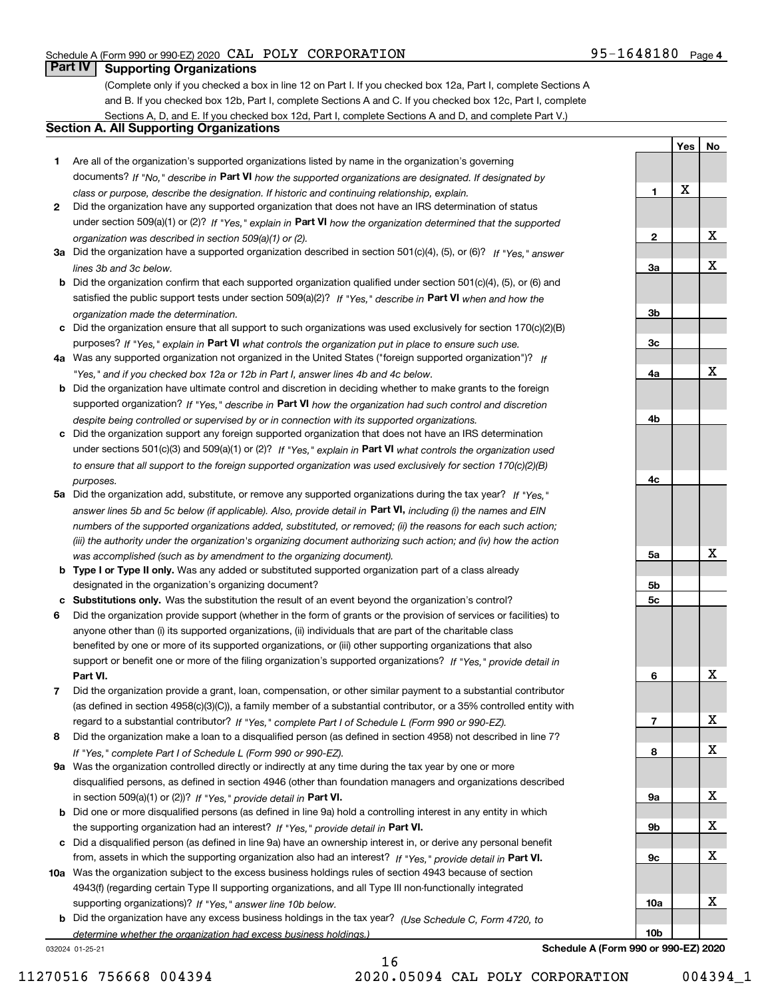**Yes**

**No**

## **Part IV Supporting Organizations**

(Complete only if you checked a box in line 12 on Part I. If you checked box 12a, Part I, complete Sections A and B. If you checked box 12b, Part I, complete Sections A and C. If you checked box 12c, Part I, complete Sections A, D, and E. If you checked box 12d, Part I, complete Sections A and D, and complete Part V.)

### **Section A. All Supporting Organizations**

- **1** Are all of the organization's supported organizations listed by name in the organization's governing documents? If "No," describe in **Part VI** how the supported organizations are designated. If designated by *class or purpose, describe the designation. If historic and continuing relationship, explain.*
- **2** Did the organization have any supported organization that does not have an IRS determination of status under section 509(a)(1) or (2)? If "Yes," explain in Part VI how the organization determined that the supported *organization was described in section 509(a)(1) or (2).*
- **3a** Did the organization have a supported organization described in section 501(c)(4), (5), or (6)? If "Yes," answer *lines 3b and 3c below.*
- **b** Did the organization confirm that each supported organization qualified under section 501(c)(4), (5), or (6) and satisfied the public support tests under section 509(a)(2)? If "Yes," describe in **Part VI** when and how the *organization made the determination.*
- **c**Did the organization ensure that all support to such organizations was used exclusively for section 170(c)(2)(B) purposes? If "Yes," explain in **Part VI** what controls the organization put in place to ensure such use.
- **4a***If* Was any supported organization not organized in the United States ("foreign supported organization")? *"Yes," and if you checked box 12a or 12b in Part I, answer lines 4b and 4c below.*
- **b** Did the organization have ultimate control and discretion in deciding whether to make grants to the foreign supported organization? If "Yes," describe in **Part VI** how the organization had such control and discretion *despite being controlled or supervised by or in connection with its supported organizations.*
- **c** Did the organization support any foreign supported organization that does not have an IRS determination under sections 501(c)(3) and 509(a)(1) or (2)? If "Yes," explain in **Part VI** what controls the organization used *to ensure that all support to the foreign supported organization was used exclusively for section 170(c)(2)(B) purposes.*
- **5a** Did the organization add, substitute, or remove any supported organizations during the tax year? If "Yes," answer lines 5b and 5c below (if applicable). Also, provide detail in **Part VI,** including (i) the names and EIN *numbers of the supported organizations added, substituted, or removed; (ii) the reasons for each such action; (iii) the authority under the organization's organizing document authorizing such action; and (iv) how the action was accomplished (such as by amendment to the organizing document).*
- **b** Type I or Type II only. Was any added or substituted supported organization part of a class already designated in the organization's organizing document?
- **cSubstitutions only.**  Was the substitution the result of an event beyond the organization's control?
- **6** Did the organization provide support (whether in the form of grants or the provision of services or facilities) to **Part VI.** *If "Yes," provide detail in* support or benefit one or more of the filing organization's supported organizations? anyone other than (i) its supported organizations, (ii) individuals that are part of the charitable class benefited by one or more of its supported organizations, or (iii) other supporting organizations that also
- **7**Did the organization provide a grant, loan, compensation, or other similar payment to a substantial contributor *If "Yes," complete Part I of Schedule L (Form 990 or 990-EZ).* regard to a substantial contributor? (as defined in section 4958(c)(3)(C)), a family member of a substantial contributor, or a 35% controlled entity with
- **8** Did the organization make a loan to a disqualified person (as defined in section 4958) not described in line 7? *If "Yes," complete Part I of Schedule L (Form 990 or 990-EZ).*
- **9a** Was the organization controlled directly or indirectly at any time during the tax year by one or more in section 509(a)(1) or (2))? If "Yes," *provide detail in* <code>Part VI.</code> disqualified persons, as defined in section 4946 (other than foundation managers and organizations described
- **b**the supporting organization had an interest? If "Yes," provide detail in P**art VI**. Did one or more disqualified persons (as defined in line 9a) hold a controlling interest in any entity in which
- **c**Did a disqualified person (as defined in line 9a) have an ownership interest in, or derive any personal benefit from, assets in which the supporting organization also had an interest? If "Yes," provide detail in P**art VI.**
- **10a** Was the organization subject to the excess business holdings rules of section 4943 because of section supporting organizations)? If "Yes," answer line 10b below. 4943(f) (regarding certain Type II supporting organizations, and all Type III non-functionally integrated
- **b** Did the organization have any excess business holdings in the tax year? (Use Schedule C, Form 4720, to *determine whether the organization had excess business holdings.)*

16

032024 01-25-21

**123a3b3c4a4b4c5a 5b5c6789a 9b9c10a10b**X X X X X X X X X X X X

**Schedule A (Form 990 or 990-EZ) 2020**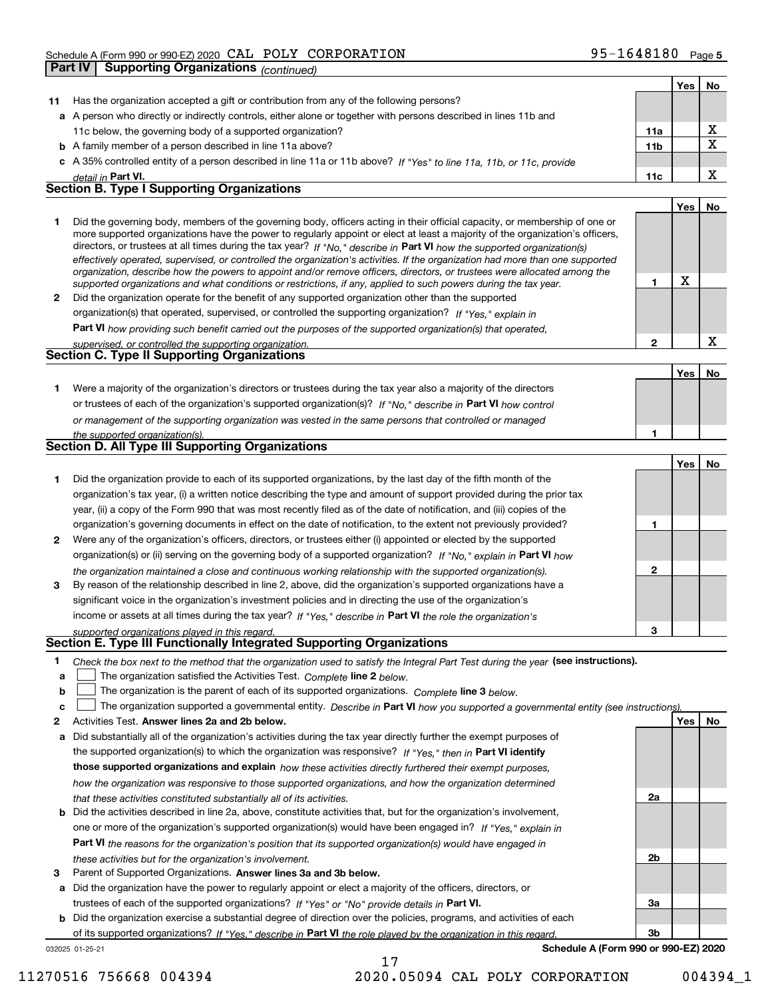|              | Part IV | Supporting Organizations (continued)                                                                                                                                                                                                                                                                                                                                                                                                                                                                                                                                                                                                                 |                 |     |             |
|--------------|---------|------------------------------------------------------------------------------------------------------------------------------------------------------------------------------------------------------------------------------------------------------------------------------------------------------------------------------------------------------------------------------------------------------------------------------------------------------------------------------------------------------------------------------------------------------------------------------------------------------------------------------------------------------|-----------------|-----|-------------|
|              |         |                                                                                                                                                                                                                                                                                                                                                                                                                                                                                                                                                                                                                                                      |                 | Yes | No.         |
| 11           |         | Has the organization accepted a gift or contribution from any of the following persons?                                                                                                                                                                                                                                                                                                                                                                                                                                                                                                                                                              |                 |     |             |
|              |         | a A person who directly or indirectly controls, either alone or together with persons described in lines 11b and                                                                                                                                                                                                                                                                                                                                                                                                                                                                                                                                     |                 |     |             |
|              |         | 11c below, the governing body of a supported organization?                                                                                                                                                                                                                                                                                                                                                                                                                                                                                                                                                                                           | 11a             |     | X           |
|              |         | <b>b</b> A family member of a person described in line 11a above?                                                                                                                                                                                                                                                                                                                                                                                                                                                                                                                                                                                    | 11 <sub>b</sub> |     | $\mathbf X$ |
|              |         | c A 35% controlled entity of a person described in line 11a or 11b above? If "Yes" to line 11a, 11b, or 11c, provide                                                                                                                                                                                                                                                                                                                                                                                                                                                                                                                                 |                 |     |             |
|              |         | detail in Part VI.                                                                                                                                                                                                                                                                                                                                                                                                                                                                                                                                                                                                                                   | 11c             |     | X           |
|              |         | <b>Section B. Type I Supporting Organizations</b>                                                                                                                                                                                                                                                                                                                                                                                                                                                                                                                                                                                                    |                 |     |             |
|              |         |                                                                                                                                                                                                                                                                                                                                                                                                                                                                                                                                                                                                                                                      |                 | Yes | No          |
| 1            |         | Did the governing body, members of the governing body, officers acting in their official capacity, or membership of one or<br>more supported organizations have the power to regularly appoint or elect at least a majority of the organization's officers,<br>directors, or trustees at all times during the tax year? If "No," describe in Part VI how the supported organization(s)<br>effectively operated, supervised, or controlled the organization's activities. If the organization had more than one supported<br>organization, describe how the powers to appoint and/or remove officers, directors, or trustees were allocated among the |                 |     |             |
|              |         | supported organizations and what conditions or restrictions, if any, applied to such powers during the tax year.                                                                                                                                                                                                                                                                                                                                                                                                                                                                                                                                     | 1               | X   |             |
| $\mathbf{2}$ |         | Did the organization operate for the benefit of any supported organization other than the supported                                                                                                                                                                                                                                                                                                                                                                                                                                                                                                                                                  |                 |     |             |
|              |         | organization(s) that operated, supervised, or controlled the supporting organization? If "Yes," explain in                                                                                                                                                                                                                                                                                                                                                                                                                                                                                                                                           |                 |     |             |
|              |         | Part VI how providing such benefit carried out the purposes of the supported organization(s) that operated,                                                                                                                                                                                                                                                                                                                                                                                                                                                                                                                                          |                 |     |             |
|              |         | supervised, or controlled the supporting organization.                                                                                                                                                                                                                                                                                                                                                                                                                                                                                                                                                                                               | 2               |     | $\mathbf X$ |
|              |         | Section C. Type II Supporting Organizations                                                                                                                                                                                                                                                                                                                                                                                                                                                                                                                                                                                                          |                 |     |             |
|              |         |                                                                                                                                                                                                                                                                                                                                                                                                                                                                                                                                                                                                                                                      |                 | Yes | No          |
| 1.           |         | Were a majority of the organization's directors or trustees during the tax year also a majority of the directors                                                                                                                                                                                                                                                                                                                                                                                                                                                                                                                                     |                 |     |             |
|              |         | or trustees of each of the organization's supported organization(s)? If "No," describe in Part VI how control                                                                                                                                                                                                                                                                                                                                                                                                                                                                                                                                        |                 |     |             |
|              |         | or management of the supporting organization was vested in the same persons that controlled or managed                                                                                                                                                                                                                                                                                                                                                                                                                                                                                                                                               |                 |     |             |
|              |         | the supported organization(s).                                                                                                                                                                                                                                                                                                                                                                                                                                                                                                                                                                                                                       | 1               |     |             |
|              |         | Section D. All Type III Supporting Organizations                                                                                                                                                                                                                                                                                                                                                                                                                                                                                                                                                                                                     |                 |     |             |
|              |         |                                                                                                                                                                                                                                                                                                                                                                                                                                                                                                                                                                                                                                                      |                 | Yes | No          |
| 1            |         | Did the organization provide to each of its supported organizations, by the last day of the fifth month of the                                                                                                                                                                                                                                                                                                                                                                                                                                                                                                                                       |                 |     |             |
|              |         | organization's tax year, (i) a written notice describing the type and amount of support provided during the prior tax                                                                                                                                                                                                                                                                                                                                                                                                                                                                                                                                |                 |     |             |
|              |         | year, (ii) a copy of the Form 990 that was most recently filed as of the date of notification, and (iii) copies of the                                                                                                                                                                                                                                                                                                                                                                                                                                                                                                                               |                 |     |             |
|              |         | organization's governing documents in effect on the date of notification, to the extent not previously provided?                                                                                                                                                                                                                                                                                                                                                                                                                                                                                                                                     | 1               |     |             |
| 2            |         | Were any of the organization's officers, directors, or trustees either (i) appointed or elected by the supported                                                                                                                                                                                                                                                                                                                                                                                                                                                                                                                                     |                 |     |             |
|              |         | organization(s) or (ii) serving on the governing body of a supported organization? If "No," explain in Part VI how                                                                                                                                                                                                                                                                                                                                                                                                                                                                                                                                   |                 |     |             |
|              |         | the organization maintained a close and continuous working relationship with the supported organization(s).                                                                                                                                                                                                                                                                                                                                                                                                                                                                                                                                          | 2               |     |             |
| 3            |         | By reason of the relationship described in line 2, above, did the organization's supported organizations have a                                                                                                                                                                                                                                                                                                                                                                                                                                                                                                                                      |                 |     |             |
|              |         | significant voice in the organization's investment policies and in directing the use of the organization's                                                                                                                                                                                                                                                                                                                                                                                                                                                                                                                                           |                 |     |             |
|              |         | income or assets at all times during the tax year? If "Yes," describe in Part VI the role the organization's                                                                                                                                                                                                                                                                                                                                                                                                                                                                                                                                         |                 |     |             |
|              |         | supported organizations played in this regard.                                                                                                                                                                                                                                                                                                                                                                                                                                                                                                                                                                                                       | 3               |     |             |
|              |         | Section E. Type III Functionally Integrated Supporting Organizations                                                                                                                                                                                                                                                                                                                                                                                                                                                                                                                                                                                 |                 |     |             |
|              |         | $\mathbf{r}$ , and the state of the state of the state of the state of the state of the state of the state of the state of the state of the state of the state of the state of the state of the state of the state of the state o<br>$l$ aaa imatuustianal                                                                                                                                                                                                                                                                                                                                                                                           |                 |     |             |

**1**Check the box next to the method that the organization used to satisfy the Integral Part Test during the year (see instructions).

- **alinupy** The organization satisfied the Activities Test. Complete line 2 below.
- **bThe organization is the parent of each of its supported organizations. Complete line 3 below.**

|  |  |  | c $\Box$ The organization supported a governmental entity. Describe in Part VI how you supported a governmental entity (see instructions). |  |
|--|--|--|--------------------------------------------------------------------------------------------------------------------------------------------|--|
|--|--|--|--------------------------------------------------------------------------------------------------------------------------------------------|--|

17

- **2Answer lines 2a and 2b below. Yes No** Activities Test.
- **a** Did substantially all of the organization's activities during the tax year directly further the exempt purposes of the supported organization(s) to which the organization was responsive? If "Yes," then in **Part VI identify those supported organizations and explain**  *how these activities directly furthered their exempt purposes, how the organization was responsive to those supported organizations, and how the organization determined that these activities constituted substantially all of its activities.*
- **b** Did the activities described in line 2a, above, constitute activities that, but for the organization's involvement, **Part VI**  *the reasons for the organization's position that its supported organization(s) would have engaged in* one or more of the organization's supported organization(s) would have been engaged in? If "Yes," e*xplain in these activities but for the organization's involvement.*
- **3** Parent of Supported Organizations. Answer lines 3a and 3b below.

**a** Did the organization have the power to regularly appoint or elect a majority of the officers, directors, or trustees of each of the supported organizations? If "Yes" or "No" provide details in **Part VI.** 

032025 01-25-21 **b** Did the organization exercise a substantial degree of direction over the policies, programs, and activities of each of its supported organizations? If "Yes," describe in Part VI the role played by the organization in this regard.

**Schedule A (Form 990 or 990-EZ) 2020**

**2a**

**2b**

**3a**

**3b**

11270516 756668 004394 2020.05094 CAL POLY CORPORATION 004394\_1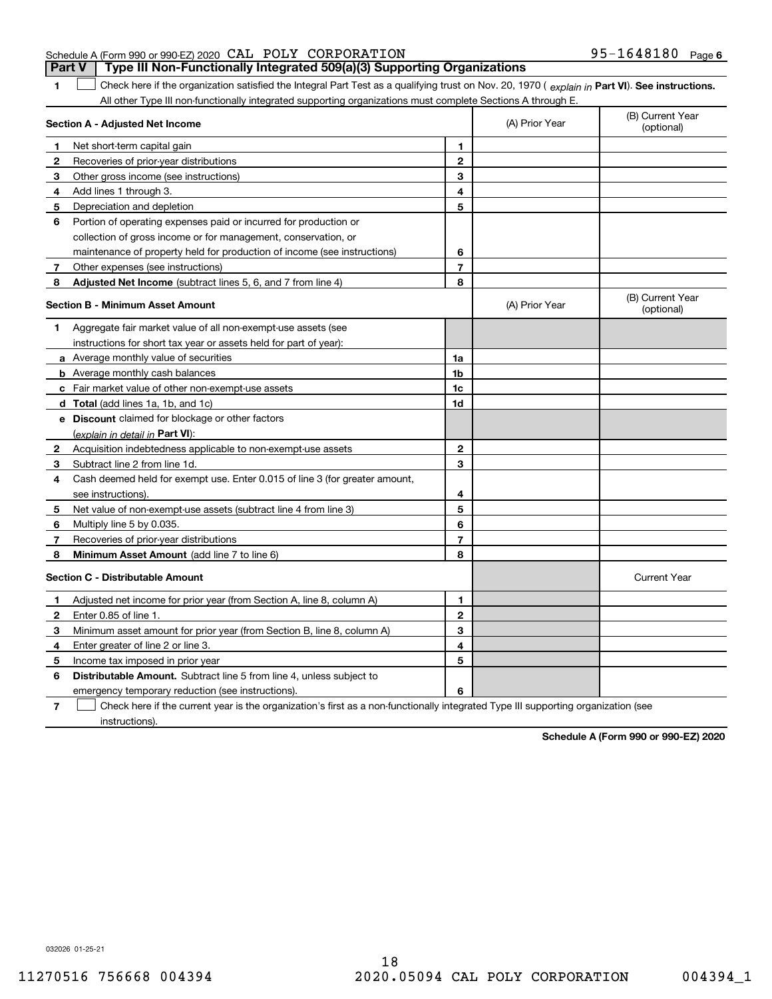#### Schedule A (Form 990 or 990-EZ) 2020 Page CAL POLY CORPORATION 95-1648180 **Part V Type III Non-Functionally Integrated 509(a)(3) Supporting Organizations**

**1**

1 Check here if the organization satisfied the Integral Part Test as a qualifying trust on Nov. 20, 1970 (explain in Part VI). See instructions. All other Type III non-functionally integrated supporting organizations must complete Sections A through E.

|              | Section A - Adjusted Net Income                                                                                                   |                | (A) Prior Year | (B) Current Year<br>(optional) |
|--------------|-----------------------------------------------------------------------------------------------------------------------------------|----------------|----------------|--------------------------------|
| 1            | Net short-term capital gain                                                                                                       | 1              |                |                                |
| 2            | Recoveries of prior-year distributions                                                                                            | $\overline{2}$ |                |                                |
| 3            | Other gross income (see instructions)                                                                                             | 3              |                |                                |
| 4            | Add lines 1 through 3.                                                                                                            | 4              |                |                                |
| 5            | Depreciation and depletion                                                                                                        | 5              |                |                                |
| 6            | Portion of operating expenses paid or incurred for production or                                                                  |                |                |                                |
|              | collection of gross income or for management, conservation, or                                                                    |                |                |                                |
|              | maintenance of property held for production of income (see instructions)                                                          | 6              |                |                                |
| 7            | Other expenses (see instructions)                                                                                                 | $\overline{7}$ |                |                                |
| 8            | Adjusted Net Income (subtract lines 5, 6, and 7 from line 4)                                                                      | 8              |                |                                |
|              | <b>Section B - Minimum Asset Amount</b>                                                                                           |                | (A) Prior Year | (B) Current Year<br>(optional) |
| 1            | Aggregate fair market value of all non-exempt-use assets (see                                                                     |                |                |                                |
|              | instructions for short tax year or assets held for part of year):                                                                 |                |                |                                |
|              | a Average monthly value of securities                                                                                             | 1a             |                |                                |
|              | <b>b</b> Average monthly cash balances                                                                                            | 1 <sub>b</sub> |                |                                |
|              | c Fair market value of other non-exempt-use assets                                                                                | 1c             |                |                                |
|              | d Total (add lines 1a, 1b, and 1c)                                                                                                | 1d             |                |                                |
|              | e Discount claimed for blockage or other factors                                                                                  |                |                |                                |
|              | (explain in detail in Part VI):                                                                                                   |                |                |                                |
| $\mathbf{2}$ | Acquisition indebtedness applicable to non-exempt-use assets                                                                      | 2              |                |                                |
| 3            | Subtract line 2 from line 1d.                                                                                                     | 3              |                |                                |
| 4            | Cash deemed held for exempt use. Enter 0.015 of line 3 (for greater amount,                                                       |                |                |                                |
|              | see instructions).                                                                                                                | 4              |                |                                |
| 5            | Net value of non-exempt-use assets (subtract line 4 from line 3)                                                                  | 5              |                |                                |
| 6            | Multiply line 5 by 0.035.                                                                                                         | 6              |                |                                |
| 7            | Recoveries of prior-year distributions                                                                                            | $\overline{7}$ |                |                                |
| 8            | Minimum Asset Amount (add line 7 to line 6)                                                                                       | 8              |                |                                |
|              | <b>Section C - Distributable Amount</b>                                                                                           |                |                | <b>Current Year</b>            |
| 1            | Adjusted net income for prior year (from Section A, line 8, column A)                                                             | 1              |                |                                |
| 2            | Enter 0.85 of line 1.                                                                                                             | $\overline{2}$ |                |                                |
| з            | Minimum asset amount for prior year (from Section B, line 8, column A)                                                            | 3              |                |                                |
| 4            | Enter greater of line 2 or line 3.                                                                                                | 4              |                |                                |
| 5            | Income tax imposed in prior year                                                                                                  | 5              |                |                                |
| 6            | <b>Distributable Amount.</b> Subtract line 5 from line 4, unless subject to                                                       |                |                |                                |
|              | emergency temporary reduction (see instructions).                                                                                 | 6              |                |                                |
| 7            | Check here if the current year is the organization's first as a non-functionally integrated Type III supporting organization (see |                |                |                                |

instructions).

**Schedule A (Form 990 or 990-EZ) 2020**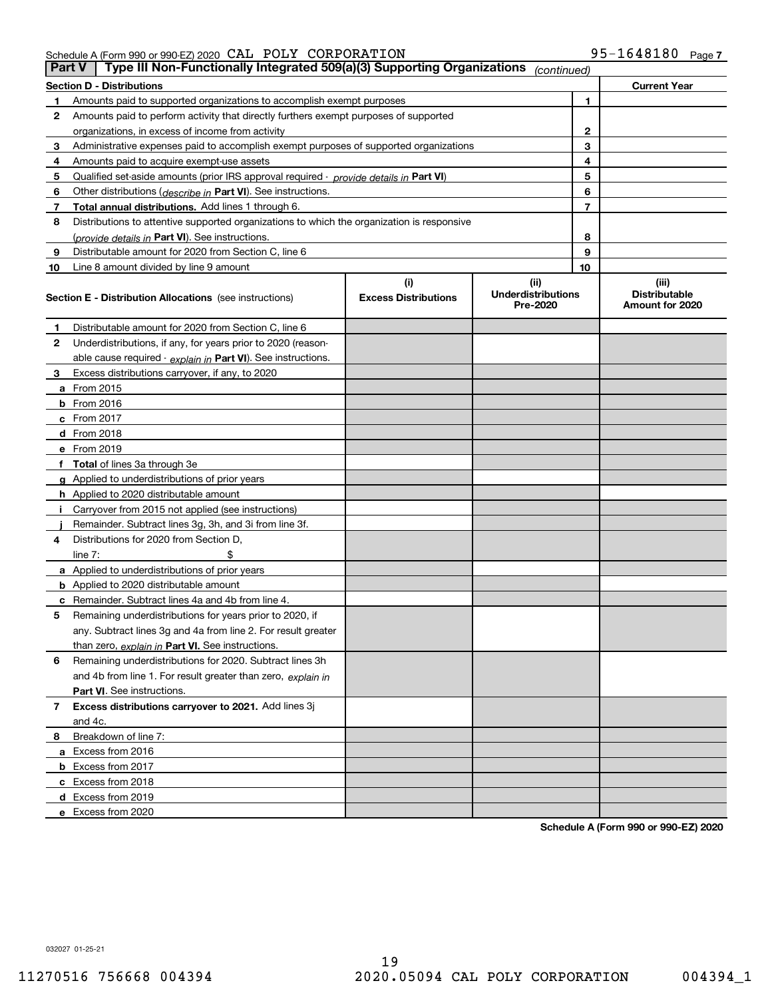Schedule A (Form 990 or 990-EZ) 2020 Page CAL POLY CORPORATION 95-1648180

|    | Type III Non-Functionally Integrated 509(a)(3) Supporting Organizations<br><b>Part V</b><br>(continued) |                             |                                       |    |                                         |  |  |  |
|----|---------------------------------------------------------------------------------------------------------|-----------------------------|---------------------------------------|----|-----------------------------------------|--|--|--|
|    | <b>Section D - Distributions</b><br><b>Current Year</b>                                                 |                             |                                       |    |                                         |  |  |  |
| 1  | Amounts paid to supported organizations to accomplish exempt purposes                                   |                             |                                       | 1  |                                         |  |  |  |
| 2  | Amounts paid to perform activity that directly furthers exempt purposes of supported                    |                             |                                       |    |                                         |  |  |  |
|    | organizations, in excess of income from activity                                                        |                             |                                       | 2  |                                         |  |  |  |
| 3  | Administrative expenses paid to accomplish exempt purposes of supported organizations                   |                             |                                       | 3  |                                         |  |  |  |
| 4  | Amounts paid to acquire exempt-use assets                                                               |                             |                                       | 4  |                                         |  |  |  |
| 5  | Qualified set-aside amounts (prior IRS approval required - provide details in Part VI)                  |                             |                                       | 5  |                                         |  |  |  |
| 6  | Other distributions (describe in Part VI). See instructions.                                            |                             |                                       | 6  |                                         |  |  |  |
| 7  | Total annual distributions. Add lines 1 through 6.                                                      |                             |                                       | 7  |                                         |  |  |  |
| 8  | Distributions to attentive supported organizations to which the organization is responsive              |                             |                                       |    |                                         |  |  |  |
|    | (provide details in Part VI). See instructions.                                                         |                             |                                       | 8  |                                         |  |  |  |
| 9  | Distributable amount for 2020 from Section C, line 6                                                    |                             |                                       | 9  |                                         |  |  |  |
| 10 | Line 8 amount divided by line 9 amount                                                                  |                             |                                       | 10 |                                         |  |  |  |
|    |                                                                                                         | (i)                         | (ii)                                  |    | (iii)                                   |  |  |  |
|    | <b>Section E - Distribution Allocations</b> (see instructions)                                          | <b>Excess Distributions</b> | <b>Underdistributions</b><br>Pre-2020 |    | <b>Distributable</b><br>Amount for 2020 |  |  |  |
| 1  | Distributable amount for 2020 from Section C, line 6                                                    |                             |                                       |    |                                         |  |  |  |
| 2  | Underdistributions, if any, for years prior to 2020 (reason-                                            |                             |                                       |    |                                         |  |  |  |
|    | able cause required - explain in Part VI). See instructions.                                            |                             |                                       |    |                                         |  |  |  |
| 3  | Excess distributions carryover, if any, to 2020                                                         |                             |                                       |    |                                         |  |  |  |
|    | <b>a</b> From 2015                                                                                      |                             |                                       |    |                                         |  |  |  |
|    | <b>b</b> From 2016                                                                                      |                             |                                       |    |                                         |  |  |  |
|    | c From 2017                                                                                             |                             |                                       |    |                                         |  |  |  |
|    | <b>d</b> From 2018                                                                                      |                             |                                       |    |                                         |  |  |  |
|    | e From 2019                                                                                             |                             |                                       |    |                                         |  |  |  |
|    | f Total of lines 3a through 3e                                                                          |                             |                                       |    |                                         |  |  |  |
|    | g Applied to underdistributions of prior years                                                          |                             |                                       |    |                                         |  |  |  |
|    | <b>h</b> Applied to 2020 distributable amount                                                           |                             |                                       |    |                                         |  |  |  |
|    | Carryover from 2015 not applied (see instructions)                                                      |                             |                                       |    |                                         |  |  |  |
|    | Remainder. Subtract lines 3g, 3h, and 3i from line 3f.                                                  |                             |                                       |    |                                         |  |  |  |
| 4  | Distributions for 2020 from Section D,                                                                  |                             |                                       |    |                                         |  |  |  |
|    | line $7:$                                                                                               |                             |                                       |    |                                         |  |  |  |
|    | a Applied to underdistributions of prior years                                                          |                             |                                       |    |                                         |  |  |  |
|    | <b>b</b> Applied to 2020 distributable amount                                                           |                             |                                       |    |                                         |  |  |  |
|    | c Remainder. Subtract lines 4a and 4b from line 4.                                                      |                             |                                       |    |                                         |  |  |  |
| 5  | Remaining underdistributions for years prior to 2020, if                                                |                             |                                       |    |                                         |  |  |  |
|    | any. Subtract lines 3g and 4a from line 2. For result greater                                           |                             |                                       |    |                                         |  |  |  |
|    | than zero, explain in Part VI. See instructions.                                                        |                             |                                       |    |                                         |  |  |  |
| 6  | Remaining underdistributions for 2020. Subtract lines 3h                                                |                             |                                       |    |                                         |  |  |  |
|    | and 4b from line 1. For result greater than zero, explain in                                            |                             |                                       |    |                                         |  |  |  |
|    | Part VI. See instructions.                                                                              |                             |                                       |    |                                         |  |  |  |
| 7  | Excess distributions carryover to 2021. Add lines 3j                                                    |                             |                                       |    |                                         |  |  |  |
|    | and 4c.                                                                                                 |                             |                                       |    |                                         |  |  |  |
| 8  | Breakdown of line 7:                                                                                    |                             |                                       |    |                                         |  |  |  |
|    | a Excess from 2016                                                                                      |                             |                                       |    |                                         |  |  |  |
|    | <b>b</b> Excess from 2017                                                                               |                             |                                       |    |                                         |  |  |  |
|    | c Excess from 2018                                                                                      |                             |                                       |    |                                         |  |  |  |
|    | d Excess from 2019                                                                                      |                             |                                       |    |                                         |  |  |  |
|    | e Excess from 2020                                                                                      |                             |                                       |    |                                         |  |  |  |

**Schedule A (Form 990 or 990-EZ) 2020**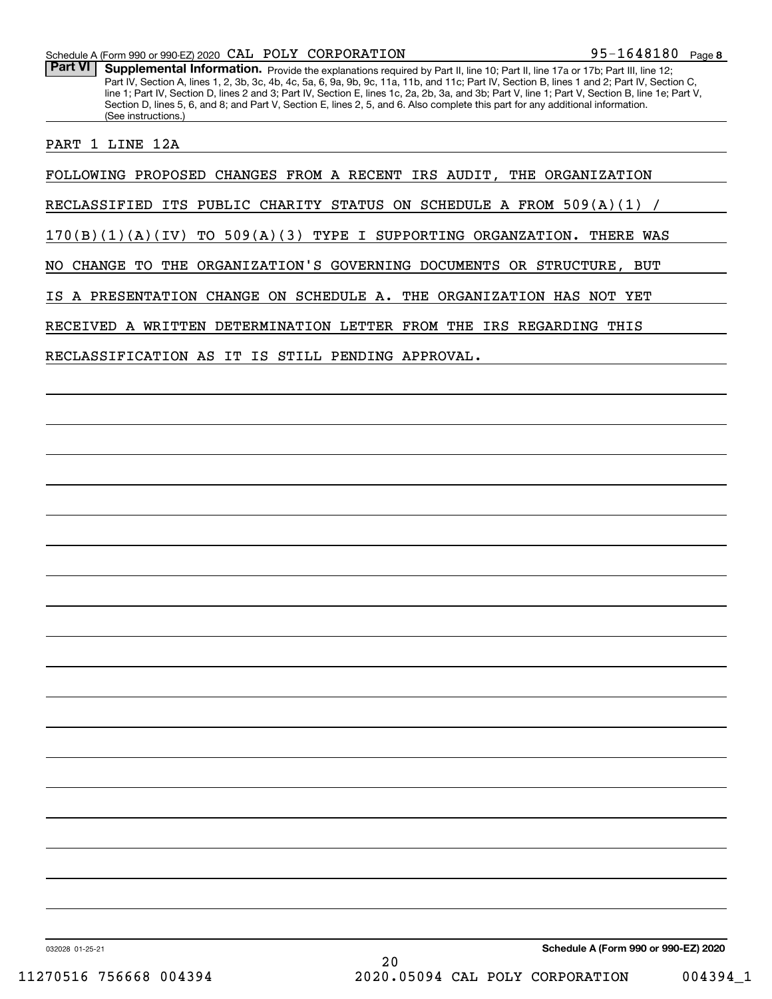Part VI | Supplemental Information. Provide the explanations required by Part II, line 10; Part II, line 17a or 17b; Part III, line 12; Part IV, Section A, lines 1, 2, 3b, 3c, 4b, 4c, 5a, 6, 9a, 9b, 9c, 11a, 11b, and 11c; Part IV, Section B, lines 1 and 2; Part IV, Section C, line 1; Part IV, Section D, lines 2 and 3; Part IV, Section E, lines 1c, 2a, 2b, 3a, and 3b; Part V, line 1; Part V, Section B, line 1e; Part V, Section D, lines 5, 6, and 8; and Part V, Section E, lines 2, 5, and 6. Also complete this part for any additional information. (See instructions.)

PART 1 LINE 12A

FOLLOWING PROPOSED CHANGES FROM A RECENT IRS AUDIT, THE ORGANIZATION

RECLASSIFIED ITS PUBLIC CHARITY STATUS ON SCHEDULE A FROM  $509(A)(1)$ 

170(B)(1)(A)(IV) TO 509(A)(3) TYPE I SUPPORTING ORGANZATION. THERE WAS

NO CHANGE TO THE ORGANIZATION'S GOVERNING DOCUMENTS OR STRUCTURE, BUT

IS A PRESENTATION CHANGE ON SCHEDULE A. THE ORGANIZATION HAS NOT YET

RECEIVED A WRITTEN DETERMINATION LETTER FROM THE IRS REGARDING THIS

RECLASSIFICATION AS IT IS STILL PENDING APPROVAL.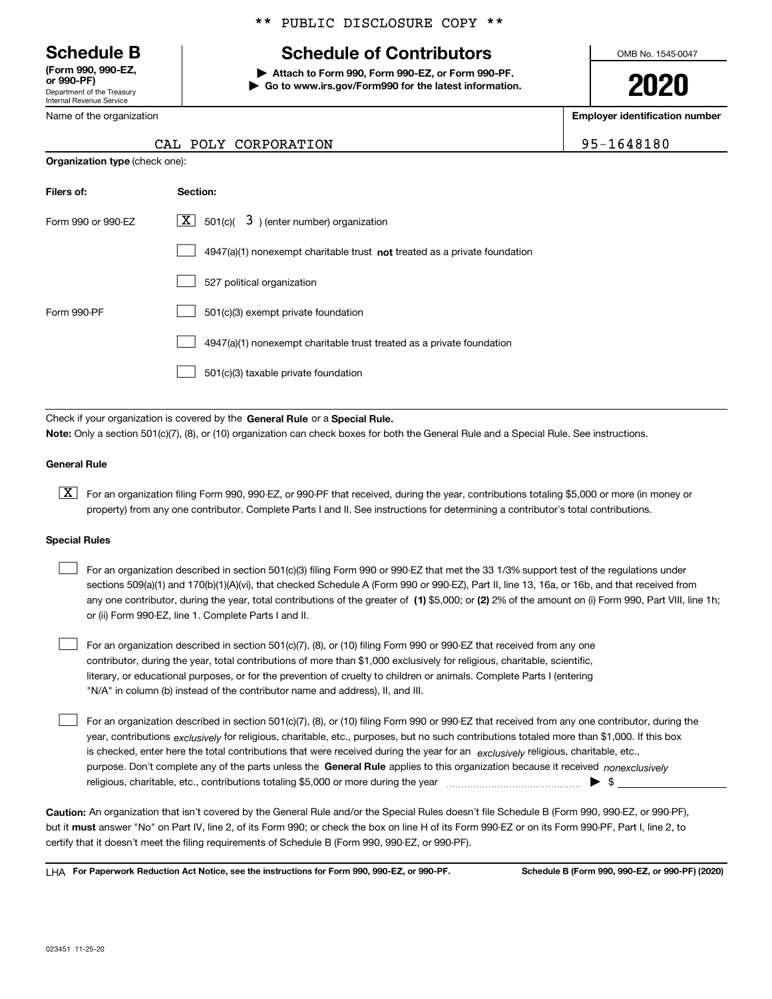Department of the Treasury Internal Revenue Service **(Form 990, 990-EZ, or 990-PF)**

Name of the organization

### \*\* PUBLIC DISCLOSURE COPY \*\*

# **Schedule B Schedule of Contributors**

**| Attach to Form 990, Form 990-EZ, or Form 990-PF. | Go to www.irs.gov/Form990 for the latest information.** OMB No. 1545-0047

**2020**

**Employer identification number**

POLY CORPORATION | 95-1648180

|  | $CAT$ . DOT.V $COP$ DOR |
|--|-------------------------|

| <b>Organization type (check one):</b> |                                                                                    |  |  |  |  |
|---------------------------------------|------------------------------------------------------------------------------------|--|--|--|--|
| Filers of:                            | Section:                                                                           |  |  |  |  |
| Form 990 or 990-EZ                    | $\boxed{\mathbf{X}}$ 501(c)( 3) (enter number) organization                        |  |  |  |  |
|                                       | $4947(a)(1)$ nonexempt charitable trust <b>not</b> treated as a private foundation |  |  |  |  |
|                                       | 527 political organization                                                         |  |  |  |  |
| Form 990-PF                           | 501(c)(3) exempt private foundation                                                |  |  |  |  |
|                                       | 4947(a)(1) nonexempt charitable trust treated as a private foundation              |  |  |  |  |
|                                       | 501(c)(3) taxable private foundation                                               |  |  |  |  |
|                                       |                                                                                    |  |  |  |  |

Check if your organization is covered by the **General Rule** or a **Special Rule. Note:**  Only a section 501(c)(7), (8), or (10) organization can check boxes for both the General Rule and a Special Rule. See instructions.

#### **General Rule**

 $\boxed{\textbf{X}}$  For an organization filing Form 990, 990-EZ, or 990-PF that received, during the year, contributions totaling \$5,000 or more (in money or property) from any one contributor. Complete Parts I and II. See instructions for determining a contributor's total contributions.

#### **Special Rules**

| For an organization described in section 501(c)(3) filing Form 990 or 990-EZ that met the 33 1/3% support test of the regulations under               |
|-------------------------------------------------------------------------------------------------------------------------------------------------------|
| sections 509(a)(1) and 170(b)(1)(A)(vi), that checked Schedule A (Form 990 or 990-EZ), Part II, line 13, 16a, or 16b, and that received from          |
| any one contributor, during the year, total contributions of the greater of (1) \$5,000; or (2) 2% of the amount on (i) Form 990, Part VIII, line 1h; |
| or (ii) Form 990-EZ, line 1. Complete Parts I and II.                                                                                                 |

For an organization described in section 501(c)(7), (8), or (10) filing Form 990 or 990-EZ that received from any one contributor, during the year, total contributions of more than \$1,000 exclusively for religious, charitable, scientific, literary, or educational purposes, or for the prevention of cruelty to children or animals. Complete Parts I (entering "N/A" in column (b) instead of the contributor name and address), II, and III.  $\mathcal{L}^{\text{max}}$ 

purpose. Don't complete any of the parts unless the **General Rule** applies to this organization because it received *nonexclusively* year, contributions <sub>exclusively</sub> for religious, charitable, etc., purposes, but no such contributions totaled more than \$1,000. If this box is checked, enter here the total contributions that were received during the year for an  $\;$ exclusively religious, charitable, etc., For an organization described in section 501(c)(7), (8), or (10) filing Form 990 or 990-EZ that received from any one contributor, during the religious, charitable, etc., contributions totaling \$5,000 or more during the year  $\Box$ — $\Box$   $\Box$  $\mathcal{L}^{\text{max}}$ 

**Caution:**  An organization that isn't covered by the General Rule and/or the Special Rules doesn't file Schedule B (Form 990, 990-EZ, or 990-PF),  **must** but it answer "No" on Part IV, line 2, of its Form 990; or check the box on line H of its Form 990-EZ or on its Form 990-PF, Part I, line 2, to certify that it doesn't meet the filing requirements of Schedule B (Form 990, 990-EZ, or 990-PF).

**For Paperwork Reduction Act Notice, see the instructions for Form 990, 990-EZ, or 990-PF. Schedule B (Form 990, 990-EZ, or 990-PF) (2020)** LHA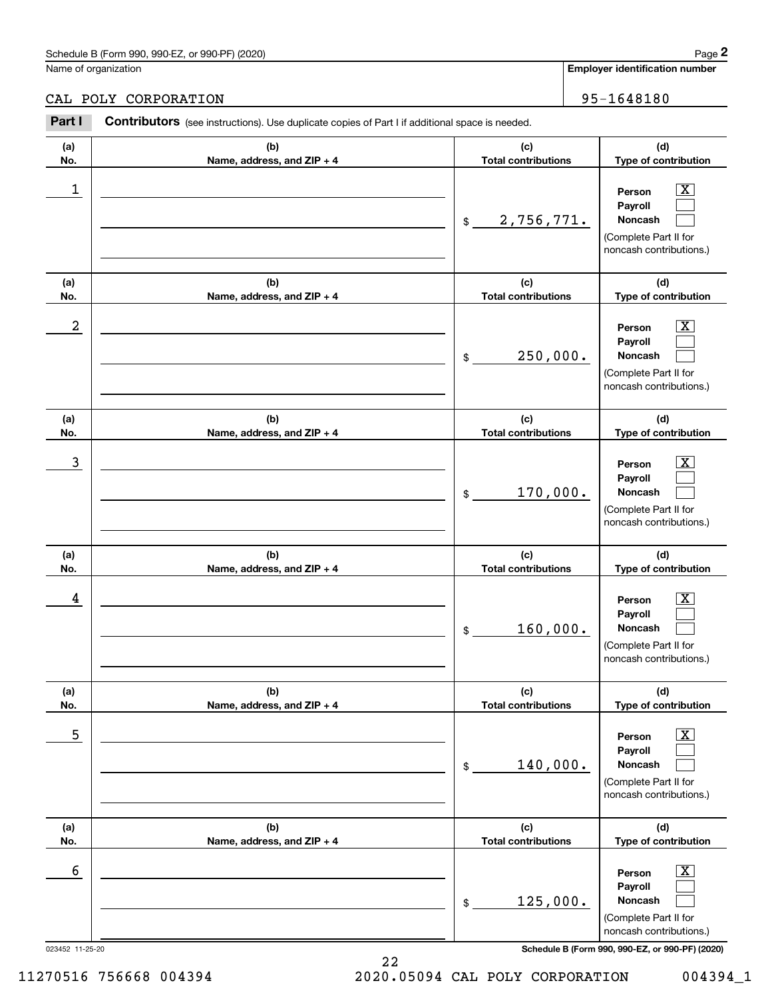Name of organization

**(d)**

 $|X|$  $\mathcal{L}^{\text{max}}$  $\mathcal{L}^{\text{max}}$ 

 $\boxed{\text{X}}$  $\mathcal{L}^{\text{max}}$  $\mathcal{L}^{\text{max}}$ 

 $|X|$  $\mathcal{L}^{\text{max}}$  $\mathcal{L}^{\text{max}}$ 

 $\boxed{\text{X}}$  $\mathcal{L}^{\text{max}}$  $\mathcal{L}^{\text{max}}$ 

 $\boxed{\text{X}}$  $\mathcal{L}^{\text{max}}$  $\mathcal{L}^{\text{max}}$ 

 $\boxed{\text{X}}$  $\mathcal{L}^{\text{max}}$  $\mathcal{L}^{\text{max}}$ 

**(d)**

**(d)**

**(d)**

**(d)**

**(d)**

noncash contributions.)

CAL POLY CORPORATION 80 | 95-1648180

#### **(a)No.(b)Name, address, and ZIP + 4 (c)Total contributions Type of contribution PersonPayrollNoncash (a)No.(b)Name, address, and ZIP + 4 (c)Total contributions Type of contribution PersonPayrollNoncash (a)No.(b)Name, address, and ZIP + 4 (c)Total contributions Type of contribution PersonPayrollNoncash (a) No.(b) Name, address, and ZIP + 4 (c) Total contributions Type of contribution PersonPayrollNoncash (a) No.(b) Name, address, and ZIP + 4 (c) Total contributions Type of contribution PersonPayrollNoncash (a) No.(b)Name, address, and ZIP + 4 (c) Total contributions Type of contribution PersonPayrollNoncash Contributors** (see instructions). Use duplicate copies of Part I if additional space is needed. \$(Complete Part II for noncash contributions.) \$(Complete Part II for noncash contributions.) \$(Complete Part II for noncash contributions.) \$(Complete Part II for noncash contributions.) \$(Complete Part II for noncash contributions.) \$(Complete Part II for Employer identification Page 2<br>
Iame of organization<br> **2Part I 2Part I Contributors** (see instructions). Use duplicate copies of Part I if additional space is needed.<br>
2Part I **Contributors** (see instructions). Use dup  $\begin{array}{c|c|c|c|c|c} 1 & \hspace{1.5cm} & \hspace{1.5cm} & \hspace{1.5cm} & \hspace{1.5cm} & \hspace{1.5cm} & \hspace{1.5cm} & \hspace{1.5cm} & \hspace{1.5cm} & \hspace{1.5cm} & \hspace{1.5cm} & \hspace{1.5cm} & \hspace{1.5cm} & \hspace{1.5cm} & \hspace{1.5cm} & \hspace{1.5cm} & \hspace{1.5cm} & \hspace{1.5cm} & \hspace{1.5cm} & \hspace{1.5cm} & \hspace{1.5cm} &$ 2,756,771.  $2$  | Person  $\overline{\text{X}}$ 250,000.  $\overline{3}$  | Person  $\overline{X}$ 170,000.  $4$  | Person  $\overline{\text{X}}$ 160,000.  $\sim$  5 | Person X 140,000.  $\sim$  6 | Person X 125,000.

023452 11-25-20 **Schedule B (Form 990, 990-EZ, or 990-PF) (2020)**

22 11270516 756668 004394 2020.05094 CAL POLY CORPORATION 004394\_1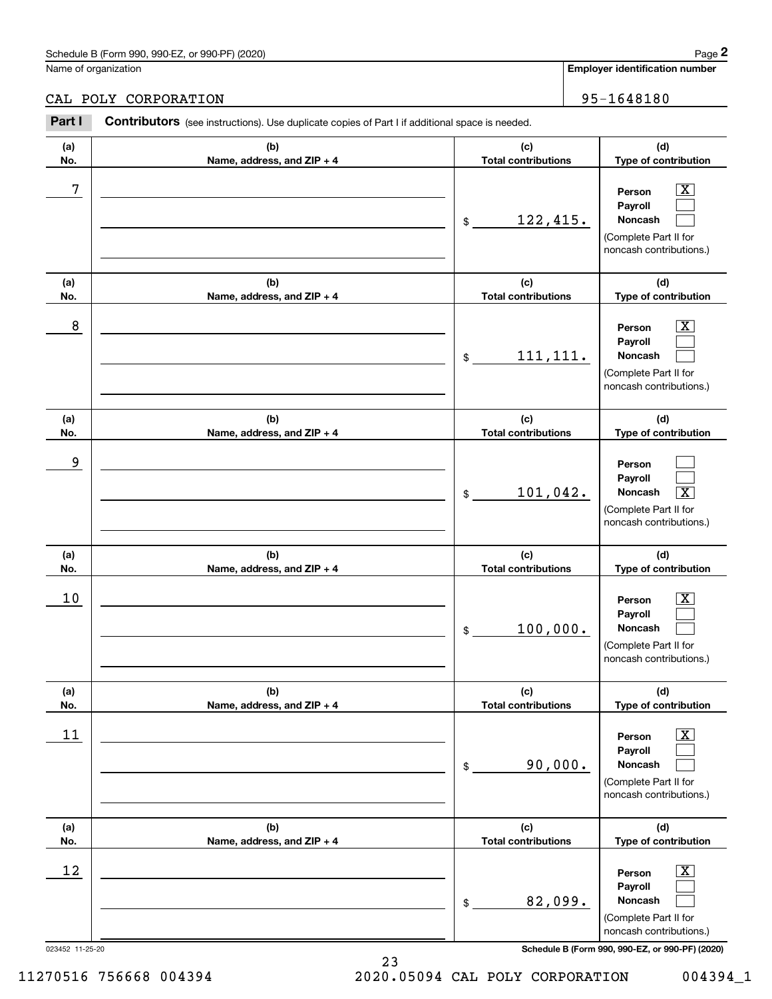### CAL POLY CORPORATION 95-1648180

|            | Schedule B (Form 990, 990-EZ, or 990-PF) (2020)                                                |                                   | Page 2                                                                                                      |
|------------|------------------------------------------------------------------------------------------------|-----------------------------------|-------------------------------------------------------------------------------------------------------------|
|            | Name of organization                                                                           |                                   | <b>Employer identification number</b>                                                                       |
|            | CAL POLY CORPORATION                                                                           |                                   | 95-1648180                                                                                                  |
| Part I     | Contributors (see instructions). Use duplicate copies of Part I if additional space is needed. |                                   |                                                                                                             |
| (a)<br>No. | (b)<br>Name, address, and ZIP + 4                                                              | (c)<br><b>Total contributions</b> | (d)<br>Type of contribution                                                                                 |
| 7          |                                                                                                | <u>122,415.</u><br>$\mathfrak{S}$ | $\mathbf{X}$<br>Person<br>Payroll<br>Noncash<br>(Complete Part II for<br>noncash contributions.)            |
| (a)<br>No. | (b)<br>Name, address, and ZIP + 4                                                              | (c)<br><b>Total contributions</b> | (d)<br>Type of contribution                                                                                 |
| 8          |                                                                                                | 111, 111.<br>$$\mathbb{S}$$       | $\mathbf{X}$<br>Person<br>Payroll<br>Noncash<br>(Complete Part II for<br>noncash contributions.)            |
| (a)<br>No. | (b)<br>Name, address, and ZIP + 4                                                              | (c)<br><b>Total contributions</b> | (d)<br>Type of contribution                                                                                 |
| 9          |                                                                                                | 101,042.<br>$$\mathbb{S}$$        | Person<br>Payroll<br>Noncash<br>$\overline{\mathbf{X}}$<br>(Complete Part II for<br>noncash contributions.) |
| (a)<br>No. | (b)<br>Name, address, and ZIP + 4                                                              | (c)<br><b>Total contributions</b> | (d)<br>Type of contribution                                                                                 |
| 10         |                                                                                                | 100,000.<br>\$                    | $\lfloor x \rfloor$<br>Person<br>Payroll<br>Noncash<br>(Complete Part II for<br>noncash contributions.)     |
| (a)<br>No. | (b)<br>Name, address, and ZIP + 4                                                              | (c)<br><b>Total contributions</b> | (d)<br>Type of contribution                                                                                 |
| 11         |                                                                                                | 90,000.<br>\$                     | $\boxed{\text{X}}$<br>Person<br>Payroll<br>Noncash<br>(Complete Part II for<br>noncash contributions.)      |
| (a)<br>No. | (b)<br>Name, address, and ZIP + 4                                                              | (c)<br><b>Total contributions</b> | (d)<br>Type of contribution                                                                                 |
| 12         |                                                                                                | 82,099.<br>\$                     | $\boxed{\text{X}}$<br>Person<br>Payroll<br>Noncash<br>(Complete Part II for<br>noncash contributions.)      |

023452 11-25-20 **Schedule B (Form 990, 990-EZ, or 990-PF) (2020)**

11270516 756668 004394 2020.05094 CAL POLY CORPORATION 004394\_1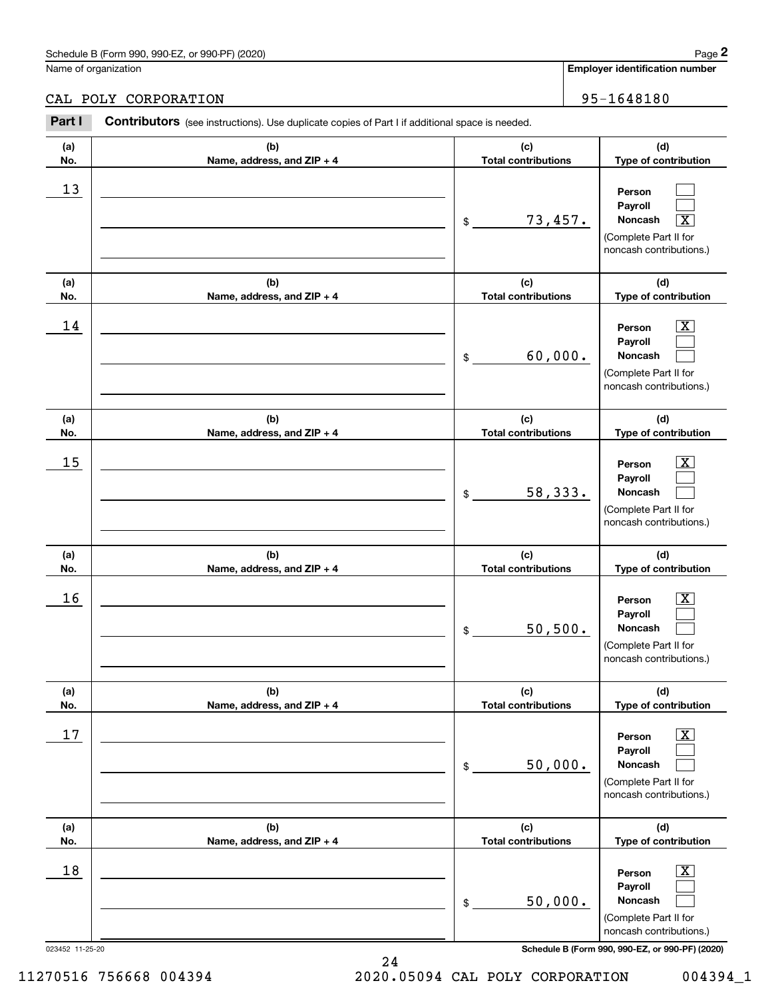### CAL POLY CORPORATION 95-1648180

|            | Schedule B (Form 990, 990-EZ, or 990-PF) (2020)                                                |                                             | Page 2                                                                                                                              |
|------------|------------------------------------------------------------------------------------------------|---------------------------------------------|-------------------------------------------------------------------------------------------------------------------------------------|
|            | Name of organization                                                                           |                                             | <b>Employer identification number</b>                                                                                               |
|            | CAL POLY CORPORATION                                                                           |                                             | 95-1648180                                                                                                                          |
| Part I     | Contributors (see instructions). Use duplicate copies of Part I if additional space is needed. |                                             |                                                                                                                                     |
| (a)<br>No. | (b)<br>Name, address, and ZIP + 4                                                              | (c)<br><b>Total contributions</b>           | (d)<br>Type of contribution                                                                                                         |
| 13         |                                                                                                | 73,457.<br>\$                               | Person<br>Payroll<br>$\overline{\text{X}}$<br>Noncash<br>(Complete Part II for<br>noncash contributions.)                           |
| (a)        | (b)                                                                                            | (c)                                         | (d)                                                                                                                                 |
| No.<br>14  | Name, address, and ZIP + 4                                                                     | <b>Total contributions</b><br>60,000.<br>\$ | Type of contribution<br>$\overline{\mathbf{X}}$<br>Person<br>Payroll<br>Noncash<br>(Complete Part II for<br>noncash contributions.) |
| (a)<br>No. | (b)<br>Name, address, and ZIP + 4                                                              | (c)<br><b>Total contributions</b>           | (d)<br>Type of contribution                                                                                                         |
| 15         |                                                                                                | 58,333.<br>\$                               | $\overline{\mathbf{X}}$<br>Person<br>Payroll<br>Noncash<br>(Complete Part II for<br>noncash contributions.)                         |
| (a)<br>No. | (b)<br>Name, address, and ZIP + 4                                                              | (c)<br><b>Total contributions</b>           | (d)<br>Type of contribution                                                                                                         |
| 16         |                                                                                                | 50, 500.<br>\$                              | $\mathbf{X}$<br>Person<br>Payroll<br>Noncash<br>(Complete Part II for<br>noncash contributions.)                                    |
| (a)<br>No. | (b)<br>Name, address, and ZIP + 4                                                              | (c)<br><b>Total contributions</b>           | (d)<br>Type of contribution                                                                                                         |
| 17         |                                                                                                | 50,000.<br>\$                               | $\boxed{\text{X}}$<br>Person<br>Payroll<br>Noncash<br>(Complete Part II for<br>noncash contributions.)                              |
| (a)<br>No. | (b)<br>Name, address, and ZIP + 4                                                              | (c)<br><b>Total contributions</b>           | (d)<br>Type of contribution                                                                                                         |
| 18         |                                                                                                | 50,000.<br>\$                               | $\boxed{\text{X}}$<br>Person<br>Payroll<br>Noncash<br>(Complete Part II for<br>noncash contributions.)                              |

023452 11-25-20 **Schedule B (Form 990, 990-EZ, or 990-PF) (2020)**

11270516 756668 004394 2020.05094 CAL POLY CORPORATION 004394\_1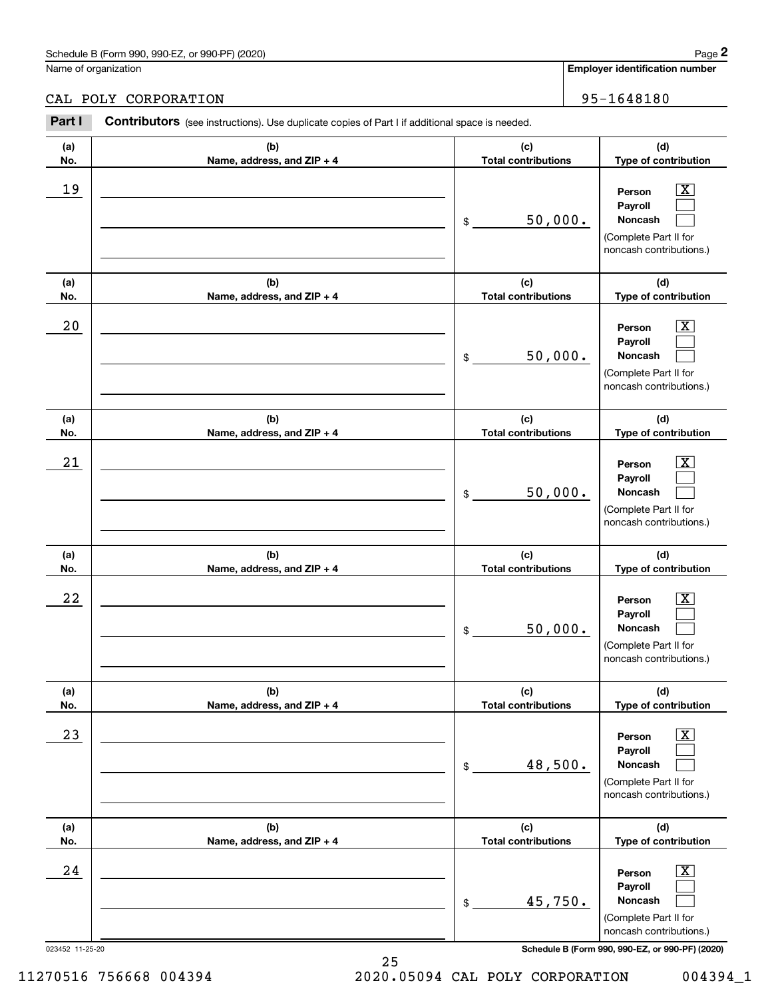## CAL POLY CORPORATION 95-1648180

|                 | Schedule B (Form 990, 990-EZ, or 990-PF) (2020)                                                       |                                   | Page 2                                                                                                      |
|-----------------|-------------------------------------------------------------------------------------------------------|-----------------------------------|-------------------------------------------------------------------------------------------------------------|
|                 | Name of organization                                                                                  |                                   | <b>Employer identification number</b>                                                                       |
|                 | CAL POLY CORPORATION                                                                                  |                                   | 95-1648180                                                                                                  |
| Part I          | <b>Contributors</b> (see instructions). Use duplicate copies of Part I if additional space is needed. |                                   |                                                                                                             |
| (a)<br>No.      | (b)<br>Name, address, and ZIP + 4                                                                     | (c)<br><b>Total contributions</b> | (d)<br>Type of contribution                                                                                 |
| 19              |                                                                                                       | 50,000.<br>\$                     | $\overline{\mathbf{X}}$<br>Person<br>Payroll<br>Noncash<br>(Complete Part II for<br>noncash contributions.) |
| (a)<br>No.      | (b)<br>Name, address, and ZIP + 4                                                                     | (c)<br><b>Total contributions</b> | (d)<br>Type of contribution                                                                                 |
| 20              |                                                                                                       | 50,000.<br>\$                     | X<br>Person<br>Payroll<br>Noncash<br>(Complete Part II for<br>noncash contributions.)                       |
| (a)<br>No.      | (b)<br>Name, address, and ZIP + 4                                                                     | (c)<br><b>Total contributions</b> | (d)<br>Type of contribution                                                                                 |
| 21              |                                                                                                       | 50,000.<br>\$                     | X<br>Person<br>Payroll<br>Noncash<br>(Complete Part II for<br>noncash contributions.)                       |
| (a)<br>No.      | (b)<br>Name, address, and ZIP + 4                                                                     | (c)<br><b>Total contributions</b> | (d)<br>Type of contribution                                                                                 |
| 22              |                                                                                                       | 50,000.<br>\$                     | $\mathbf{X}$<br>Person<br>Payroll<br>Noncash<br>(Complete Part II for<br>noncash contributions.)            |
| (a)<br>No.      | (b)<br>Name, address, and ZIP + 4                                                                     | (c)<br><b>Total contributions</b> | (d)<br>Type of contribution                                                                                 |
| 23              |                                                                                                       | 48,500.<br>\$                     | $\boxed{\text{X}}$<br>Person<br>Payroll<br>Noncash<br>(Complete Part II for<br>noncash contributions.)      |
| (a)<br>No.      | (b)<br>Name, address, and ZIP + 4                                                                     | (c)<br><b>Total contributions</b> | (d)<br>Type of contribution                                                                                 |
| 24              |                                                                                                       | 45,750.<br>\$                     | $\boxed{\text{X}}$<br>Person<br>Payroll<br>Noncash<br>(Complete Part II for<br>noncash contributions.)      |
| 023452 11-25-20 |                                                                                                       |                                   | Schedule B (Form 990, 990-EZ, or 990-PF) (2020)                                                             |

25 11270516 756668 004394 2020.05094 CAL POLY CORPORATION 004394\_1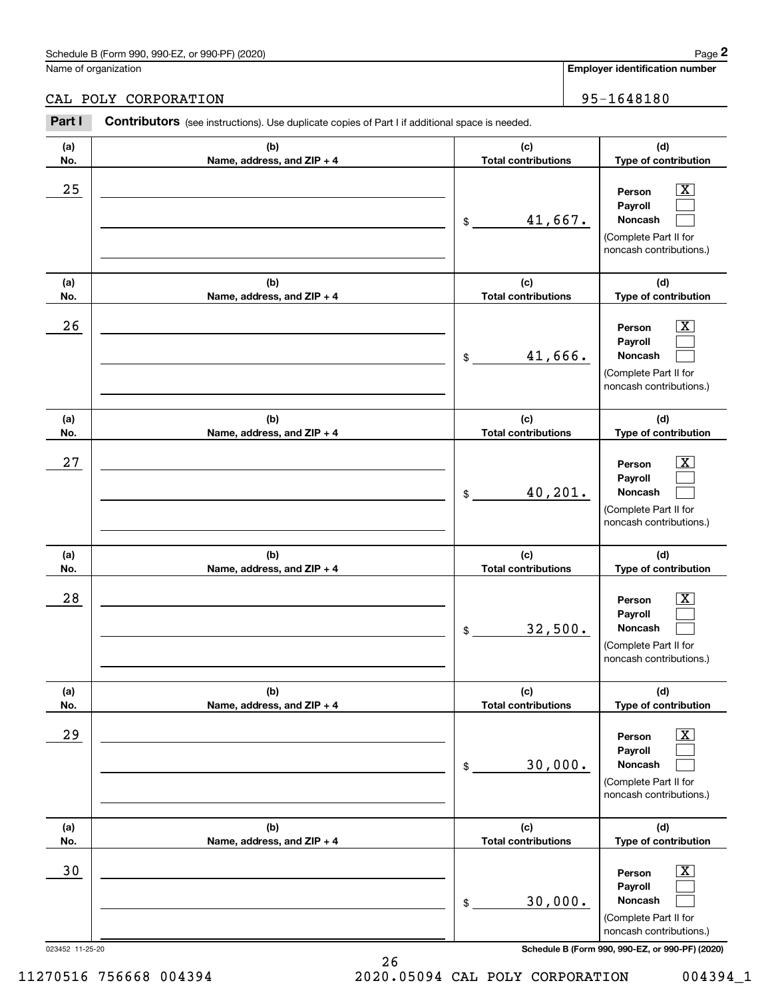Name of organization

CAL POLY CORPORATION 80 | 95-1648180

#### **(a)No.(b)Name, address, and ZIP + 4 (c)Total contributions (d)Type of contribution PersonPayrollNoncash (a)No.(b)Name, address, and ZIP + 4 (c)Total contributions (d)Type of contribution PersonPayrollNoncash (a)No.(b)Name, address, and ZIP + 4 (c)Total contributions (d)Type of contribution PersonPayrollNoncash (a) No.(b) Name, address, and ZIP + 4 (c) Total contributions (d) Type of contribution PersonPayrollNoncash (a) No.(b) Name, address, and ZIP + 4 (c) Total contributions (d) Type of contribution PersonPayrollNoncash (a) No.(b)Name, address, and ZIP + 4 (c) Total contributions (d)Type of contribution PersonPayrollNoncash Contributors** (see instructions). Use duplicate copies of Part I if additional space is needed. \$(Complete Part II for noncash contributions.) \$(Complete Part II for noncash contributions.) \$(Complete Part II for noncash contributions.) \$(Complete Part II for noncash contributions.) \$(Complete Part II for noncash contributions.) \$(Complete Part II for noncash contributions.) Employer identification Page 2<br>
Iame of organization<br> **2Part I 2Part I Contributors** (see instructions). Use duplicate copies of Part I if additional space is needed.<br>
2Part I **Contributors** (see instructions). Use dup  $|X|$  $\mathcal{L}^{\text{max}}$  $\mathcal{L}^{\text{max}}$  $\boxed{\text{X}}$  $\mathcal{L}^{\text{max}}$  $\mathcal{L}^{\text{max}}$  $|X|$  $\mathcal{L}^{\text{max}}$  $\mathcal{L}^{\text{max}}$  $\boxed{\text{X}}$  $\mathcal{L}^{\text{max}}$  $\mathcal{L}^{\text{max}}$  $\boxed{\text{X}}$  $\mathcal{L}^{\text{max}}$  $\mathcal{L}^{\text{max}}$  $\boxed{\text{X}}$  $\mathcal{L}^{\text{max}}$  $\mathcal{L}^{\text{max}}$  $25$  | Person  $\overline{\text{X}}$ 41,667.  $26$  | Person  $\overline{\text{X}}$ 41,666.  $27$  | Person  $\overline{\text{X}}$ 40,201.  $28$  | Person  $\overline{\text{X}}$ 32,500.  $29$  | Person  $\overline{\text{X}}$ 30,000. 30 Person X 30,000.

023452 11-25-20 **Schedule B (Form 990, 990-EZ, or 990-PF) (2020)**

11270516 756668 004394 2020.05094 CAL POLY CORPORATION 004394\_1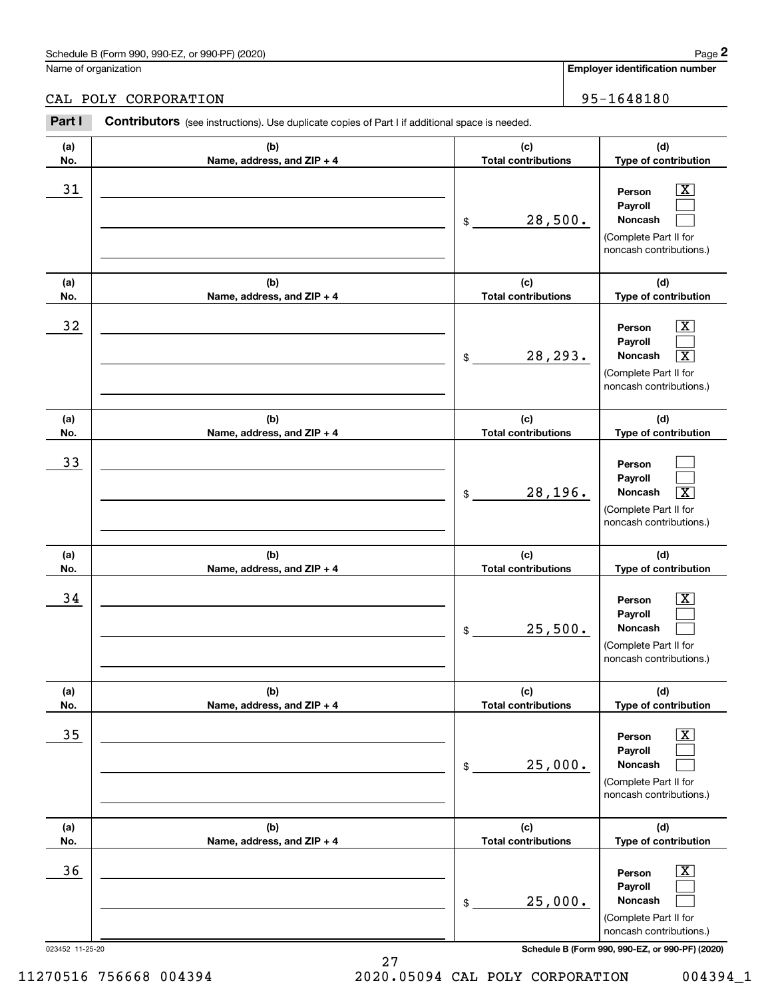## CAL POLY CORPORATION 95-1648180

|                 | Schedule B (Form 990, 990-EZ, or 990-PF) (2020)                                                |                                   | Page 2                                                                                                                      |
|-----------------|------------------------------------------------------------------------------------------------|-----------------------------------|-----------------------------------------------------------------------------------------------------------------------------|
|                 | Name of organization                                                                           |                                   | Employer identification number                                                                                              |
|                 | CAL POLY CORPORATION                                                                           |                                   | 95-1648180                                                                                                                  |
| Part I          | Contributors (see instructions). Use duplicate copies of Part I if additional space is needed. |                                   |                                                                                                                             |
| (a)<br>No.      | (b)<br>Name, address, and ZIP + 4                                                              | (c)<br><b>Total contributions</b> | (d)<br>Type of contribution                                                                                                 |
| 31              |                                                                                                | 28,500.<br>\$                     | $\overline{\text{X}}$<br>Person<br>Payroll<br>Noncash<br>(Complete Part II for<br>noncash contributions.)                   |
| (a)<br>No.      | (b)<br>Name, address, and ZIP + 4                                                              | (c)<br><b>Total contributions</b> | (d)<br>Type of contribution                                                                                                 |
| 32              |                                                                                                | 28,293.<br>\$                     | $\mathbf{X}$<br>Person<br>Payroll<br>$\overline{\mathbf{X}}$<br>Noncash<br>(Complete Part II for<br>noncash contributions.) |
| (a)<br>No.      | (b)<br>Name, address, and ZIP + 4                                                              | (c)<br><b>Total contributions</b> | (d)<br>Type of contribution                                                                                                 |
| 33              |                                                                                                | 28,196.<br>\$                     | Person<br>Payroll<br>$\overline{\mathbf{X}}$<br>Noncash<br>(Complete Part II for<br>noncash contributions.)                 |
| (a)<br>No.      | (b)<br>Name, address, and ZIP + 4                                                              | (c)<br><b>Total contributions</b> | (d)<br>Type of contribution                                                                                                 |
| 34              |                                                                                                | 25,500.<br>\$                     | $\overline{\mathbf{X}}$<br>Person<br>Payroll<br>Noncash<br>(Complete Part II for<br>noncash contributions.)                 |
| (a)<br>No.      | (b)<br>Name, address, and ZIP + 4                                                              | (c)<br><b>Total contributions</b> | (d)<br>Type of contribution                                                                                                 |
| 35              |                                                                                                | 25,000.<br>\$                     | $\boxed{\text{X}}$<br>Person<br>Payroll<br>Noncash<br>(Complete Part II for<br>noncash contributions.)                      |
| (a)<br>No.      | (b)<br>Name, address, and ZIP + 4                                                              | (c)<br><b>Total contributions</b> | (d)<br>Type of contribution                                                                                                 |
| 36              |                                                                                                | 25,000.<br>\$                     | $\boxed{\text{X}}$<br>Person<br>Payroll<br>Noncash<br>(Complete Part II for<br>noncash contributions.)                      |
| 023452 11-25-20 |                                                                                                |                                   | Schedule B (Form 990, 990-EZ, or 990-PF) (2020)                                                                             |

11270516 756668 004394 2020.05094 CAL POLY CORPORATION 004394\_1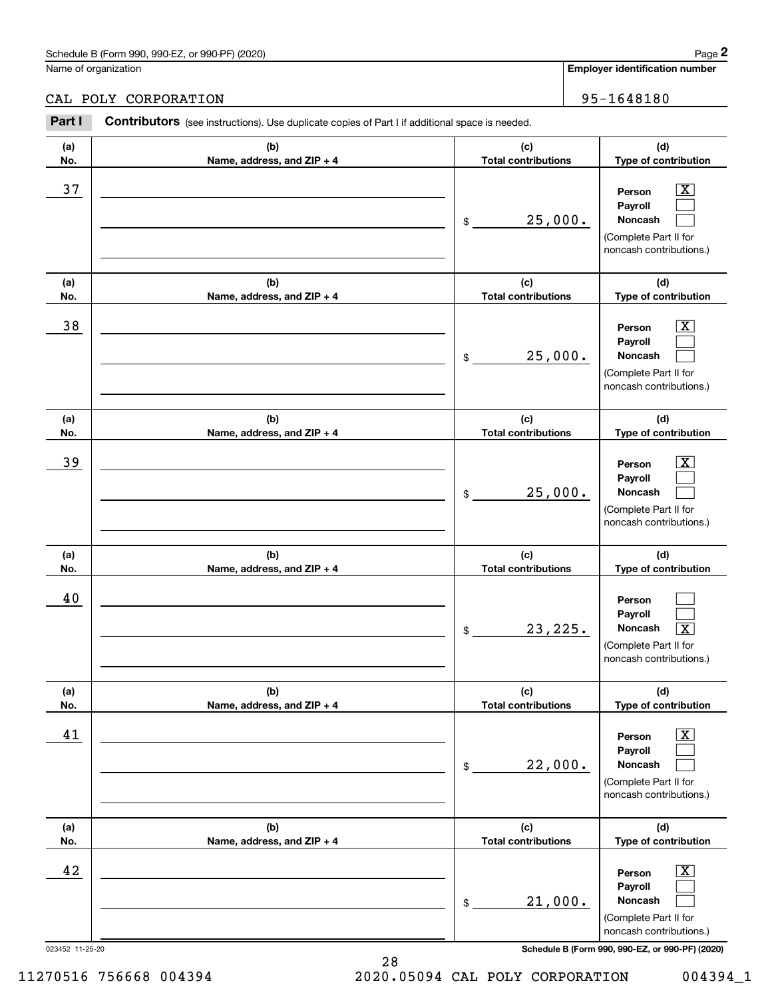## CAL POLY CORPORATION 95-1648180

|            | Schedule B (Form 990, 990-EZ, or 990-PF) (2020)                                                       |                                   | Page 2                                                                                                      |
|------------|-------------------------------------------------------------------------------------------------------|-----------------------------------|-------------------------------------------------------------------------------------------------------------|
|            | Name of organization                                                                                  |                                   | <b>Employer identification number</b>                                                                       |
|            | CAL POLY CORPORATION                                                                                  |                                   | 95-1648180                                                                                                  |
| Part I     | <b>Contributors</b> (see instructions). Use duplicate copies of Part I if additional space is needed. |                                   |                                                                                                             |
| (a)<br>No. | (b)<br>Name, address, and ZIP + 4                                                                     | (c)<br><b>Total contributions</b> | (d)<br>Type of contribution                                                                                 |
| 37         |                                                                                                       | 25,000.<br>\$                     | $\overline{\text{X}}$<br>Person<br>Payroll<br>Noncash<br>(Complete Part II for<br>noncash contributions.)   |
| (a)<br>No. | (b)<br>Name, address, and ZIP + 4                                                                     | (c)<br><b>Total contributions</b> | (d)<br>Type of contribution                                                                                 |
| 38         |                                                                                                       | 25,000.<br>\$                     | $\overline{\text{X}}$<br>Person<br>Payroll<br>Noncash<br>(Complete Part II for<br>noncash contributions.)   |
| (a)<br>No. | (b)<br>Name, address, and ZIP + 4                                                                     | (c)<br><b>Total contributions</b> | (d)<br>Type of contribution                                                                                 |
| 39         |                                                                                                       | 25,000.<br>\$                     | $\overline{\text{X}}$<br>Person<br>Payroll<br>Noncash<br>(Complete Part II for<br>noncash contributions.)   |
| (a)<br>No. | (b)<br>Name, address, and ZIP + 4                                                                     | (c)<br><b>Total contributions</b> | (d)<br>Type of contribution                                                                                 |
| 40         |                                                                                                       | 23, 225.<br>\$                    | Person<br>Payroll<br>Noncash<br>$\overline{\text{X}}$<br>(Complete Part II for<br>noncash contributions.)   |
| (a)<br>No. | (b)<br>Name, address, and ZIP + 4                                                                     | (c)<br><b>Total contributions</b> | (d)<br>Type of contribution                                                                                 |
| 41         |                                                                                                       | 22,000.<br>\$                     | $\boxed{\text{X}}$<br>Person<br>Payroll<br>Noncash<br>(Complete Part II for<br>noncash contributions.)      |
| (a)<br>No. | (b)<br>Name, address, and ZIP + 4                                                                     | (c)<br><b>Total contributions</b> | (d)<br>Type of contribution                                                                                 |
| 42         |                                                                                                       | 21,000.<br>\$                     | $\overline{\mathbf{X}}$<br>Person<br>Payroll<br>Noncash<br>(Complete Part II for<br>noncash contributions.) |

023452 11-25-20 **Schedule B (Form 990, 990-EZ, or 990-PF) (2020)**

11270516 756668 004394 2020.05094 CAL POLY CORPORATION 004394\_1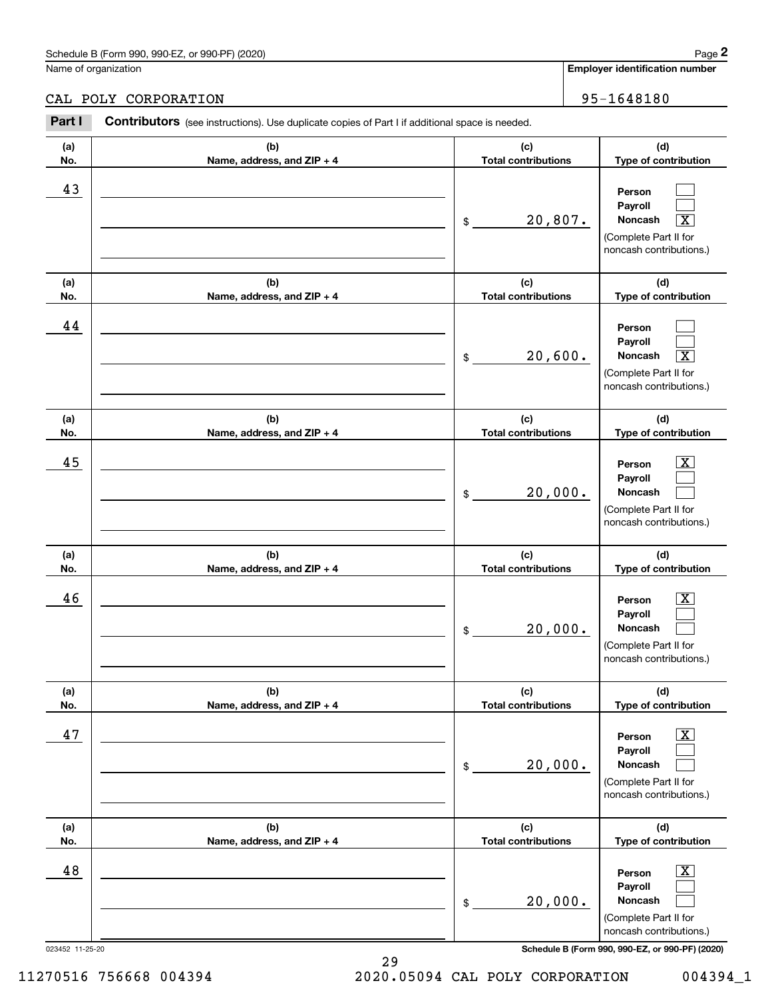## CAL POLY CORPORATION 95-1648180

|                 | Schedule B (Form 990, 990-EZ, or 990-PF) (2020)                                                |                                       | Page 2                                                                                                      |
|-----------------|------------------------------------------------------------------------------------------------|---------------------------------------|-------------------------------------------------------------------------------------------------------------|
|                 | Name of organization                                                                           | <b>Employer identification number</b> |                                                                                                             |
|                 | CAL POLY CORPORATION                                                                           |                                       | 95-1648180                                                                                                  |
| Part I          | Contributors (see instructions). Use duplicate copies of Part I if additional space is needed. |                                       |                                                                                                             |
| (a)<br>No.      | (b)<br>Name, address, and ZIP + 4                                                              | (c)<br><b>Total contributions</b>     | (d)<br>Type of contribution                                                                                 |
| 43              |                                                                                                | 20,807.<br>\$                         | Person<br>Payroll<br>$\overline{\mathbf{X}}$<br>Noncash<br>(Complete Part II for<br>noncash contributions.) |
| (a)<br>No.      | (b)<br>Name, address, and ZIP + 4                                                              | (c)<br><b>Total contributions</b>     | (d)<br>Type of contribution                                                                                 |
| 44              |                                                                                                | 20,600.<br>\$                         | Person<br>Payroll<br>$\overline{\mathbf{X}}$<br>Noncash<br>(Complete Part II for<br>noncash contributions.) |
| (a)<br>No.      | (b)<br>Name, address, and ZIP + 4                                                              | (c)<br><b>Total contributions</b>     | (d)<br>Type of contribution                                                                                 |
| 45              |                                                                                                | 20,000.<br>\$                         | $\overline{\text{X}}$<br>Person<br>Payroll<br>Noncash<br>(Complete Part II for<br>noncash contributions.)   |
| (a)<br>No.      | (b)<br>Name, address, and ZIP + 4                                                              | (c)<br><b>Total contributions</b>     | (d)<br>Type of contribution                                                                                 |
| 46              |                                                                                                | 20,000.<br>\$                         | $\mathbf{X}$<br>Person<br>Payroll<br>Noncash<br>(Complete Part II for<br>noncash contributions.)            |
| (a)<br>No.      | (b)<br>Name, address, and ZIP + 4                                                              | (c)<br><b>Total contributions</b>     | (d)<br>Type of contribution                                                                                 |
| 47              |                                                                                                | 20,000.<br>\$                         | $\overline{\mathbf{X}}$<br>Person<br>Payroll<br>Noncash<br>(Complete Part II for<br>noncash contributions.) |
| (a)<br>No.      | (b)<br>Name, address, and ZIP + 4                                                              | (c)<br><b>Total contributions</b>     | (d)<br>Type of contribution                                                                                 |
| 48              |                                                                                                | 20,000.<br>\$                         | $\overline{\mathbf{X}}$<br>Person<br>Payroll<br>Noncash<br>(Complete Part II for<br>noncash contributions.) |
| 023452 11-25-20 |                                                                                                |                                       | Schedule B (Form 990, 990-EZ, or 990-PF) (2020)                                                             |

29 11270516 756668 004394 2020.05094 CAL POLY CORPORATION 004394\_1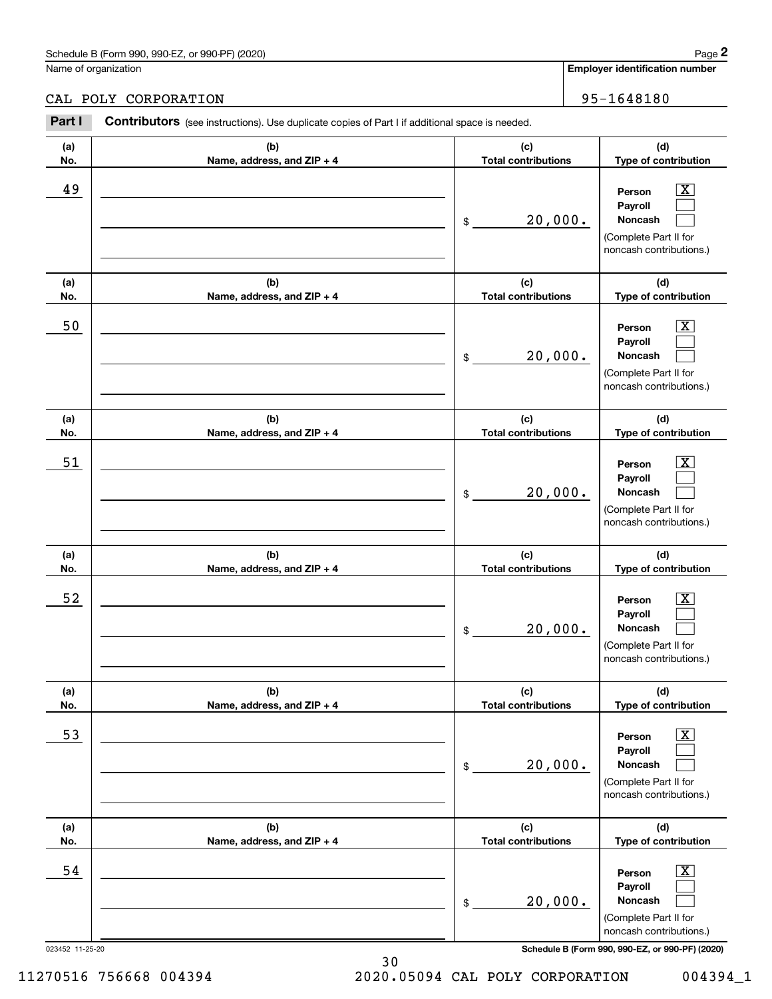Name of organization

CAL POLY CORPORATION 80 | 95-1648180

#### **(a)No.(b)Name, address, and ZIP + 4 (c)Total contributions (d)Type of contribution PersonPayrollNoncash (a)No.(b)Name, address, and ZIP + 4 (c)Total contributions (d)Type of contribution PersonPayrollNoncash (a)No.(b)Name, address, and ZIP + 4 (c)Total contributions (d)Type of contribution PersonPayrollNoncash (a) No.(b) Name, address, and ZIP + 4 (c) Total contributions (d) Type of contribution PersonPayrollNoncash (a) No.(b) Name, address, and ZIP + 4 (c) Total contributions (d) Type of contribution PersonPayrollNoncash (a) No.(b)Name, address, and ZIP + 4 (c) Total contributions (d)Type of contribution PersonPayrollNoncash Contributors** (see instructions). Use duplicate copies of Part I if additional space is needed. \$(Complete Part II for noncash contributions.) \$(Complete Part II for noncash contributions.) \$(Complete Part II for noncash contributions.) \$(Complete Part II for noncash contributions.) \$(Complete Part II for noncash contributions.) \$(Complete Part II for noncash contributions.) Employer identification Page 2<br>
Iame of organization<br> **2Part I 2Part I Contributors** (see instructions). Use duplicate copies of Part I if additional space is needed.<br>
2Part I **Contributors** (see instructions). Use dup  $|X|$  $\mathcal{L}^{\text{max}}$  $\mathcal{L}^{\text{max}}$  $\boxed{\text{X}}$  $\mathcal{L}^{\text{max}}$  $\mathcal{L}^{\text{max}}$  $|X|$  $\mathcal{L}^{\text{max}}$  $\mathcal{L}^{\text{max}}$  $\boxed{\text{X}}$  $\mathcal{L}^{\text{max}}$  $\mathcal{L}^{\text{max}}$  $\boxed{\text{X}}$  $\mathcal{L}^{\text{max}}$  $\mathcal{L}^{\text{max}}$  $\boxed{\text{X}}$  $\mathcal{L}^{\text{max}}$  $\mathcal{L}^{\text{max}}$ 49 X 20,000. 50 Person X 20,000. 51 X 20,000. 52 | Person X 20,000. 53 | Person X 20,000. 54 X 20,000.

023452 11-25-20 **Schedule B (Form 990, 990-EZ, or 990-PF) (2020)**

11270516 756668 004394 2020.05094 CAL POLY CORPORATION 004394\_1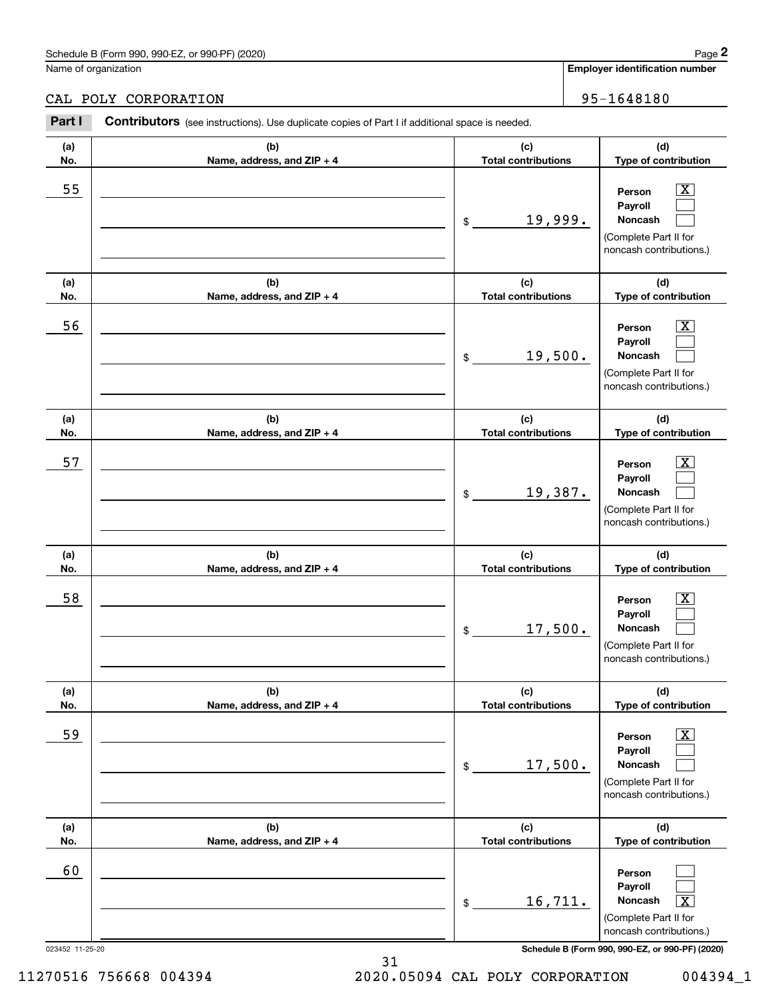## CAL POLY CORPORATION 95-1648180

|                 | Schedule B (Form 990, 990-EZ, or 990-PF) (2020)                                                |                                   | Page 2                                                                                                      |
|-----------------|------------------------------------------------------------------------------------------------|-----------------------------------|-------------------------------------------------------------------------------------------------------------|
|                 | Name of organization                                                                           |                                   | Employer identification number                                                                              |
|                 | CAL POLY CORPORATION                                                                           |                                   | 95-1648180                                                                                                  |
| Part I          | Contributors (see instructions). Use duplicate copies of Part I if additional space is needed. |                                   |                                                                                                             |
| (a)<br>No.      | (b)<br>Name, address, and ZIP + 4                                                              | (c)<br><b>Total contributions</b> | (d)<br>Type of contribution                                                                                 |
| 55              |                                                                                                | 19,999.<br>\$                     | $\overline{\mathbf{X}}$<br>Person<br>Payroll<br>Noncash<br>(Complete Part II for<br>noncash contributions.) |
| (a)<br>No.      | (b)<br>Name, address, and ZIP + 4                                                              | (c)<br><b>Total contributions</b> | (d)<br>Type of contribution                                                                                 |
| 56              |                                                                                                | 19,500.<br>\$                     | $\overline{\mathbf{X}}$<br>Person<br>Payroll<br>Noncash<br>(Complete Part II for<br>noncash contributions.) |
| (a)<br>No.      | (b)<br>Name, address, and ZIP + 4                                                              | (c)<br><b>Total contributions</b> | (d)<br>Type of contribution                                                                                 |
| 57              |                                                                                                | 19,387.<br>\$                     | $\overline{\mathbf{X}}$<br>Person<br>Payroll<br>Noncash<br>(Complete Part II for<br>noncash contributions.) |
| (a)<br>No.      | (b)<br>Name, address, and ZIP + 4                                                              | (c)<br><b>Total contributions</b> | (d)<br>Type of contribution                                                                                 |
| 58              |                                                                                                | 17,500.<br>\$                     | $\overline{\mathbf{X}}$<br>Person<br>Payroll<br>Noncash<br>(Complete Part II for<br>noncash contributions.) |
| (a)<br>No.      | (b)<br>Name, address, and ZIP + 4                                                              | (c)<br><b>Total contributions</b> | (d)<br>Type of contribution                                                                                 |
| 59              |                                                                                                | 17,500.<br>\$                     | $\overline{\mathbf{X}}$<br>Person<br>Payroll<br>Noncash<br>(Complete Part II for<br>noncash contributions.) |
| (a)<br>No.      | (b)<br>Name, address, and ZIP + 4                                                              | (c)<br><b>Total contributions</b> | (d)<br>Type of contribution                                                                                 |
| 60              |                                                                                                | 16,711.<br>\$                     | Person<br>Payroll<br>Noncash<br>$\overline{\text{X}}$<br>(Complete Part II for<br>noncash contributions.)   |
| 023452 11-25-20 |                                                                                                |                                   | Schedule B (Form 990, 990-EZ, or 990-PF) (2020)                                                             |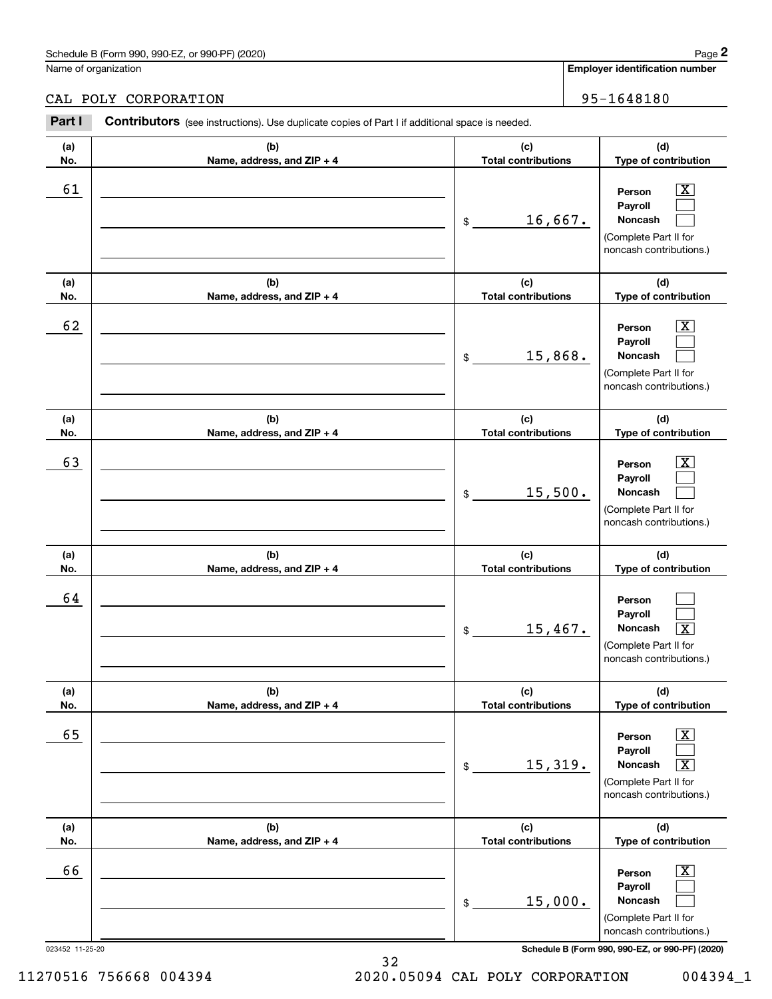### CAL POLY CORPORATION 95-1648180

|            | Schedule B (Form 990, 990-EZ, or 990-PF) (2020)                                                |                                             | Page 2                                                                                                                              |
|------------|------------------------------------------------------------------------------------------------|---------------------------------------------|-------------------------------------------------------------------------------------------------------------------------------------|
|            | Name of organization                                                                           |                                             | <b>Employer identification number</b>                                                                                               |
|            | CAL POLY CORPORATION                                                                           |                                             | 95-1648180                                                                                                                          |
| Part I     | Contributors (see instructions). Use duplicate copies of Part I if additional space is needed. |                                             |                                                                                                                                     |
| (a)<br>No. | (b)<br>Name, address, and ZIP + 4                                                              | (c)<br><b>Total contributions</b>           | (d)<br>Type of contribution                                                                                                         |
| 61         |                                                                                                | 16,667.<br>\$                               | $\overline{\mathbf{X}}$<br>Person<br>Payroll<br>Noncash<br>(Complete Part II for<br>noncash contributions.)                         |
| (a)        | (b)                                                                                            | (c)                                         | (d)                                                                                                                                 |
| No.<br>62  | Name, address, and ZIP + 4                                                                     | <b>Total contributions</b><br>15,868.<br>\$ | Type of contribution<br>$\overline{\mathbf{X}}$<br>Person<br>Payroll<br>Noncash<br>(Complete Part II for<br>noncash contributions.) |
| (a)<br>No. | (b)<br>Name, address, and ZIP + 4                                                              | (c)<br><b>Total contributions</b>           | (d)<br>Type of contribution                                                                                                         |
| 63         |                                                                                                | 15,500.<br>\$                               | $\overline{\mathbf{X}}$<br>Person<br>Payroll<br>Noncash<br>(Complete Part II for<br>noncash contributions.)                         |
| (a)<br>No. | (b)<br>Name, address, and ZIP + 4                                                              | (c)<br><b>Total contributions</b>           | (d)<br>Type of contribution                                                                                                         |
| 64         |                                                                                                | 15,467.<br>\$                               | Person<br>Payroll<br>Noncash<br>$\overline{\mathbf{x}}$<br>(Complete Part II for<br>noncash contributions.)                         |
| (a)<br>No. | (b)<br>Name, address, and ZIP + 4                                                              | (c)<br><b>Total contributions</b>           | (d)<br>Type of contribution                                                                                                         |
| 65         |                                                                                                | 15,319.<br>\$                               | $\boxed{\text{X}}$<br>Person<br>Payroll<br>Noncash<br>$\overline{\mathbf{X}}$<br>(Complete Part II for<br>noncash contributions.)   |
| (a)<br>No. | (b)<br>Name, address, and ZIP + 4                                                              | (c)<br><b>Total contributions</b>           | (d)<br>Type of contribution                                                                                                         |
| 66         |                                                                                                | 15,000.<br>\$                               | $\boxed{\text{X}}$<br>Person<br>Payroll<br>Noncash<br>(Complete Part II for<br>noncash contributions.)                              |

023452 11-25-20 **Schedule B (Form 990, 990-EZ, or 990-PF) (2020)**

11270516 756668 004394 2020.05094 CAL POLY CORPORATION 004394\_1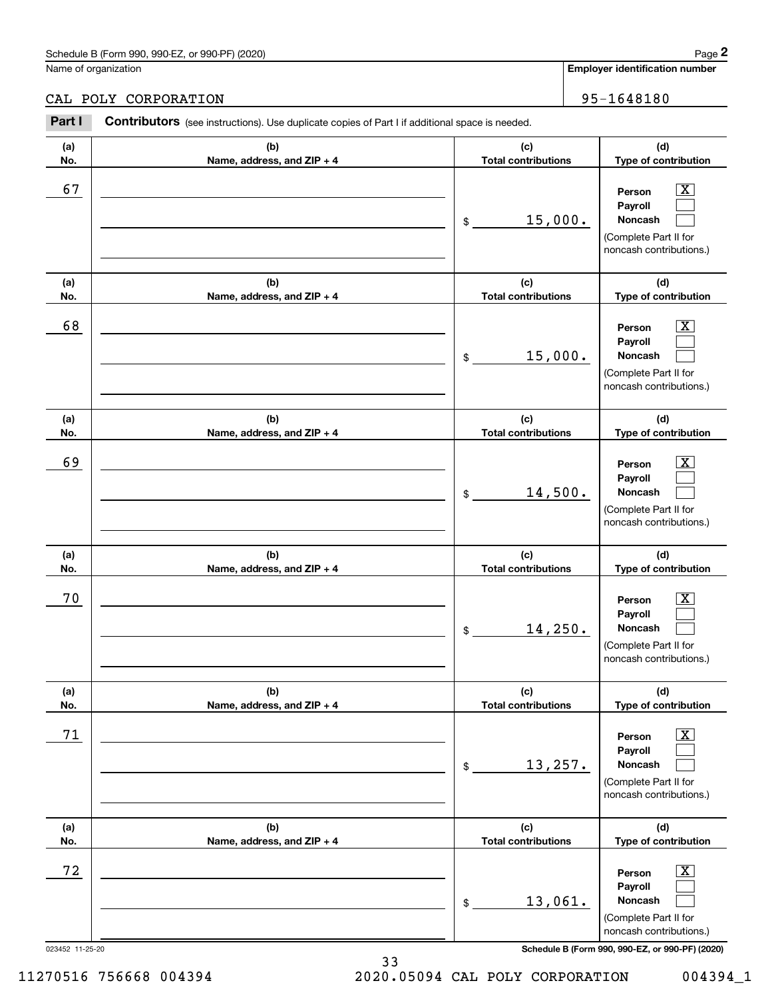Name of organization

CAL POLY CORPORATION 80 | 95-1648180

#### 023452 11-25-20 **Schedule B (Form 990, 990-EZ, or 990-PF) (2020) (a)No.(b)Name, address, and ZIP + 4 (c)Total contributions (d)Type of contribution PersonPayrollNoncash (a)No.(b)Name, address, and ZIP + 4 (c)Total contributions (d)Type of contribution PersonPayrollNoncash (a)No.(b)Name, address, and ZIP + 4 (c)Total contributions (d)Type of contribution PersonPayrollNoncash (a) No.(b) Name, address, and ZIP + 4 (c) Total contributions (d) Type of contribution PersonPayrollNoncash (a) No.(b) Name, address, and ZIP + 4 (c) Total contributions (d) Type of contribution PersonPayrollNoncash (a) No.(b)Name, address, and ZIP + 4 (c) Total contributions (d)Type of contribution PersonPayrollNoncash Contributors** (see instructions). Use duplicate copies of Part I if additional space is needed. \$(Complete Part II for noncash contributions.) \$(Complete Part II for noncash contributions.) \$(Complete Part II for noncash contributions.) \$(Complete Part II for noncash contributions.) \$(Complete Part II for noncash contributions.) \$(Complete Part II for noncash contributions.) Employer identification Page 2<br>
Iame of organization<br> **2Part I 2Part I Contributors** (see instructions). Use duplicate copies of Part I if additional space is needed.<br>
2Part I **Contributors** (see instructions). Use dup  $|X|$  $\mathcal{L}^{\text{max}}$  $\mathcal{L}^{\text{max}}$  $\boxed{\text{X}}$  $\mathcal{L}^{\text{max}}$  $\mathcal{L}^{\text{max}}$  $|X|$  $\mathcal{L}^{\text{max}}$  $\mathcal{L}^{\text{max}}$  $\boxed{\text{X}}$  $\mathcal{L}^{\text{max}}$  $\mathcal{L}^{\text{max}}$  $\boxed{\text{X}}$  $\mathcal{L}^{\text{max}}$  $\mathcal{L}^{\text{max}}$  $\boxed{\text{X}}$  $\mathcal{L}^{\text{max}}$  $\mathcal{L}^{\text{max}}$ 67 X 15,000. 68 X 15,000. 69 X 14,500. 70 X 14,250. 71 X 13,257. 72 X 13,061.

33 11270516 756668 004394 2020.05094 CAL POLY CORPORATION 004394\_1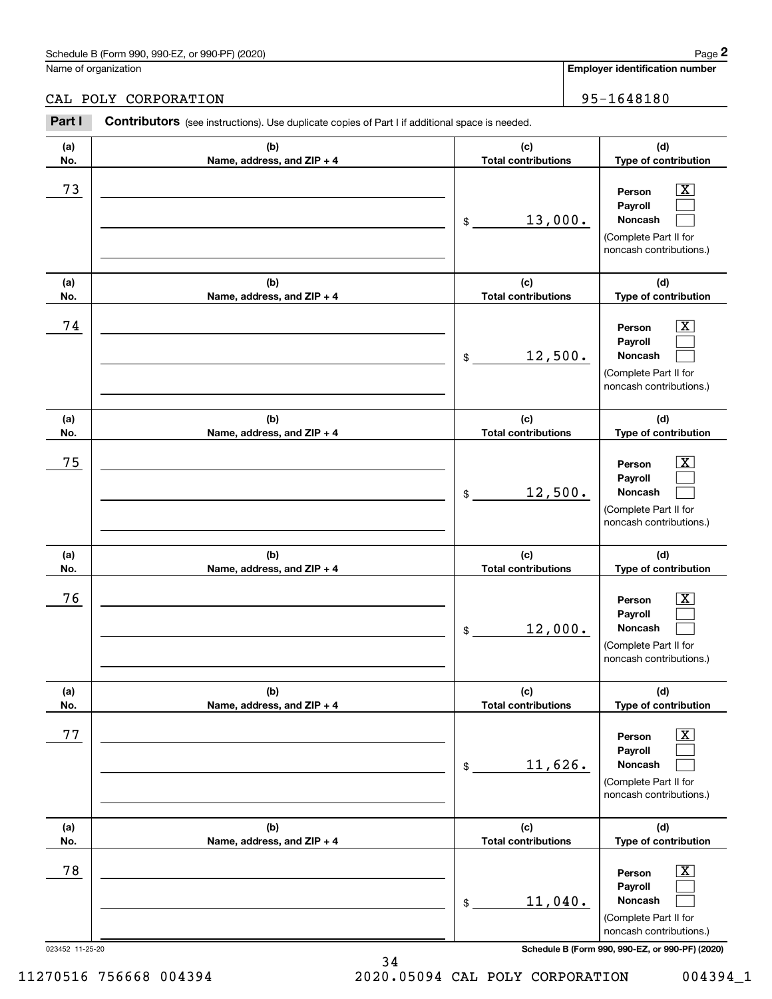Name of organization

CAL POLY CORPORATION 80 | 95-1648180

#### 023452 11-25-20 **Schedule B (Form 990, 990-EZ, or 990-PF) (2020) (a)No.(b)Name, address, and ZIP + 4 (c)Total contributions (d)Type of contribution PersonPayrollNoncash (a)No.(b)Name, address, and ZIP + 4 (c)Total contributions (d)Type of contribution PersonPayrollNoncash (a)No.(b)Name, address, and ZIP + 4 (c)Total contributions (d)Type of contribution PersonPayrollNoncash (a) No.(b) Name, address, and ZIP + 4 (c) Total contributions (d) Type of contribution PersonPayrollNoncash (a) No.(b) Name, address, and ZIP + 4 (c) Total contributions (d) Type of contribution PersonPayrollNoncash (a) No.(b)Name, address, and ZIP + 4 (c) Total contributions (d)Type of contribution PersonPayrollNoncash Contributors** (see instructions). Use duplicate copies of Part I if additional space is needed. \$(Complete Part II for noncash contributions.) \$(Complete Part II for noncash contributions.) \$(Complete Part II for noncash contributions.) \$(Complete Part II for noncash contributions.) \$(Complete Part II for noncash contributions.) \$(Complete Part II for noncash contributions.) Employer identification Page 2<br>
Iame of organization<br> **2Part I 2Part I Contributors** (see instructions). Use duplicate copies of Part I if additional space is needed.<br>
2Part I **Contributors** (see instructions). Use dup  $|X|$  $\mathcal{L}^{\text{max}}$  $\mathcal{L}^{\text{max}}$  $\boxed{\text{X}}$  $\mathcal{L}^{\text{max}}$  $\mathcal{L}^{\text{max}}$  $|X|$  $\mathcal{L}^{\text{max}}$  $\mathcal{L}^{\text{max}}$  $\boxed{\text{X}}$  $\mathcal{L}^{\text{max}}$  $\mathcal{L}^{\text{max}}$  $\boxed{\text{X}}$  $\mathcal{L}^{\text{max}}$  $\mathcal{L}^{\text{max}}$  $\boxed{\text{X}}$  $\mathcal{L}^{\text{max}}$  $\mathcal{L}^{\text{max}}$ 73 X 13,000. 74 X 12,500. 75 X 12,500. 76 X 12,000. 77 X 11,626. 78 X 11,040.

11270516 756668 004394 2020.05094 CAL POLY CORPORATION 004394\_1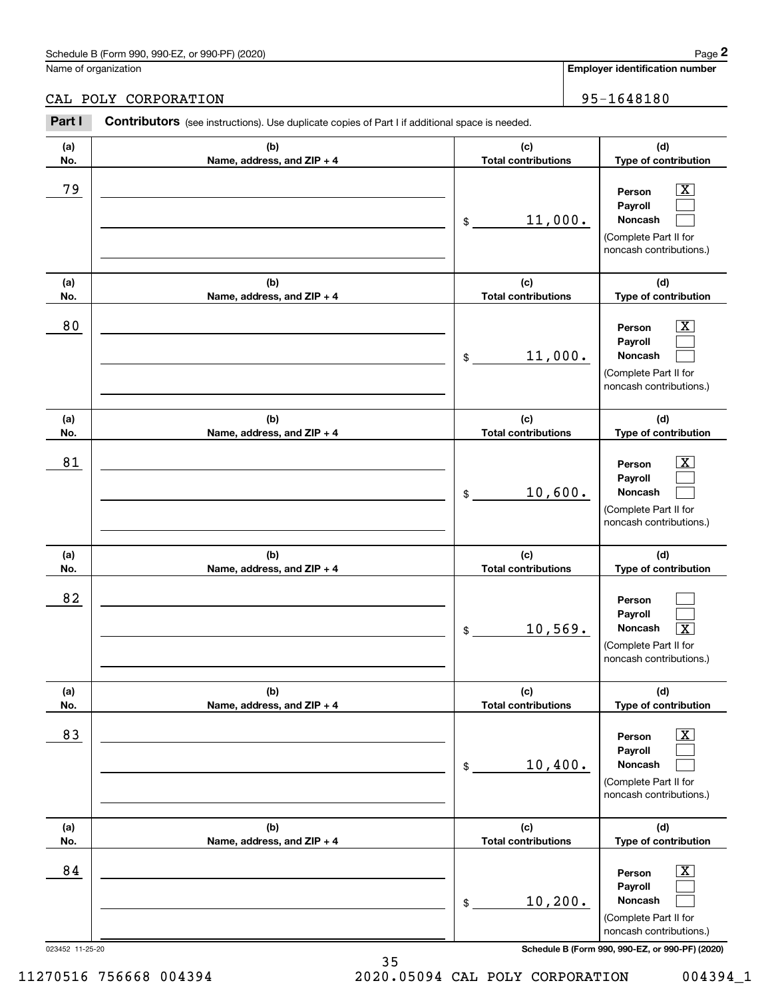Name of organization

CAL POLY CORPORATION 80 | 95-1648180

#### 023452 11-25-20 **Schedule B (Form 990, 990-EZ, or 990-PF) (2020) (a)No.(b)Name, address, and ZIP + 4 (c)Total contributions (d)Type of contribution PersonPayrollNoncash (a)No.(b)Name, address, and ZIP + 4 (c)Total contributions (d)Type of contribution PersonPayrollNoncash (a)No.(b)Name, address, and ZIP + 4 (c)Total contributions (d)Type of contribution PersonPayrollNoncash (a) No.(b) Name, address, and ZIP + 4 (c) Total contributions (d) Type of contribution PersonPayrollNoncash (a) No.(b) Name, address, and ZIP + 4 (c) Total contributions (d) Type of contribution PersonPayrollNoncash (a) No.(b)Name, address, and ZIP + 4 (c) Total contributions (d)Type of contribution PersonPayrollNoncash Contributors** (see instructions). Use duplicate copies of Part I if additional space is needed. \$(Complete Part II for noncash contributions.) \$(Complete Part II for noncash contributions.) \$(Complete Part II for noncash contributions.) \$(Complete Part II for noncash contributions.) \$(Complete Part II for noncash contributions.) \$(Complete Part II for noncash contributions.) Employer identification Page 2<br>
Iame of organization<br> **2Part I 2Part I Contributors** (see instructions). Use duplicate copies of Part I if additional space is needed.<br>
2Part I **Contributors** (see instructions). Use dup  $|X|$  $\mathcal{L}^{\text{max}}$  $\mathcal{L}^{\text{max}}$  $\boxed{\text{X}}$  $\mathcal{L}^{\text{max}}$  $\mathcal{L}^{\text{max}}$  $|X|$  $\mathcal{L}^{\text{max}}$  $\mathcal{L}^{\text{max}}$  $\mathcal{L}^{\text{max}}$  $\mathcal{L}^{\text{max}}$  $\lceil \text{X} \rceil$  $\boxed{\text{X}}$  $\mathcal{L}^{\text{max}}$  $\mathcal{L}^{\text{max}}$  $\boxed{\text{X}}$  $\mathcal{L}^{\text{max}}$  $\mathcal{L}^{\text{max}}$ 79 X 11,000. 80 X 11,000. 81 X 10,600. 82  $10,569$ . 83 X 10,400. 84 X 10,200.

35 11270516 756668 004394 2020.05094 CAL POLY CORPORATION 004394\_1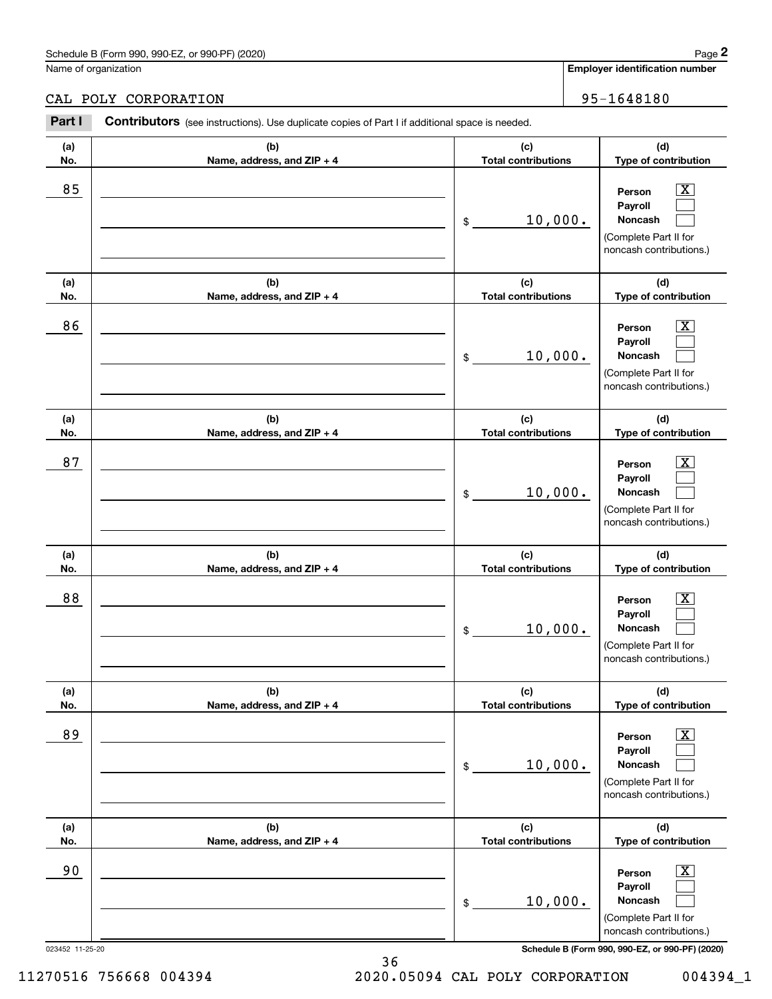## CAL POLY CORPORATION 95-1648180

|                 | Schedule B (Form 990, 990-EZ, or 990-PF) (2020)                                                |                                   | Page 2                                                                                                           |
|-----------------|------------------------------------------------------------------------------------------------|-----------------------------------|------------------------------------------------------------------------------------------------------------------|
|                 | Name of organization                                                                           |                                   | Employer identification number                                                                                   |
|                 | CAL POLY CORPORATION                                                                           |                                   | 95-1648180                                                                                                       |
| Part I          | Contributors (see instructions). Use duplicate copies of Part I if additional space is needed. |                                   |                                                                                                                  |
| (a)<br>No.      | (b)<br>Name, address, and ZIP + 4                                                              | (c)<br><b>Total contributions</b> | (d)<br>Type of contribution                                                                                      |
| 85              |                                                                                                | 10,000.<br>\$                     | $\overline{\text{X}}$<br>Person<br>Payroll<br>Noncash<br>(Complete Part II for<br>noncash contributions.)        |
| (a)<br>No.      | (b)<br>Name, address, and ZIP + 4                                                              | (c)<br><b>Total contributions</b> | (d)<br>Type of contribution                                                                                      |
| 86              |                                                                                                | 10,000.<br>\$                     | $\overline{\text{X}}$<br>Person<br>Payroll<br>Noncash<br>(Complete Part II for<br>noncash contributions.)        |
| (a)<br>No.      | (b)<br>Name, address, and ZIP + 4                                                              | (c)<br><b>Total contributions</b> | (d)<br>Type of contribution                                                                                      |
| 87              |                                                                                                | 10,000.<br>\$                     | X<br>Person<br>Payroll<br>Noncash<br>(Complete Part II for<br>noncash contributions.)                            |
| (a)<br>No.      | (b)<br>Name, address, and ZIP + 4                                                              | (c)<br><b>Total contributions</b> | (d)<br>Type of contribution                                                                                      |
| 88              |                                                                                                | 10,000.<br>\$                     | $\overline{\text{X}}$<br>Person<br>Payroll<br>Noncash<br>(Complete Part II for<br>noncash contributions.)        |
| (a)<br>No.      | (b)<br>Name, address, and ZIP + 4                                                              | (c)<br><b>Total contributions</b> | (d)<br>Type of contribution                                                                                      |
| 89              |                                                                                                | 10,000.<br>\$                     | $\overline{\text{X}}$<br>Person<br>Payroll<br><b>Noncash</b><br>(Complete Part II for<br>noncash contributions.) |
| (a)<br>No.      | (b)<br>Name, address, and ZIP + 4                                                              | (c)<br><b>Total contributions</b> | (d)<br>Type of contribution                                                                                      |
| 90              |                                                                                                | 10,000.<br>\$                     | $\overline{\text{X}}$<br>Person<br>Payroll<br><b>Noncash</b><br>(Complete Part II for<br>noncash contributions.) |
| 023452 11-25-20 |                                                                                                |                                   | Schedule B (Form 990, 990-EZ, or 990-PF) (2020)                                                                  |

11270516 756668 004394 2020.05094 CAL POLY CORPORATION 004394\_1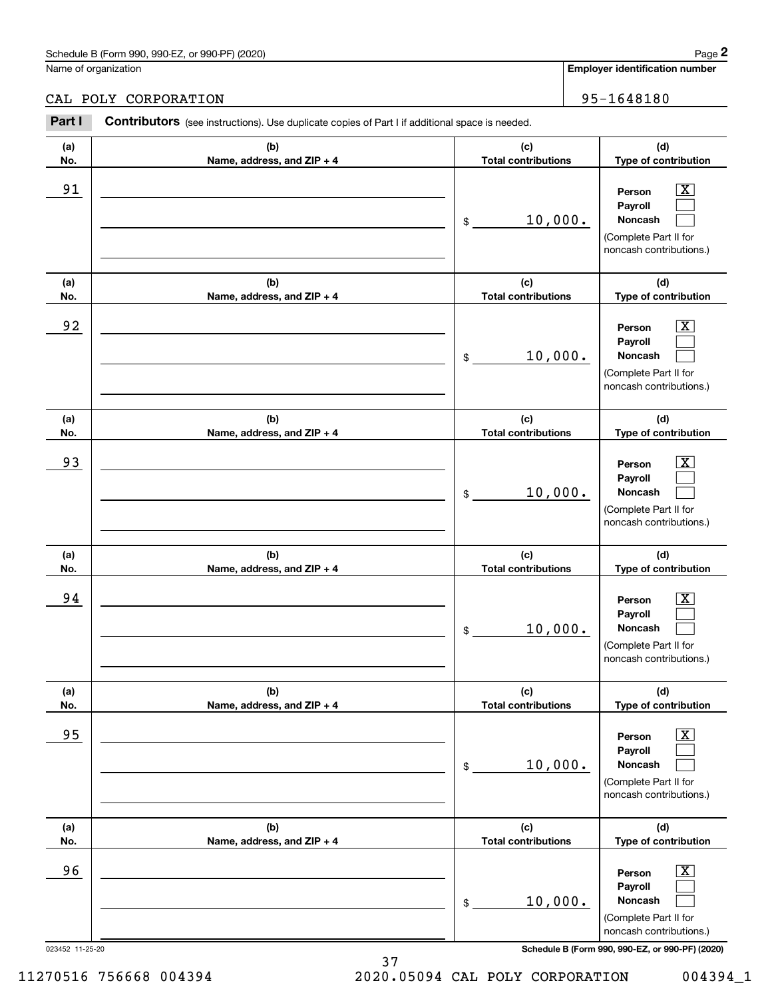### CAL POLY CORPORATION 95-1648180

|                 | Schedule B (Form 990, 990-EZ, or 990-PF) (2020)                                                       |                                   |                                                                                  | Page 2                |
|-----------------|-------------------------------------------------------------------------------------------------------|-----------------------------------|----------------------------------------------------------------------------------|-----------------------|
|                 | Name of organization                                                                                  |                                   | <b>Employer identification number</b>                                            |                       |
|                 | CAL POLY CORPORATION                                                                                  |                                   | 95-1648180                                                                       |                       |
| Part I          | <b>Contributors</b> (see instructions). Use duplicate copies of Part I if additional space is needed. |                                   |                                                                                  |                       |
| (a)<br>No.      | (b)<br>Name, address, and ZIP + 4                                                                     | (c)<br><b>Total contributions</b> | (d)<br>Type of contribution                                                      |                       |
| 91              |                                                                                                       | 10,000.<br>\$                     | Person<br>Payroll<br>Noncash<br>(Complete Part II for<br>noncash contributions.) | $\overline{\text{X}}$ |
| (a)<br>No.      | (b)<br>Name, address, and ZIP + 4                                                                     | (c)<br><b>Total contributions</b> | (d)<br>Type of contribution                                                      |                       |
| 92              |                                                                                                       | 10,000.<br>\$                     | Person<br>Payroll<br>Noncash<br>(Complete Part II for<br>noncash contributions.) | $\overline{\text{X}}$ |
| (a)<br>No.      | (b)<br>Name, address, and ZIP + 4                                                                     | (c)<br><b>Total contributions</b> | (d)<br>Type of contribution                                                      |                       |
| 93              |                                                                                                       | 10,000.<br>\$                     | Person<br>Payroll<br>Noncash<br>(Complete Part II for<br>noncash contributions.) | $\overline{\text{X}}$ |
| (a)<br>No.      | (b)<br>Name, address, and ZIP + 4                                                                     | (c)<br><b>Total contributions</b> | (d)<br>Type of contribution                                                      |                       |
| 94              |                                                                                                       | 10,000.<br>\$                     | Person<br>Payroll<br>Noncash<br>(Complete Part II for<br>noncash contributions.) | $\mathbf{X}$          |
| (a)<br>No.      | (b)<br>Name, address, and ZIP + 4                                                                     | (c)<br><b>Total contributions</b> | (d)<br>Type of contribution                                                      |                       |
| 95              |                                                                                                       | 10,000.<br>\$                     | Person<br>Payroll<br>Noncash<br>(Complete Part II for<br>noncash contributions.) | $\boxed{\text{X}}$    |
| (a)<br>No.      | (b)<br>Name, address, and ZIP + 4                                                                     | (c)<br><b>Total contributions</b> | (d)<br>Type of contribution                                                      |                       |
| 96              |                                                                                                       | 10,000.<br>\$                     | Person<br>Payroll<br>Noncash<br>(Complete Part II for<br>noncash contributions.) | $\boxed{\text{X}}$    |
| 023452 11-25-20 |                                                                                                       |                                   | Schedule B (Form 990, 990-EZ, or 990-PF) (2020)                                  |                       |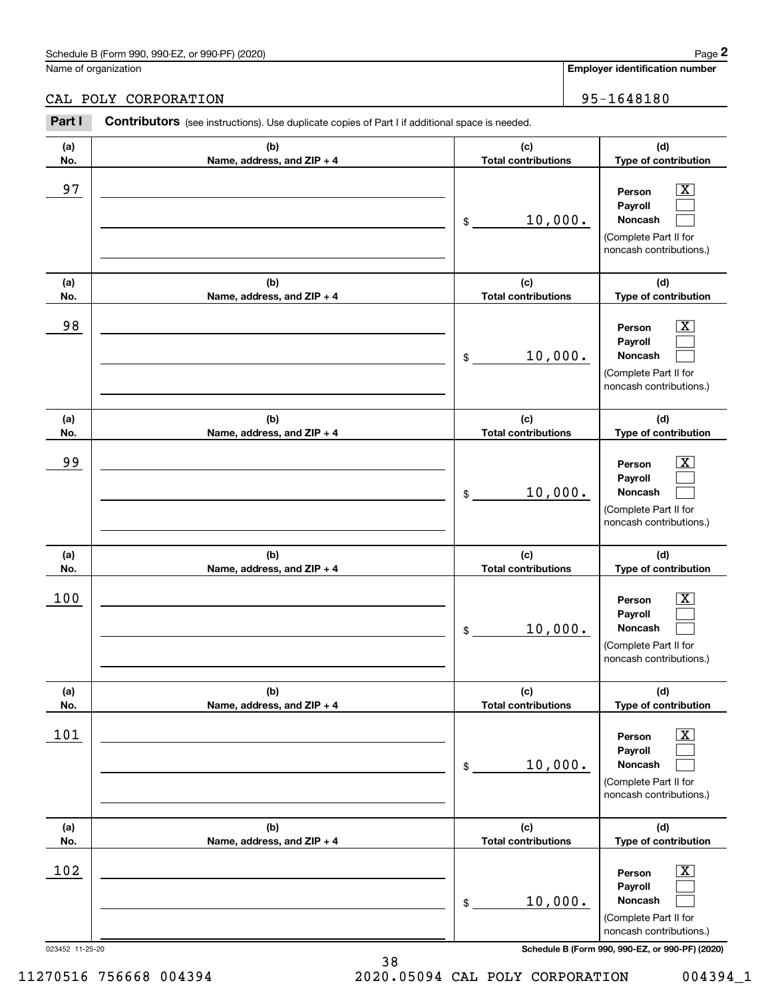### Schedule B (Form 990, 990-EZ, or 990-PF) (2020) **Page 2** Page 2 and the state of the state of the state of the state of the state of the state of the state of the state of the state of the state of the state of the state o

Name of organization

CAL POLY CORPORATION 95-1648180

#### 023452 11-25-20 **Schedule B (Form 990, 990-EZ, or 990-PF) (2020) (a)No.(b)Name, address, and ZIP + 4 (c)Total contributions (d)Type of contribution PersonPayrollNoncash (a)No.(b)Name, address, and ZIP + 4 (c)Total contributions (d)Type of contribution PersonPayrollNoncash (a)No.(b)Name, address, and ZIP + 4 (c)Total contributions (d)Type of contribution PersonPayrollNoncash (a) No.(b) Name, address, and ZIP + 4 (c) Total contributions (d) Type of contribution PersonPayrollNoncash (a) No.(b) Name, address, and ZIP + 4 (c) Total contributions (d) Type of contribution PersonPayrollNoncash (a) No.(b)Name, address, and ZIP + 4 (c) Total contributions (d)Type of contribution PersonPayrollNoncash Contributors** (see instructions). Use duplicate copies of Part I if additional space is needed. \$(Complete Part II for noncash contributions.) \$(Complete Part II for noncash contributions.) \$(Complete Part II for noncash contributions.) \$(Complete Part II for noncash contributions.) \$(Complete Part II for noncash contributions.) \$(Complete Part II for noncash contributions.) Employer identification Page 2<br>
Iame of organization<br> **2Part I 2Part I Contributors** (see instructions). Use duplicate copies of Part I if additional space is needed.<br>
2Part I **Contributors** (see instructions). Use dup  $|X|$  $\mathcal{L}^{\text{max}}$  $\mathcal{L}^{\text{max}}$  $\boxed{\text{X}}$  $\mathcal{L}^{\text{max}}$  $\mathcal{L}^{\text{max}}$  $|X|$  $\mathcal{L}^{\text{max}}$  $\mathcal{L}^{\text{max}}$  $\boxed{\text{X}}$  $\mathcal{L}^{\text{max}}$  $\mathcal{L}^{\text{max}}$  $\boxed{\text{X}}$  $\mathcal{L}^{\text{max}}$  $\mathcal{L}^{\text{max}}$  $\boxed{\text{X}}$  $\mathcal{L}^{\text{max}}$  $\mathcal{L}^{\text{max}}$ 97 X 10,000. 98 X 10,000. 99 X 10,000. 100 X 10,000. 101 X 10,000.  $102$  Person  $\overline{\text{X}}$ 10,000.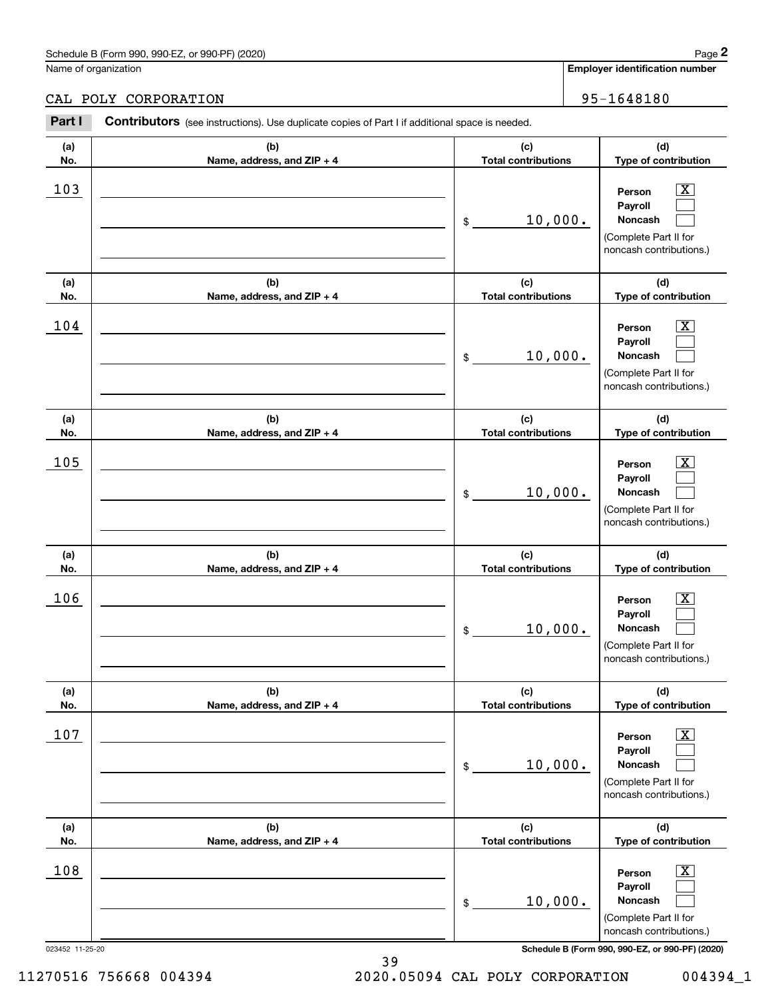### CAL POLY CORPORATION 95-1648180

|            | Schedule B (Form 990, 990-EZ, or 990-PF) (2020)                                                |                                   | Page 2                                                                                                      |
|------------|------------------------------------------------------------------------------------------------|-----------------------------------|-------------------------------------------------------------------------------------------------------------|
|            | Name of organization                                                                           |                                   | Employer identification number                                                                              |
|            | CAL POLY CORPORATION                                                                           |                                   | 95-1648180                                                                                                  |
| Part I     | Contributors (see instructions). Use duplicate copies of Part I if additional space is needed. |                                   |                                                                                                             |
| (a)<br>No. | (b)<br>Name, address, and ZIP + 4                                                              | (c)<br><b>Total contributions</b> | (d)<br>Type of contribution                                                                                 |
| 103        |                                                                                                | 10,000.<br>\$                     | $\mathbf{X}$<br>Person<br>Payroll<br>Noncash<br>(Complete Part II for<br>noncash contributions.)            |
| (a)<br>No. | (b)<br>Name, address, and ZIP + 4                                                              | (c)<br><b>Total contributions</b> | (d)<br>Type of contribution                                                                                 |
| 104        |                                                                                                | 10,000.<br>\$                     | $\mathbf{X}$<br>Person<br>Payroll<br>Noncash<br>(Complete Part II for<br>noncash contributions.)            |
| (a)<br>No. | (b)<br>Name, address, and ZIP + 4                                                              | (c)<br><b>Total contributions</b> | (d)<br>Type of contribution                                                                                 |
| 105        |                                                                                                | 10,000.<br>\$                     | $\overline{\mathbf{X}}$<br>Person<br>Payroll<br>Noncash<br>(Complete Part II for<br>noncash contributions.) |
| (a)<br>No. | (b)<br>Name, address, and ZIP + 4                                                              | (c)<br><b>Total contributions</b> | (d)<br>Type of contribution                                                                                 |
| 106        |                                                                                                | 10,000.<br>\$                     | $\mathbf{X}$<br>Person<br>Payroll<br>Noncash<br>(Complete Part II for<br>noncash contributions.)            |
| (a)<br>No. | (b)<br>Name, address, and ZIP + 4                                                              | (c)<br><b>Total contributions</b> | (d)<br>Type of contribution                                                                                 |
| 107        |                                                                                                | 10,000.<br>\$                     | $\boxed{\text{X}}$<br>Person<br>Payroll<br>Noncash<br>(Complete Part II for<br>noncash contributions.)      |
| (a)<br>No. | (b)<br>Name, address, and ZIP + 4                                                              | (c)<br><b>Total contributions</b> | (d)<br>Type of contribution                                                                                 |
| 108        |                                                                                                | 10,000.<br>\$                     | $\boxed{\text{X}}$<br>Person<br>Payroll<br>Noncash<br>(Complete Part II for<br>noncash contributions.)      |

023452 11-25-20 **Schedule B (Form 990, 990-EZ, or 990-PF) (2020)**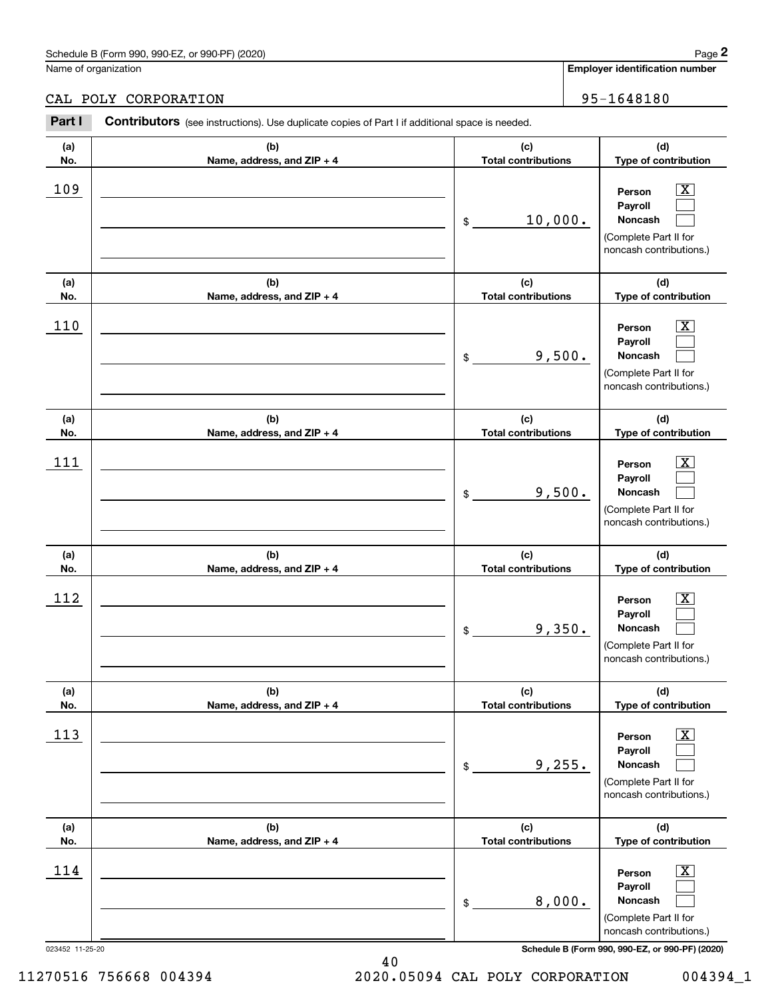### Schedule B (Form 990, 990-EZ, or 990-PF) (2020) **Page 2** Page 2 and the state of the state of the state of the state of the state of the state of the state of the state of the state of the state of the state of the state o

Name of organization

#### CAL POLY CORPORATION 95-1648180

**(a)No.(b)Name, address, and ZIP + 4 (c)Total contributions (d)Type of contribution PersonPayrollNoncash (a)No.(b)Name, address, and ZIP + 4 (c)Total contributions (d)Type of contribution PersonPayrollNoncash (a)No.(b)Name, address, and ZIP + 4 (c)Total contributions (d)Type of contribution PersonPayrollNoncash (a) No.(b) Name, address, and ZIP + 4 (c) Total contributions (d) Type of contribution PersonPayrollNoncash(a) No.(b) Name, address, and ZIP + 4 (c) Total contributions (d) Type of contribution PersonPayrollNoncash (a) No.(b)Name, address, and ZIP + 4 (c) Total contributions (d)Type of contribution PersonPayrollNoncash Contributors** (see instructions). Use duplicate copies of Part I if additional space is needed. \$(Complete Part II for noncash contributions.) \$(Complete Part II for noncash contributions.) \$(Complete Part II for noncash contributions.) \$(Complete Part II for noncash contributions.) \$(Complete Part II for noncash contributions.) \$(Complete Part II for noncash contributions.) Employer identification Page 2<br>
Iame of organization<br> **2Part I 2Part I Contributors** (see instructions). Use duplicate copies of Part I if additional space is needed.<br>
2Part I **Contributors** (see instructions). Use dup  $|X|$  $\mathcal{L}^{\text{max}}$  $\mathcal{L}^{\text{max}}$  $\boxed{\text{X}}$  $\mathcal{L}^{\text{max}}$  $\mathcal{L}^{\text{max}}$  $|X|$  $\mathcal{L}^{\text{max}}$  $\mathcal{L}^{\text{max}}$  $\boxed{\text{X}}$  $\mathcal{L}^{\text{max}}$  $\mathcal{L}^{\text{max}}$  $\boxed{\text{X}}$  $\mathcal{L}^{\text{max}}$  $\mathcal{L}^{\text{max}}$  $\boxed{\text{X}}$  $\mathcal{L}^{\text{max}}$  $\mathcal{L}^{\text{max}}$ 109 X 10,000. 110 Person X 9,500.  $111$  Person  $\overline{\text{X}}$ 9,500.  $112$  Person  $\overline{\text{X}}$ 9,350. 113 X 9,255.  $114$  Person  $\overline{\text{X}}$ 8,000.

023452 11-25-20 **Schedule B (Form 990, 990-EZ, or 990-PF) (2020)**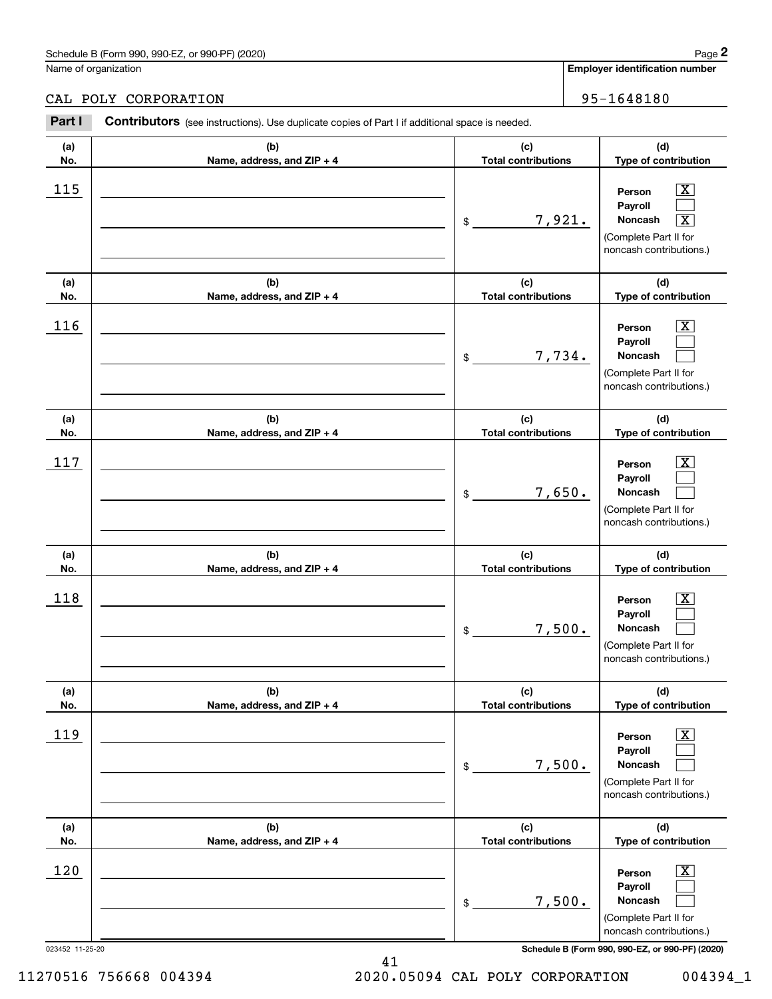## CAL POLY CORPORATION 95-1648180

|                 | Schedule B (Form 990, 990-EZ, or 990-PF) (2020)                                                       |                                   | Page 2                                                                                                                                           |
|-----------------|-------------------------------------------------------------------------------------------------------|-----------------------------------|--------------------------------------------------------------------------------------------------------------------------------------------------|
|                 | Name of organization                                                                                  |                                   | Employer identification number                                                                                                                   |
|                 | CAL POLY CORPORATION                                                                                  |                                   | 95-1648180                                                                                                                                       |
| Part I          | <b>Contributors</b> (see instructions). Use duplicate copies of Part I if additional space is needed. |                                   |                                                                                                                                                  |
| (a)<br>No.      | (b)<br>Name, address, and ZIP + 4                                                                     | (c)<br><b>Total contributions</b> | (d)<br>Type of contribution                                                                                                                      |
| 115             |                                                                                                       | \$                                | $\overline{\mathbf{X}}$<br>Person<br>Payroll<br>7,921.<br>Noncash<br>$\overline{\mathbf{x}}$<br>(Complete Part II for<br>noncash contributions.) |
| (a)<br>No.      | (b)<br>Name, address, and ZIP + 4                                                                     | (c)<br><b>Total contributions</b> | (d)<br>Type of contribution                                                                                                                      |
| 116             |                                                                                                       | \$                                | $\overline{\text{X}}$<br>Person<br>Payroll<br>7,734.<br>Noncash<br>(Complete Part II for<br>noncash contributions.)                              |
| (a)<br>No.      | (b)<br>Name, address, and ZIP + 4                                                                     | (c)<br><b>Total contributions</b> | (d)<br>Type of contribution                                                                                                                      |
| 117             |                                                                                                       | \$                                | $\overline{\text{X}}$<br>Person<br>Payroll<br>7,650.<br>Noncash<br>(Complete Part II for<br>noncash contributions.)                              |
| (a)<br>No.      | (b)<br>Name, address, and ZIP + 4                                                                     | (c)<br><b>Total contributions</b> | (d)<br>Type of contribution                                                                                                                      |
| 118             |                                                                                                       | \$                                | $\overline{\mathbf{X}}$<br>Person<br>Payroll<br>7,500.<br>Noncash<br>(Complete Part II for<br>noncash contributions.)                            |
| (a)<br>No.      | (b)<br>Name, address, and ZIP + 4                                                                     | (c)<br><b>Total contributions</b> | (d)<br>Type of contribution                                                                                                                      |
| 119             |                                                                                                       | \$                                | $\boxed{\text{X}}$<br>Person<br>Payroll<br>7,500.<br>Noncash<br>(Complete Part II for<br>noncash contributions.)                                 |
| (a)<br>No.      | (b)<br>Name, address, and ZIP + 4                                                                     | (c)<br><b>Total contributions</b> | (d)<br>Type of contribution                                                                                                                      |
| 120             |                                                                                                       | \$                                | $\boxed{\text{X}}$<br>Person<br>Payroll<br>7,500.<br>Noncash<br>(Complete Part II for<br>noncash contributions.)                                 |
| 023452 11-25-20 |                                                                                                       |                                   | Schedule B (Form 990, 990-EZ, or 990-PF) (2020)                                                                                                  |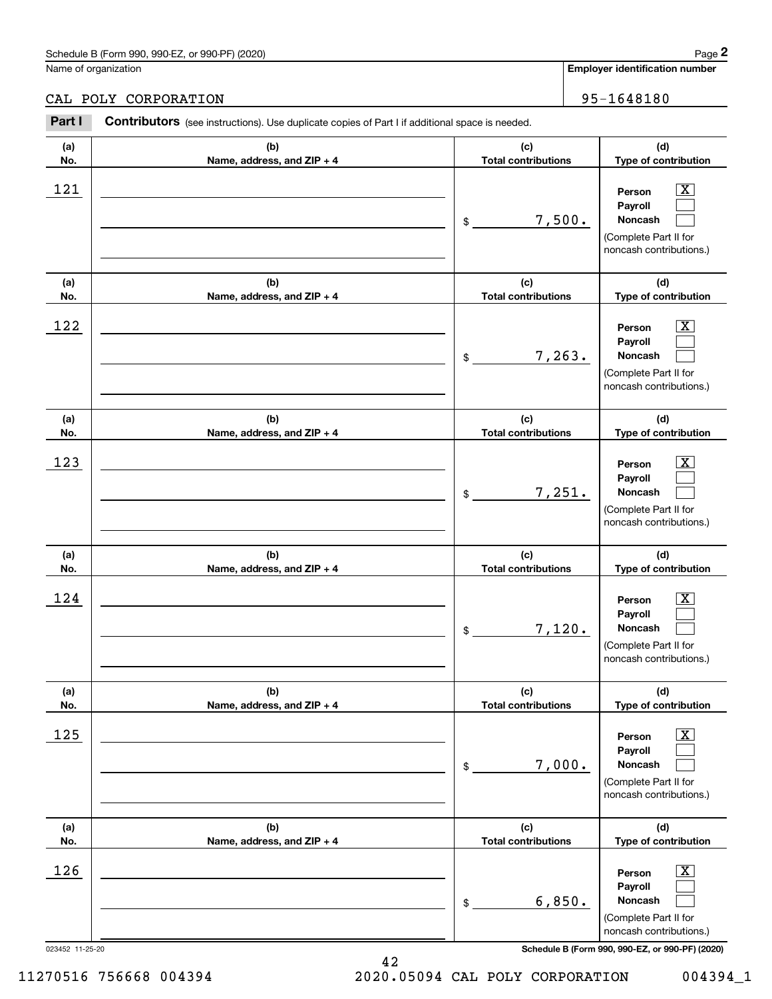## CAL POLY CORPORATION 95-1648180

|                 | Schedule B (Form 990, 990-EZ, or 990-PF) (2020)                                                       |                                   |        | Page 2                                                                                                 |
|-----------------|-------------------------------------------------------------------------------------------------------|-----------------------------------|--------|--------------------------------------------------------------------------------------------------------|
|                 | Name of organization                                                                                  |                                   |        | <b>Employer identification number</b>                                                                  |
|                 | CAL POLY CORPORATION                                                                                  |                                   |        | 95-1648180                                                                                             |
| Part I          | <b>Contributors</b> (see instructions). Use duplicate copies of Part I if additional space is needed. |                                   |        |                                                                                                        |
| (a)<br>No.      | (b)<br>Name, address, and ZIP + 4                                                                     | (c)<br><b>Total contributions</b> |        | (d)<br>Type of contribution                                                                            |
| 121             |                                                                                                       | \$                                | 7,500. | $\mathbf{X}$<br>Person<br>Payroll<br>Noncash<br>(Complete Part II for<br>noncash contributions.)       |
| (a)<br>No.      | (b)<br>Name, address, and ZIP + 4                                                                     | (c)<br><b>Total contributions</b> |        | (d)<br>Type of contribution                                                                            |
| 122             |                                                                                                       | \$                                | 7,263. | X<br>Person<br>Payroll<br>Noncash<br>(Complete Part II for<br>noncash contributions.)                  |
| (a)<br>No.      | (b)<br>Name, address, and ZIP + 4                                                                     | (c)<br><b>Total contributions</b> |        | (d)<br>Type of contribution                                                                            |
| 123             |                                                                                                       | \$                                | 7,251. | X<br>Person<br>Payroll<br>Noncash<br>(Complete Part II for<br>noncash contributions.)                  |
| (a)<br>No.      | (b)<br>Name, address, and ZIP + 4                                                                     | (c)<br><b>Total contributions</b> |        | (d)<br>Type of contribution                                                                            |
| 124             |                                                                                                       | \$                                | 7,120. | $\mathbf{X}$<br>Person<br>Payroll<br>Noncash<br>(Complete Part II for<br>noncash contributions.)       |
| (a)<br>No.      | (b)<br>Name, address, and ZIP + 4                                                                     | (c)<br><b>Total contributions</b> |        | (d)<br>Type of contribution                                                                            |
| 125             |                                                                                                       | \$                                | 7,000. | $\boxed{\text{X}}$<br>Person<br>Payroll<br>Noncash<br>(Complete Part II for<br>noncash contributions.) |
| (a)<br>No.      | (b)<br>Name, address, and ZIP + 4                                                                     | (c)<br><b>Total contributions</b> |        | (d)<br>Type of contribution                                                                            |
| 126             |                                                                                                       | \$                                | 6,850. | $\boxed{\text{X}}$<br>Person<br>Payroll<br>Noncash<br>(Complete Part II for<br>noncash contributions.) |
| 023452 11-25-20 |                                                                                                       |                                   |        | Schedule B (Form 990, 990-EZ, or 990-PF) (2020)                                                        |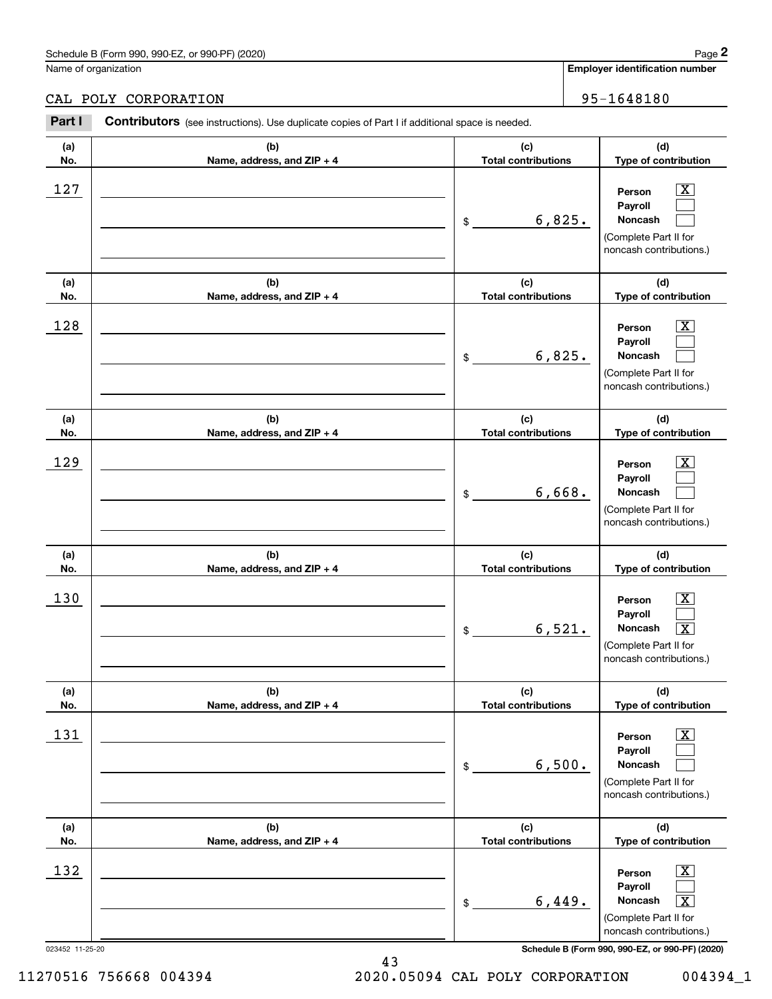### CAL POLY CORPORATION 95-1648180

|            | Schedule B (Form 990, 990-EZ, or 990-PF) (2020)                                                       |                                   |        | Page 2                                                                                                                            |
|------------|-------------------------------------------------------------------------------------------------------|-----------------------------------|--------|-----------------------------------------------------------------------------------------------------------------------------------|
|            | Name of organization                                                                                  |                                   |        | <b>Employer identification number</b>                                                                                             |
|            | CAL POLY CORPORATION                                                                                  |                                   |        | 95-1648180                                                                                                                        |
| Part I     | <b>Contributors</b> (see instructions). Use duplicate copies of Part I if additional space is needed. |                                   |        |                                                                                                                                   |
| (a)<br>No. | (b)<br>Name, address, and ZIP + 4                                                                     | (c)<br><b>Total contributions</b> |        | (d)<br>Type of contribution                                                                                                       |
| 127        |                                                                                                       | \$                                | 6,825. | $\mathbf{X}$<br>Person<br>Payroll<br>Noncash<br>(Complete Part II for<br>noncash contributions.)                                  |
| (a)<br>No. | (b)<br>Name, address, and ZIP + 4                                                                     | (c)<br><b>Total contributions</b> |        | (d)<br>Type of contribution                                                                                                       |
| 128        |                                                                                                       | \$                                | 6,825. | $\mathbf{X}$<br>Person<br>Payroll<br>Noncash<br>(Complete Part II for<br>noncash contributions.)                                  |
| (a)<br>No. | (b)<br>Name, address, and ZIP + 4                                                                     | (c)<br><b>Total contributions</b> |        | (d)<br>Type of contribution                                                                                                       |
| 129        |                                                                                                       | \$                                | 6,668. | $\overline{\mathbf{X}}$<br>Person<br>Payroll<br>Noncash<br>(Complete Part II for<br>noncash contributions.)                       |
| (a)<br>No. | (b)<br>Name, address, and ZIP + 4                                                                     | (c)<br><b>Total contributions</b> |        | (d)<br>Type of contribution                                                                                                       |
| 130        |                                                                                                       | \$                                | 6,521. | $\mathbf{X}$<br>Person<br>Payroll<br>Noncash<br>$\boxed{\text{X}}$<br>(Complete Part II for<br>noncash contributions.)            |
| (a)<br>No. | (b)<br>Name, address, and ZIP + 4                                                                     | (c)<br><b>Total contributions</b> |        | (d)<br>Type of contribution                                                                                                       |
| 131        |                                                                                                       | \$                                | 6,500. | $\boxed{\text{X}}$<br>Person<br>Payroll<br>Noncash<br>(Complete Part II for<br>noncash contributions.)                            |
| (a)<br>No. | (b)<br>Name, address, and ZIP + 4                                                                     | (c)<br><b>Total contributions</b> |        | (d)<br>Type of contribution                                                                                                       |
| 132        |                                                                                                       | \$                                | 6,449. | $\boxed{\text{X}}$<br>Person<br>Payroll<br>Noncash<br>$\overline{\mathbf{x}}$<br>(Complete Part II for<br>noncash contributions.) |

023452 11-25-20 **Schedule B (Form 990, 990-EZ, or 990-PF) (2020)**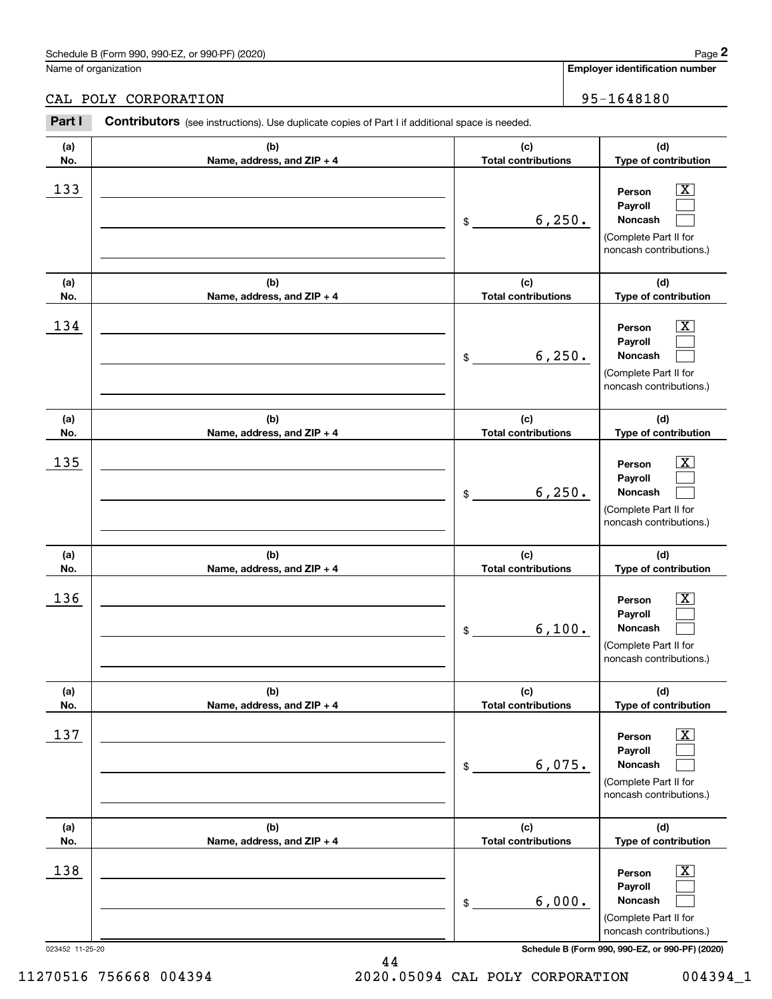### CAL POLY CORPORATION 95-1648180

|            | Schedule B (Form 990, 990-EZ, or 990-PF) (2020)                                                       |                                   |         | Page 2                                                                                                      |
|------------|-------------------------------------------------------------------------------------------------------|-----------------------------------|---------|-------------------------------------------------------------------------------------------------------------|
|            | Name of organization                                                                                  |                                   |         | <b>Employer identification number</b>                                                                       |
|            | CAL POLY CORPORATION                                                                                  |                                   |         | 95-1648180                                                                                                  |
| Part I     | <b>Contributors</b> (see instructions). Use duplicate copies of Part I if additional space is needed. |                                   |         |                                                                                                             |
| (a)<br>No. | (b)<br>Name, address, and ZIP + 4                                                                     | (c)<br><b>Total contributions</b> |         | (d)<br>Type of contribution                                                                                 |
| 133        |                                                                                                       | \$                                | 6, 250. | $\mathbf{X}$<br>Person<br>Payroll<br>Noncash<br>(Complete Part II for<br>noncash contributions.)            |
| (a)<br>No. | (b)<br>Name, address, and ZIP + 4                                                                     | (c)<br><b>Total contributions</b> |         | (d)<br>Type of contribution                                                                                 |
| 134        |                                                                                                       | \$                                | 6, 250. | $\mathbf{X}$<br>Person<br>Payroll<br>Noncash<br>(Complete Part II for<br>noncash contributions.)            |
| (a)<br>No. | (b)<br>Name, address, and ZIP + 4                                                                     | (c)<br><b>Total contributions</b> |         | (d)<br>Type of contribution                                                                                 |
| 135        |                                                                                                       | \$                                | 6, 250. | $\overline{\mathbf{X}}$<br>Person<br>Payroll<br>Noncash<br>(Complete Part II for<br>noncash contributions.) |
| (a)<br>No. | (b)<br>Name, address, and ZIP + 4                                                                     | (c)<br><b>Total contributions</b> |         | (d)<br>Type of contribution                                                                                 |
| 136        |                                                                                                       | \$                                | 6,100.  | $\mathbf{X}$<br>Person<br>Payroll<br>Noncash<br>(Complete Part II for<br>noncash contributions.)            |
| (a)<br>No. | (b)<br>Name, address, and ZIP + 4                                                                     | (c)<br><b>Total contributions</b> |         | (d)<br>Type of contribution                                                                                 |
| 137        |                                                                                                       | \$                                | 6,075.  | $\boxed{\text{X}}$<br>Person<br>Payroll<br>Noncash<br>(Complete Part II for<br>noncash contributions.)      |
| (a)<br>No. | (b)<br>Name, address, and ZIP + 4                                                                     | (c)<br><b>Total contributions</b> |         | (d)<br>Type of contribution                                                                                 |
| 138        |                                                                                                       | \$                                | 6,000.  | $\boxed{\text{X}}$<br>Person<br>Payroll<br>Noncash<br>(Complete Part II for<br>noncash contributions.)      |

023452 11-25-20 **Schedule B (Form 990, 990-EZ, or 990-PF) (2020)**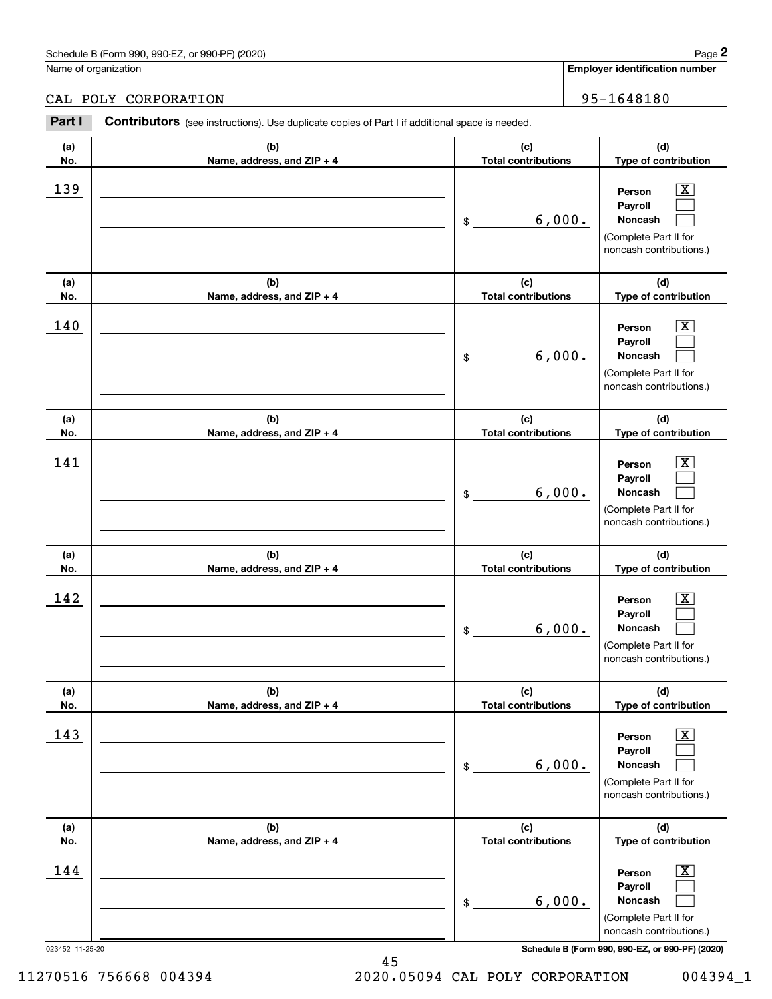### Schedule B (Form 990, 990-EZ, or 990-PF) (2020) **Page 2** Page 2 and the state of the state of the state of the state of the state of the state of the state of the state of the state of the state of the state of the state o

Name of organization

**(a)No.(b)Name, address, and ZIP + 4 (c)Total contributions (d)Type of contribution PersonPayrollNoncash (a)No.(b)Name, address, and ZIP + 4 (c)Total contributions (d)Type of contribution PersonPayrollNoncash (a)No.(b)Name, address, and ZIP + 4 (c)Total contributions (d)Type of contribution PersonPayrollNoncash (a) No.(b) Name, address, and ZIP + 4 (c) Total contributions (d) Type of contribution PersonPayrollNoncash (a) No.(b) Name, address, and ZIP + 4 (c) Total contributions (d) Type of contribution Person PayrollContributors** (see instructions). Use duplicate copies of Part I if additional space is needed. \$(Complete Part II for noncash contributions.) \$(Complete Part II for noncash contributions.) \$(Complete Part II for noncash contributions.) \$(Complete Part II for noncash contributions.) Employer identification Page 2<br>
Iame of organization<br> **2Part I 2Part I Contributors** (see instructions). Use duplicate copies of Part I if additional space is needed.<br>
2Part I **Contributors** (see instructions). Use dup  $|X|$  $\mathcal{L}^{\text{max}}$  $\mathcal{L}^{\text{max}}$  $\boxed{\text{X}}$  $\mathcal{L}^{\text{max}}$  $\mathcal{L}^{\text{max}}$  $|X|$  $\mathcal{L}^{\text{max}}$  $\mathcal{L}^{\text{max}}$  $\boxed{\text{X}}$  $\mathcal{L}^{\text{max}}$  $\mathcal{L}^{\text{max}}$  $\boxed{\text{X}}$  $\mathcal{L}^{\text{max}}$ 139 X 6,000.  $140$  Person  $\overline{\text{X}}$ 6,000.  $141$  | Person  $\overline{\text{X}}$ 6,000.  $142$  Person  $\overline{\text{X}}$ 6,000.  $143$  Person  $\overline{\text{X}}$ CAL POLY CORPORATION 80 (1995-1648180)

|     |                              | 6,000.<br>\$               | r ayı vır<br>Noncash<br>(Complete Part II for<br>noncash contributions.)                                         |
|-----|------------------------------|----------------------------|------------------------------------------------------------------------------------------------------------------|
| (a) | (b)                          | (c)                        | (d)                                                                                                              |
| No. | Name, address, and $ZIP + 4$ | <b>Total contributions</b> | Type of contribution                                                                                             |
| 144 |                              | 6,000.<br>\$               | $\overline{\text{X}}$<br>Person<br>Payroll<br><b>Noncash</b><br>(Complete Part II for<br>noncash contributions.) |

023452 11-25-20 **Schedule B (Form 990, 990-EZ, or 990-PF) (2020)**

11270516 756668 004394 2020.05094 CAL POLY CORPORATION 004394\_1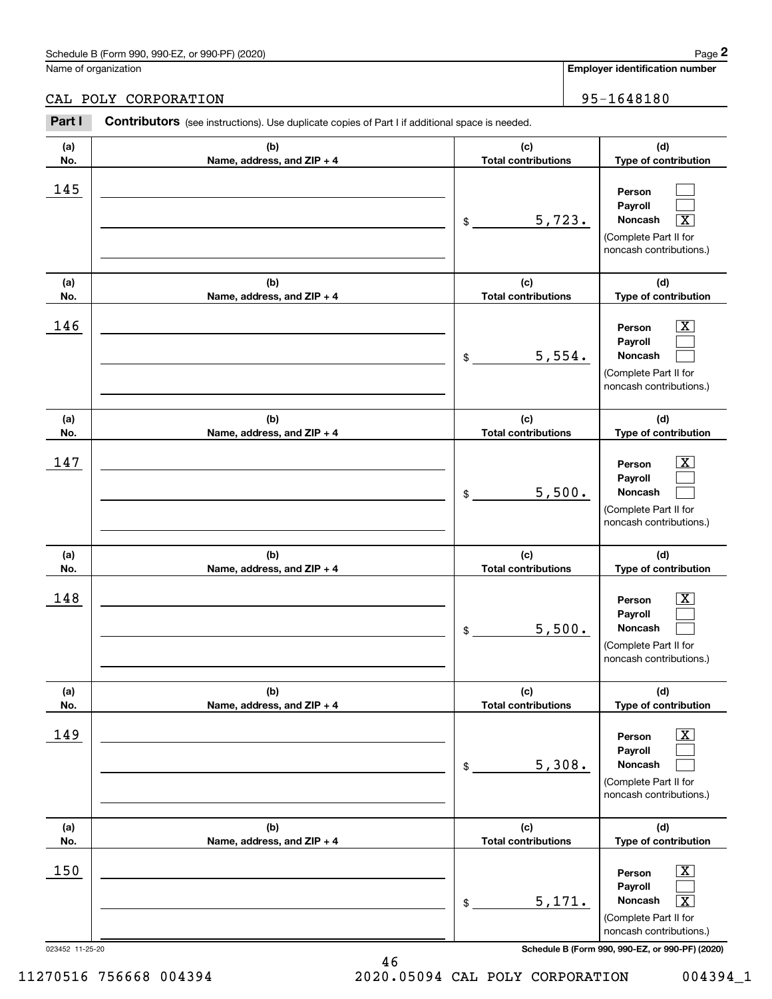## CAL POLY CORPORATION 95-1648180

|                 | Schedule B (Form 990, 990-EZ, or 990-PF) (2020)                                                |                                   | Page 2                                                                                                                            |
|-----------------|------------------------------------------------------------------------------------------------|-----------------------------------|-----------------------------------------------------------------------------------------------------------------------------------|
|                 | Name of organization                                                                           |                                   | Employer identification number                                                                                                    |
|                 | CAL POLY CORPORATION                                                                           |                                   | 95-1648180                                                                                                                        |
| Part I          | Contributors (see instructions). Use duplicate copies of Part I if additional space is needed. |                                   |                                                                                                                                   |
| (a)<br>No.      | (b)<br>Name, address, and ZIP + 4                                                              | (c)<br><b>Total contributions</b> | (d)<br>Type of contribution                                                                                                       |
| 145             |                                                                                                | \$<br>5,723.                      | Person<br>Payroll<br>Noncash<br>$\overline{\mathbf{X}}$<br>(Complete Part II for<br>noncash contributions.)                       |
| (a)<br>No.      | (b)<br>Name, address, and ZIP + 4                                                              | (c)<br><b>Total contributions</b> | (d)<br>Type of contribution                                                                                                       |
| 146             |                                                                                                | \$<br>5,554.                      | $\overline{\text{X}}$<br>Person<br>Payroll<br>Noncash<br>(Complete Part II for<br>noncash contributions.)                         |
| (a)<br>No.      | (b)<br>Name, address, and ZIP + 4                                                              | (c)<br><b>Total contributions</b> | (d)<br>Type of contribution                                                                                                       |
| 147             |                                                                                                | \$<br>5,500.                      | $\overline{\text{X}}$<br>Person<br>Payroll<br>Noncash<br>(Complete Part II for<br>noncash contributions.)                         |
| (a)<br>No.      | (b)<br>Name, address, and ZIP + 4                                                              | (c)<br><b>Total contributions</b> | (d)<br>Type of contribution                                                                                                       |
| 148             |                                                                                                | \$<br>5,500.                      | $\mathbf{X}$<br>Person<br>Payroll<br>Noncash<br>(Complete Part II for<br>noncash contributions.)                                  |
| (a)<br>No.      | (b)<br>Name, address, and ZIP + 4                                                              | (c)<br><b>Total contributions</b> | (d)<br>Type of contribution                                                                                                       |
| 149             |                                                                                                | \$<br>5,308.                      | $\overline{\mathbf{X}}$<br>Person<br>Payroll<br>Noncash<br>(Complete Part II for<br>noncash contributions.)                       |
| (a)<br>No.      | (b)<br>Name, address, and ZIP + 4                                                              | (c)<br><b>Total contributions</b> | (d)<br>Type of contribution                                                                                                       |
| 150             |                                                                                                | \$<br>5,171.                      | $\boxed{\text{X}}$<br>Person<br>Payroll<br>Noncash<br>$\overline{\mathbf{X}}$<br>(Complete Part II for<br>noncash contributions.) |
| 023452 11-25-20 |                                                                                                |                                   | Schedule B (Form 990, 990-EZ, or 990-PF) (2020)                                                                                   |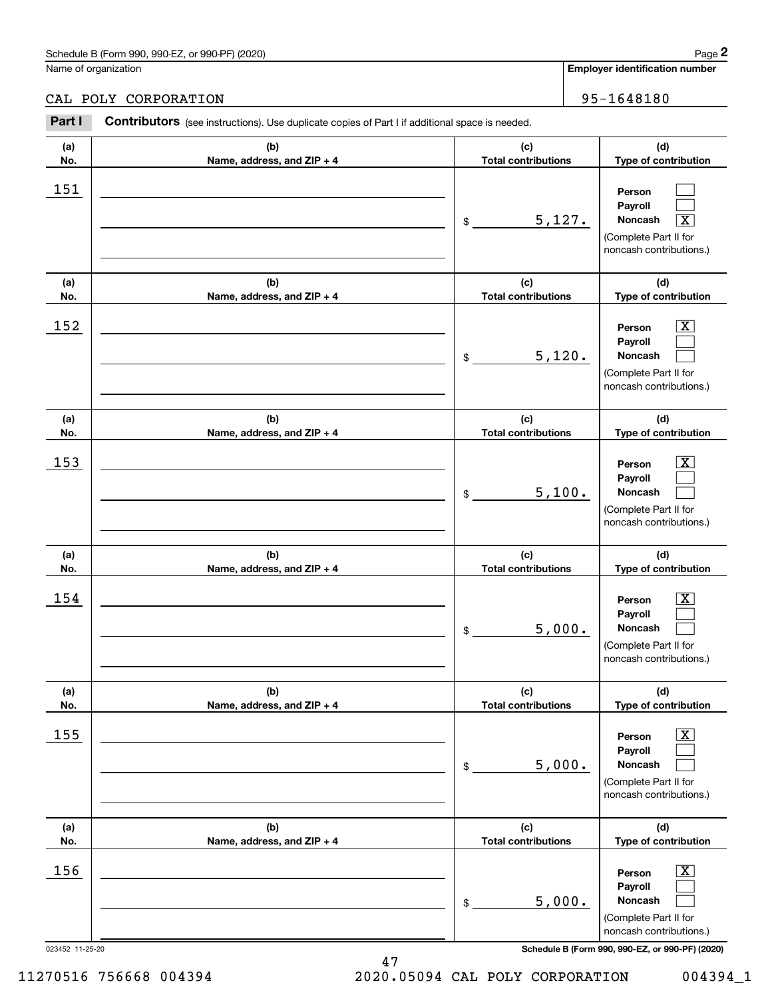### Schedule B (Form 990, 990-EZ, or 990-PF) (2020) **Page 2** Page 2 and the state of the state of the state of the state of the state of the state of the state of the state of the state of the state of the state of the state o

Name of organization

**(a)No.**

**(a) No.**

**(a) No.**

**(a) No.**

**(d)Type of contribution**

> $|X|$  $\mathcal{L}^{\text{max}}$  $\mathcal{L}^{\text{max}}$

 $\boxed{\text{X}}$  $\mathcal{L}^{\text{max}}$  $\mathcal{L}^{\text{max}}$ 

 $\boxed{\text{X}}$  $\mathcal{L}^{\text{max}}$  $\mathcal{L}^{\text{max}}$ 

 $\boxed{\text{X}}$  $\mathcal{L}^{\text{max}}$  $\mathcal{L}^{\text{max}}$ 

**(d) Type of contribution**

**(d) Type of contribution**

**(d)Type of contribution**

(Complete Part II for noncash contributions.)

**PersonPayrollNoncash**

(Complete Part II for noncash contributions.)

> **PersonPayrollNoncash**

(Complete Part II for noncash contributions.)

> **PersonPayrollNoncash**

> **PersonPayrollNoncash**

(Complete Part II for noncash contributions.)

**(a)No.(b)Name, address, and ZIP + 4 (c)Total contributions (d)Type of contribution PersonPayrollNoncash (a)No.(b)Name, address, and ZIP + 4 (c)Total contributions (d)Type of contribution PersonPayrollNoncash Contributors** (see instructions). Use duplicate copies of Part I if additional space is needed. \$(Complete Part II for noncash contributions.) \$(Complete Part II for noncash contributions.) Employer identification Page 2<br>
Iame of organization<br> **2Part I 2Part I Contributors** (see instructions). Use duplicate copies of Part I if additional space is needed.<br>
2Part I **Contributors** (see instructions). Use dup  $\mathcal{L}^{\text{max}}$  $\mathcal{L}^{\text{max}}$  $\boxed{\text{X}}$  $\boxed{\text{X}}$  $\mathcal{L}^{\text{max}}$  $\mathcal{L}^{\text{max}}$ 151  $5,127.$  $152$  Person  $\overline{\text{X}}$ 5,120. CAL POLY CORPORATION 95-1648180

153 X

 $154$  Person  $\overline{\text{X}}$ 

 $155$  Person  $\overline{\text{X}}$ 

 $156$  Person  $\overline{\text{X}}$ 

**(b)Name, address, and ZIP + 4**

**(b) Name, address, and ZIP + 4**

**(b)Name, address, and ZIP + 4**

**(b)Name, address, and ZIP + 4**

**(c)Total contributions**

**(c) Total contributions**

5,100.

5,000.

5,000.

5,000.

\$

\$

\$

\$

**(c) Total contributions**

**(c) Total contributions**

023452 11-25-20 **Schedule B (Form 990, 990-EZ, or 990-PF) (2020)** 47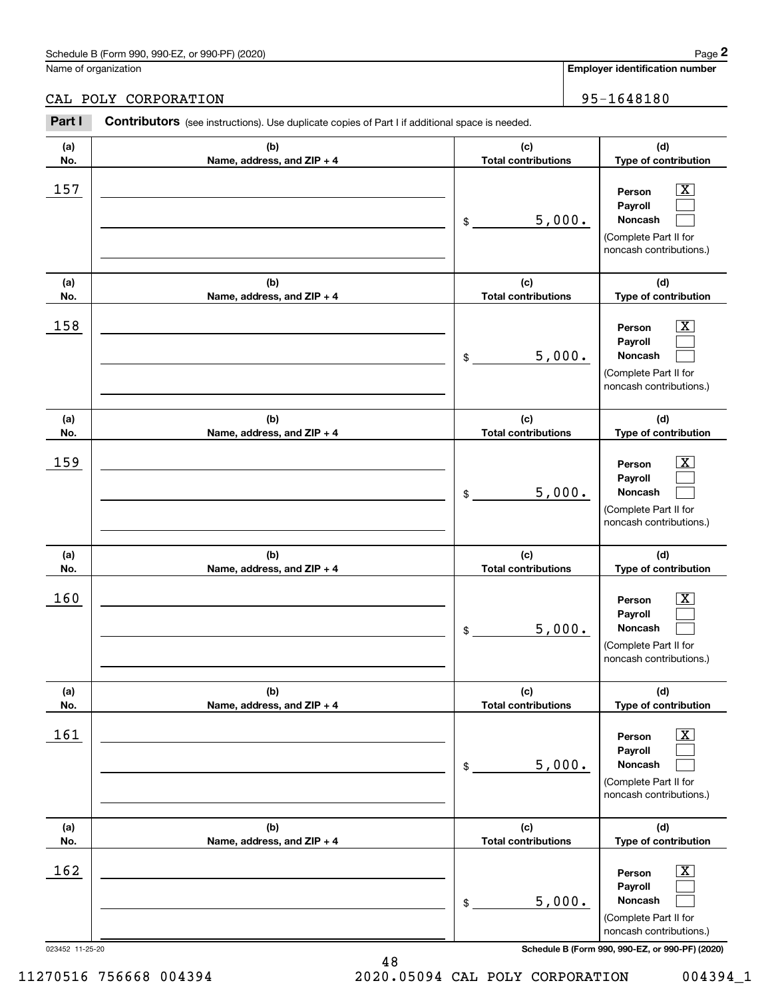|            | Schedule B (Form 990, 990-EZ, or 990-PF) (2020)                                                |                                   | Page 2                                                                                                             |
|------------|------------------------------------------------------------------------------------------------|-----------------------------------|--------------------------------------------------------------------------------------------------------------------|
|            | Name of organization                                                                           |                                   | <b>Employer identification number</b>                                                                              |
|            | CAL POLY CORPORATION                                                                           |                                   | 95-1648180                                                                                                         |
| Part I     | Contributors (see instructions). Use duplicate copies of Part I if additional space is needed. |                                   |                                                                                                                    |
| (a)<br>No. | (b)<br>Name, address, and ZIP + 4                                                              | (c)<br><b>Total contributions</b> | (d)<br>Type of contribution                                                                                        |
| 157        |                                                                                                | 5,000.<br>\$                      | $\overline{\texttt{X}}$<br>Person<br>Payroll<br><b>Noncash</b><br>(Complete Part II for<br>noncash contributions.) |
| (a)<br>No. | (b)<br>Name, address, and ZIP + 4                                                              | (c)<br><b>Total contributions</b> | (d)<br>Type of contribution                                                                                        |
| 158        |                                                                                                | 5,000.<br>$\$\$                   | $\overline{\text{X}}$<br>Person<br>Payroll<br><b>Noncash</b><br>(Complete Part II for<br>noncash contributions.)   |
| (a)<br>No. | (b)<br>Name, address, and ZIP + 4                                                              | (c)<br><b>Total contributions</b> | (d)<br>Type of contribution                                                                                        |
| 159        |                                                                                                | 5,000.<br>\$                      | $\overline{\text{X}}$<br>Person<br>Payroll<br>Noncash<br>(Complete Part II for<br>noncash contributions.)          |
| (a)<br>No. | (b)<br>Name, address, and ZIP + 4                                                              | (c)<br><b>Total contributions</b> | (d)<br>Type of contribution                                                                                        |

| No. | Name, address, and $ZIP + 4$ | <b>Total contributions</b> | Type of contribution                                                                                               |
|-----|------------------------------|----------------------------|--------------------------------------------------------------------------------------------------------------------|
| 160 |                              | 5,000.<br>\$               | $\overline{\text{X}}$<br>Person<br>Payroll<br><b>Noncash</b><br>(Complete Part II for<br>noncash contributions.)   |
| (a) | (b)                          | (c)                        | (d)                                                                                                                |
| No. | Name, address, and $ZIP + 4$ | <b>Total contributions</b> | Type of contribution                                                                                               |
| 161 |                              | 5,000.<br>\$               | $\overline{\texttt{X}}$<br>Person<br>Payroll<br><b>Noncash</b><br>(Complete Part II for<br>noncash contributions.) |
| (a) | (b)                          | (c)                        | (d)                                                                                                                |
| No. | Name, address, and $ZIP + 4$ | <b>Total contributions</b> | Type of contribution                                                                                               |
| 162 |                              | 5,000.<br>\$               | $\overline{\text{X}}$<br>Person<br>Payroll<br><b>Noncash</b><br>(Complete Part II for<br>noncash contributions.)   |

023452 11-25-20 **Schedule B (Form 990, 990-EZ, or 990-PF) (2020)**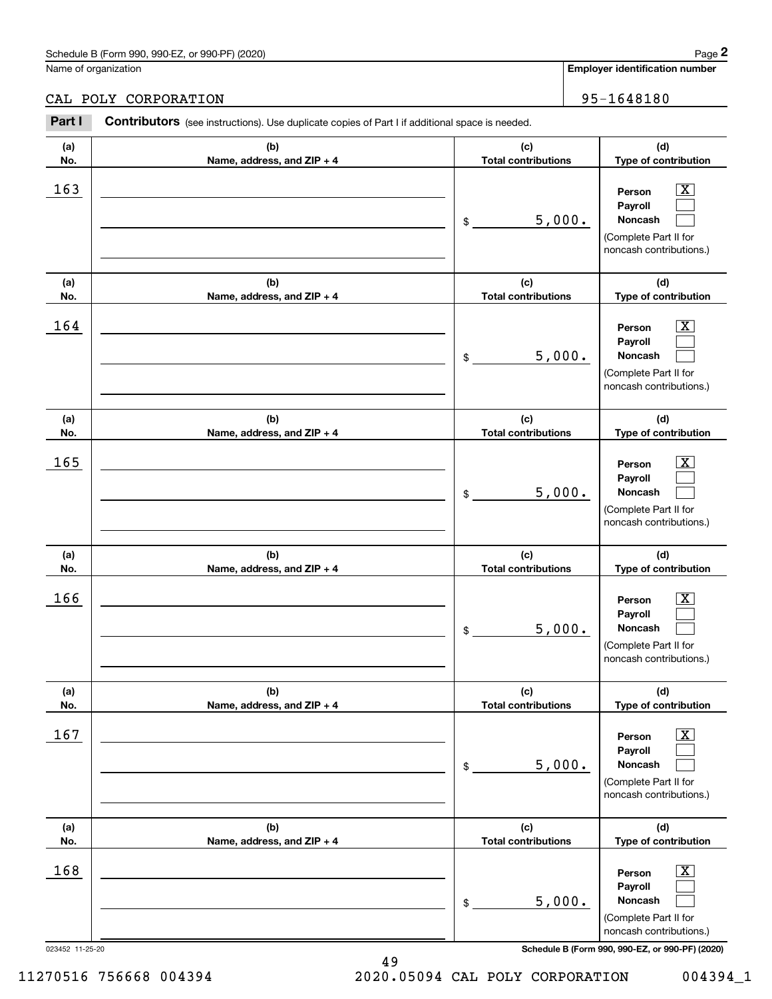Name of organization

**(a)No.(b)Name, address, and ZIP + 4 (c)Total contributions (d)Type of contribution PersonPayrollNoncash (a)No.(b)Name, address, and ZIP + 4 (c)Total contributions (d)Type of contribution PersonPayrollNoncash (a)No.(b)Name, address, and ZIP + 4 (c)Total contributions (d)Type of contribution PersonPayrollNoncash No.(b) Name, address, and ZIP + 4 (c) Total contributions (d) Type of contribution PersonPayrollNoncash Contributors** (see instructions). Use duplicate copies of Part I if additional space is needed. \$(Complete Part II for noncash contributions.) \$(Complete Part II for noncash contributions.) \$(Complete Part II for noncash contributions.) \$(Complete Part II for noncash contributions.) Employer identification Page 2<br>
Iame of organization<br> **2Part I 2Part I Contributors** (see instructions). Use duplicate copies of Part I if additional space is needed.<br>
2Part I **Contributors** (see instructions). Use dup  $|X|$  $\mathcal{L}^{\text{max}}$  $\mathcal{L}^{\text{max}}$  $\boxed{\text{X}}$  $\mathcal{L}^{\text{max}}$  $\mathcal{L}^{\text{max}}$  $|X|$  $\mathcal{L}^{\text{max}}$  $\mathcal{L}^{\text{max}}$  $\boxed{\text{X}}$  $\mathcal{L}^{\text{max}}$  $\mathcal{L}^{\text{max}}$  $163$  Person  $\overline{\text{X}}$ 5,000.  $164$  Person  $\overline{\text{X}}$ 5,000.  $165$  Person  $\overline{\text{X}}$ 5,000.  $166$  Person  $\overline{\text{X}}$ 5,000. CAL POLY CORPORATION 80 (1995-1648180)

|     |                              |                            | <b>Proposed Foother Dation 19.7</b>                                                                       |
|-----|------------------------------|----------------------------|-----------------------------------------------------------------------------------------------------------|
| (a) | (b)                          | (c)                        | (d)                                                                                                       |
| No. | Name, address, and $ZIP + 4$ | <b>Total contributions</b> | Type of contribution                                                                                      |
| 167 |                              | 5,000.<br>\$               | $\overline{\text{X}}$<br>Person<br>Payroll<br>Noncash<br>(Complete Part II for<br>noncash contributions.) |
| (a) | (b)                          | (c)                        | (d)                                                                                                       |
| No. | Name, address, and $ZIP + 4$ | <b>Total contributions</b> | <b>Type of contribution</b>                                                                               |
| 168 |                              | 5,000.<br>\$               | $\overline{\text{X}}$<br>Person<br>Payroll<br>Noncash<br>(Complete Part II for<br>noncash contributions.) |

49

023452 11-25-20 **Schedule B (Form 990, 990-EZ, or 990-PF) (2020)**

**(a)**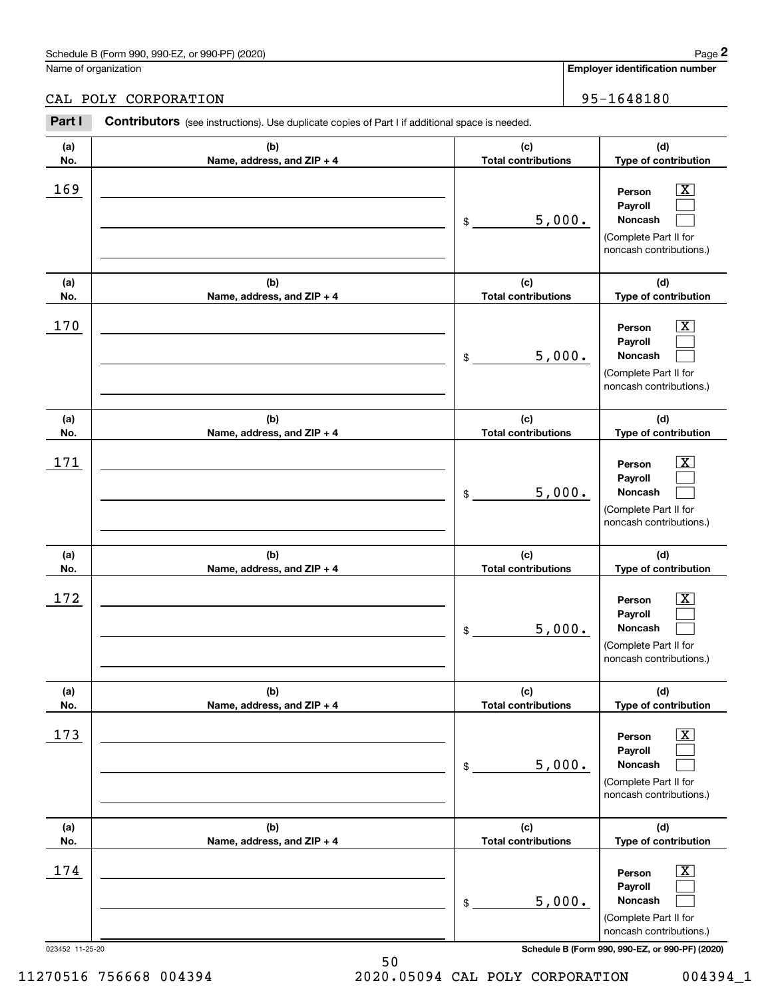|            | Schedule B (Form 990, 990-EZ, or 990-PF) (2020)                                                |                                   | Page 2                                                                                                      |
|------------|------------------------------------------------------------------------------------------------|-----------------------------------|-------------------------------------------------------------------------------------------------------------|
|            | Name of organization                                                                           |                                   | <b>Employer identification number</b>                                                                       |
|            | CAL POLY CORPORATION                                                                           |                                   | 95-1648180                                                                                                  |
| Part I     | Contributors (see instructions). Use duplicate copies of Part I if additional space is needed. |                                   |                                                                                                             |
| (a)<br>No. | (b)<br>Name, address, and ZIP + 4                                                              | (c)<br><b>Total contributions</b> | (d)<br>Type of contribution                                                                                 |
| 169        |                                                                                                | 5,000.<br>\$                      | $\overline{\mathbf{X}}$<br>Person<br>Payroll<br>Noncash<br>(Complete Part II for<br>noncash contributions.) |
| (a)<br>No. | (b)<br>Name, address, and $ZIP + 4$                                                            | (c)<br><b>Total contributions</b> | (d)<br>Type of contribution                                                                                 |
| 170        |                                                                                                | 5,000.<br>$\mathsf{\$}$           | $\overline{\text{X}}$<br>Person<br>Payroll<br>Noncash<br>(Complete Part II for<br>noncash contributions.)   |
| (a)<br>No. | (b)<br>Name, address, and ZIP + 4                                                              | (c)<br><b>Total contributions</b> | (d)<br>Type of contribution                                                                                 |
| 171        |                                                                                                | 5,000.<br>\$                      | $\overline{\text{X}}$<br>Person<br>Payroll<br>Noncash<br>(Complete Part II for                              |

|            |                                   |                                   | (Complete Part II for<br>noncash contributions.)                                                                   |
|------------|-----------------------------------|-----------------------------------|--------------------------------------------------------------------------------------------------------------------|
| (a)<br>No. | (b)<br>Name, address, and ZIP + 4 | (c)<br><b>Total contributions</b> | (d)<br>Type of contribution                                                                                        |
| 172        |                                   | 5,000.<br>\$                      | $\boxed{\text{X}}$<br>Person<br>Payroll<br><b>Noncash</b><br>(Complete Part II for<br>noncash contributions.)      |
| (a)<br>No. | (b)<br>Name, address, and ZIP + 4 | (c)<br><b>Total contributions</b> | (d)<br>Type of contribution                                                                                        |
| 173        |                                   | 5,000.<br>\$                      | $\overline{\mathbf{X}}$<br>Person<br>Payroll<br>Noncash<br>(Complete Part II for<br>noncash contributions.)        |
| (a)<br>No. | (b)<br>Name, address, and ZIP + 4 | (c)<br><b>Total contributions</b> | (d)<br>Type of contribution                                                                                        |
| 174        |                                   | 5,000.<br>\$                      | $\overline{\mathbf{X}}$<br>Person<br>Payroll<br><b>Noncash</b><br>(Complete Part II for<br>noncash contributions.) |

50

023452 11-25-20 **Schedule B (Form 990, 990-EZ, or 990-PF) (2020)**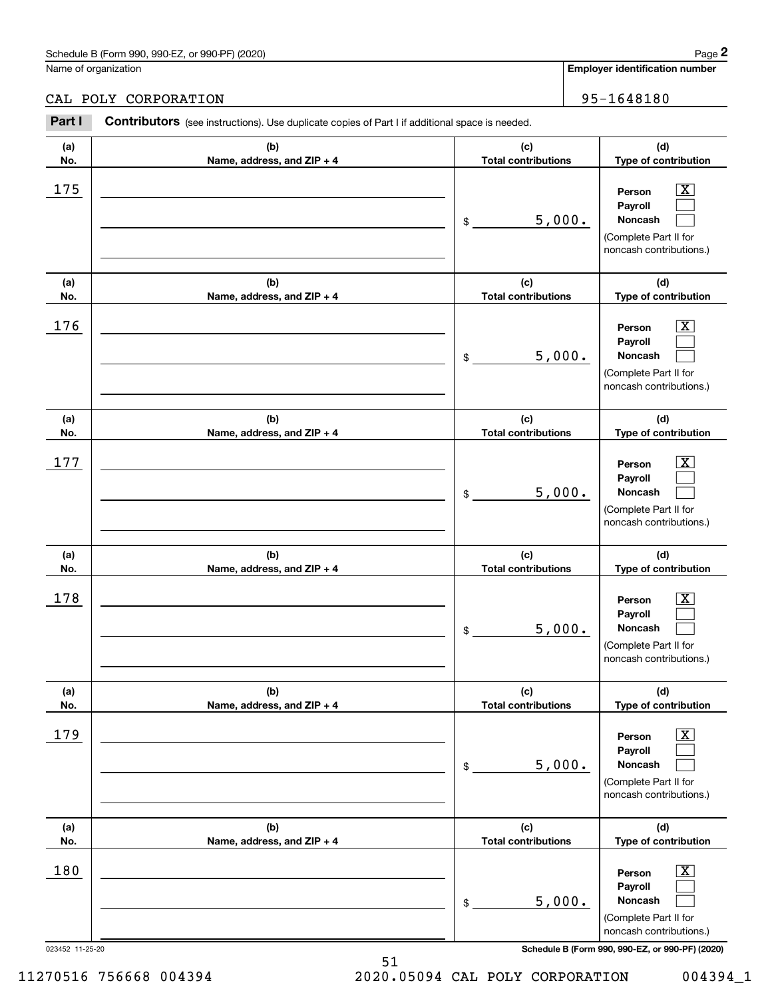### Schedule B (Form 990, 990-EZ, or 990-PF) (2020) **Page 2** Page 2 and the state of the state of the state of the state of the state of the state of the state of the state of the state of the state of the state of the state o

Name of organization

**(a)No.(b)Name, address, and ZIP + 4 (c)Total contributions (d)Type of contribution PersonPayrollNoncash (a)No.(b)Name, address, and ZIP + 4 (c)Total contributions (d)Type of contribution PersonPayrollNoncash (a)No.(b)Name, address, and ZIP + 4 (c)Total contributions (d)Type of contribution PersonPayrollNoncash (a) No.(b) Name, address, and ZIP + 4 (c) Total contributions (d) Type of contribution PersonPayrollNoncash Contributors** (see instructions). Use duplicate copies of Part I if additional space is needed. \$(Complete Part II for noncash contributions.) \$(Complete Part II for noncash contributions.) \$(Complete Part II for noncash contributions.) \$(Complete Part II for noncash contributions.) Employer identification Page 2<br>
Iame of organization<br> **2Part I 2Part I Contributors** (see instructions). Use duplicate copies of Part I if additional space is needed.<br>
2Part I **Contributors** (see instructions). Use dup  $|X|$  $\mathcal{L}^{\text{max}}$  $\mathcal{L}^{\text{max}}$  $\boxed{\text{X}}$  $\mathcal{L}^{\text{max}}$  $\mathcal{L}^{\text{max}}$  $|X|$  $\mathcal{L}^{\text{max}}$  $\mathcal{L}^{\text{max}}$  $\boxed{\text{X}}$  $\mathcal{L}^{\text{max}}$  $\mathcal{L}^{\text{max}}$  $175$  | Person  $\overline{\text{X}}$ 5,000.  $176$  | Person  $\overline{\text{X}}$ 5,000.  $177$  | Person  $\overline{\text{X}}$ 5,000. 178 X 5,000. CAL POLY CORPORATION 35-1648180

| (a) | (b)                          | (c)                        | (d)                                                                                                                |
|-----|------------------------------|----------------------------|--------------------------------------------------------------------------------------------------------------------|
| No. | Name, address, and $ZIP + 4$ | <b>Total contributions</b> | Type of contribution                                                                                               |
| 179 |                              | 5,000.<br>\$               | $\overline{\textbf{X}}$<br>Person<br>Payroll<br><b>Noncash</b><br>(Complete Part II for<br>noncash contributions.) |
| (a) | (b)                          | (c)                        | (d)                                                                                                                |
| No. | Name, address, and $ZIP + 4$ | <b>Total contributions</b> | Type of contribution                                                                                               |
| 180 |                              | 5,000.<br>\$               | $\overline{\text{X}}$<br>Person<br>Payroll<br>Noncash<br>(Complete Part II for<br>noncash contributions.)          |

51

023452 11-25-20 **Schedule B (Form 990, 990-EZ, or 990-PF) (2020)**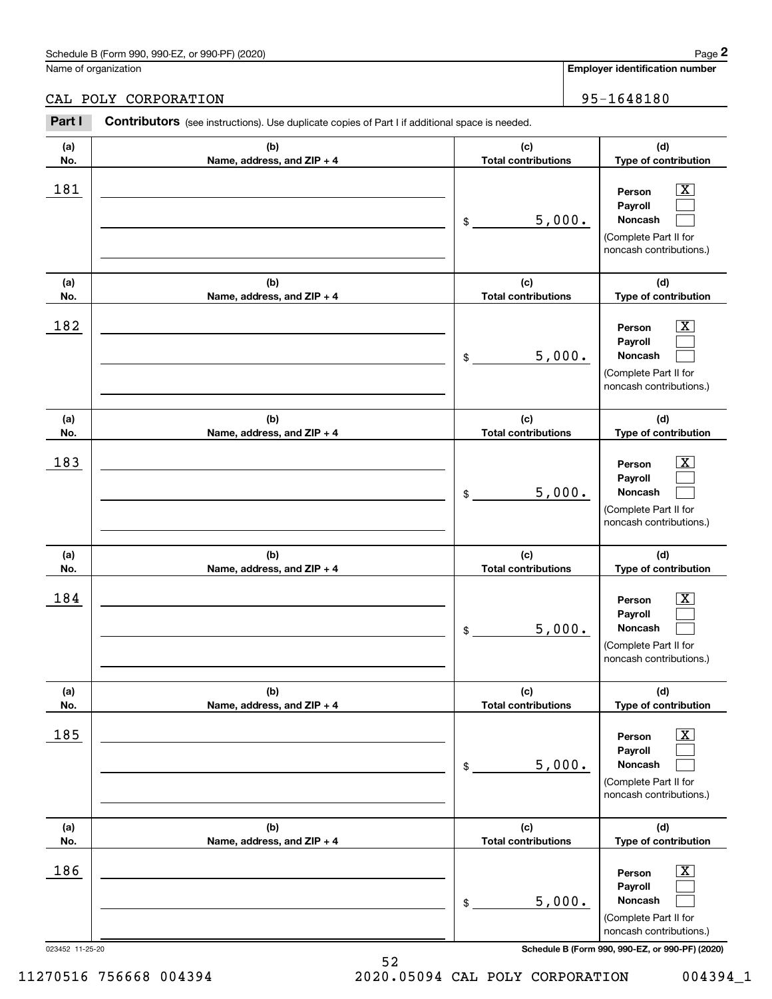|                 | Schedule B (Form 990, 990-EZ, or 990-PF) (2020)                                                |                                   |        | Page 2                                                                                                      |
|-----------------|------------------------------------------------------------------------------------------------|-----------------------------------|--------|-------------------------------------------------------------------------------------------------------------|
|                 | Name of organization                                                                           |                                   |        | Employer identification number                                                                              |
|                 | CAL POLY CORPORATION                                                                           |                                   |        | 95-1648180                                                                                                  |
| Part I          | Contributors (see instructions). Use duplicate copies of Part I if additional space is needed. |                                   |        |                                                                                                             |
| (a)<br>No.      | (b)<br>Name, address, and ZIP + 4                                                              | (c)<br><b>Total contributions</b> |        | (d)<br>Type of contribution                                                                                 |
| 181             |                                                                                                | \$                                | 5,000. | $\overline{\mathbf{X}}$<br>Person<br>Payroll<br>Noncash<br>(Complete Part II for<br>noncash contributions.) |
| (a)<br>No.      | (b)<br>Name, address, and ZIP + 4                                                              | (c)<br><b>Total contributions</b> |        | (d)<br>Type of contribution                                                                                 |
| 182             |                                                                                                | \$                                | 5,000. | $\overline{\mathbf{X}}$<br>Person<br>Payroll<br>Noncash<br>(Complete Part II for<br>noncash contributions.) |
| (a)<br>No.      | (b)<br>Name, address, and ZIP + 4                                                              | (c)<br><b>Total contributions</b> |        | (d)<br>Type of contribution                                                                                 |
| 183             |                                                                                                | \$                                | 5,000. | $\overline{\mathbf{X}}$<br>Person<br>Payroll<br>Noncash<br>(Complete Part II for<br>noncash contributions.) |
| (a)<br>No.      | (b)<br>Name, address, and ZIP + 4                                                              | (c)<br><b>Total contributions</b> |        | (d)<br>Type of contribution                                                                                 |
| 184             |                                                                                                | \$                                | 5,000. | $\overline{\mathbf{X}}$<br>Person<br>Payroll<br>Noncash<br>(Complete Part II for<br>noncash contributions.) |
| (a)<br>No.      | (b)<br>Name, address, and ZIP + 4                                                              | (c)<br><b>Total contributions</b> |        | (d)<br>Type of contribution                                                                                 |
| 185             |                                                                                                | \$                                | 5,000. | $\overline{\mathbf{X}}$<br>Person<br>Payroll<br>Noncash<br>(Complete Part II for<br>noncash contributions.) |
| (a)<br>No.      | (b)<br>Name, address, and ZIP + 4                                                              | (c)<br><b>Total contributions</b> |        | (d)<br>Type of contribution                                                                                 |
| 186             |                                                                                                | \$                                | 5,000. | $\overline{\mathbf{X}}$<br>Person<br>Payroll<br>Noncash<br>(Complete Part II for<br>noncash contributions.) |
| 023452 11-25-20 |                                                                                                |                                   |        | Schedule B (Form 990, 990-EZ, or 990-PF) (2020)                                                             |

11270516 756668 004394 2020.05094 CAL POLY CORPORATION 004394\_1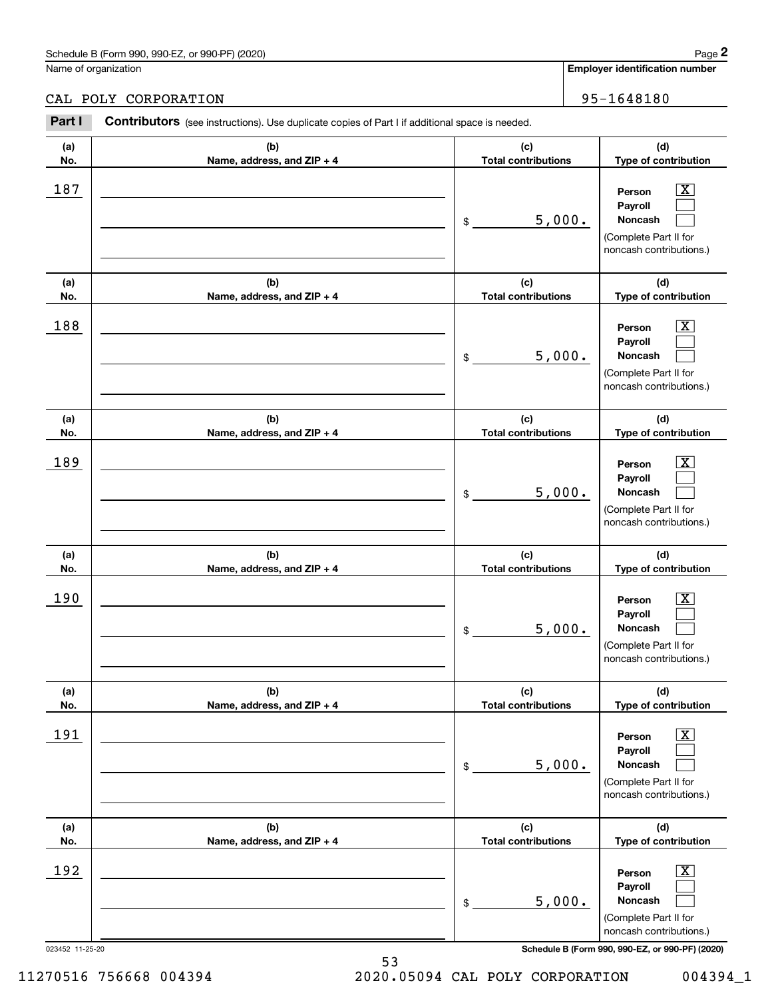|            | Schedule B (Form 990, 990-EZ, or 990-PF) (2020)                                                                        |                                   | Page 2                                                                                                           |
|------------|------------------------------------------------------------------------------------------------------------------------|-----------------------------------|------------------------------------------------------------------------------------------------------------------|
|            | Name of organization                                                                                                   |                                   | <b>Employer identification number</b>                                                                            |
| Part I     | CAL POLY CORPORATION<br>Contributors (see instructions). Use duplicate copies of Part I if additional space is needed. |                                   | 95-1648180                                                                                                       |
| (a)<br>No. | (b)<br>Name, address, and ZIP + 4                                                                                      | (c)<br><b>Total contributions</b> | (d)<br>Type of contribution                                                                                      |
| 187        |                                                                                                                        | 5,000.<br>\$                      | $\overline{\text{X}}$<br>Person<br>Payroll<br><b>Noncash</b><br>(Complete Part II for<br>noncash contributions.) |
| (a)<br>No. | (b)<br>Name, address, and ZIP + 4                                                                                      | (c)<br><b>Total contributions</b> | (d)<br>Type of contribution                                                                                      |
| 188        |                                                                                                                        | 5,000.<br>\$                      | $\overline{\text{X}}$<br>Person<br>Payroll<br><b>Noncash</b><br>(Complete Part II for<br>noncash contributions.) |
| (a)        | (b)                                                                                                                    | (c)                               | (d)                                                                                                              |
| No.        | Name, address, and ZIP + 4                                                                                             | <b>Total contributions</b>        | Type of contribution                                                                                             |
| 189        |                                                                                                                        |                                   | $\overline{\text{X}}$<br>Person                                                                                  |

| (a)<br>No.             | (b)<br>Name, address, and ZIP + 4 | (c)<br><b>Total contributions</b> | (d)<br>Type of contribution                                                                                                                                    |
|------------------------|-----------------------------------|-----------------------------------|----------------------------------------------------------------------------------------------------------------------------------------------------------------|
| 188                    |                                   | 5,000.<br>\$                      | $\overline{\text{X}}$<br>Person<br>Payroll<br>Noncash<br>(Complete Part II for<br>noncash contributions.)                                                      |
| (a)<br>No.             | (b)<br>Name, address, and ZIP + 4 | (c)<br><b>Total contributions</b> | (d)<br>Type of contribution                                                                                                                                    |
| 189                    |                                   | 5,000.<br>\$                      | x<br>Person<br>Payroll<br>Noncash<br>(Complete Part II for<br>noncash contributions.)                                                                          |
| (a)<br>No.             | (b)<br>Name, address, and ZIP + 4 | (c)<br><b>Total contributions</b> | (d)<br>Type of contribution                                                                                                                                    |
| 190                    |                                   | 5,000.<br>\$                      | Х<br>Person<br>Payroll<br>Noncash<br>(Complete Part II for<br>noncash contributions.)                                                                          |
| (a)<br>No.             | (b)<br>Name, address, and ZIP + 4 | (c)<br><b>Total contributions</b> | (d)<br>Type of contribution                                                                                                                                    |
| 191                    |                                   | 5,000.<br>\$                      | x<br>Person<br>Payroll<br><b>Noncash</b><br>(Complete Part II for<br>noncash contributions.)                                                                   |
| (a)<br>No.             | (b)<br>Name, address, and ZIP + 4 | (c)<br><b>Total contributions</b> | (d)<br>Type of contribution                                                                                                                                    |
| 192<br>023452 11-25-20 |                                   | 5,000.<br>\$                      | $\overline{\mathbf{X}}$<br>Person<br>Payroll<br>Noncash<br>(Complete Part II for<br>noncash contributions.)<br>Schedule B (Form 990, 990-EZ, or 990-PF) (2020) |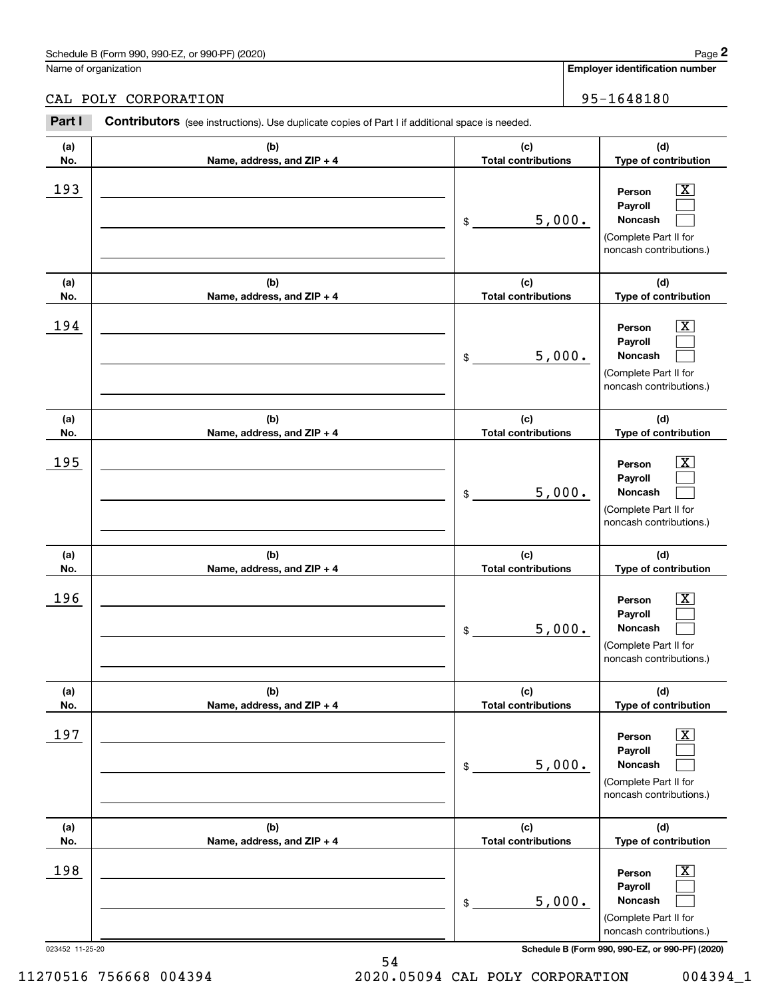## CAL POLY CORPORATION 95-1648180

|                 | Schedule B (Form 990, 990-EZ, or 990-PF) (2020)                                                |                                   | Page 2                                                                                                             |
|-----------------|------------------------------------------------------------------------------------------------|-----------------------------------|--------------------------------------------------------------------------------------------------------------------|
|                 | Name of organization                                                                           |                                   | Employer identification number                                                                                     |
|                 | CAL POLY CORPORATION                                                                           |                                   | 95-1648180                                                                                                         |
| Part I          | Contributors (see instructions). Use duplicate copies of Part I if additional space is needed. |                                   |                                                                                                                    |
| (a)<br>No.      | (b)<br>Name, address, and ZIP + 4                                                              | (c)<br><b>Total contributions</b> | (d)<br>Type of contribution                                                                                        |
| 193             |                                                                                                | \$<br>5,000.                      | $\mathbf{X}$<br>Person<br>Payroll<br>Noncash<br>(Complete Part II for<br>noncash contributions.)                   |
| (a)<br>No.      | (b)<br>Name, address, and ZIP + 4                                                              | (c)<br><b>Total contributions</b> | (d)<br>Type of contribution                                                                                        |
| 194             |                                                                                                | \$<br>5,000.                      | $\overline{\mathbf{X}}$<br>Person<br>Payroll<br>Noncash<br>(Complete Part II for<br>noncash contributions.)        |
| (a)<br>No.      | (b)<br>Name, address, and ZIP + 4                                                              | (c)<br><b>Total contributions</b> | (d)<br>Type of contribution                                                                                        |
| 195             |                                                                                                | \$<br>5,000.                      | $\overline{\mathbf{X}}$<br>Person<br>Payroll<br><b>Noncash</b><br>(Complete Part II for<br>noncash contributions.) |
| (a)<br>No.      | (b)<br>Name, address, and ZIP + 4                                                              | (c)<br><b>Total contributions</b> | (d)<br>Type of contribution                                                                                        |
| 196             |                                                                                                | \$<br>5,000.                      | $\overline{\mathbf{X}}$<br>Person<br>Payroll<br>Noncash<br>(Complete Part II for<br>noncash contributions.)        |
| (a)<br>No.      | (b)<br>Name, address, and ZIP + 4                                                              | (c)<br><b>Total contributions</b> | (d)<br>Type of contribution                                                                                        |
| 197             |                                                                                                | \$<br>5,000.                      | $\boxed{\text{X}}$<br>Person<br>Payroll<br><b>Noncash</b><br>(Complete Part II for<br>noncash contributions.)      |
| (a)<br>No.      | (b)<br>Name, address, and ZIP + 4                                                              | (c)<br><b>Total contributions</b> | (d)<br>Type of contribution                                                                                        |
| 198             |                                                                                                | \$<br>5,000.                      | $\boxed{\text{X}}$<br>Person<br>Payroll<br><b>Noncash</b><br>(Complete Part II for<br>noncash contributions.)      |
| 023452 11-25-20 |                                                                                                |                                   | Schedule B (Form 990, 990-EZ, or 990-PF) (2020)                                                                    |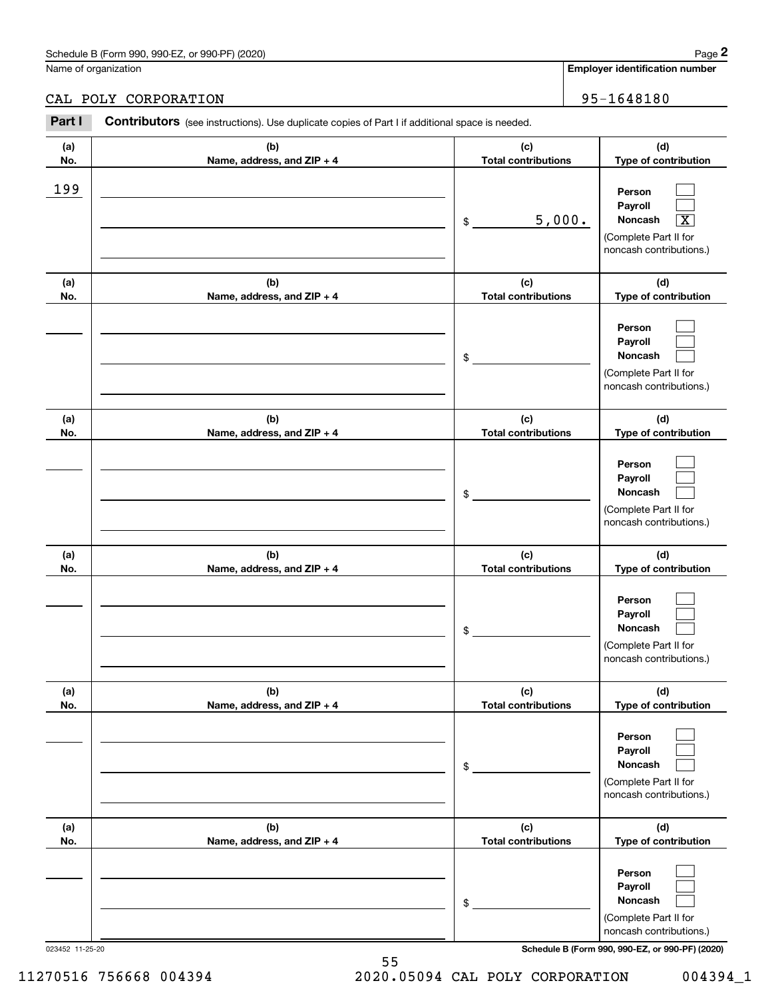|            | Schedule B (Form 990, 990-EZ, or 990-PF) (2020)                                                       |                                   |        | Page 2                                                                                                      |
|------------|-------------------------------------------------------------------------------------------------------|-----------------------------------|--------|-------------------------------------------------------------------------------------------------------------|
|            | Name of organization                                                                                  |                                   |        | <b>Employer identification number</b>                                                                       |
|            | CAL POLY CORPORATION                                                                                  |                                   |        | 95-1648180                                                                                                  |
| Part I     | <b>Contributors</b> (see instructions). Use duplicate copies of Part I if additional space is needed. |                                   |        |                                                                                                             |
| (a)<br>No. | (b)<br>Name, address, and ZIP + 4                                                                     | (c)<br><b>Total contributions</b> |        | (d)<br>Type of contribution                                                                                 |
| 199        |                                                                                                       | \$                                | 5,000. | Person<br>Payroll<br>Noncash<br>$\overline{\texttt{X}}$<br>(Complete Part II for<br>noncash contributions.) |
| (a)<br>No. | (b)<br>Name, address, and ZIP + 4                                                                     | (c)<br><b>Total contributions</b> |        | (d)<br>Type of contribution                                                                                 |
|            |                                                                                                       | \$                                |        | Person<br>Payroll<br>Noncash<br>(Complete Part II for<br>noncash contributions.)                            |
| (a)<br>No. | (b)<br>Name, address, and ZIP + 4                                                                     | (c)<br><b>Total contributions</b> |        | (d)<br>Type of contribution                                                                                 |
|            |                                                                                                       | \$                                |        | Person<br>Payroll<br>Noncash<br>(Complete Part II for<br>noncash contributions.)                            |
| (a)<br>No. | (b)<br>Name, address, and ZIP + 4                                                                     | (c)<br><b>Total contributions</b> |        | (d)<br>Type of contribution                                                                                 |
|            |                                                                                                       | \$                                |        | Person<br>Payroll<br>Noncash<br>(Complete Part II for<br>noncash contributions.)                            |
| (a)<br>No. | (b)<br>Name, address, and ZIP + 4                                                                     | (c)<br><b>Total contributions</b> |        | (d)<br>Type of contribution                                                                                 |
|            |                                                                                                       | \$                                |        | Person<br>Payroll<br>Noncash<br>(Complete Part II for<br>noncash contributions.)                            |
| (a)<br>No. | (b)<br>Name, address, and ZIP + 4                                                                     | (c)<br><b>Total contributions</b> |        | (d)<br>Type of contribution                                                                                 |
|            |                                                                                                       | \$                                |        | Person<br>Payroll<br>Noncash<br>(Complete Part II for<br>noncash contributions.)                            |

023452 11-25-20 **Schedule B (Form 990, 990-EZ, or 990-PF) (2020)**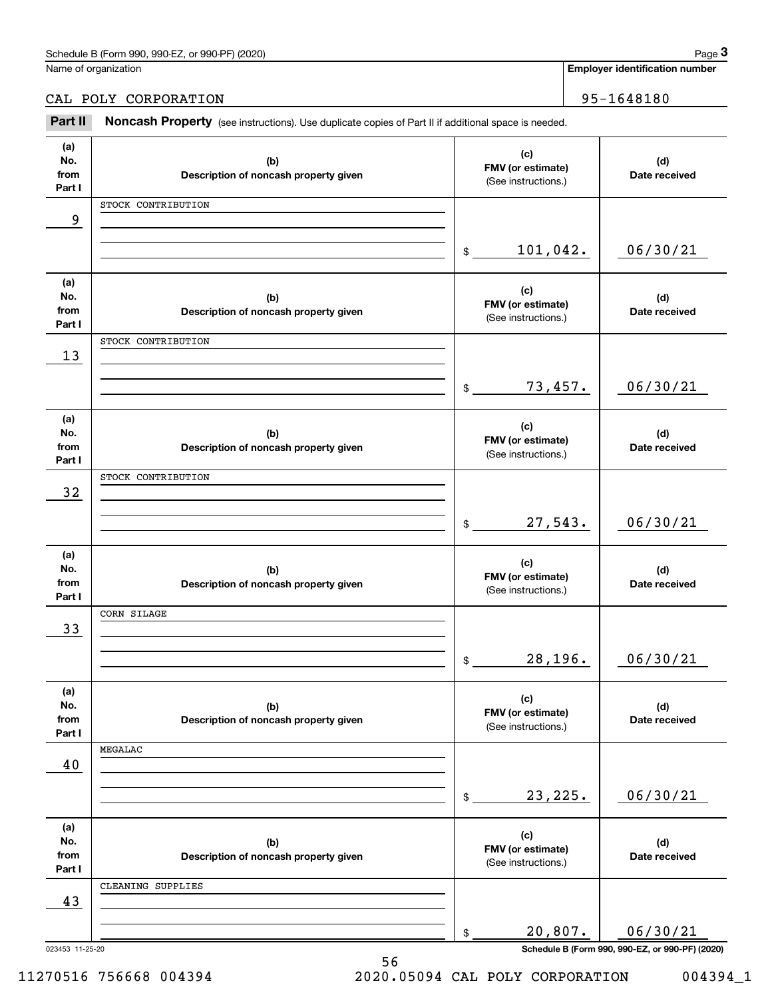| Schedule<br>or 990-PF<br>(2020)<br>990-EZ<br>: B (Form<br>990. | Page |
|----------------------------------------------------------------|------|
|                                                                |      |

Name of organization

**Employer identification number**

CAL POLY CORPORATION 95-1648180

Chedule B (Form 990, 990-EZ, or 990-PF) (2020)<br> **2Part B (Solumn Content Property (See instructions).** Use duplicate copies of Part II if additional space is needed.<br> **2Part II Noncash Property** (see instructions). Use dup

| (a)             |                                              | (c)                                      |                                                             |
|-----------------|----------------------------------------------|------------------------------------------|-------------------------------------------------------------|
| No.             | (b)                                          | FMV (or estimate)                        | (d)                                                         |
| from            | Description of noncash property given        | (See instructions.)                      | Date received                                               |
| Part I          |                                              |                                          |                                                             |
|                 | STOCK CONTRIBUTION                           |                                          |                                                             |
| 9               |                                              |                                          |                                                             |
|                 |                                              |                                          |                                                             |
|                 |                                              | 101,042.<br>$$\mathbb{S}$$               | 06/30/21                                                    |
|                 |                                              |                                          |                                                             |
| (a)             |                                              |                                          |                                                             |
| No.             | (b)                                          | (c)                                      | (d)                                                         |
| from            | Description of noncash property given        | FMV (or estimate)<br>(See instructions.) | Date received                                               |
| Part I          |                                              |                                          |                                                             |
|                 | STOCK CONTRIBUTION                           |                                          |                                                             |
| 13              |                                              |                                          |                                                             |
|                 |                                              |                                          |                                                             |
|                 |                                              | 73,457.<br>$\mathbb{S}$                  | 06/30/21                                                    |
|                 |                                              |                                          |                                                             |
| (a)             |                                              |                                          |                                                             |
| No.             | (b)                                          | (c)                                      | (d)                                                         |
| from            | Description of noncash property given        | FMV (or estimate)                        | Date received                                               |
| Part I          |                                              | (See instructions.)                      |                                                             |
|                 | STOCK CONTRIBUTION                           |                                          |                                                             |
| 32              |                                              |                                          |                                                             |
|                 |                                              |                                          |                                                             |
|                 |                                              | 27,543.<br>$\mathbb{S}$                  | 06/30/21                                                    |
|                 |                                              |                                          |                                                             |
| (a)             |                                              |                                          |                                                             |
| No.             | (b)                                          | (c)                                      | (d)                                                         |
| from            | Description of noncash property given        | FMV (or estimate)                        | Date received                                               |
| Part I          |                                              | (See instructions.)                      |                                                             |
|                 | CORN SILAGE                                  |                                          |                                                             |
| 33              |                                              |                                          |                                                             |
|                 |                                              |                                          |                                                             |
|                 |                                              | 28,196.<br>\$                            | 06/30/21                                                    |
|                 |                                              |                                          |                                                             |
| (a)             |                                              |                                          |                                                             |
| No.             | (b)                                          | (c)                                      | (d)                                                         |
| from            | Description of noncash property given        | FMV (or estimate)                        | Date received                                               |
| Part I          |                                              | (See instructions.)                      |                                                             |
|                 | MEGALAC                                      |                                          |                                                             |
| 40              |                                              |                                          |                                                             |
|                 |                                              |                                          |                                                             |
|                 |                                              | 23, 225.<br>\$                           | 06/30/21                                                    |
|                 |                                              |                                          |                                                             |
|                 |                                              |                                          |                                                             |
| (a)<br>No.      |                                              | (c)                                      |                                                             |
| from            | (b)<br>Description of noncash property given | FMV (or estimate)                        | (d)<br>Date received                                        |
| Part I          |                                              | (See instructions.)                      |                                                             |
|                 | CLEANING SUPPLIES                            |                                          |                                                             |
|                 |                                              |                                          |                                                             |
|                 |                                              |                                          |                                                             |
| 43              |                                              |                                          |                                                             |
|                 |                                              |                                          |                                                             |
| 023453 11-25-20 |                                              | 20,807.<br>\$                            | 06/30/21<br>Schedule B (Form 990, 990-EZ, or 990-PF) (2020) |

11270516 756668 004394 2020.05094 CAL POLY CORPORATION 004394\_1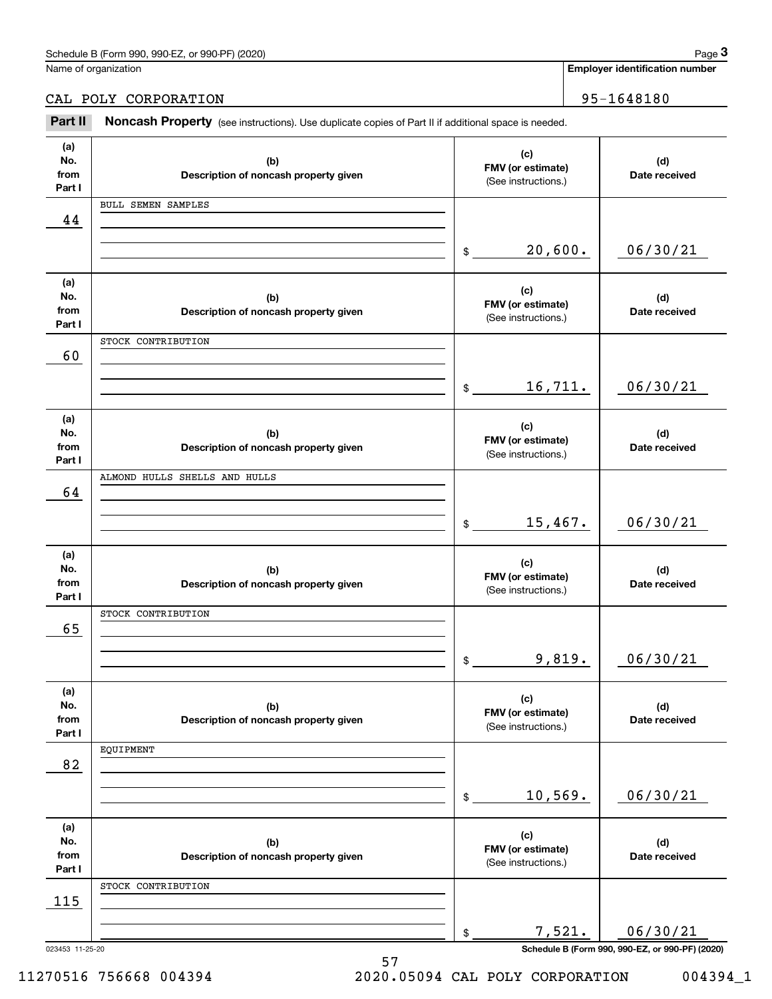| (2020)<br>Schedule<br>or 990-PF<br>990-F<br>n 990.<br>' borm) ہ | 12000<br>aue |
|-----------------------------------------------------------------|--------------|
|                                                                 |              |

Name of organization

#### **Employer identification number**

CAL POLY CORPORATION 95-1648180

Chedule B (Form 990, 990-EZ, or 990-PF) (2020)<br> **2Part B (Solumn Content Property (See instructions).** Use duplicate copies of Part II if additional space is needed.<br> **2Part II Noncash Property** (see instructions). Use dup

| (a)    |                                       | (c)                      |                      |
|--------|---------------------------------------|--------------------------|----------------------|
| No.    | (b)                                   | FMV (or estimate)        | (d)                  |
| from   | Description of noncash property given | (See instructions.)      | Date received        |
| Part I |                                       |                          |                      |
|        | <b>BULL SEMEN SAMPLES</b>             |                          |                      |
| 44     |                                       |                          |                      |
|        |                                       |                          |                      |
|        |                                       | 20,600.                  | 06/30/21             |
|        |                                       | \$                       |                      |
|        |                                       |                          |                      |
| (a)    |                                       | (c)                      |                      |
| No.    | (b)                                   | FMV (or estimate)        | (d)                  |
| from   | Description of noncash property given | (See instructions.)      | Date received        |
| Part I |                                       |                          |                      |
|        | STOCK CONTRIBUTION                    |                          |                      |
| 60     |                                       |                          |                      |
|        |                                       |                          |                      |
|        |                                       | 16,711.<br>\$            | 06/30/21             |
|        |                                       |                          |                      |
|        |                                       |                          |                      |
| (a)    |                                       | (c)                      |                      |
| No.    | (b)                                   | FMV (or estimate)        | (d)                  |
| from   | Description of noncash property given | (See instructions.)      | Date received        |
| Part I |                                       |                          |                      |
|        | ALMOND HULLS SHELLS AND HULLS         |                          |                      |
| 64     |                                       |                          |                      |
|        |                                       |                          |                      |
|        |                                       | 15,467.<br>$\frac{1}{2}$ | 06/30/21             |
|        |                                       |                          |                      |
| (a)    |                                       |                          |                      |
| No.    | (b)                                   | (c)                      | (d)                  |
| from   | Description of noncash property given | FMV (or estimate)        | Date received        |
| Part I |                                       | (See instructions.)      |                      |
|        | STOCK CONTRIBUTION                    |                          |                      |
|        |                                       |                          |                      |
| 65     |                                       |                          |                      |
|        |                                       |                          |                      |
|        |                                       | 9,819.<br>\$             | 06/30/21             |
|        |                                       |                          |                      |
| (a)    |                                       |                          |                      |
|        |                                       |                          |                      |
| No.    |                                       | (c)                      |                      |
| from   | (b)                                   | FMV (or estimate)        | (d)<br>Date received |
| Part I | Description of noncash property given | (See instructions.)      |                      |
|        | EQUIPMENT                             |                          |                      |
|        |                                       |                          |                      |
| 82     |                                       |                          |                      |
|        |                                       |                          |                      |
|        |                                       | 10,569.<br>\$            | 06/30/21             |
|        |                                       |                          |                      |
| (a)    |                                       | (c)                      |                      |
| No.    | (b)                                   | FMV (or estimate)        | (d)                  |
| from   | Description of noncash property given | (See instructions.)      | Date received        |
| Part I |                                       |                          |                      |
|        | STOCK CONTRIBUTION                    |                          |                      |
| 115    |                                       |                          |                      |
|        |                                       |                          |                      |
|        |                                       | 7,521.<br>\$             | 06/30/21             |

11270516 756668 004394 2020.05094 CAL POLY CORPORATION 004394\_1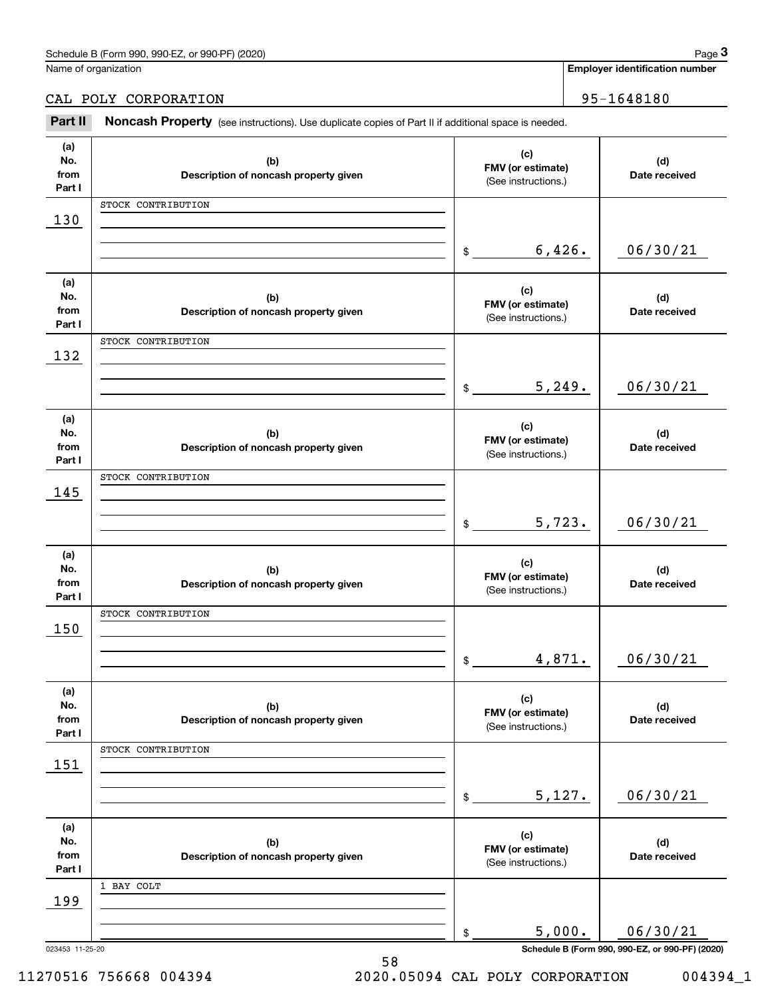| (2020)<br>Schedule<br>or 990-PF<br>990-F<br>n 990.<br>' borm) ہ | 12000<br>aue |
|-----------------------------------------------------------------|--------------|
|                                                                 |              |

Name of organization

#### **Employer identification number**

CAL POLY CORPORATION 95-1648180

Chedule B (Form 990, 990-EZ, or 990-PF) (2020)<br> **2Part B (Solumn Content Property (See instructions).** Use duplicate copies of Part II if additional space is needed.<br> **2Part II Noncash Property** (see instructions). Use dup

| (a)<br>(c)<br>No.<br>(b)<br>FMV (or estimate)<br>from<br>Description of noncash property given |               |
|------------------------------------------------------------------------------------------------|---------------|
|                                                                                                |               |
|                                                                                                | (d)           |
| (See instructions.)<br>Part I                                                                  | Date received |
| STOCK CONTRIBUTION                                                                             |               |
| 130                                                                                            |               |
|                                                                                                |               |
| 6,426.                                                                                         | 06/30/21      |
| $\frac{1}{2}$                                                                                  |               |
|                                                                                                |               |
| (a)<br>(c)<br>No.<br>(b)                                                                       | (d)           |
| FMV (or estimate)<br>from<br>Description of noncash property given                             | Date received |
| (See instructions.)<br>Part I                                                                  |               |
| STOCK CONTRIBUTION                                                                             |               |
| 132                                                                                            |               |
|                                                                                                |               |
| 5,249.<br>$\sim$                                                                               | 06/30/21      |
|                                                                                                |               |
| (a)                                                                                            |               |
| (c)<br>No.<br>(b)<br>FMV (or estimate)                                                         | (d)           |
| from<br>Description of noncash property given<br>(See instructions.)                           | Date received |
| Part I                                                                                         |               |
| STOCK CONTRIBUTION                                                                             |               |
| 145                                                                                            |               |
|                                                                                                |               |
| 5,723.<br>$\frac{1}{2}$                                                                        | 06/30/21      |
|                                                                                                |               |
| (a)<br>(c)                                                                                     |               |
| No.<br>(b)<br>FMV (or estimate)                                                                | (d)           |
| from<br>Description of noncash property given<br>(See instructions.)<br>Part I                 | Date received |
| STOCK CONTRIBUTION                                                                             |               |
| 150                                                                                            |               |
|                                                                                                |               |
| 4,871.<br>$\frac{1}{2}$                                                                        | 06/30/21      |
|                                                                                                |               |
| (a)                                                                                            |               |
| (c)<br>No.<br>(b)                                                                              | (d)           |
| FMV (or estimate)<br>from<br>Description of noncash property given<br>(See instructions.)      | Date received |
| Part I                                                                                         |               |
| STOCK CONTRIBUTION                                                                             |               |
| 151                                                                                            |               |
|                                                                                                |               |
| 5,127.<br>\$                                                                                   | 06/30/21      |
|                                                                                                |               |
| (a)<br>(c)                                                                                     |               |
| No.<br>(b)<br>FMV (or estimate)                                                                | (d)           |
| from<br>Description of noncash property given<br>(See instructions.)<br>Part I                 | Date received |
| 1 BAY COLT                                                                                     |               |
| 199                                                                                            |               |
|                                                                                                |               |
| 5,000.                                                                                         | 06/30/21      |
| \$                                                                                             |               |

11270516 756668 004394 2020.05094 CAL POLY CORPORATION 004394\_1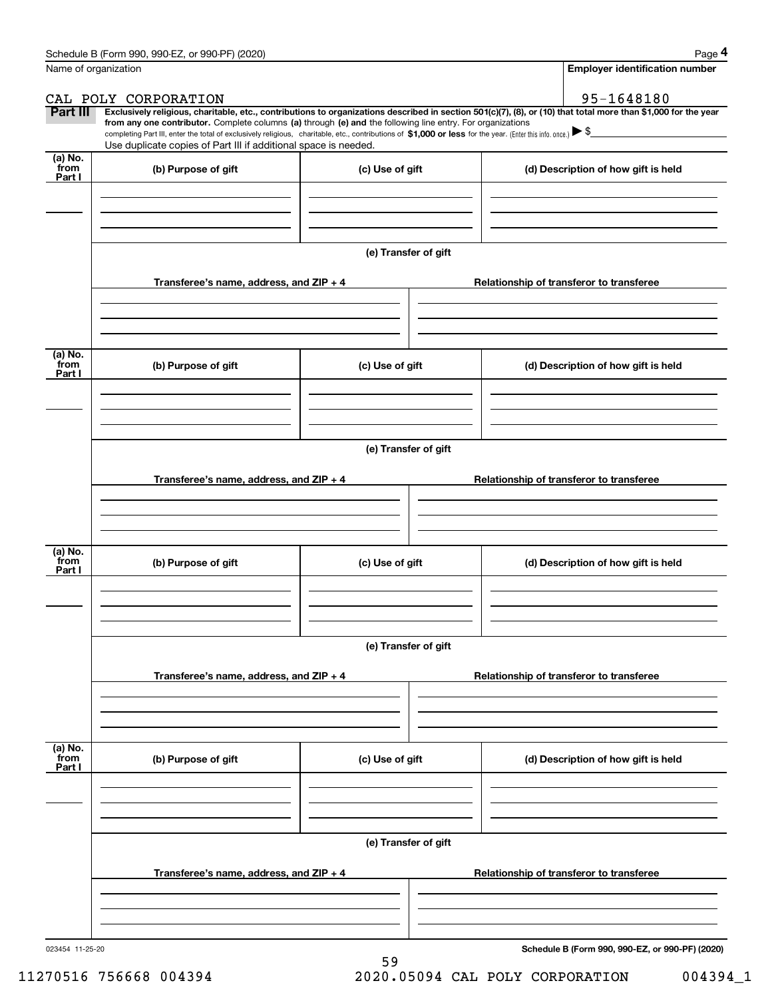|                           | Schedule B (Form 990, 990-EZ, or 990-PF) (2020)                                                                                                                                                                                                      |                      | Page 4                                                                                                                                                         |
|---------------------------|------------------------------------------------------------------------------------------------------------------------------------------------------------------------------------------------------------------------------------------------------|----------------------|----------------------------------------------------------------------------------------------------------------------------------------------------------------|
|                           | Name of organization                                                                                                                                                                                                                                 |                      | <b>Employer identification number</b>                                                                                                                          |
|                           | CAL POLY CORPORATION                                                                                                                                                                                                                                 |                      | 95-1648180                                                                                                                                                     |
| Part III                  | from any one contributor. Complete columns (a) through (e) and the following line entry. For organizations                                                                                                                                           |                      | Exclusively religious, charitable, etc., contributions to organizations described in section 501(c)(7), (8), or (10) that total more than \$1,000 for the year |
|                           | completing Part III, enter the total of exclusively religious, charitable, etc., contributions of \$1,000 or less for the year. (Enter this info. once.) $\blacktriangleright$ \$<br>Use duplicate copies of Part III if additional space is needed. |                      |                                                                                                                                                                |
| (a) No.<br>from<br>Part I | (b) Purpose of gift                                                                                                                                                                                                                                  | (c) Use of gift      | (d) Description of how gift is held                                                                                                                            |
|                           |                                                                                                                                                                                                                                                      |                      |                                                                                                                                                                |
|                           |                                                                                                                                                                                                                                                      |                      |                                                                                                                                                                |
|                           |                                                                                                                                                                                                                                                      | (e) Transfer of gift |                                                                                                                                                                |
|                           | Transferee's name, address, and ZIP + 4                                                                                                                                                                                                              |                      | Relationship of transferor to transferee                                                                                                                       |
|                           |                                                                                                                                                                                                                                                      |                      |                                                                                                                                                                |
|                           |                                                                                                                                                                                                                                                      |                      |                                                                                                                                                                |
| (a) No.<br>from<br>Part I | (b) Purpose of gift                                                                                                                                                                                                                                  | (c) Use of gift      | (d) Description of how gift is held                                                                                                                            |
|                           |                                                                                                                                                                                                                                                      |                      |                                                                                                                                                                |
|                           |                                                                                                                                                                                                                                                      |                      |                                                                                                                                                                |
|                           |                                                                                                                                                                                                                                                      | (e) Transfer of gift |                                                                                                                                                                |
|                           | Transferee's name, address, and ZIP + 4                                                                                                                                                                                                              |                      | Relationship of transferor to transferee                                                                                                                       |
|                           |                                                                                                                                                                                                                                                      |                      |                                                                                                                                                                |
|                           |                                                                                                                                                                                                                                                      |                      |                                                                                                                                                                |
| (a) No.<br>from<br>Part I | (b) Purpose of gift                                                                                                                                                                                                                                  | (c) Use of gift      | (d) Description of how gift is held                                                                                                                            |
|                           |                                                                                                                                                                                                                                                      |                      |                                                                                                                                                                |
|                           |                                                                                                                                                                                                                                                      |                      |                                                                                                                                                                |
|                           |                                                                                                                                                                                                                                                      | (e) Transfer of gift |                                                                                                                                                                |
|                           | Transferee's name, address, and ZIP + 4                                                                                                                                                                                                              |                      | Relationship of transferor to transferee                                                                                                                       |
|                           |                                                                                                                                                                                                                                                      |                      |                                                                                                                                                                |
|                           |                                                                                                                                                                                                                                                      |                      |                                                                                                                                                                |
| (a) No.<br>from<br>Part I | (b) Purpose of gift                                                                                                                                                                                                                                  | (c) Use of gift      | (d) Description of how gift is held                                                                                                                            |
|                           |                                                                                                                                                                                                                                                      |                      |                                                                                                                                                                |
|                           |                                                                                                                                                                                                                                                      |                      |                                                                                                                                                                |
|                           |                                                                                                                                                                                                                                                      | (e) Transfer of gift |                                                                                                                                                                |
|                           | Transferee's name, address, and ZIP + 4                                                                                                                                                                                                              |                      | Relationship of transferor to transferee                                                                                                                       |
|                           |                                                                                                                                                                                                                                                      |                      |                                                                                                                                                                |
|                           |                                                                                                                                                                                                                                                      |                      |                                                                                                                                                                |

023454 11-25-20

**Schedule B (Form 990, 990-EZ, or 990-PF) (2020)**

11270516 756668 004394 2020.05094 CAL POLY CORPORATION 004394\_1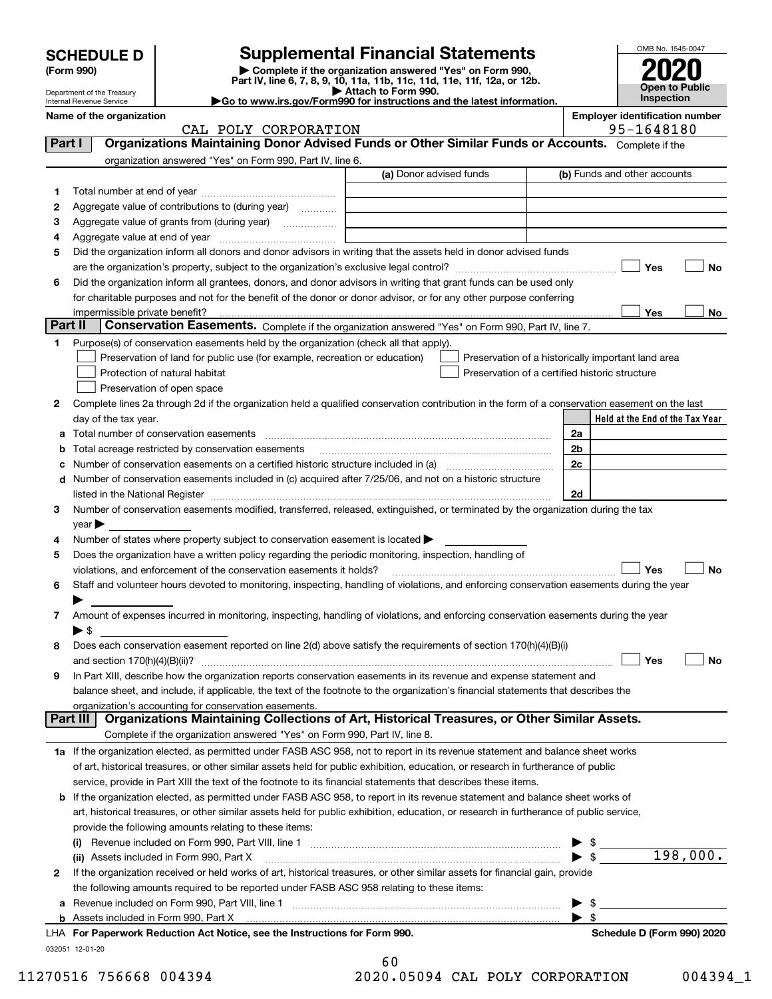|        | <b>SCHEDULE D</b>          | <b>Supplemental Financial Statements</b>                                                                                                                                                                                      |                         |                                                    |                          |                                                     | OMB No. 1545-0047 |           |
|--------|----------------------------|-------------------------------------------------------------------------------------------------------------------------------------------------------------------------------------------------------------------------------|-------------------------|----------------------------------------------------|--------------------------|-----------------------------------------------------|-------------------|-----------|
|        | (Form 990)                 | Complete if the organization answered "Yes" on Form 990,                                                                                                                                                                      |                         |                                                    |                          |                                                     |                   |           |
|        | Department of the Treasury | Part IV, line 6, 7, 8, 9, 10, 11a, 11b, 11c, 11d, 11e, 11f, 12a, or 12b.                                                                                                                                                      | Attach to Form 990.     |                                                    |                          |                                                     | Open to Public    |           |
|        | Internal Revenue Service   | Go to www.irs.gov/Form990 for instructions and the latest information.                                                                                                                                                        |                         |                                                    |                          |                                                     | Inspection        |           |
|        | Name of the organization   | CAL POLY CORPORATION                                                                                                                                                                                                          |                         |                                                    |                          | <b>Employer identification number</b><br>95-1648180 |                   |           |
| Part I |                            | Organizations Maintaining Donor Advised Funds or Other Similar Funds or Accounts. Complete if the                                                                                                                             |                         |                                                    |                          |                                                     |                   |           |
|        |                            | organization answered "Yes" on Form 990, Part IV, line 6.                                                                                                                                                                     |                         |                                                    |                          |                                                     |                   |           |
|        |                            |                                                                                                                                                                                                                               | (a) Donor advised funds |                                                    |                          | (b) Funds and other accounts                        |                   |           |
| 1      |                            |                                                                                                                                                                                                                               |                         |                                                    |                          |                                                     |                   |           |
| 2      |                            | Aggregate value of contributions to (during year)                                                                                                                                                                             |                         |                                                    |                          |                                                     |                   |           |
| з      |                            |                                                                                                                                                                                                                               |                         |                                                    |                          |                                                     |                   |           |
| 4      |                            |                                                                                                                                                                                                                               |                         |                                                    |                          |                                                     |                   |           |
| 5      |                            | Did the organization inform all donors and donor advisors in writing that the assets held in donor advised funds                                                                                                              |                         |                                                    |                          |                                                     |                   |           |
|        |                            |                                                                                                                                                                                                                               |                         |                                                    |                          | Yes                                                 |                   | <b>No</b> |
| 6      |                            | Did the organization inform all grantees, donors, and donor advisors in writing that grant funds can be used only                                                                                                             |                         |                                                    |                          |                                                     |                   |           |
|        |                            | for charitable purposes and not for the benefit of the donor or donor advisor, or for any other purpose conferring                                                                                                            |                         |                                                    |                          | Yes                                                 |                   |           |
|        | Part II                    | Conservation Easements. Complete if the organization answered "Yes" on Form 990, Part IV, line 7.                                                                                                                             |                         |                                                    |                          |                                                     |                   | No        |
| 1      |                            | Purpose(s) of conservation easements held by the organization (check all that apply).                                                                                                                                         |                         |                                                    |                          |                                                     |                   |           |
|        |                            | Preservation of land for public use (for example, recreation or education)                                                                                                                                                    |                         | Preservation of a historically important land area |                          |                                                     |                   |           |
|        |                            | Protection of natural habitat                                                                                                                                                                                                 |                         | Preservation of a certified historic structure     |                          |                                                     |                   |           |
|        |                            | Preservation of open space                                                                                                                                                                                                    |                         |                                                    |                          |                                                     |                   |           |
| 2      |                            | Complete lines 2a through 2d if the organization held a qualified conservation contribution in the form of a conservation easement on the last                                                                                |                         |                                                    |                          |                                                     |                   |           |
|        | day of the tax year.       |                                                                                                                                                                                                                               |                         |                                                    |                          | Held at the End of the Tax Year                     |                   |           |
| a      |                            |                                                                                                                                                                                                                               |                         |                                                    | 2a                       |                                                     |                   |           |
|        |                            | Total acreage restricted by conservation easements                                                                                                                                                                            |                         |                                                    | 2b                       |                                                     |                   |           |
|        |                            | Number of conservation easements on a certified historic structure included in (a) manufacture included in (a)                                                                                                                |                         |                                                    | 2c                       |                                                     |                   |           |
|        |                            | d Number of conservation easements included in (c) acquired after 7/25/06, and not on a historic structure                                                                                                                    |                         |                                                    |                          |                                                     |                   |           |
|        |                            |                                                                                                                                                                                                                               |                         |                                                    | 2d                       |                                                     |                   |           |
| 3      |                            | Number of conservation easements modified, transferred, released, extinguished, or terminated by the organization during the tax                                                                                              |                         |                                                    |                          |                                                     |                   |           |
|        | $year \blacktriangleright$ |                                                                                                                                                                                                                               |                         |                                                    |                          |                                                     |                   |           |
| 4<br>5 |                            | Number of states where property subject to conservation easement is located $\blacktriangleright$<br>Does the organization have a written policy regarding the periodic monitoring, inspection, handling of                   |                         |                                                    |                          |                                                     |                   |           |
|        |                            | violations, and enforcement of the conservation easements it holds?                                                                                                                                                           |                         |                                                    |                          | Yes                                                 |                   | <b>No</b> |
| 6      |                            | Staff and volunteer hours devoted to monitoring, inspecting, handling of violations, and enforcing conservation easements during the year                                                                                     |                         |                                                    |                          |                                                     |                   |           |
|        |                            |                                                                                                                                                                                                                               |                         |                                                    |                          |                                                     |                   |           |
| 7      |                            | Amount of expenses incurred in monitoring, inspecting, handling of violations, and enforcing conservation easements during the year                                                                                           |                         |                                                    |                          |                                                     |                   |           |
|        | $\blacktriangleright$ s    |                                                                                                                                                                                                                               |                         |                                                    |                          |                                                     |                   |           |
| 8      |                            | Does each conservation easement reported on line 2(d) above satisfy the requirements of section 170(h)(4)(B)(i)                                                                                                               |                         |                                                    |                          |                                                     |                   |           |
|        |                            |                                                                                                                                                                                                                               |                         |                                                    |                          | Yes                                                 |                   | No        |
| 9      |                            | In Part XIII, describe how the organization reports conservation easements in its revenue and expense statement and                                                                                                           |                         |                                                    |                          |                                                     |                   |           |
|        |                            | balance sheet, and include, if applicable, the text of the footnote to the organization's financial statements that describes the                                                                                             |                         |                                                    |                          |                                                     |                   |           |
|        | Part III                   | organization's accounting for conservation easements.<br>Organizations Maintaining Collections of Art, Historical Treasures, or Other Similar Assets.                                                                         |                         |                                                    |                          |                                                     |                   |           |
|        |                            |                                                                                                                                                                                                                               |                         |                                                    |                          |                                                     |                   |           |
|        |                            | Complete if the organization answered "Yes" on Form 990, Part IV, line 8.<br>1a If the organization elected, as permitted under FASB ASC 958, not to report in its revenue statement and balance sheet works                  |                         |                                                    |                          |                                                     |                   |           |
|        |                            | of art, historical treasures, or other similar assets held for public exhibition, education, or research in furtherance of public                                                                                             |                         |                                                    |                          |                                                     |                   |           |
|        |                            | service, provide in Part XIII the text of the footnote to its financial statements that describes these items.                                                                                                                |                         |                                                    |                          |                                                     |                   |           |
|        |                            | <b>b</b> If the organization elected, as permitted under FASB ASC 958, to report in its revenue statement and balance sheet works of                                                                                          |                         |                                                    |                          |                                                     |                   |           |
|        |                            | art, historical treasures, or other similar assets held for public exhibition, education, or research in furtherance of public service,                                                                                       |                         |                                                    |                          |                                                     |                   |           |
|        |                            | provide the following amounts relating to these items:                                                                                                                                                                        |                         |                                                    |                          |                                                     |                   |           |
|        |                            |                                                                                                                                                                                                                               |                         |                                                    | \$                       |                                                     |                   |           |
|        |                            | (ii) Assets included in Form 990, Part X                                                                                                                                                                                      |                         |                                                    | $\blacktriangleright$ \$ |                                                     | 198,000.          |           |
| 2      |                            | If the organization received or held works of art, historical treasures, or other similar assets for financial gain, provide                                                                                                  |                         |                                                    |                          |                                                     |                   |           |
|        |                            | the following amounts required to be reported under FASB ASC 958 relating to these items:                                                                                                                                     |                         |                                                    |                          |                                                     |                   |           |
| а      |                            |                                                                                                                                                                                                                               |                         |                                                    | -\$                      |                                                     |                   |           |
|        |                            | b Assets included in Form 990, Part X [11] Marten and March 2014 (1997) Assets included in Form 990, Part X [11] Marten and March 2014 (1997) Assets included in Form 990, Part X [11] Marten and March 2014 (1997) Assets in |                         |                                                    | $\blacktriangleright$ \$ |                                                     |                   |           |

| LHA For Paperwork Reduction Act Notice, see the Instructions for Form 990. | Schedule D (Form 990) 2020 |
|----------------------------------------------------------------------------|----------------------------|
| 032051 12-01-20                                                            |                            |

| -60                 |  |  |
|---------------------|--|--|
| 20.05094 CAL POLY C |  |  |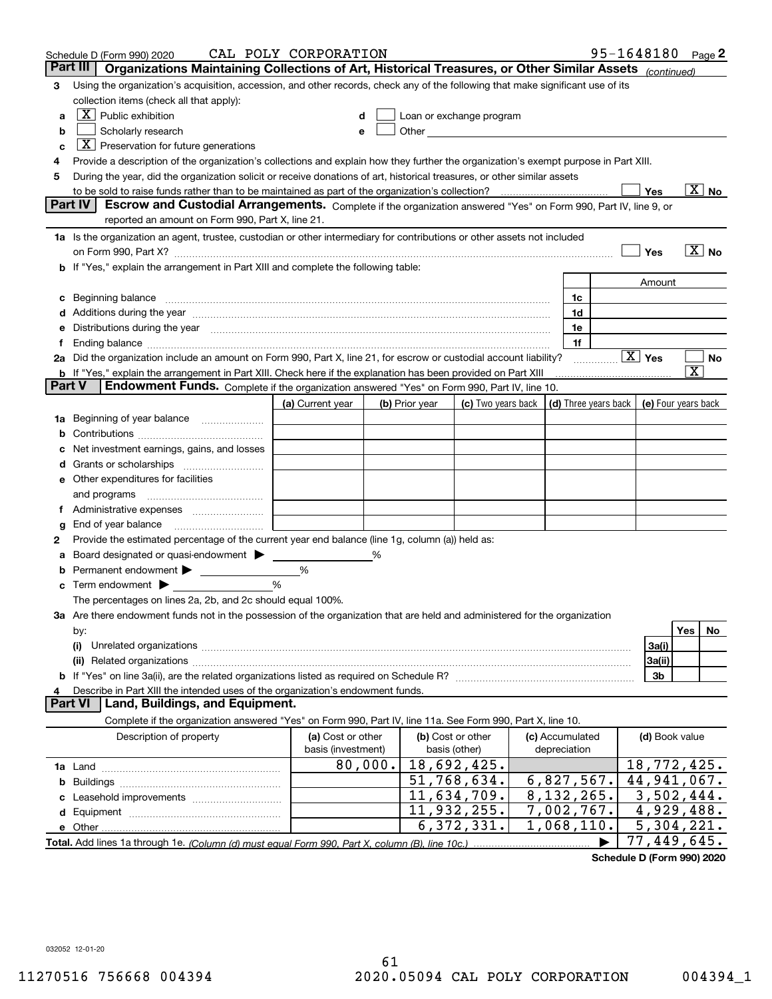|        | Schedule D (Form 990) 2020                                                                                                                                                                                                                                                                                                                         | CAL POLY CORPORATION |         |                |                                                   |                      |   | 95-1648180 Page 2         |                                      |                          |
|--------|----------------------------------------------------------------------------------------------------------------------------------------------------------------------------------------------------------------------------------------------------------------------------------------------------------------------------------------------------|----------------------|---------|----------------|---------------------------------------------------|----------------------|---|---------------------------|--------------------------------------|--------------------------|
|        | Part III<br>Organizations Maintaining Collections of Art, Historical Treasures, or Other Similar Assets (continued)                                                                                                                                                                                                                                |                      |         |                |                                                   |                      |   |                           |                                      |                          |
| 3      | Using the organization's acquisition, accession, and other records, check any of the following that make significant use of its                                                                                                                                                                                                                    |                      |         |                |                                                   |                      |   |                           |                                      |                          |
|        | collection items (check all that apply):                                                                                                                                                                                                                                                                                                           |                      |         |                |                                                   |                      |   |                           |                                      |                          |
| a      | $X$ Public exhibition                                                                                                                                                                                                                                                                                                                              |                      |         |                | Loan or exchange program                          |                      |   |                           |                                      |                          |
| b      | Scholarly research                                                                                                                                                                                                                                                                                                                                 | е                    |         |                | Other <u>with the contract of the contract of</u> |                      |   |                           |                                      |                          |
| c      | $X$ Preservation for future generations                                                                                                                                                                                                                                                                                                            |                      |         |                |                                                   |                      |   |                           |                                      |                          |
| 4      | Provide a description of the organization's collections and explain how they further the organization's exempt purpose in Part XIII.                                                                                                                                                                                                               |                      |         |                |                                                   |                      |   |                           |                                      |                          |
| 5      | During the year, did the organization solicit or receive donations of art, historical treasures, or other similar assets                                                                                                                                                                                                                           |                      |         |                |                                                   |                      |   |                           |                                      |                          |
|        | to be sold to raise funds rather than to be maintained as part of the organization's collection?                                                                                                                                                                                                                                                   |                      |         |                |                                                   |                      |   | Yes                       |                                      | $\overline{\text{X}}$ No |
|        | <b>Part IV</b><br>Escrow and Custodial Arrangements. Complete if the organization answered "Yes" on Form 990, Part IV, line 9, or                                                                                                                                                                                                                  |                      |         |                |                                                   |                      |   |                           |                                      |                          |
|        | reported an amount on Form 990, Part X, line 21.                                                                                                                                                                                                                                                                                                   |                      |         |                |                                                   |                      |   |                           |                                      |                          |
|        | 1a Is the organization an agent, trustee, custodian or other intermediary for contributions or other assets not included                                                                                                                                                                                                                           |                      |         |                |                                                   |                      |   |                           |                                      |                          |
|        | on Form 990, Part X? [11] matter contracts and contracts and contracts are contracted as a form 990, Part X?                                                                                                                                                                                                                                       |                      |         |                |                                                   |                      |   | Yes                       | $\overline{\mathbf{X}}$ No           |                          |
|        | b If "Yes," explain the arrangement in Part XIII and complete the following table:                                                                                                                                                                                                                                                                 |                      |         |                |                                                   |                      |   |                           |                                      |                          |
|        |                                                                                                                                                                                                                                                                                                                                                    |                      |         |                |                                                   |                      |   | Amount                    |                                      |                          |
| c      | Beginning balance <b>contract to the contract of the contract of the contract of the contract of the contract of t</b>                                                                                                                                                                                                                             |                      |         |                |                                                   | 1c<br>1d             |   |                           |                                      |                          |
|        | Additions during the year manufactured and an account of the year manufactured and account of the year manufactured and account of the year manufactured and account of the year manufactured and account of the year manufact<br>Distributions during the year manufactured and continuum and continuum and continuum and continuum and continuum |                      |         |                |                                                   | 1e                   |   |                           |                                      |                          |
| 1.     |                                                                                                                                                                                                                                                                                                                                                    |                      |         |                |                                                   | 1f                   |   |                           |                                      |                          |
|        | 2a Did the organization include an amount on Form 990, Part X, line 21, for escrow or custodial account liability?                                                                                                                                                                                                                                 |                      |         |                |                                                   |                      | . | $\boxed{\text{X}}$ Yes    |                                      | No                       |
|        | <b>b</b> If "Yes," explain the arrangement in Part XIII. Check here if the explanation has been provided on Part XIII                                                                                                                                                                                                                              |                      |         |                |                                                   |                      |   |                           | $\overline{\textnormal{\textbf{x}}}$ |                          |
| Part V | Endowment Funds. Complete if the organization answered "Yes" on Form 990, Part IV, line 10.                                                                                                                                                                                                                                                        |                      |         |                |                                                   |                      |   |                           |                                      |                          |
|        |                                                                                                                                                                                                                                                                                                                                                    | (a) Current year     |         | (b) Prior year | (c) Two years back                                | (d) Three years back |   | (e) Four years back       |                                      |                          |
| 1a     | Beginning of year balance                                                                                                                                                                                                                                                                                                                          |                      |         |                |                                                   |                      |   |                           |                                      |                          |
|        |                                                                                                                                                                                                                                                                                                                                                    |                      |         |                |                                                   |                      |   |                           |                                      |                          |
|        | Net investment earnings, gains, and losses                                                                                                                                                                                                                                                                                                         |                      |         |                |                                                   |                      |   |                           |                                      |                          |
| d      |                                                                                                                                                                                                                                                                                                                                                    |                      |         |                |                                                   |                      |   |                           |                                      |                          |
|        | e Other expenditures for facilities                                                                                                                                                                                                                                                                                                                |                      |         |                |                                                   |                      |   |                           |                                      |                          |
|        | and programs                                                                                                                                                                                                                                                                                                                                       |                      |         |                |                                                   |                      |   |                           |                                      |                          |
|        |                                                                                                                                                                                                                                                                                                                                                    |                      |         |                |                                                   |                      |   |                           |                                      |                          |
| g      |                                                                                                                                                                                                                                                                                                                                                    |                      |         |                |                                                   |                      |   |                           |                                      |                          |
| 2      | Provide the estimated percentage of the current year end balance (line 1g, column (a)) held as:                                                                                                                                                                                                                                                    |                      |         |                |                                                   |                      |   |                           |                                      |                          |
| а      | Board designated or quasi-endowment                                                                                                                                                                                                                                                                                                                |                      | ℅       |                |                                                   |                      |   |                           |                                      |                          |
|        | Permanent endowment > 1                                                                                                                                                                                                                                                                                                                            | %                    |         |                |                                                   |                      |   |                           |                                      |                          |
|        | Term endowment $\blacktriangleright$                                                                                                                                                                                                                                                                                                               | %                    |         |                |                                                   |                      |   |                           |                                      |                          |
|        | The percentages on lines 2a, 2b, and 2c should equal 100%.                                                                                                                                                                                                                                                                                         |                      |         |                |                                                   |                      |   |                           |                                      |                          |
|        | 3a Are there endowment funds not in the possession of the organization that are held and administered for the organization                                                                                                                                                                                                                         |                      |         |                |                                                   |                      |   |                           |                                      |                          |
|        | by:                                                                                                                                                                                                                                                                                                                                                |                      |         |                |                                                   |                      |   |                           | Yes                                  | No.                      |
|        | (i)                                                                                                                                                                                                                                                                                                                                                |                      |         |                |                                                   |                      |   | 3a(i)                     |                                      |                          |
|        |                                                                                                                                                                                                                                                                                                                                                    |                      |         |                |                                                   |                      |   | 3a(ii)                    |                                      |                          |
|        |                                                                                                                                                                                                                                                                                                                                                    |                      |         |                |                                                   |                      |   | 3b                        |                                      |                          |
|        | Describe in Part XIII the intended uses of the organization's endowment funds.<br>Land, Buildings, and Equipment.<br>Part VI                                                                                                                                                                                                                       |                      |         |                |                                                   |                      |   |                           |                                      |                          |
|        | Complete if the organization answered "Yes" on Form 990, Part IV, line 11a. See Form 990, Part X, line 10.                                                                                                                                                                                                                                         |                      |         |                |                                                   |                      |   |                           |                                      |                          |
|        | Description of property                                                                                                                                                                                                                                                                                                                            | (a) Cost or other    |         |                | (b) Cost or other                                 | (c) Accumulated      |   | (d) Book value            |                                      |                          |
|        |                                                                                                                                                                                                                                                                                                                                                    | basis (investment)   |         | basis (other)  |                                                   | depreciation         |   |                           |                                      |                          |
|        |                                                                                                                                                                                                                                                                                                                                                    |                      | 80,000. |                | 18,692,425.                                       |                      |   | 18,772,425.               |                                      |                          |
| b      |                                                                                                                                                                                                                                                                                                                                                    |                      |         |                | 51,768,634.                                       | 6,827,567.           |   | $\overline{44,941,067}$ . |                                      |                          |
|        |                                                                                                                                                                                                                                                                                                                                                    |                      |         |                | $\overline{11}$ , 634, 709.                       | 8,132,265.           |   | $\overline{3,502,444}$ .  |                                      |                          |
|        |                                                                                                                                                                                                                                                                                                                                                    |                      |         |                | 11,932,255.                                       | 7,002,767.           |   | 4,929,488.                |                                      |                          |
|        |                                                                                                                                                                                                                                                                                                                                                    |                      |         |                | 6,372,331.                                        | 1,068,110.           |   | 5,304,221.                |                                      |                          |
|        |                                                                                                                                                                                                                                                                                                                                                    |                      |         |                |                                                   |                      |   | 77,449,645.               |                                      |                          |
|        |                                                                                                                                                                                                                                                                                                                                                    |                      |         |                |                                                   |                      |   |                           |                                      |                          |

**Schedule D (Form 990) 2020**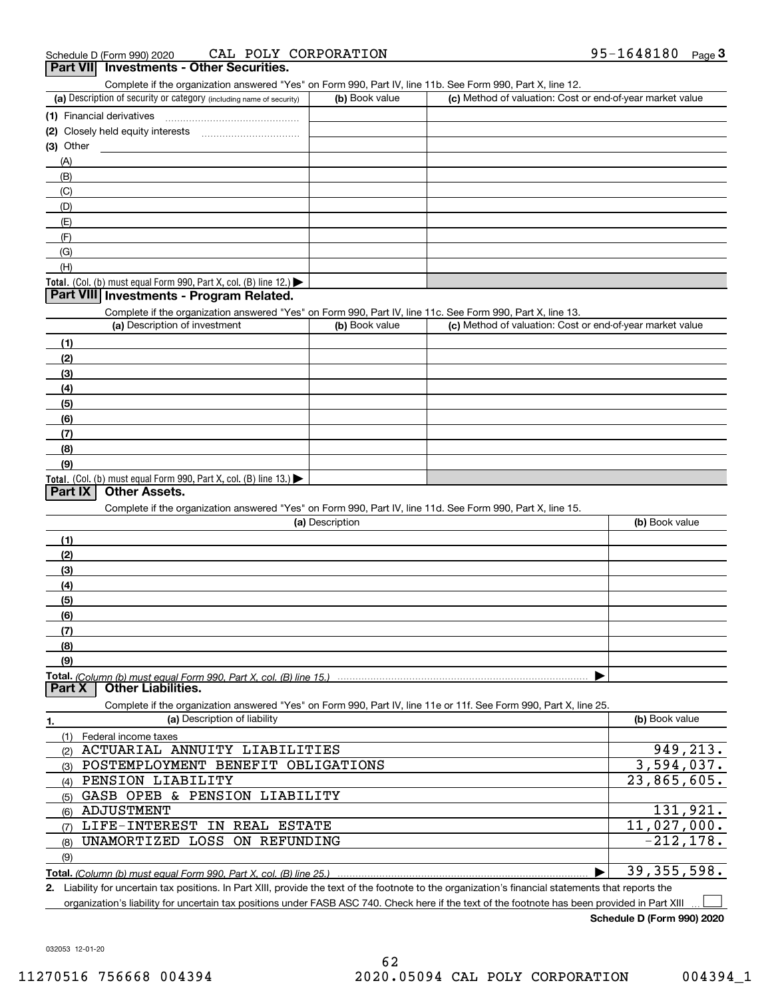| Part VII Investments - Other Securities.<br>Complete if the organization answered "Yes" on Form 990, Part IV, line 11b. See Form 990, Part X, line 12. |                 |                                                           |                |
|--------------------------------------------------------------------------------------------------------------------------------------------------------|-----------------|-----------------------------------------------------------|----------------|
| (a) Description of security or category (including name of security)                                                                                   | (b) Book value  | (c) Method of valuation: Cost or end-of-year market value |                |
| (1) Financial derivatives                                                                                                                              |                 |                                                           |                |
|                                                                                                                                                        |                 |                                                           |                |
| (3) Other                                                                                                                                              |                 |                                                           |                |
| (A)                                                                                                                                                    |                 |                                                           |                |
| (B)                                                                                                                                                    |                 |                                                           |                |
| (C)                                                                                                                                                    |                 |                                                           |                |
| (D)                                                                                                                                                    |                 |                                                           |                |
| (E)                                                                                                                                                    |                 |                                                           |                |
| (F)                                                                                                                                                    |                 |                                                           |                |
| (G)                                                                                                                                                    |                 |                                                           |                |
| (H)                                                                                                                                                    |                 |                                                           |                |
| <b>Total.</b> (Col. (b) must equal Form 990, Part X, col. (B) line 12.) $\blacktriangleright$                                                          |                 |                                                           |                |
| Part VIII Investments - Program Related.                                                                                                               |                 |                                                           |                |
| Complete if the organization answered "Yes" on Form 990, Part IV, line 11c. See Form 990, Part X, line 13.                                             |                 |                                                           |                |
| (a) Description of investment                                                                                                                          | (b) Book value  | (c) Method of valuation: Cost or end-of-year market value |                |
| (1)                                                                                                                                                    |                 |                                                           |                |
| (2)                                                                                                                                                    |                 |                                                           |                |
| (3)                                                                                                                                                    |                 |                                                           |                |
| (4)                                                                                                                                                    |                 |                                                           |                |
| (5)                                                                                                                                                    |                 |                                                           |                |
| (6)                                                                                                                                                    |                 |                                                           |                |
| (7)                                                                                                                                                    |                 |                                                           |                |
| (8)                                                                                                                                                    |                 |                                                           |                |
| (9)                                                                                                                                                    |                 |                                                           |                |
| Total. (Col. (b) must equal Form 990, Part X, col. (B) line 13.)                                                                                       |                 |                                                           |                |
| <b>Other Assets.</b><br><b>Part IX</b>                                                                                                                 |                 |                                                           |                |
| Complete if the organization answered "Yes" on Form 990, Part IV, line 11d. See Form 990, Part X, line 15.                                             |                 |                                                           |                |
|                                                                                                                                                        | (a) Description |                                                           | (b) Book value |
| (1)                                                                                                                                                    |                 |                                                           |                |
| (2)                                                                                                                                                    |                 |                                                           |                |
| (3)                                                                                                                                                    |                 |                                                           |                |
| (4)                                                                                                                                                    |                 |                                                           |                |
| (5)                                                                                                                                                    |                 |                                                           |                |
| (6)                                                                                                                                                    |                 |                                                           |                |
| (7)                                                                                                                                                    |                 |                                                           |                |
| (8)                                                                                                                                                    |                 |                                                           |                |
| (9)                                                                                                                                                    |                 |                                                           |                |
|                                                                                                                                                        |                 |                                                           |                |
| <b>Other Liabilities.</b><br><b>Part X</b>                                                                                                             |                 |                                                           |                |
| Complete if the organization answered "Yes" on Form 990, Part IV, line 11e or 11f. See Form 990, Part X, line 25.                                      |                 |                                                           |                |
| (a) Description of liability<br>1.                                                                                                                     |                 |                                                           | (b) Book value |
| Federal income taxes<br>(1)                                                                                                                            |                 |                                                           |                |
| ACTUARIAL ANNUITY LIABILITIES<br>(2)                                                                                                                   |                 |                                                           | 949,213.       |
| POSTEMPLOYMENT BENEFIT OBLIGATIONS<br>(3)                                                                                                              |                 |                                                           | 3,594,037.     |
| PENSION LIABILITY<br>(4)                                                                                                                               |                 |                                                           | 23,865,605.    |
| GASB OPEB & PENSION LIABILITY<br>(5)                                                                                                                   |                 |                                                           |                |
| ADJUSTMENT<br>(6)                                                                                                                                      |                 |                                                           | 131,921.       |
| LIFE-INTEREST IN REAL ESTATE<br>(7)                                                                                                                    |                 |                                                           | 11,027,000.    |
| UNAMORTIZED LOSS<br>ON REFUNDING<br>(8)                                                                                                                |                 |                                                           | $-212, 178.$   |
| (9)                                                                                                                                                    |                 |                                                           |                |
|                                                                                                                                                        |                 |                                                           | 39, 355, 598.  |
|                                                                                                                                                        |                 |                                                           |                |

**2.** Liability for uncertain tax positions. In Part XIII, provide the text of the footnote to the organization's financial statements that reports the organization's liability for uncertain tax positions under FASB ASC 740. Check here if the text of the footnote has been provided in Part XIII

**Schedule D (Form 990) 2020**

 $\mathcal{L}^{\text{max}}$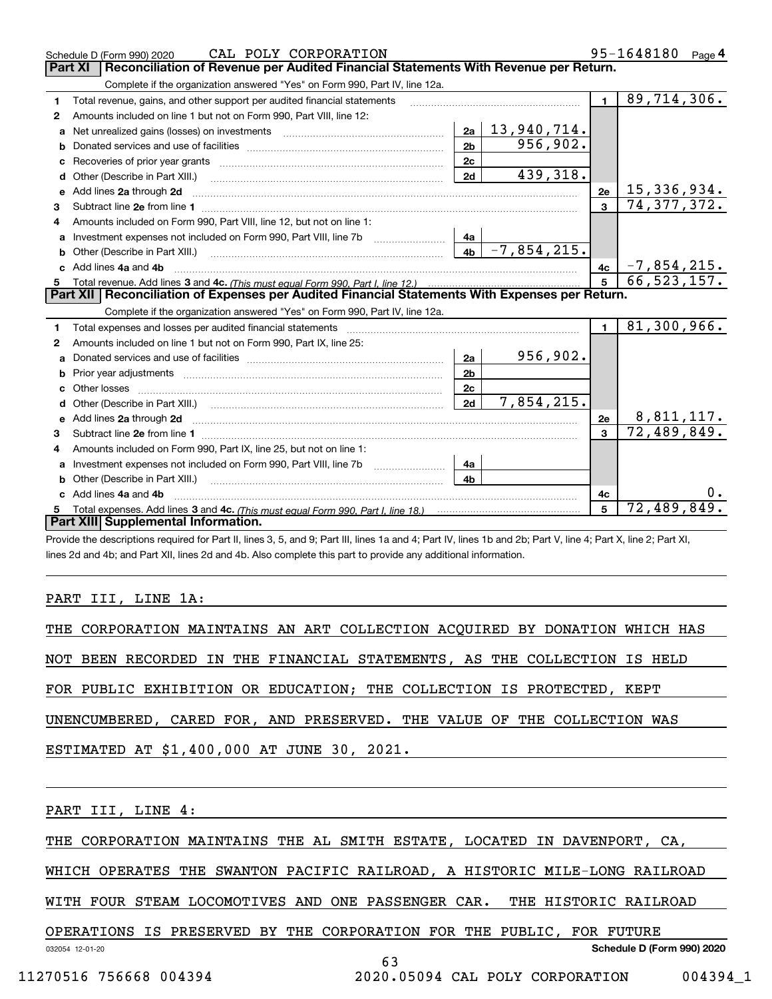|              | CAL POLY CORPORATION<br>Schedule D (Form 990) 2020                                                                                                                                                                             |                       |                | 95-1648180 Page 4         |  |
|--------------|--------------------------------------------------------------------------------------------------------------------------------------------------------------------------------------------------------------------------------|-----------------------|----------------|---------------------------|--|
|              | Reconciliation of Revenue per Audited Financial Statements With Revenue per Return.<br>Part XI                                                                                                                                 |                       |                |                           |  |
|              | Complete if the organization answered "Yes" on Form 990, Part IV, line 12a.                                                                                                                                                    |                       |                |                           |  |
| 1.           | Total revenue, gains, and other support per audited financial statements                                                                                                                                                       |                       | $\blacksquare$ | 89,714,306.               |  |
| 2            | Amounts included on line 1 but not on Form 990, Part VIII, line 12:                                                                                                                                                            |                       |                |                           |  |
| a            | Net unrealized gains (losses) on investments [11] matter contracts and the unrealized gains (losses) on investments                                                                                                            | $2a \mid 13,940,714.$ |                |                           |  |
| b            | 2 <sub>b</sub>                                                                                                                                                                                                                 | 956, 902.             |                |                           |  |
| c            | 2c                                                                                                                                                                                                                             |                       |                |                           |  |
| d            | 2d<br>Other (Describe in Part XIII.)                                                                                                                                                                                           | 439,318.              |                |                           |  |
| е            | Add lines 2a through 2d                                                                                                                                                                                                        |                       | 2e             | 15,336,934.               |  |
| 3            |                                                                                                                                                                                                                                |                       | $\mathbf{3}$   | 74, 377, 372.             |  |
| 4            | Amounts included on Form 990, Part VIII, line 12, but not on line 1:                                                                                                                                                           |                       |                |                           |  |
|              | Investment expenses not included on Form 990, Part VIII, line 7b [100] [100] [100] [100] [100] [100] [100] [10<br>4a                                                                                                           |                       |                |                           |  |
|              | 4 <sub>b</sub>                                                                                                                                                                                                                 | $-7,854,215.$         |                |                           |  |
| c.           | Add lines 4a and 4b                                                                                                                                                                                                            |                       | 4c             | $-7,854,215.$             |  |
|              |                                                                                                                                                                                                                                |                       | 5              | 66, 523, 157.             |  |
|              |                                                                                                                                                                                                                                |                       |                |                           |  |
|              | Part XII   Reconciliation of Expenses per Audited Financial Statements With Expenses per Return.                                                                                                                               |                       |                |                           |  |
|              | Complete if the organization answered "Yes" on Form 990, Part IV, line 12a.                                                                                                                                                    |                       |                |                           |  |
| 1            | Total expenses and losses per audited financial statements [11] [12] manuscription control expenses and losses per audited financial statements [11] [12] manuscription of the statements [12] manuscription of the statements |                       | $\mathbf{1}$   | 81,300,966.               |  |
| $\mathbf{2}$ | Amounts included on line 1 but not on Form 990, Part IX, line 25:                                                                                                                                                              |                       |                |                           |  |
| a            | 2a                                                                                                                                                                                                                             | 956,902.              |                |                           |  |
| b            | 2 <sub>b</sub>                                                                                                                                                                                                                 |                       |                |                           |  |
| c.           | 2 <sub>c</sub>                                                                                                                                                                                                                 |                       |                |                           |  |
|              | 2d                                                                                                                                                                                                                             | 7,854,215.            |                |                           |  |
|              |                                                                                                                                                                                                                                |                       | 2e             | <u>8,811,117.</u>         |  |
| 3            |                                                                                                                                                                                                                                |                       | $\mathbf{R}$   | 72,489,849.               |  |
| 4            | Amounts included on Form 990, Part IX, line 25, but not on line 1:                                                                                                                                                             |                       |                |                           |  |
| a            | 4a                                                                                                                                                                                                                             |                       |                |                           |  |
|              | 4 <sub>h</sub><br><b>b</b> Other (Describe in Part XIII.)                                                                                                                                                                      |                       |                |                           |  |
| c.           | Add lines 4a and 4b                                                                                                                                                                                                            |                       | 4с             |                           |  |
|              | Part XIII Supplemental Information.                                                                                                                                                                                            |                       | 5              | $\overline{72,489,849}$ . |  |

Provide the descriptions required for Part II, lines 3, 5, and 9; Part III, lines 1a and 4; Part IV, lines 1b and 2b; Part V, line 4; Part X, line 2; Part XI, lines 2d and 4b; and Part XII, lines 2d and 4b. Also complete this part to provide any additional information.

### PART III, LINE 1A:

|  |  |  |                                            |  |  | THE CORPORATION MAINTAINS AN ART COLLECTION ACQUIRED BY DONATION WHICH HAS |  |  |
|--|--|--|--------------------------------------------|--|--|----------------------------------------------------------------------------|--|--|
|  |  |  |                                            |  |  |                                                                            |  |  |
|  |  |  |                                            |  |  | NOT BEEN RECORDED IN THE FINANCIAL STATEMENTS, AS THE COLLECTION IS HELD   |  |  |
|  |  |  |                                            |  |  |                                                                            |  |  |
|  |  |  |                                            |  |  | FOR PUBLIC EXHIBITION OR EDUCATION; THE COLLECTION IS PROTECTED, KEPT      |  |  |
|  |  |  |                                            |  |  |                                                                            |  |  |
|  |  |  |                                            |  |  | UNENCUMBERED, CARED FOR, AND PRESERVED. THE VALUE OF THE COLLECTION WAS    |  |  |
|  |  |  |                                            |  |  |                                                                            |  |  |
|  |  |  | ESTIMATED AT \$1,400,000 AT JUNE 30, 2021. |  |  |                                                                            |  |  |
|  |  |  |                                            |  |  |                                                                            |  |  |
|  |  |  |                                            |  |  |                                                                            |  |  |

PART III, LINE 4:

THE CORPORATION MAINTAINS THE AL SMITH ESTATE, LOCATED IN DAVENPORT, CA,

WHICH OPERATES THE SWANTON PACIFIC RAILROAD, A HISTORIC MILE-LONG RAILROAD

WITH FOUR STEAM LOCOMOTIVES AND ONE PASSENGER CAR. THE HISTORIC RAILROAD

63

### OPERATIONS IS PRESERVED BY THE CORPORATION FOR THE PUBLIC, FOR FUTURE

**Schedule D (Form 990) 2020**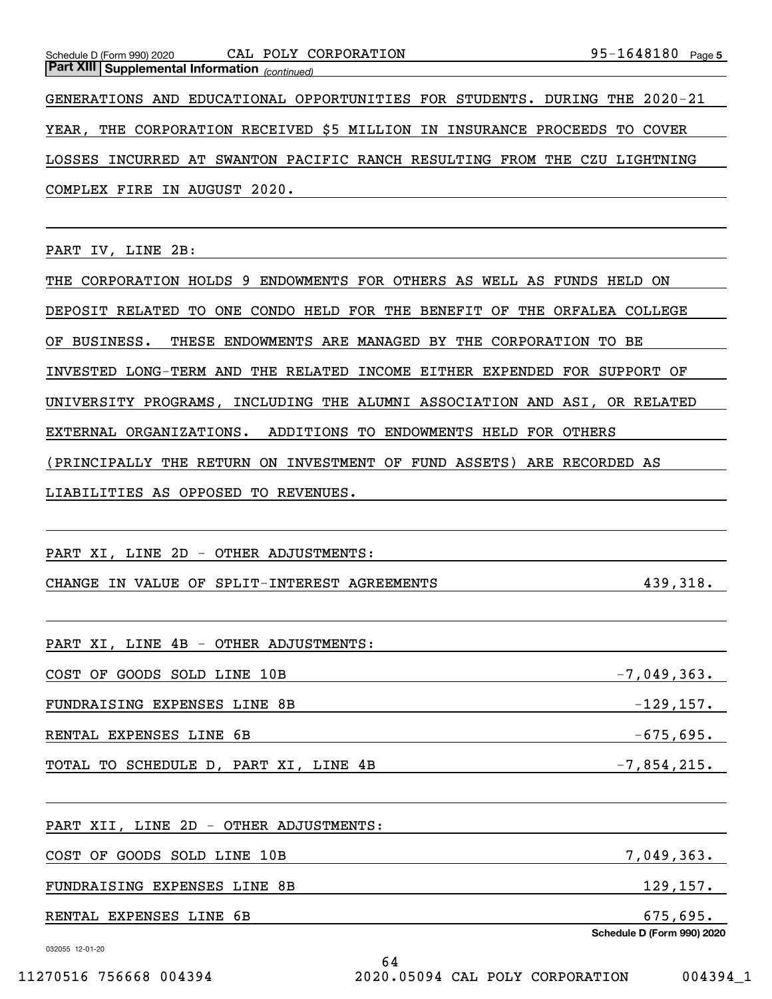*(continued)* **Part XIII Supplemental Information** 

GENERATIONS AND EDUCATIONAL OPPORTUNITIES FOR STUDENTS. DURING THE 2020-21 YEAR, THE CORPORATION RECEIVED \$5 MILLION IN INSURANCE PROCEEDS TO COVER LOSSES INCURRED AT SWANTON PACIFIC RANCH RESULTING FROM THE CZU LIGHTNING COMPLEX FIRE IN AUGUST 2020.

PART IV, LINE 2B:

THE CORPORATION HOLDS 9 ENDOWMENTS FOR OTHERS AS WELL AS FUNDS HELD ON DEPOSIT RELATED TO ONE CONDO HELD FOR THE BENEFIT OF THE ORFALEA COLLEGE OF BUSINESS. THESE ENDOWMENTS ARE MANAGED BY THE CORPORATION TO BE INVESTED LONG-TERM AND THE RELATED INCOME EITHER EXPENDED FOR SUPPORT OF UNIVERSITY PROGRAMS, INCLUDING THE ALUMNI ASSOCIATION AND ASI, OR RELATED EXTERNAL ORGANIZATIONS. ADDITIONS TO ENDOWMENTS HELD FOR OTHERS (PRINCIPALLY THE RETURN ON INVESTMENT OF FUND ASSETS) ARE RECORDED AS LIABILITIES AS OPPOSED TO REVENUES.

PART XI, LINE 2D - OTHER ADJUSTMENTS:

CHANGE IN VALUE OF SPLIT-INTEREST AGREEMENTS 439,318.

PART XI, LINE 4B - OTHER ADJUSTMENTS:

COST OF GOODS SOLD LINE 10B  $\frac{2}{363}$ .

FUNDRAISING EXPENSES LINE 8B  $-129,157$ .

RENTAL EXPENSES LINE  $6B$  -675,695.

64

TOTAL TO SCHEDULE D, PART XI, LINE  $4B$  -7,854,215.

PART XII, LINE 2D - OTHER ADJUSTMENTS:

 $\overline{COST}$  of goods sold line 10B  $\overline{7,049,363}$ .

FUNDRAISING EXPENSES LINE 8B 129,157.

RENTAL EXPENSES LINE 6B 675,695.

032055 12-01-20

**Schedule D (Form 990) 2020**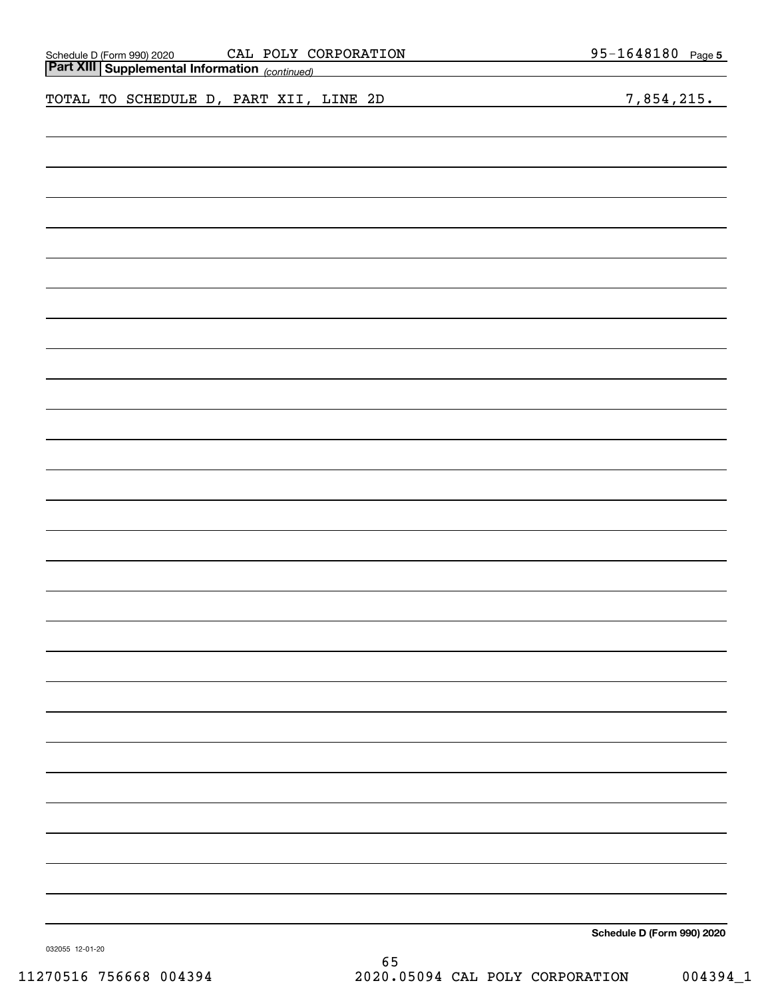| Schedule D (Form 990) 2020 |  |
|----------------------------|--|
|                            |  |

| Schedule D (Form 990) 2020 |  | CAL POLY CORPORATION | 1648180<br>$95 -$ | Page 5 |
|----------------------------|--|----------------------|-------------------|--------|
|                            |  |                      |                   |        |

|  | Part XIII Supplemental Information (continued) |  |  |  |  |                            |
|--|------------------------------------------------|--|--|--|--|----------------------------|
|  | TOTAL TO SCHEDULE D, PART XII, LINE 2D         |  |  |  |  | 7,854,215.                 |
|  |                                                |  |  |  |  |                            |
|  |                                                |  |  |  |  |                            |
|  |                                                |  |  |  |  |                            |
|  |                                                |  |  |  |  |                            |
|  |                                                |  |  |  |  |                            |
|  |                                                |  |  |  |  |                            |
|  |                                                |  |  |  |  |                            |
|  |                                                |  |  |  |  |                            |
|  |                                                |  |  |  |  |                            |
|  |                                                |  |  |  |  |                            |
|  |                                                |  |  |  |  |                            |
|  |                                                |  |  |  |  |                            |
|  |                                                |  |  |  |  |                            |
|  |                                                |  |  |  |  |                            |
|  |                                                |  |  |  |  |                            |
|  |                                                |  |  |  |  |                            |
|  |                                                |  |  |  |  |                            |
|  |                                                |  |  |  |  |                            |
|  |                                                |  |  |  |  |                            |
|  |                                                |  |  |  |  |                            |
|  |                                                |  |  |  |  |                            |
|  |                                                |  |  |  |  |                            |
|  |                                                |  |  |  |  |                            |
|  |                                                |  |  |  |  |                            |
|  |                                                |  |  |  |  |                            |
|  |                                                |  |  |  |  |                            |
|  |                                                |  |  |  |  |                            |
|  |                                                |  |  |  |  | Schedule D (Form 990) 2020 |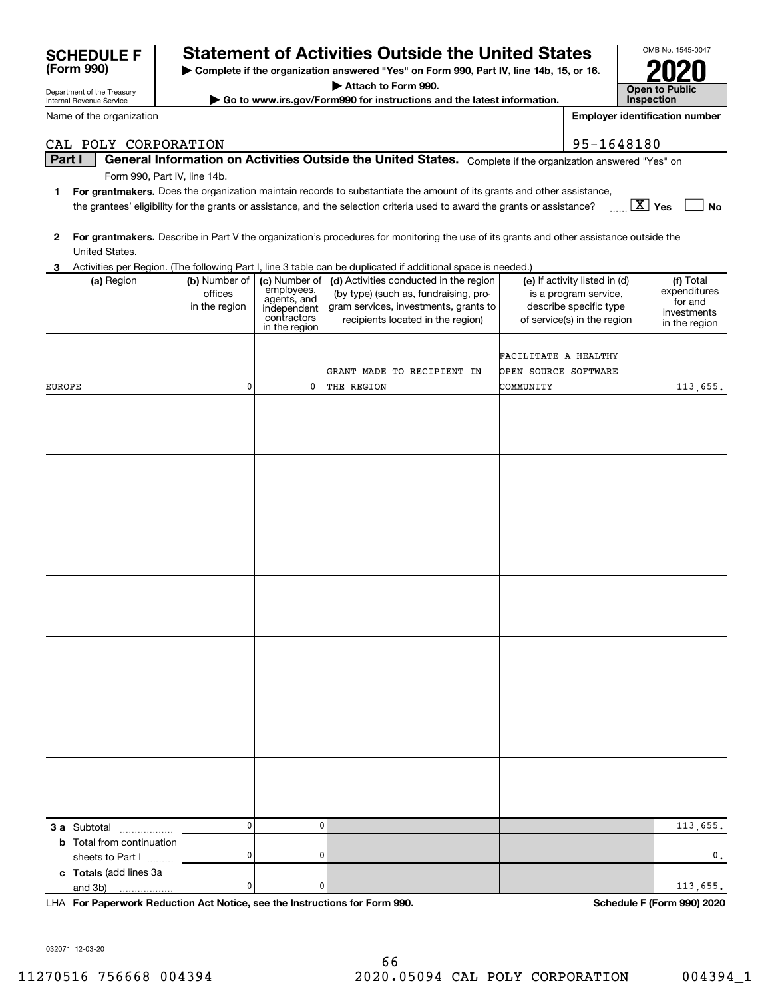| CAB I OBI CONI ONAII ON                                                                                                                                   |                                                                                                                                                                   |                           |                                                                                                                        | JJ IVIUIUU                    |               |  |  |  |  |  |
|-----------------------------------------------------------------------------------------------------------------------------------------------------------|-------------------------------------------------------------------------------------------------------------------------------------------------------------------|---------------------------|------------------------------------------------------------------------------------------------------------------------|-------------------------------|---------------|--|--|--|--|--|
| Part I                                                                                                                                                    |                                                                                                                                                                   |                           | General Information on Activities Outside the United States. Complete if the organization answered "Yes" on            |                               |               |  |  |  |  |  |
| Form 990, Part IV, line 14b.                                                                                                                              |                                                                                                                                                                   |                           |                                                                                                                        |                               |               |  |  |  |  |  |
| 1                                                                                                                                                         |                                                                                                                                                                   |                           | For grantmakers. Does the organization maintain records to substantiate the amount of its grants and other assistance, |                               |               |  |  |  |  |  |
|                                                                                                                                                           | $\boxed{\text{X}}$ Yes<br><b>No</b><br>the grantees' eligibility for the grants or assistance, and the selection criteria used to award the grants or assistance? |                           |                                                                                                                        |                               |               |  |  |  |  |  |
|                                                                                                                                                           |                                                                                                                                                                   |                           |                                                                                                                        |                               |               |  |  |  |  |  |
| 2                                                                                                                                                         |                                                                                                                                                                   |                           |                                                                                                                        |                               |               |  |  |  |  |  |
| For grantmakers. Describe in Part V the organization's procedures for monitoring the use of its grants and other assistance outside the<br>United States. |                                                                                                                                                                   |                           |                                                                                                                        |                               |               |  |  |  |  |  |
| З.                                                                                                                                                        |                                                                                                                                                                   |                           | Activities per Region. (The following Part I, line 3 table can be duplicated if additional space is needed.)           |                               |               |  |  |  |  |  |
| (a) Region                                                                                                                                                | (b) Number of                                                                                                                                                     | (c) Number of             | (d) Activities conducted in the region                                                                                 | (e) If activity listed in (d) | (f) Total     |  |  |  |  |  |
|                                                                                                                                                           | offices                                                                                                                                                           | employees,<br>agents, and | (by type) (such as, fundraising, pro-                                                                                  | is a program service,         | expenditures  |  |  |  |  |  |
|                                                                                                                                                           | in the region                                                                                                                                                     | independent               | gram services, investments, grants to                                                                                  | describe specific type        | for and       |  |  |  |  |  |
|                                                                                                                                                           |                                                                                                                                                                   | contractors               | recipients located in the region)                                                                                      | of service(s) in the region   | investments   |  |  |  |  |  |
|                                                                                                                                                           |                                                                                                                                                                   | in the region             |                                                                                                                        |                               | in the region |  |  |  |  |  |
|                                                                                                                                                           |                                                                                                                                                                   |                           |                                                                                                                        |                               |               |  |  |  |  |  |
|                                                                                                                                                           |                                                                                                                                                                   |                           |                                                                                                                        | FACILITATE A HEALTHY          |               |  |  |  |  |  |
|                                                                                                                                                           |                                                                                                                                                                   |                           | GRANT MADE TO RECIPIENT IN                                                                                             | OPEN SOURCE SOFTWARE          |               |  |  |  |  |  |
| EUROPE                                                                                                                                                    | 0                                                                                                                                                                 | 0                         | THE REGION                                                                                                             | COMMUNITY                     | 113,655.      |  |  |  |  |  |
|                                                                                                                                                           |                                                                                                                                                                   |                           |                                                                                                                        |                               |               |  |  |  |  |  |
|                                                                                                                                                           |                                                                                                                                                                   |                           |                                                                                                                        |                               |               |  |  |  |  |  |
|                                                                                                                                                           |                                                                                                                                                                   |                           |                                                                                                                        |                               |               |  |  |  |  |  |
|                                                                                                                                                           |                                                                                                                                                                   |                           |                                                                                                                        |                               |               |  |  |  |  |  |
|                                                                                                                                                           |                                                                                                                                                                   |                           |                                                                                                                        |                               |               |  |  |  |  |  |
|                                                                                                                                                           |                                                                                                                                                                   |                           |                                                                                                                        |                               |               |  |  |  |  |  |
|                                                                                                                                                           |                                                                                                                                                                   |                           |                                                                                                                        |                               |               |  |  |  |  |  |
|                                                                                                                                                           |                                                                                                                                                                   |                           |                                                                                                                        |                               |               |  |  |  |  |  |
|                                                                                                                                                           |                                                                                                                                                                   |                           |                                                                                                                        |                               |               |  |  |  |  |  |
|                                                                                                                                                           |                                                                                                                                                                   |                           |                                                                                                                        |                               |               |  |  |  |  |  |
|                                                                                                                                                           |                                                                                                                                                                   |                           |                                                                                                                        |                               |               |  |  |  |  |  |
|                                                                                                                                                           |                                                                                                                                                                   |                           |                                                                                                                        |                               |               |  |  |  |  |  |
|                                                                                                                                                           |                                                                                                                                                                   |                           |                                                                                                                        |                               |               |  |  |  |  |  |
|                                                                                                                                                           |                                                                                                                                                                   |                           |                                                                                                                        |                               |               |  |  |  |  |  |
|                                                                                                                                                           |                                                                                                                                                                   |                           |                                                                                                                        |                               |               |  |  |  |  |  |
|                                                                                                                                                           |                                                                                                                                                                   |                           |                                                                                                                        |                               |               |  |  |  |  |  |
|                                                                                                                                                           |                                                                                                                                                                   |                           |                                                                                                                        |                               |               |  |  |  |  |  |
|                                                                                                                                                           |                                                                                                                                                                   |                           |                                                                                                                        |                               |               |  |  |  |  |  |
|                                                                                                                                                           |                                                                                                                                                                   |                           |                                                                                                                        |                               |               |  |  |  |  |  |
|                                                                                                                                                           |                                                                                                                                                                   |                           |                                                                                                                        |                               |               |  |  |  |  |  |
|                                                                                                                                                           |                                                                                                                                                                   |                           |                                                                                                                        |                               |               |  |  |  |  |  |
|                                                                                                                                                           |                                                                                                                                                                   |                           |                                                                                                                        |                               |               |  |  |  |  |  |
|                                                                                                                                                           |                                                                                                                                                                   |                           |                                                                                                                        |                               |               |  |  |  |  |  |
|                                                                                                                                                           |                                                                                                                                                                   |                           |                                                                                                                        |                               |               |  |  |  |  |  |
|                                                                                                                                                           |                                                                                                                                                                   |                           |                                                                                                                        |                               |               |  |  |  |  |  |
|                                                                                                                                                           |                                                                                                                                                                   |                           |                                                                                                                        |                               |               |  |  |  |  |  |
|                                                                                                                                                           |                                                                                                                                                                   |                           |                                                                                                                        |                               |               |  |  |  |  |  |
|                                                                                                                                                           |                                                                                                                                                                   |                           |                                                                                                                        |                               |               |  |  |  |  |  |
|                                                                                                                                                           |                                                                                                                                                                   |                           |                                                                                                                        |                               |               |  |  |  |  |  |
|                                                                                                                                                           |                                                                                                                                                                   |                           |                                                                                                                        |                               |               |  |  |  |  |  |
|                                                                                                                                                           |                                                                                                                                                                   |                           |                                                                                                                        |                               |               |  |  |  |  |  |
|                                                                                                                                                           |                                                                                                                                                                   |                           |                                                                                                                        |                               |               |  |  |  |  |  |
| 3 a Subtotal                                                                                                                                              | 0                                                                                                                                                                 | 0                         |                                                                                                                        |                               | 113,655.      |  |  |  |  |  |
| <b>b</b> Total from continuation                                                                                                                          |                                                                                                                                                                   |                           |                                                                                                                        |                               |               |  |  |  |  |  |
| sheets to Part I                                                                                                                                          | 0                                                                                                                                                                 | 0                         |                                                                                                                        |                               | 0,            |  |  |  |  |  |
| c Totals (add lines 3a                                                                                                                                    |                                                                                                                                                                   |                           |                                                                                                                        |                               |               |  |  |  |  |  |
| and 3b)<br>.                                                                                                                                              | 0                                                                                                                                                                 | 0                         |                                                                                                                        |                               | 113,655.      |  |  |  |  |  |
|                                                                                                                                                           |                                                                                                                                                                   |                           |                                                                                                                        |                               |               |  |  |  |  |  |

**For Paperwork Reduction Act Notice, see the Instructions for Form 990. Schedule F (Form 990) 2020** LHA

032071 12-03-20

Department of the Treasury

**(Form 990)**



| <b>SCHEDULE F</b> | <b>Statement of Activities Outside the United States</b> |
|-------------------|----------------------------------------------------------|

**| Complete if the organization answered "Yes" on Form 990, Part IV, line 14b, 15, or 16. | Attach to Form 990.**

**| Go to www.irs.gov/Form990 for instructions and the latest information.**

| OMB No. 1545-0047            |
|------------------------------|
| 2020                         |
| Open to Public<br>Inspection |

**Employer identification number**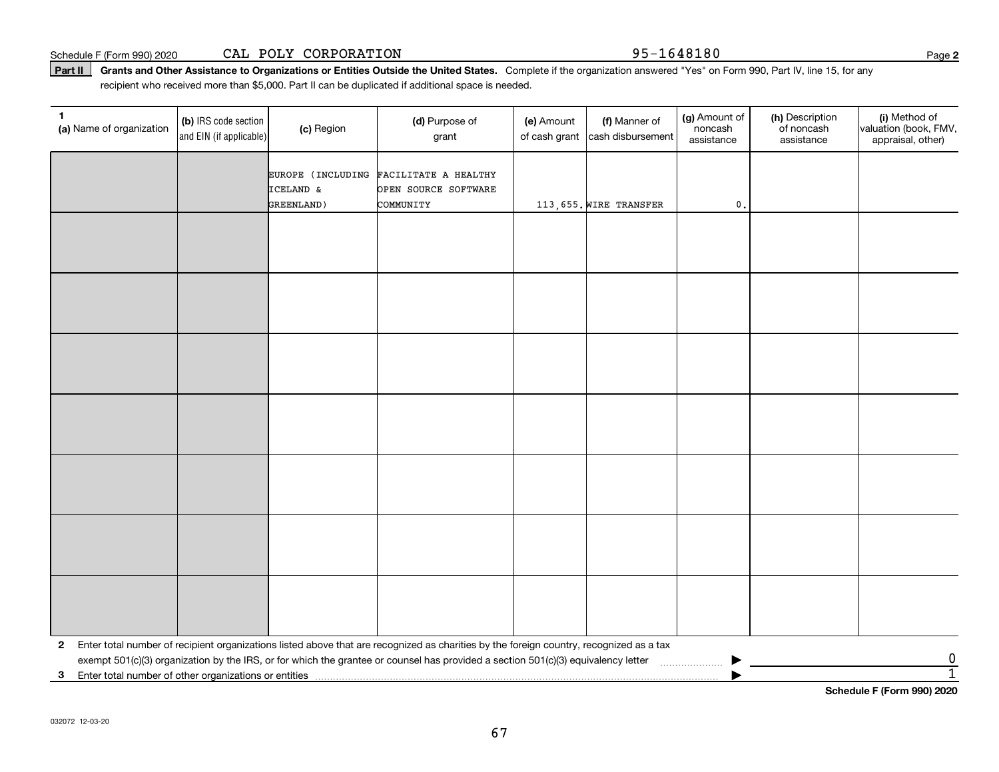Part II | Grants and Other Assistance to Organizations or Entities Outside the United States. Complete if the organization answered "Yes" on Form 990, Part IV, line 15, for any recipient who received more than \$5,000. Part II can be duplicated if additional space is needed.

| 1.<br>(a) Name of organization                                                                                                                                                                                                                                                                | (b) IRS code section<br>and EIN (if applicable) | (c) Region              | (d) Purpose of<br>grant                                                     | (e) Amount<br>of cash grant | (f) Manner of<br>cash disbursement | (g) Amount of<br>noncash<br>assistance | (h) Description<br>of noncash<br>assistance | (i) Method of<br>valuation (book, FMV,<br>appraisal, other) |  |
|-----------------------------------------------------------------------------------------------------------------------------------------------------------------------------------------------------------------------------------------------------------------------------------------------|-------------------------------------------------|-------------------------|-----------------------------------------------------------------------------|-----------------------------|------------------------------------|----------------------------------------|---------------------------------------------|-------------------------------------------------------------|--|
|                                                                                                                                                                                                                                                                                               |                                                 | ICELAND &<br>GREENLAND) | EUROPE (INCLUDING FACILITATE A HEALTHY<br>OPEN SOURCE SOFTWARE<br>COMMUNITY |                             | 113,655. WIRE TRANSFER             | $\mathfrak o$ .                        |                                             |                                                             |  |
|                                                                                                                                                                                                                                                                                               |                                                 |                         |                                                                             |                             |                                    |                                        |                                             |                                                             |  |
|                                                                                                                                                                                                                                                                                               |                                                 |                         |                                                                             |                             |                                    |                                        |                                             |                                                             |  |
|                                                                                                                                                                                                                                                                                               |                                                 |                         |                                                                             |                             |                                    |                                        |                                             |                                                             |  |
|                                                                                                                                                                                                                                                                                               |                                                 |                         |                                                                             |                             |                                    |                                        |                                             |                                                             |  |
|                                                                                                                                                                                                                                                                                               |                                                 |                         |                                                                             |                             |                                    |                                        |                                             |                                                             |  |
|                                                                                                                                                                                                                                                                                               |                                                 |                         |                                                                             |                             |                                    |                                        |                                             |                                                             |  |
|                                                                                                                                                                                                                                                                                               |                                                 |                         |                                                                             |                             |                                    |                                        |                                             |                                                             |  |
|                                                                                                                                                                                                                                                                                               |                                                 |                         |                                                                             |                             |                                    |                                        |                                             |                                                             |  |
|                                                                                                                                                                                                                                                                                               |                                                 |                         |                                                                             |                             |                                    |                                        |                                             |                                                             |  |
|                                                                                                                                                                                                                                                                                               |                                                 |                         |                                                                             |                             |                                    |                                        |                                             |                                                             |  |
|                                                                                                                                                                                                                                                                                               |                                                 |                         |                                                                             |                             |                                    |                                        |                                             |                                                             |  |
|                                                                                                                                                                                                                                                                                               |                                                 |                         |                                                                             |                             |                                    |                                        |                                             |                                                             |  |
|                                                                                                                                                                                                                                                                                               |                                                 |                         |                                                                             |                             |                                    |                                        |                                             |                                                             |  |
|                                                                                                                                                                                                                                                                                               |                                                 |                         |                                                                             |                             |                                    |                                        |                                             |                                                             |  |
| 2                                                                                                                                                                                                                                                                                             |                                                 |                         |                                                                             |                             |                                    |                                        |                                             |                                                             |  |
|                                                                                                                                                                                                                                                                                               |                                                 |                         |                                                                             |                             |                                    |                                        |                                             |                                                             |  |
| Enter total number of recipient organizations listed above that are recognized as charities by the foreign country, recognized as a tax<br>$\frac{0}{1}$<br>exempt 501(c)(3) organization by the IRS, or for which the grantee or counsel has provided a section 501(c)(3) equivalency letter |                                                 |                         |                                                                             |                             |                                    |                                        |                                             |                                                             |  |

**Schedule F (Form 990) 2020**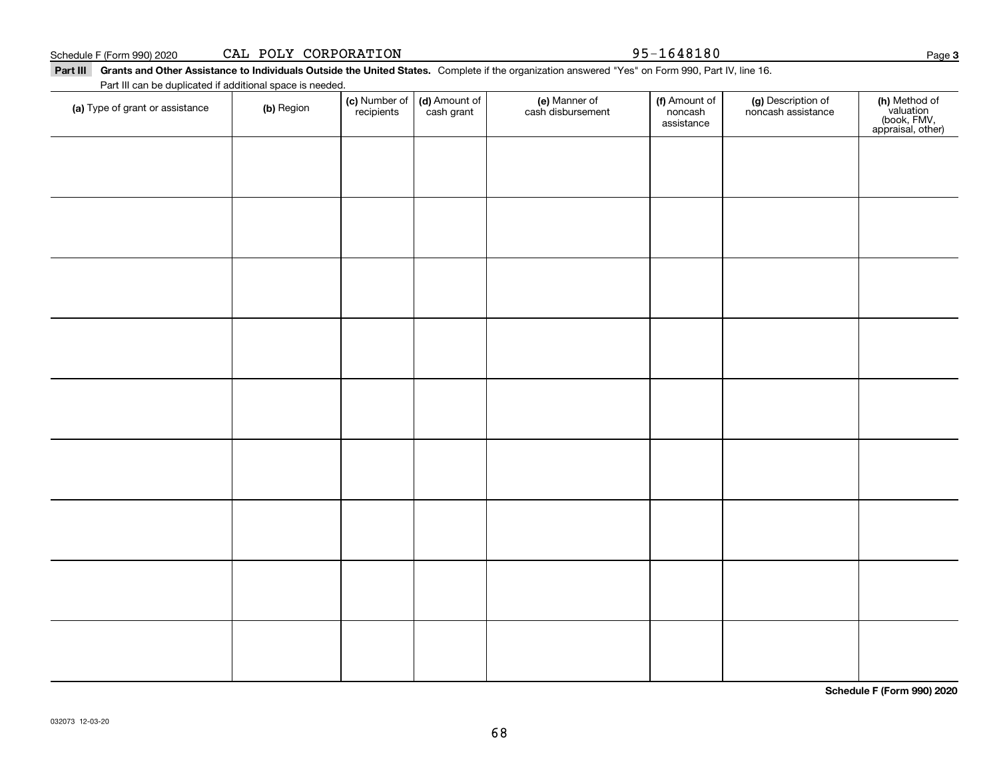| (a) Type of grant or assistance | (b) Region | (c) Number of (d) Amount of recipients cash grant | e) Manner of<br>cash disbursement | <b>(f)</b> Amount of<br>noncash<br>assistance | (g) Description of<br>noncash assistance | (h) Method of<br>valuation<br>(book, FMV,<br>appraisal, other) |
|---------------------------------|------------|---------------------------------------------------|-----------------------------------|-----------------------------------------------|------------------------------------------|----------------------------------------------------------------|
|                                 |            |                                                   |                                   |                                               |                                          |                                                                |
|                                 |            |                                                   |                                   |                                               |                                          |                                                                |
|                                 |            |                                                   |                                   |                                               |                                          |                                                                |
|                                 |            |                                                   |                                   |                                               |                                          |                                                                |
|                                 |            |                                                   |                                   |                                               |                                          |                                                                |
|                                 |            |                                                   |                                   |                                               |                                          |                                                                |
|                                 |            |                                                   |                                   |                                               |                                          |                                                                |
|                                 |            |                                                   |                                   |                                               |                                          |                                                                |
|                                 |            |                                                   |                                   |                                               |                                          |                                                                |

68

Part III Grants and Other Assistance to Individuals Outside the United States. Complete if the organization answered "Yes" on Form 990, Part IV, line 16.

Schedule F (Form 990) 2020 **CAL POLY CORPORATION 95-1648180** Page

(f) Amount of

(g) Description of

**Schedule F (Form 990) 2020**

#### Page 3

(e) Manner of

Part III can be duplicated if additional space is needed.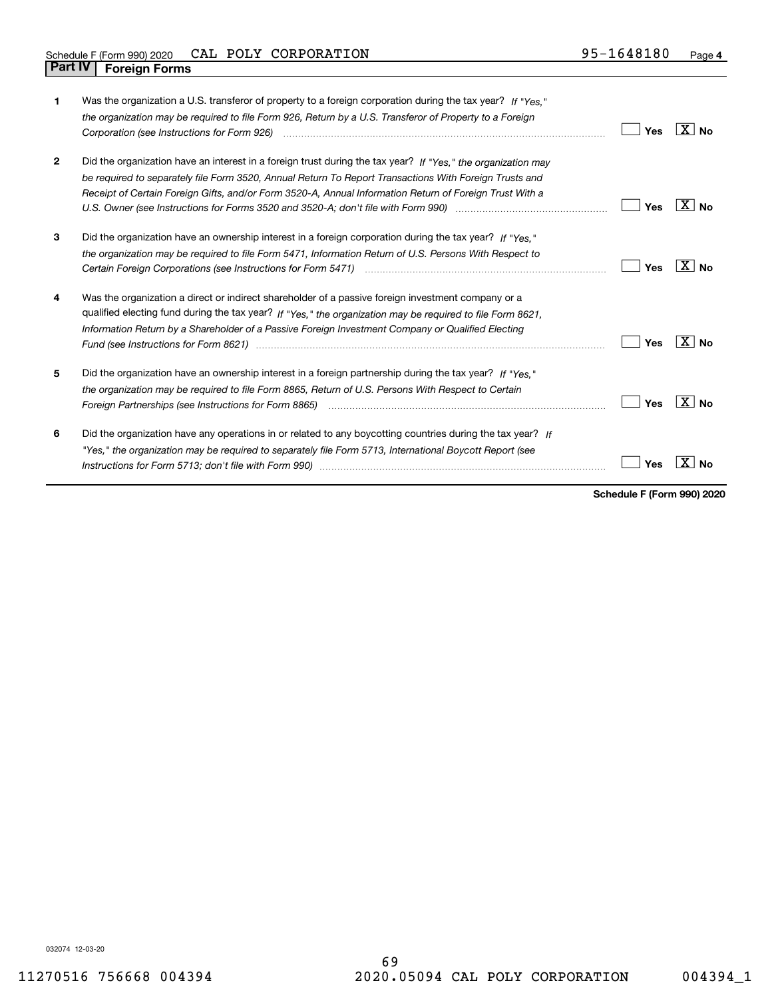| 1            | Was the organization a U.S. transferor of property to a foreign corporation during the tax year? If "Yes."<br>the organization may be required to file Form 926, Return by a U.S. Transferor of Property to a Foreign<br>Corporation (see Instructions for Form 926)                                                                                                                                                                                                                                                                                    | Yes | X∣No                |
|--------------|---------------------------------------------------------------------------------------------------------------------------------------------------------------------------------------------------------------------------------------------------------------------------------------------------------------------------------------------------------------------------------------------------------------------------------------------------------------------------------------------------------------------------------------------------------|-----|---------------------|
| $\mathbf{2}$ | Did the organization have an interest in a foreign trust during the tax year? If "Yes," the organization may<br>be required to separately file Form 3520, Annual Return To Report Transactions With Foreign Trusts and<br>Receipt of Certain Foreign Gifts, and/or Form 3520-A, Annual Information Return of Foreign Trust With a                                                                                                                                                                                                                       | Yes | ⊦X ∣No              |
| 3            | Did the organization have an ownership interest in a foreign corporation during the tax year? If "Yes."<br>the organization may be required to file Form 5471, Information Return of U.S. Persons With Respect to                                                                                                                                                                                                                                                                                                                                       | Yes | $X \mid N_{\Omega}$ |
| 4            | Was the organization a direct or indirect shareholder of a passive foreign investment company or a<br>qualified electing fund during the tax year? If "Yes," the organization may be required to file Form 8621,<br>Information Return by a Shareholder of a Passive Foreign Investment Company or Qualified Electing<br>Fund (see Instructions for Form 8621) manufactured control to the form of the state of the control of the state of the state of the state of the state of the state of the state of the state of the state of the state of the | Yes | X  <br>Nο           |
| 5            | Did the organization have an ownership interest in a foreign partnership during the tax year? If "Yes."<br>the organization may be required to file Form 8865, Return of U.S. Persons With Respect to Certain<br>Foreign Partnerships (see Instructions for Form 8865) <i>manded contained contained a creating contained as creating</i>                                                                                                                                                                                                               | Yes | $X \mid N_{0}$      |
| 6            | Did the organization have any operations in or related to any boycotting countries during the tax year? If<br>"Yes," the organization may be required to separately file Form 5713, International Boycott Report (see                                                                                                                                                                                                                                                                                                                                   | Yes |                     |

**Schedule F (Form 990) 2020**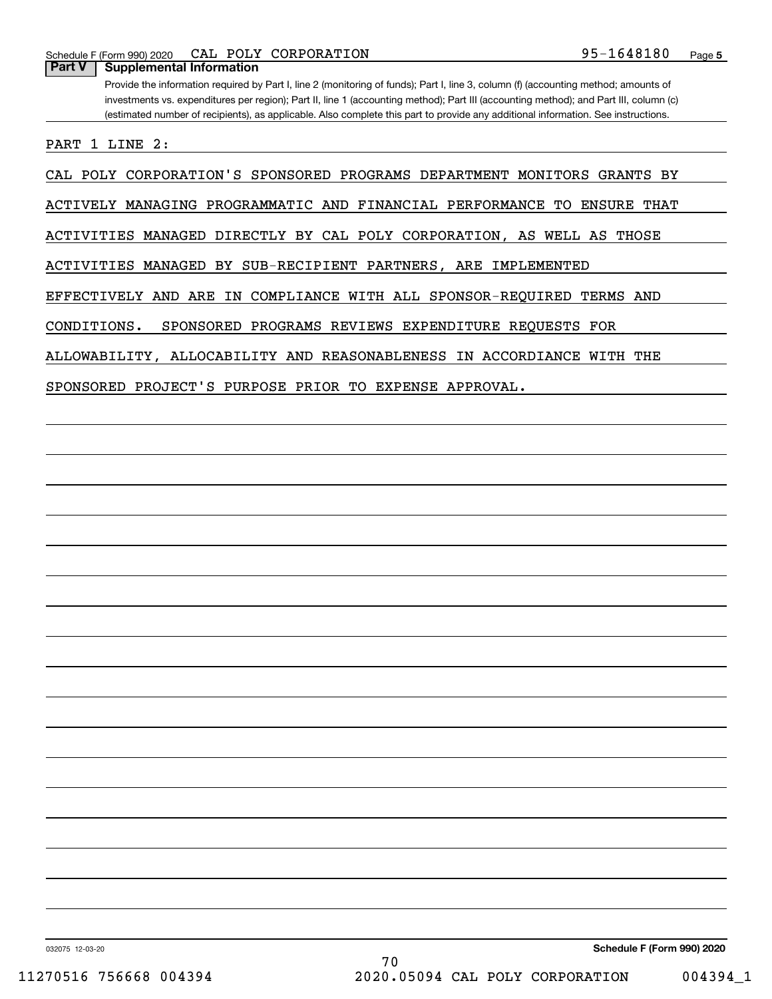Schedule F (Form 990) 2020 **CAL POLY CORPORATION 95-1648180** Page

**Part V Supplemental Information**

Provide the information required by Part I, line 2 (monitoring of funds); Part I, line 3, column (f) (accounting method; amounts of investments vs. expenditures per region); Part II, line 1 (accounting method); Part III (accounting method); and Part III, column (c) (estimated number of recipients), as applicable. Also complete this part to provide any additional information. See instructions.

PART 1 LINE 2:

CAL POLY CORPORATION'S SPONSORED PROGRAMS DEPARTMENT MONITORS GRANTS BY

ACTIVELY MANAGING PROGRAMMATIC AND FINANCIAL PERFORMANCE TO ENSURE THAT

ACTIVITIES MANAGED DIRECTLY BY CAL POLY CORPORATION, AS WELL AS THOSE

ACTIVITIES MANAGED BY SUB-RECIPIENT PARTNERS, ARE IMPLEMENTED

EFFECTIVELY AND ARE IN COMPLIANCE WITH ALL SPONSOR-REQUIRED TERMS AND

CONDITIONS. SPONSORED PROGRAMS REVIEWS EXPENDITURE REQUESTS FOR

ALLOWABILITY, ALLOCABILITY AND REASONABLENESS IN ACCORDIANCE WITH THE

SPONSORED PROJECT'S PURPOSE PRIOR TO EXPENSE APPROVAL.

032075 12-03-20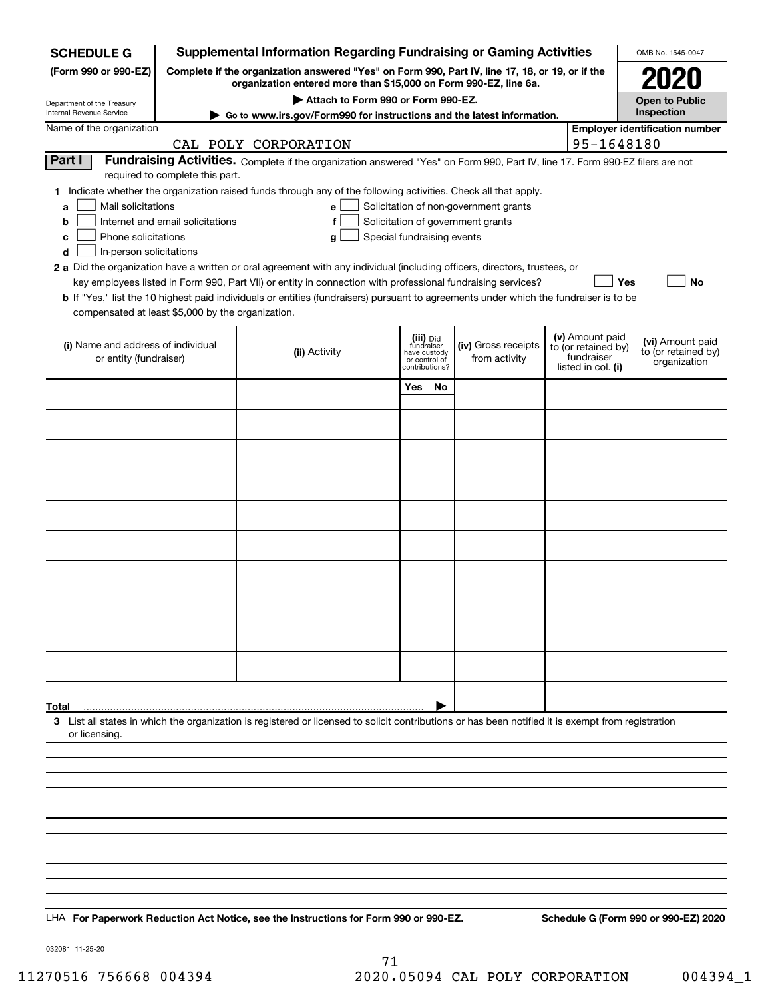| <b>SCHEDULE G</b>                                                                        | <b>Supplemental Information Regarding Fundraising or Gaming Activities</b>                      |                                                                                                                                                                                                                                                                                                                                                                                                                                                                                                                                                    |                                                                            |    |                                                                            |  |                                                                            | OMB No. 1545-0047                                       |  |
|------------------------------------------------------------------------------------------|-------------------------------------------------------------------------------------------------|----------------------------------------------------------------------------------------------------------------------------------------------------------------------------------------------------------------------------------------------------------------------------------------------------------------------------------------------------------------------------------------------------------------------------------------------------------------------------------------------------------------------------------------------------|----------------------------------------------------------------------------|----|----------------------------------------------------------------------------|--|----------------------------------------------------------------------------|---------------------------------------------------------|--|
| (Form 990 or 990-EZ)                                                                     | Complete if the organization answered "Yes" on Form 990, Part IV, line 17, 18, or 19, or if the |                                                                                                                                                                                                                                                                                                                                                                                                                                                                                                                                                    | 2020                                                                       |    |                                                                            |  |                                                                            |                                                         |  |
| Department of the Treasury                                                               |                                                                                                 | organization entered more than \$15,000 on Form 990-EZ, line 6a.<br>Attach to Form 990 or Form 990-EZ.                                                                                                                                                                                                                                                                                                                                                                                                                                             |                                                                            |    |                                                                            |  |                                                                            | <b>Open to Public</b>                                   |  |
| Internal Revenue Service                                                                 | ► Go to www.irs.gov/Form990 for instructions and the latest information.                        |                                                                                                                                                                                                                                                                                                                                                                                                                                                                                                                                                    |                                                                            |    |                                                                            |  |                                                                            | Inspection                                              |  |
| Name of the organization                                                                 |                                                                                                 | CAL POLY CORPORATION                                                                                                                                                                                                                                                                                                                                                                                                                                                                                                                               |                                                                            |    |                                                                            |  | 95-1648180                                                                 | <b>Employer identification number</b>                   |  |
| Part I                                                                                   |                                                                                                 | Fundraising Activities. Complete if the organization answered "Yes" on Form 990, Part IV, line 17. Form 990-EZ filers are not                                                                                                                                                                                                                                                                                                                                                                                                                      |                                                                            |    |                                                                            |  |                                                                            |                                                         |  |
|                                                                                          | required to complete this part.                                                                 |                                                                                                                                                                                                                                                                                                                                                                                                                                                                                                                                                    |                                                                            |    |                                                                            |  |                                                                            |                                                         |  |
| Mail solicitations<br>a<br>b<br>Phone solicitations<br>с<br>In-person solicitations<br>d | Internet and email solicitations                                                                | 1 Indicate whether the organization raised funds through any of the following activities. Check all that apply.<br>e<br>f<br>Special fundraising events<br>a<br>2 a Did the organization have a written or oral agreement with any individual (including officers, directors, trustees, or<br>key employees listed in Form 990, Part VII) or entity in connection with professional fundraising services?<br>b If "Yes," list the 10 highest paid individuals or entities (fundraisers) pursuant to agreements under which the fundraiser is to be |                                                                            |    | Solicitation of non-government grants<br>Solicitation of government grants |  | Yes                                                                        | No                                                      |  |
| compensated at least \$5,000 by the organization.                                        |                                                                                                 |                                                                                                                                                                                                                                                                                                                                                                                                                                                                                                                                                    |                                                                            |    |                                                                            |  |                                                                            |                                                         |  |
| (i) Name and address of individual<br>or entity (fundraiser)                             |                                                                                                 | (ii) Activity                                                                                                                                                                                                                                                                                                                                                                                                                                                                                                                                      | (iii) Did<br>fundraiser<br>have custody<br>or control of<br>contributions? |    | (iv) Gross receipts<br>from activity                                       |  | (v) Amount paid<br>to (or retained by)<br>fundraiser<br>listed in col. (i) | (vi) Amount paid<br>to (or retained by)<br>organization |  |
|                                                                                          |                                                                                                 |                                                                                                                                                                                                                                                                                                                                                                                                                                                                                                                                                    | Yes                                                                        | No |                                                                            |  |                                                                            |                                                         |  |
|                                                                                          |                                                                                                 |                                                                                                                                                                                                                                                                                                                                                                                                                                                                                                                                                    |                                                                            |    |                                                                            |  |                                                                            |                                                         |  |
|                                                                                          |                                                                                                 |                                                                                                                                                                                                                                                                                                                                                                                                                                                                                                                                                    |                                                                            |    |                                                                            |  |                                                                            |                                                         |  |
|                                                                                          |                                                                                                 |                                                                                                                                                                                                                                                                                                                                                                                                                                                                                                                                                    |                                                                            |    |                                                                            |  |                                                                            |                                                         |  |
|                                                                                          |                                                                                                 |                                                                                                                                                                                                                                                                                                                                                                                                                                                                                                                                                    |                                                                            |    |                                                                            |  |                                                                            |                                                         |  |
|                                                                                          |                                                                                                 |                                                                                                                                                                                                                                                                                                                                                                                                                                                                                                                                                    |                                                                            |    |                                                                            |  |                                                                            |                                                         |  |
|                                                                                          |                                                                                                 |                                                                                                                                                                                                                                                                                                                                                                                                                                                                                                                                                    |                                                                            |    |                                                                            |  |                                                                            |                                                         |  |
|                                                                                          |                                                                                                 |                                                                                                                                                                                                                                                                                                                                                                                                                                                                                                                                                    |                                                                            |    |                                                                            |  |                                                                            |                                                         |  |
|                                                                                          |                                                                                                 |                                                                                                                                                                                                                                                                                                                                                                                                                                                                                                                                                    |                                                                            |    |                                                                            |  |                                                                            |                                                         |  |
|                                                                                          |                                                                                                 |                                                                                                                                                                                                                                                                                                                                                                                                                                                                                                                                                    |                                                                            |    |                                                                            |  |                                                                            |                                                         |  |
|                                                                                          |                                                                                                 |                                                                                                                                                                                                                                                                                                                                                                                                                                                                                                                                                    |                                                                            |    |                                                                            |  |                                                                            |                                                         |  |
|                                                                                          |                                                                                                 |                                                                                                                                                                                                                                                                                                                                                                                                                                                                                                                                                    |                                                                            |    |                                                                            |  |                                                                            |                                                         |  |
|                                                                                          |                                                                                                 |                                                                                                                                                                                                                                                                                                                                                                                                                                                                                                                                                    |                                                                            |    |                                                                            |  |                                                                            |                                                         |  |
|                                                                                          |                                                                                                 |                                                                                                                                                                                                                                                                                                                                                                                                                                                                                                                                                    |                                                                            |    |                                                                            |  |                                                                            |                                                         |  |
|                                                                                          |                                                                                                 |                                                                                                                                                                                                                                                                                                                                                                                                                                                                                                                                                    |                                                                            |    |                                                                            |  |                                                                            |                                                         |  |
| Total<br>or licensing.                                                                   |                                                                                                 | 3 List all states in which the organization is registered or licensed to solicit contributions or has been notified it is exempt from registration                                                                                                                                                                                                                                                                                                                                                                                                 |                                                                            |    |                                                                            |  |                                                                            |                                                         |  |
|                                                                                          |                                                                                                 |                                                                                                                                                                                                                                                                                                                                                                                                                                                                                                                                                    |                                                                            |    |                                                                            |  |                                                                            |                                                         |  |
|                                                                                          |                                                                                                 |                                                                                                                                                                                                                                                                                                                                                                                                                                                                                                                                                    |                                                                            |    |                                                                            |  |                                                                            |                                                         |  |
|                                                                                          |                                                                                                 |                                                                                                                                                                                                                                                                                                                                                                                                                                                                                                                                                    |                                                                            |    |                                                                            |  |                                                                            |                                                         |  |
|                                                                                          |                                                                                                 |                                                                                                                                                                                                                                                                                                                                                                                                                                                                                                                                                    |                                                                            |    |                                                                            |  |                                                                            |                                                         |  |
|                                                                                          |                                                                                                 |                                                                                                                                                                                                                                                                                                                                                                                                                                                                                                                                                    |                                                                            |    |                                                                            |  |                                                                            |                                                         |  |
|                                                                                          |                                                                                                 |                                                                                                                                                                                                                                                                                                                                                                                                                                                                                                                                                    |                                                                            |    |                                                                            |  |                                                                            |                                                         |  |
|                                                                                          |                                                                                                 |                                                                                                                                                                                                                                                                                                                                                                                                                                                                                                                                                    |                                                                            |    |                                                                            |  |                                                                            |                                                         |  |
|                                                                                          |                                                                                                 |                                                                                                                                                                                                                                                                                                                                                                                                                                                                                                                                                    |                                                                            |    |                                                                            |  |                                                                            |                                                         |  |
|                                                                                          |                                                                                                 | LHA For Paperwork Reduction Act Notice, see the Instructions for Form 990 or 990-EZ.                                                                                                                                                                                                                                                                                                                                                                                                                                                               |                                                                            |    |                                                                            |  |                                                                            | Schedule G (Form 990 or 990-EZ) 2020                    |  |

032081 11-25-20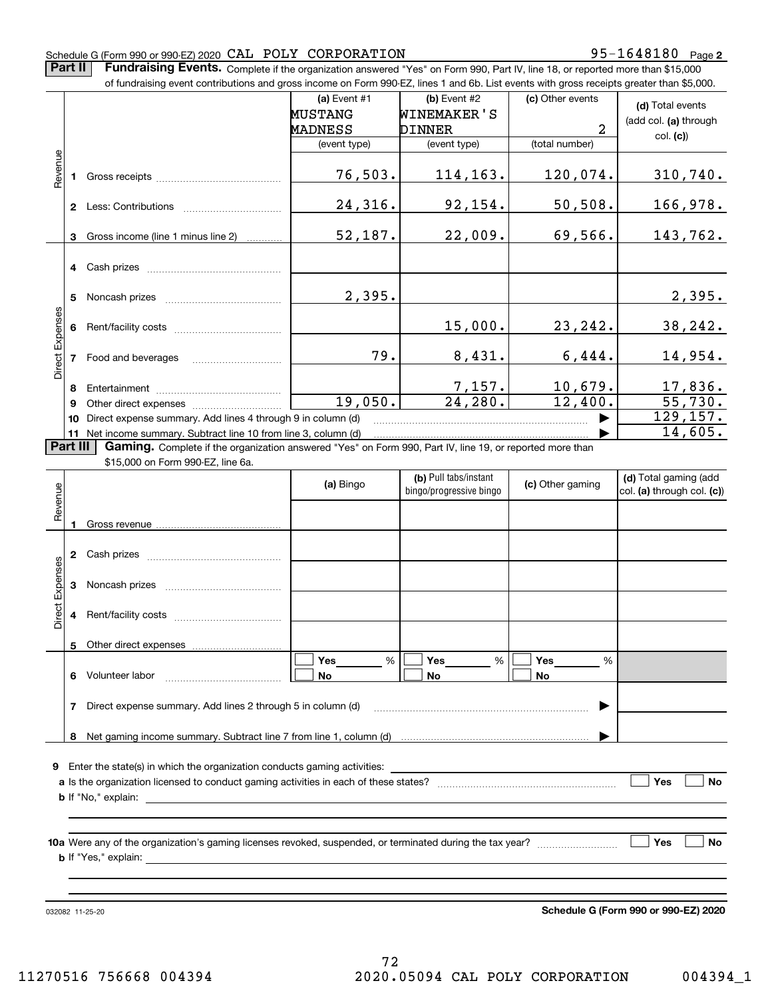#### Schedule G (Form 990 or 990-EZ) 2020 Page CAL POLY CORPORATION 95-1648180

**2**

**Part II** | Fundraising Events. Complete if the organization answered "Yes" on Form 990, Part IV, line 18, or reported more than \$15,000

|                 | of fundraising event contributions and gross income on Form 990-EZ, lines 1 and 6b. List events with gross receipts greater than \$5,000. |                                                                                                                                                                                                                                                                                                                                                                                    |                |                         |                           |                            |  |  |  |  |  |
|-----------------|-------------------------------------------------------------------------------------------------------------------------------------------|------------------------------------------------------------------------------------------------------------------------------------------------------------------------------------------------------------------------------------------------------------------------------------------------------------------------------------------------------------------------------------|----------------|-------------------------|---------------------------|----------------------------|--|--|--|--|--|
|                 |                                                                                                                                           |                                                                                                                                                                                                                                                                                                                                                                                    | (a) Event $#1$ | (b) Event #2            | (c) Other events          | (d) Total events           |  |  |  |  |  |
|                 |                                                                                                                                           |                                                                                                                                                                                                                                                                                                                                                                                    | <b>MUSTANG</b> | <b>WINEMAKER'S</b>      |                           | (add col. (a) through      |  |  |  |  |  |
|                 |                                                                                                                                           |                                                                                                                                                                                                                                                                                                                                                                                    | MADNESS        | <b>DINNER</b>           | $\overline{2}$            | col. (c)                   |  |  |  |  |  |
|                 |                                                                                                                                           |                                                                                                                                                                                                                                                                                                                                                                                    | (event type)   | (event type)            | (total number)            |                            |  |  |  |  |  |
|                 |                                                                                                                                           |                                                                                                                                                                                                                                                                                                                                                                                    |                |                         |                           |                            |  |  |  |  |  |
| Revenue         |                                                                                                                                           |                                                                                                                                                                                                                                                                                                                                                                                    | 76,503.        | 114,163.                | 120,074.                  | 310,740.                   |  |  |  |  |  |
|                 |                                                                                                                                           |                                                                                                                                                                                                                                                                                                                                                                                    |                |                         |                           |                            |  |  |  |  |  |
|                 |                                                                                                                                           | 2 Less: Contributions                                                                                                                                                                                                                                                                                                                                                              | 24,316.        | 92, 154.                | 50, 508.                  | 166,978.                   |  |  |  |  |  |
|                 | 3                                                                                                                                         | Gross income (line 1 minus line 2)                                                                                                                                                                                                                                                                                                                                                 | 52,187.        | 22,009.                 | 69,566.                   | 143,762.                   |  |  |  |  |  |
|                 |                                                                                                                                           |                                                                                                                                                                                                                                                                                                                                                                                    |                |                         |                           |                            |  |  |  |  |  |
|                 |                                                                                                                                           | 4 Cash prizes                                                                                                                                                                                                                                                                                                                                                                      |                |                         |                           |                            |  |  |  |  |  |
|                 |                                                                                                                                           |                                                                                                                                                                                                                                                                                                                                                                                    |                |                         |                           |                            |  |  |  |  |  |
|                 |                                                                                                                                           |                                                                                                                                                                                                                                                                                                                                                                                    | 2,395.         |                         |                           | 2,395.                     |  |  |  |  |  |
|                 |                                                                                                                                           |                                                                                                                                                                                                                                                                                                                                                                                    |                |                         |                           |                            |  |  |  |  |  |
|                 |                                                                                                                                           |                                                                                                                                                                                                                                                                                                                                                                                    |                | 15,000.                 | 23, 242.                  | 38, 242.                   |  |  |  |  |  |
| Direct Expenses |                                                                                                                                           |                                                                                                                                                                                                                                                                                                                                                                                    |                |                         |                           |                            |  |  |  |  |  |
|                 |                                                                                                                                           |                                                                                                                                                                                                                                                                                                                                                                                    | 79.            | 8,431.                  | 6,444.                    | 14,954.                    |  |  |  |  |  |
|                 |                                                                                                                                           |                                                                                                                                                                                                                                                                                                                                                                                    |                |                         |                           |                            |  |  |  |  |  |
|                 | 8                                                                                                                                         |                                                                                                                                                                                                                                                                                                                                                                                    |                | $\frac{7,157}{24,280}$  | $\frac{10,679.}{12,400.}$ | $\frac{17,836}{55,730}$ .  |  |  |  |  |  |
|                 | 9                                                                                                                                         |                                                                                                                                                                                                                                                                                                                                                                                    | 19,050.        |                         |                           | $\overline{129,}157.$      |  |  |  |  |  |
|                 | 10                                                                                                                                        | Direct expense summary. Add lines 4 through 9 in column (d)                                                                                                                                                                                                                                                                                                                        |                |                         |                           | 14,605.                    |  |  |  |  |  |
|                 | Part III                                                                                                                                  | 11 Net income summary. Subtract line 10 from line 3, column (d)<br>Gaming. Complete if the organization answered "Yes" on Form 990, Part IV, line 19, or reported more than                                                                                                                                                                                                        |                |                         |                           |                            |  |  |  |  |  |
|                 |                                                                                                                                           | \$15,000 on Form 990-EZ, line 6a.                                                                                                                                                                                                                                                                                                                                                  |                |                         |                           |                            |  |  |  |  |  |
|                 |                                                                                                                                           |                                                                                                                                                                                                                                                                                                                                                                                    |                | (b) Pull tabs/instant   |                           | (d) Total gaming (add      |  |  |  |  |  |
|                 |                                                                                                                                           |                                                                                                                                                                                                                                                                                                                                                                                    | (a) Bingo      | bingo/progressive bingo | (c) Other gaming          | col. (a) through col. (c)) |  |  |  |  |  |
| Revenue         |                                                                                                                                           |                                                                                                                                                                                                                                                                                                                                                                                    |                |                         |                           |                            |  |  |  |  |  |
|                 | 1                                                                                                                                         |                                                                                                                                                                                                                                                                                                                                                                                    |                |                         |                           |                            |  |  |  |  |  |
|                 |                                                                                                                                           |                                                                                                                                                                                                                                                                                                                                                                                    |                |                         |                           |                            |  |  |  |  |  |
|                 |                                                                                                                                           |                                                                                                                                                                                                                                                                                                                                                                                    |                |                         |                           |                            |  |  |  |  |  |
| Expenses        |                                                                                                                                           |                                                                                                                                                                                                                                                                                                                                                                                    |                |                         |                           |                            |  |  |  |  |  |
|                 |                                                                                                                                           |                                                                                                                                                                                                                                                                                                                                                                                    |                |                         |                           |                            |  |  |  |  |  |
|                 |                                                                                                                                           |                                                                                                                                                                                                                                                                                                                                                                                    |                |                         |                           |                            |  |  |  |  |  |
| Direct          |                                                                                                                                           | 4 Rent/facility costs                                                                                                                                                                                                                                                                                                                                                              |                |                         |                           |                            |  |  |  |  |  |
|                 |                                                                                                                                           |                                                                                                                                                                                                                                                                                                                                                                                    |                |                         |                           |                            |  |  |  |  |  |
|                 |                                                                                                                                           |                                                                                                                                                                                                                                                                                                                                                                                    | Yes<br>%       | Yes<br>$\%$             | Yes<br>%                  |                            |  |  |  |  |  |
|                 |                                                                                                                                           | 6 Volunteer labor<br>$\mathcal{L} = \{1, 2, \ldots, 2, \ldots, 2, \ldots, 2, \ldots, 2, \ldots, 2, \ldots, 2, \ldots, 2, \ldots, 2, \ldots, 2, \ldots, 2, \ldots, 2, \ldots, 2, \ldots, 2, \ldots, 2, \ldots, 2, \ldots, 2, \ldots, 2, \ldots, 2, \ldots, 2, \ldots, 2, \ldots, 2, \ldots, 2, \ldots, 2, \ldots, 2, \ldots, 2, \ldots, 2, \ldots, 2, \ldots, 2, \ldots, 2, \ldots$ | No             | No                      | No                        |                            |  |  |  |  |  |
|                 |                                                                                                                                           |                                                                                                                                                                                                                                                                                                                                                                                    |                |                         |                           |                            |  |  |  |  |  |
|                 | $\mathbf{7}$                                                                                                                              | Direct expense summary. Add lines 2 through 5 in column (d)                                                                                                                                                                                                                                                                                                                        |                |                         |                           |                            |  |  |  |  |  |
|                 |                                                                                                                                           |                                                                                                                                                                                                                                                                                                                                                                                    |                |                         |                           |                            |  |  |  |  |  |
|                 | 8                                                                                                                                         |                                                                                                                                                                                                                                                                                                                                                                                    |                |                         |                           |                            |  |  |  |  |  |
|                 |                                                                                                                                           |                                                                                                                                                                                                                                                                                                                                                                                    |                |                         |                           |                            |  |  |  |  |  |
|                 |                                                                                                                                           |                                                                                                                                                                                                                                                                                                                                                                                    |                |                         |                           |                            |  |  |  |  |  |
| Yes<br>No       |                                                                                                                                           |                                                                                                                                                                                                                                                                                                                                                                                    |                |                         |                           |                            |  |  |  |  |  |
|                 |                                                                                                                                           |                                                                                                                                                                                                                                                                                                                                                                                    |                |                         |                           |                            |  |  |  |  |  |
|                 |                                                                                                                                           |                                                                                                                                                                                                                                                                                                                                                                                    |                |                         |                           |                            |  |  |  |  |  |
|                 |                                                                                                                                           |                                                                                                                                                                                                                                                                                                                                                                                    |                |                         |                           |                            |  |  |  |  |  |
|                 |                                                                                                                                           |                                                                                                                                                                                                                                                                                                                                                                                    |                |                         |                           | Yes<br>No                  |  |  |  |  |  |
|                 |                                                                                                                                           |                                                                                                                                                                                                                                                                                                                                                                                    |                |                         |                           |                            |  |  |  |  |  |
|                 |                                                                                                                                           |                                                                                                                                                                                                                                                                                                                                                                                    |                |                         |                           |                            |  |  |  |  |  |

032082 11-25-20

**Schedule G (Form 990 or 990-EZ) 2020**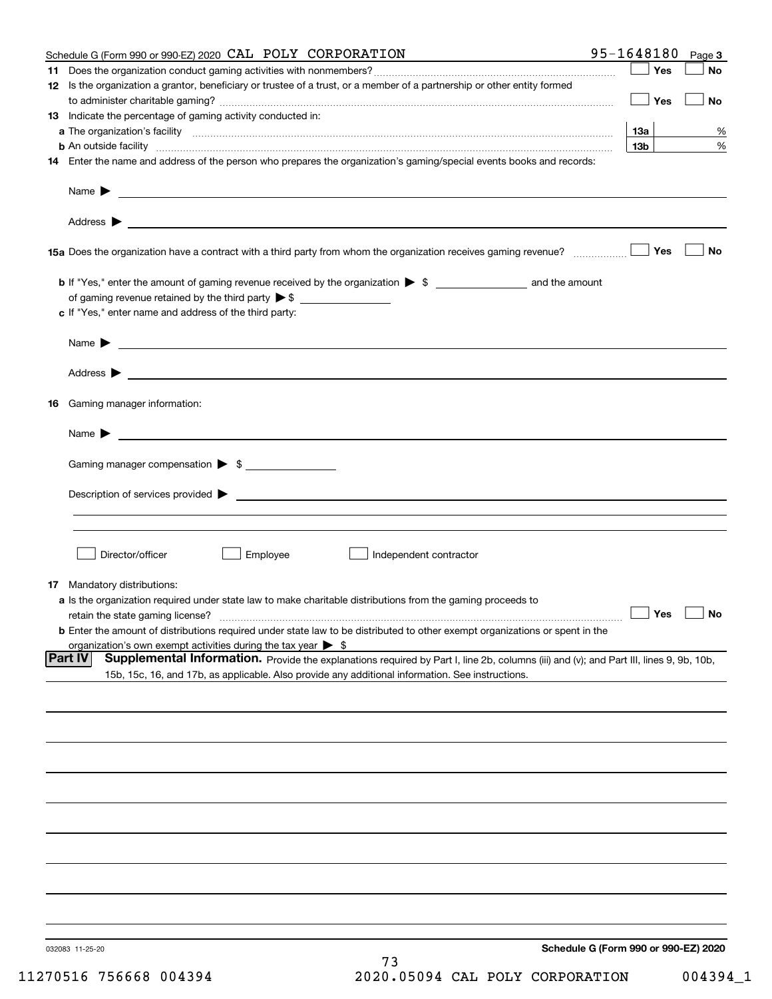|    | Schedule G (Form 990 or 990-EZ) 2020 CAL POLY CORPORATION                                                                                                     | 95-1648180      | Page 3                               |
|----|---------------------------------------------------------------------------------------------------------------------------------------------------------------|-----------------|--------------------------------------|
| 11 |                                                                                                                                                               | Yes             | No                                   |
|    | 12 Is the organization a grantor, beneficiary or trustee of a trust, or a member of a partnership or other entity formed                                      |                 |                                      |
|    |                                                                                                                                                               | Yes             | No                                   |
|    | 13 Indicate the percentage of gaming activity conducted in:                                                                                                   |                 |                                      |
|    |                                                                                                                                                               | <u>13a</u>      | %                                    |
|    | <b>b</b> An outside facility <i>www.communicality www.communicality.communicality www.communicality www.communicality.communicality www.communicality.com</i> | 13 <sub>b</sub> | %                                    |
|    | 14 Enter the name and address of the person who prepares the organization's gaming/special events books and records:                                          |                 |                                      |
|    |                                                                                                                                                               |                 |                                      |
|    |                                                                                                                                                               |                 |                                      |
|    |                                                                                                                                                               |                 |                                      |
|    |                                                                                                                                                               |                 |                                      |
|    |                                                                                                                                                               |                 |                                      |
|    | 15a Does the organization have a contract with a third party from whom the organization receives gaming revenue?                                              | Yes             | <b>No</b>                            |
|    |                                                                                                                                                               |                 |                                      |
|    | b If "Yes," enter the amount of gaming revenue received by the organization > \$ ____________________ and the amount                                          |                 |                                      |
|    |                                                                                                                                                               |                 |                                      |
|    | c If "Yes," enter name and address of the third party:                                                                                                        |                 |                                      |
|    |                                                                                                                                                               |                 |                                      |
|    | Name $\blacktriangleright$ $\bot$                                                                                                                             |                 |                                      |
|    |                                                                                                                                                               |                 |                                      |
|    |                                                                                                                                                               |                 |                                      |
|    |                                                                                                                                                               |                 |                                      |
| 16 | Gaming manager information:                                                                                                                                   |                 |                                      |
|    |                                                                                                                                                               |                 |                                      |
|    | Name $\blacktriangleright$ $\frac{1}{\sqrt{1-\frac{1}{2}}\left(1-\frac{1}{2}\right)}$                                                                         |                 |                                      |
|    |                                                                                                                                                               |                 |                                      |
|    | Gaming manager compensation > \$                                                                                                                              |                 |                                      |
|    |                                                                                                                                                               |                 |                                      |
|    |                                                                                                                                                               |                 |                                      |
|    |                                                                                                                                                               |                 |                                      |
|    |                                                                                                                                                               |                 |                                      |
|    |                                                                                                                                                               |                 |                                      |
|    | Director/officer<br>Employee<br>Independent contractor                                                                                                        |                 |                                      |
|    |                                                                                                                                                               |                 |                                      |
|    | 17 Mandatory distributions:                                                                                                                                   |                 |                                      |
|    | a Is the organization required under state law to make charitable distributions from the gaming proceeds to                                                   |                 |                                      |
|    | $\Box$ Yes $\Box$ No<br>retain the state gaming license?                                                                                                      |                 |                                      |
|    | <b>b</b> Enter the amount of distributions required under state law to be distributed to other exempt organizations or spent in the                           |                 |                                      |
|    | organization's own exempt activities during the tax year $\triangleright$ \$                                                                                  |                 |                                      |
|    | Part IV<br>Supplemental Information. Provide the explanations required by Part I, line 2b, columns (iii) and (v); and Part III, lines 9, 9b, 10b,             |                 |                                      |
|    | 15b, 15c, 16, and 17b, as applicable. Also provide any additional information. See instructions.                                                              |                 |                                      |
|    |                                                                                                                                                               |                 |                                      |
|    |                                                                                                                                                               |                 |                                      |
|    |                                                                                                                                                               |                 |                                      |
|    |                                                                                                                                                               |                 |                                      |
|    |                                                                                                                                                               |                 |                                      |
|    |                                                                                                                                                               |                 |                                      |
|    |                                                                                                                                                               |                 |                                      |
|    |                                                                                                                                                               |                 |                                      |
|    |                                                                                                                                                               |                 |                                      |
|    |                                                                                                                                                               |                 |                                      |
|    |                                                                                                                                                               |                 |                                      |
|    |                                                                                                                                                               |                 |                                      |
|    |                                                                                                                                                               |                 |                                      |
|    |                                                                                                                                                               |                 |                                      |
|    |                                                                                                                                                               |                 |                                      |
|    |                                                                                                                                                               |                 |                                      |
|    | 032083 11-25-20                                                                                                                                               |                 | Schedule G (Form 990 or 990-EZ) 2020 |
|    | 73                                                                                                                                                            |                 |                                      |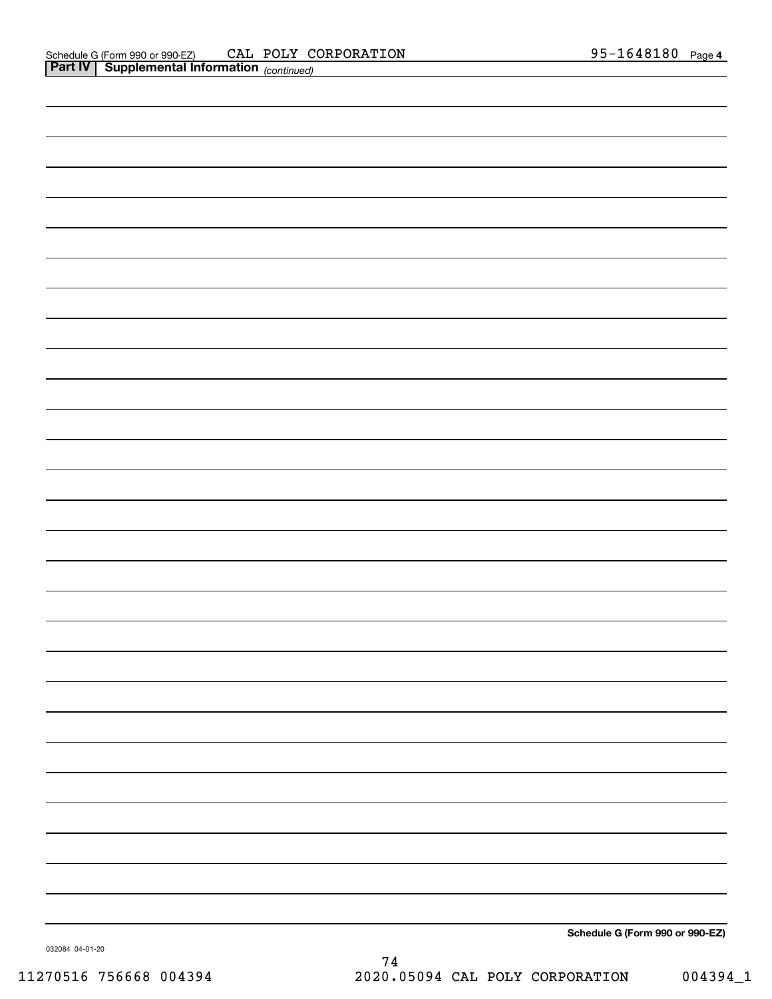**Schedule G (Form 990 or 990-EZ)**

032084 04-01-20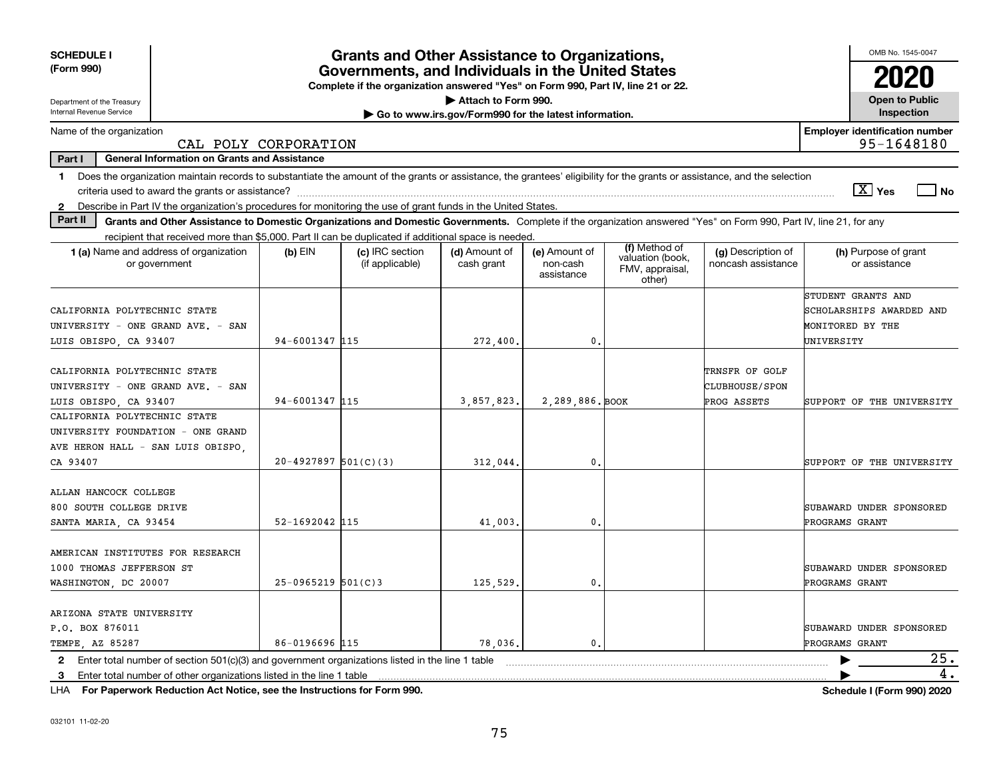| <b>SCHEDULE I</b>                                                                                                                                                              |                                                                                                                                       | <b>Grants and Other Assistance to Organizations,</b> |                                                       |                                         |                                               |                                          | OMB No. 1545-0047                                   |  |  |
|--------------------------------------------------------------------------------------------------------------------------------------------------------------------------------|---------------------------------------------------------------------------------------------------------------------------------------|------------------------------------------------------|-------------------------------------------------------|-----------------------------------------|-----------------------------------------------|------------------------------------------|-----------------------------------------------------|--|--|
| (Form 990)                                                                                                                                                                     | Governments, and Individuals in the United States<br>Complete if the organization answered "Yes" on Form 990, Part IV, line 21 or 22. |                                                      |                                                       |                                         |                                               |                                          |                                                     |  |  |
| Department of the Treasury                                                                                                                                                     |                                                                                                                                       |                                                      | Attach to Form 990.                                   |                                         |                                               |                                          | <b>Open to Public</b>                               |  |  |
| Internal Revenue Service                                                                                                                                                       |                                                                                                                                       |                                                      | Go to www.irs.gov/Form990 for the latest information. |                                         |                                               |                                          | Inspection                                          |  |  |
| Name of the organization<br>CAL POLY CORPORATION                                                                                                                               |                                                                                                                                       |                                                      |                                                       |                                         |                                               |                                          | <b>Employer identification number</b><br>95-1648180 |  |  |
| <b>General Information on Grants and Assistance</b><br>Part I                                                                                                                  |                                                                                                                                       |                                                      |                                                       |                                         |                                               |                                          |                                                     |  |  |
| Does the organization maintain records to substantiate the amount of the grants or assistance, the grantees' eligibility for the grants or assistance, and the selection<br>1. |                                                                                                                                       |                                                      |                                                       |                                         |                                               |                                          |                                                     |  |  |
|                                                                                                                                                                                |                                                                                                                                       |                                                      |                                                       |                                         |                                               |                                          | $\boxed{\text{X}}$ Yes<br>∣ No                      |  |  |
| Describe in Part IV the organization's procedures for monitoring the use of grant funds in the United States.<br>$\mathbf{2}$                                                  |                                                                                                                                       |                                                      |                                                       |                                         |                                               |                                          |                                                     |  |  |
| Part II<br>Grants and Other Assistance to Domestic Organizations and Domestic Governments. Complete if the organization answered "Yes" on Form 990, Part IV, line 21, for any  |                                                                                                                                       |                                                      |                                                       |                                         |                                               |                                          |                                                     |  |  |
| recipient that received more than \$5,000. Part II can be duplicated if additional space is needed.                                                                            |                                                                                                                                       |                                                      |                                                       |                                         | (f) Method of                                 |                                          |                                                     |  |  |
| 1 (a) Name and address of organization<br>or government                                                                                                                        | $(b)$ EIN                                                                                                                             | (c) IRC section<br>(if applicable)                   | (d) Amount of<br>cash grant                           | (e) Amount of<br>non-cash<br>assistance | valuation (book,<br>FMV, appraisal,<br>other) | (g) Description of<br>noncash assistance | (h) Purpose of grant<br>or assistance               |  |  |
|                                                                                                                                                                                |                                                                                                                                       |                                                      |                                                       |                                         |                                               |                                          | STUDENT GRANTS AND                                  |  |  |
| CALIFORNIA POLYTECHNIC STATE                                                                                                                                                   |                                                                                                                                       |                                                      |                                                       |                                         |                                               |                                          | SCHOLARSHIPS AWARDED AND                            |  |  |
| UNIVERSITY - ONE GRAND AVE. - SAN                                                                                                                                              |                                                                                                                                       |                                                      |                                                       |                                         |                                               |                                          | MONITORED BY THE                                    |  |  |
| LUIS OBISPO, CA 93407                                                                                                                                                          | 94-6001347 115                                                                                                                        |                                                      | 272,400.                                              | $\mathbf{0}$ .                          |                                               |                                          | UNIVERSITY                                          |  |  |
| CALIFORNIA POLYTECHNIC STATE                                                                                                                                                   |                                                                                                                                       |                                                      |                                                       |                                         |                                               | TRNSFR OF GOLF                           |                                                     |  |  |
| UNIVERSITY - ONE GRAND AVE. - SAN<br>CLUBHOUSE/SPON                                                                                                                            |                                                                                                                                       |                                                      |                                                       |                                         |                                               |                                          |                                                     |  |  |
| LUIS OBISPO, CA 93407                                                                                                                                                          | 94-6001347 115<br>3,857,823,<br>2,289,886. BOOK<br>PROG ASSETS                                                                        |                                                      |                                                       |                                         | SUPPORT OF THE UNIVERSITY                     |                                          |                                                     |  |  |
| CALIFORNIA POLYTECHNIC STATE                                                                                                                                                   |                                                                                                                                       |                                                      |                                                       |                                         |                                               |                                          |                                                     |  |  |
| UNIVERSITY FOUNDATION - ONE GRAND                                                                                                                                              |                                                                                                                                       |                                                      |                                                       |                                         |                                               |                                          |                                                     |  |  |
| AVE HERON HALL - SAN LUIS OBISPO.                                                                                                                                              |                                                                                                                                       |                                                      |                                                       |                                         |                                               |                                          |                                                     |  |  |
| CA 93407                                                                                                                                                                       | $20-4927897$ 501(C)(3)                                                                                                                |                                                      | 312,044.                                              | $\mathbf{0}$ .                          |                                               |                                          | SUPPORT OF THE UNIVERSITY                           |  |  |
| ALLAN HANCOCK COLLEGE                                                                                                                                                          |                                                                                                                                       |                                                      |                                                       |                                         |                                               |                                          |                                                     |  |  |
| 800 SOUTH COLLEGE DRIVE                                                                                                                                                        |                                                                                                                                       |                                                      |                                                       |                                         |                                               |                                          | SUBAWARD UNDER SPONSORED                            |  |  |
| SANTA MARIA, CA 93454                                                                                                                                                          | 52-1692042 115                                                                                                                        |                                                      | 41,003,                                               | 0.                                      |                                               |                                          | PROGRAMS GRANT                                      |  |  |
|                                                                                                                                                                                |                                                                                                                                       |                                                      |                                                       |                                         |                                               |                                          |                                                     |  |  |
| AMERICAN INSTITUTES FOR RESEARCH                                                                                                                                               |                                                                                                                                       |                                                      |                                                       |                                         |                                               |                                          |                                                     |  |  |
| 1000 THOMAS JEFFERSON ST                                                                                                                                                       |                                                                                                                                       |                                                      |                                                       |                                         |                                               |                                          | SUBAWARD UNDER SPONSORED                            |  |  |
| WASHINGTON, DC 20007                                                                                                                                                           | $25-0965219$ 501(C)3                                                                                                                  |                                                      | 125,529.                                              | 0.                                      |                                               |                                          | PROGRAMS GRANT                                      |  |  |
|                                                                                                                                                                                |                                                                                                                                       |                                                      |                                                       |                                         |                                               |                                          |                                                     |  |  |
| ARIZONA STATE UNIVERSITY                                                                                                                                                       |                                                                                                                                       |                                                      |                                                       |                                         |                                               |                                          |                                                     |  |  |
| P.O. BOX 876011                                                                                                                                                                |                                                                                                                                       |                                                      |                                                       |                                         |                                               |                                          | SUBAWARD UNDER SPONSORED                            |  |  |
| TEMPE, AZ 85287                                                                                                                                                                | 86-0196696 115                                                                                                                        |                                                      | 78,036.                                               | $\mathbf{0}$ .                          |                                               |                                          | PROGRAMS GRANT                                      |  |  |
| Enter total number of section $501(c)(3)$ and government organizations listed in the line 1 table<br>$\mathbf{2}$                                                              |                                                                                                                                       |                                                      |                                                       |                                         |                                               |                                          | 25.                                                 |  |  |
| Enter total number of other organizations listed in the line 1 table<br>-3                                                                                                     |                                                                                                                                       |                                                      |                                                       |                                         |                                               |                                          | 4.                                                  |  |  |

**For Paperwork Reduction Act Notice, see the Instructions for Form 990. Schedule I (Form 990) 2020** LHA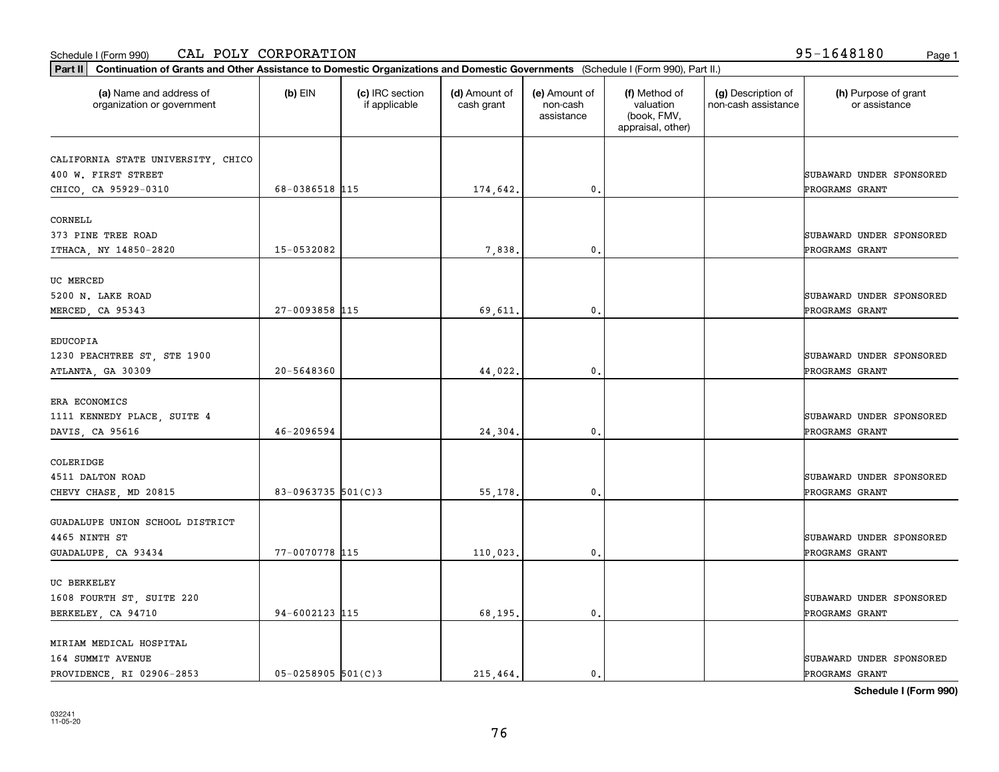### Schedule I (Form 990) Page 1 CAL POLY CORPORATION 95-1648180

| Part II   Continuation of Grants and Other Assistance to Domestic Organizations and Domestic Governments (Schedule I (Form 990), Part II.) |                        |                                  |                             |                                         |                                                                |                                           |                                       |
|--------------------------------------------------------------------------------------------------------------------------------------------|------------------------|----------------------------------|-----------------------------|-----------------------------------------|----------------------------------------------------------------|-------------------------------------------|---------------------------------------|
| (a) Name and address of<br>organization or government                                                                                      | $(b)$ EIN              | (c) IRC section<br>if applicable | (d) Amount of<br>cash grant | (e) Amount of<br>non-cash<br>assistance | (f) Method of<br>valuation<br>(book, FMV,<br>appraisal, other) | (g) Description of<br>non-cash assistance | (h) Purpose of grant<br>or assistance |
|                                                                                                                                            |                        |                                  |                             |                                         |                                                                |                                           |                                       |
| CALIFORNIA STATE UNIVERSITY, CHICO<br>400 W. FIRST STREET                                                                                  |                        |                                  |                             |                                         |                                                                |                                           | SUBAWARD UNDER SPONSORED              |
| CHICO, CA 95929-0310                                                                                                                       | 68-0386518 115         |                                  | 174,642.                    | 0.                                      |                                                                |                                           | PROGRAMS GRANT                        |
|                                                                                                                                            |                        |                                  |                             |                                         |                                                                |                                           |                                       |
| CORNELL                                                                                                                                    |                        |                                  |                             |                                         |                                                                |                                           |                                       |
| 373 PINE TREE ROAD                                                                                                                         |                        |                                  |                             |                                         |                                                                |                                           | SUBAWARD UNDER SPONSORED              |
| ITHACA, NY 14850-2820                                                                                                                      | 15-0532082             |                                  | 7,838.                      | 0.                                      |                                                                |                                           | PROGRAMS GRANT                        |
|                                                                                                                                            |                        |                                  |                             |                                         |                                                                |                                           |                                       |
| UC MERCED                                                                                                                                  |                        |                                  |                             |                                         |                                                                |                                           |                                       |
| 5200 N. LAKE ROAD                                                                                                                          |                        |                                  |                             |                                         |                                                                |                                           | SUBAWARD UNDER SPONSORED              |
| MERCED, CA 95343                                                                                                                           | 27-0093858 115         |                                  | 69,611.                     | $\mathbf{0}$ .                          |                                                                |                                           | PROGRAMS GRANT                        |
|                                                                                                                                            |                        |                                  |                             |                                         |                                                                |                                           |                                       |
| EDUCOPIA                                                                                                                                   |                        |                                  |                             |                                         |                                                                |                                           |                                       |
| 1230 PEACHTREE ST, STE 1900                                                                                                                |                        |                                  |                             |                                         |                                                                |                                           | SUBAWARD UNDER SPONSORED              |
| ATLANTA, GA 30309                                                                                                                          | 20-5648360             |                                  | 44,022.                     | 0.                                      |                                                                |                                           | PROGRAMS GRANT                        |
|                                                                                                                                            |                        |                                  |                             |                                         |                                                                |                                           |                                       |
| ERA ECONOMICS                                                                                                                              |                        |                                  |                             |                                         |                                                                |                                           |                                       |
| 1111 KENNEDY PLACE, SUITE 4                                                                                                                | 46-2096594             |                                  |                             | 0.                                      |                                                                |                                           | SUBAWARD UNDER SPONSORED              |
| DAVIS, CA 95616                                                                                                                            |                        |                                  | 24,304.                     |                                         |                                                                |                                           | PROGRAMS GRANT                        |
| COLERIDGE                                                                                                                                  |                        |                                  |                             |                                         |                                                                |                                           |                                       |
| 4511 DALTON ROAD                                                                                                                           |                        |                                  |                             |                                         |                                                                |                                           | SUBAWARD UNDER SPONSORED              |
| CHEVY CHASE, MD 20815                                                                                                                      | 83-0963735 $501(C)$ 3  |                                  | 55,178.                     | 0.                                      |                                                                |                                           | PROGRAMS GRANT                        |
|                                                                                                                                            |                        |                                  |                             |                                         |                                                                |                                           |                                       |
| GUADALUPE UNION SCHOOL DISTRICT                                                                                                            |                        |                                  |                             |                                         |                                                                |                                           |                                       |
| 4465 NINTH ST                                                                                                                              |                        |                                  |                             |                                         |                                                                |                                           | SUBAWARD UNDER SPONSORED              |
| GUADALUPE, CA 93434                                                                                                                        | 77-0070778 115         |                                  | 110,023.                    | 0.                                      |                                                                |                                           | PROGRAMS GRANT                        |
|                                                                                                                                            |                        |                                  |                             |                                         |                                                                |                                           |                                       |
| UC BERKELEY                                                                                                                                |                        |                                  |                             |                                         |                                                                |                                           |                                       |
| 1608 FOURTH ST, SUITE 220                                                                                                                  |                        |                                  |                             |                                         |                                                                |                                           | SUBAWARD UNDER SPONSORED              |
| BERKELEY, CA 94710                                                                                                                         | 94-6002123 115         |                                  | 68,195.                     | $\mathbf{0}$ .                          |                                                                |                                           | PROGRAMS GRANT                        |
|                                                                                                                                            |                        |                                  |                             |                                         |                                                                |                                           |                                       |
| MIRIAM MEDICAL HOSPITAL                                                                                                                    |                        |                                  |                             |                                         |                                                                |                                           |                                       |
| 164 SUMMIT AVENUE                                                                                                                          |                        |                                  |                             |                                         |                                                                |                                           | SUBAWARD UNDER SPONSORED              |
| PROVIDENCE, RI 02906-2853                                                                                                                  | $05 - 0258905$ 501(C)3 |                                  | 215,464.                    | 0.                                      |                                                                |                                           | PROGRAMS GRANT                        |

**Schedule I (Form 990)**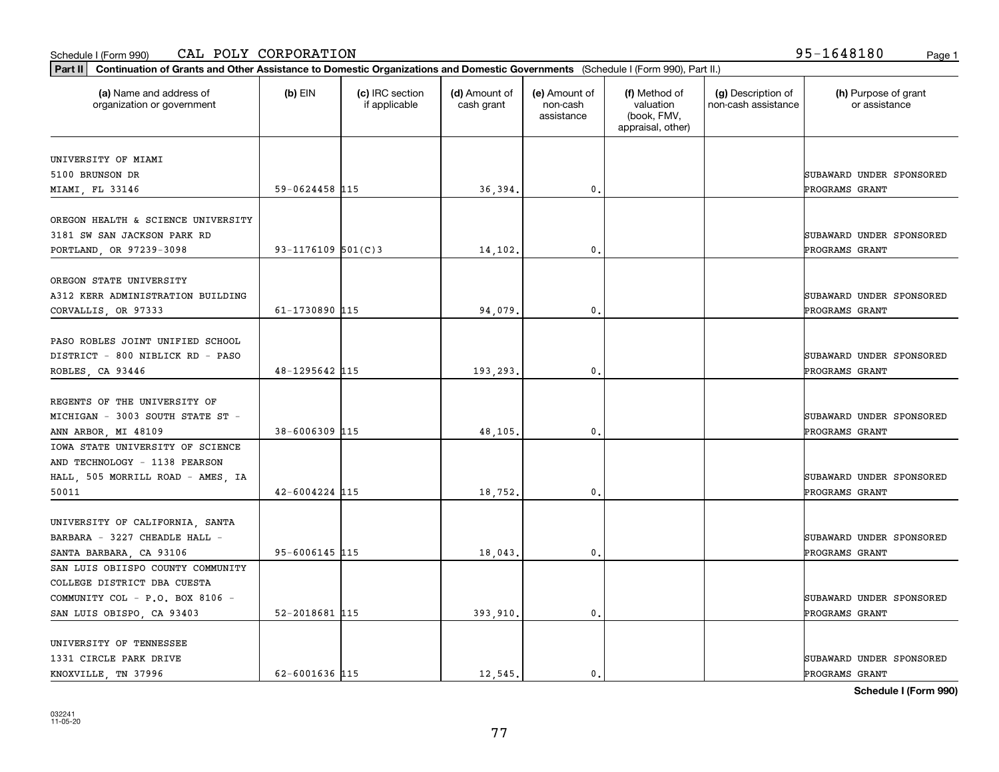### Schedule I (Form 990) Page 1 CAL POLY CORPORATION 95-1648180

| Part II   Continuation of Grants and Other Assistance to Domestic Organizations and Domestic Governments (Schedule I (Form 990), Part II.) |                        |                                  |                             |                                         |                                                                |                                           |                                       |
|--------------------------------------------------------------------------------------------------------------------------------------------|------------------------|----------------------------------|-----------------------------|-----------------------------------------|----------------------------------------------------------------|-------------------------------------------|---------------------------------------|
| (a) Name and address of<br>organization or government                                                                                      | $(b)$ EIN              | (c) IRC section<br>if applicable | (d) Amount of<br>cash grant | (e) Amount of<br>non-cash<br>assistance | (f) Method of<br>valuation<br>(book, FMV,<br>appraisal, other) | (g) Description of<br>non-cash assistance | (h) Purpose of grant<br>or assistance |
| UNIVERSITY OF MIAMI                                                                                                                        |                        |                                  |                             |                                         |                                                                |                                           |                                       |
| 5100 BRUNSON DR                                                                                                                            |                        |                                  |                             |                                         |                                                                |                                           | SUBAWARD UNDER SPONSORED              |
| MIAMI, FL 33146                                                                                                                            | 59-0624458 115         |                                  | 36,394.                     | 0.                                      |                                                                |                                           | PROGRAMS GRANT                        |
|                                                                                                                                            |                        |                                  |                             |                                         |                                                                |                                           |                                       |
| OREGON HEALTH & SCIENCE UNIVERSITY                                                                                                         |                        |                                  |                             |                                         |                                                                |                                           |                                       |
| 3181 SW SAN JACKSON PARK RD                                                                                                                |                        |                                  |                             |                                         |                                                                |                                           | SUBAWARD UNDER SPONSORED              |
| PORTLAND, OR 97239-3098                                                                                                                    | $93 - 1176109$ 501(C)3 |                                  | 14,102.                     | 0.                                      |                                                                |                                           | PROGRAMS GRANT                        |
|                                                                                                                                            |                        |                                  |                             |                                         |                                                                |                                           |                                       |
| OREGON STATE UNIVERSITY                                                                                                                    |                        |                                  |                             |                                         |                                                                |                                           |                                       |
| A312 KERR ADMINISTRATION BUILDING                                                                                                          |                        |                                  |                             |                                         |                                                                |                                           | SUBAWARD UNDER SPONSORED              |
| CORVALLIS, OR 97333                                                                                                                        | 61-1730890 115         |                                  | 94,079.                     | 0.                                      |                                                                |                                           | PROGRAMS GRANT                        |
|                                                                                                                                            |                        |                                  |                             |                                         |                                                                |                                           |                                       |
| PASO ROBLES JOINT UNIFIED SCHOOL                                                                                                           |                        |                                  |                             |                                         |                                                                |                                           |                                       |
| DISTRICT - 800 NIBLICK RD - PASO                                                                                                           |                        |                                  |                             |                                         |                                                                |                                           | SUBAWARD UNDER SPONSORED              |
| ROBLES, CA 93446                                                                                                                           | 48-1295642 115         |                                  | 193,293.                    | 0.                                      |                                                                |                                           | PROGRAMS GRANT                        |
|                                                                                                                                            |                        |                                  |                             |                                         |                                                                |                                           |                                       |
| REGENTS OF THE UNIVERSITY OF                                                                                                               |                        |                                  |                             |                                         |                                                                |                                           |                                       |
| MICHIGAN - 3003 SOUTH STATE ST -                                                                                                           |                        |                                  |                             |                                         |                                                                |                                           | SUBAWARD UNDER SPONSORED              |
| ANN ARBOR, MI 48109                                                                                                                        | $38 - 6006309$ 115     |                                  | 48,105.                     | 0.                                      |                                                                |                                           | PROGRAMS GRANT                        |
| IOWA STATE UNIVERSITY OF SCIENCE                                                                                                           |                        |                                  |                             |                                         |                                                                |                                           |                                       |
| AND TECHNOLOGY - 1138 PEARSON                                                                                                              |                        |                                  |                             |                                         |                                                                |                                           |                                       |
| HALL, 505 MORRILL ROAD - AMES, IA                                                                                                          |                        |                                  |                             |                                         |                                                                |                                           | SUBAWARD UNDER SPONSORED              |
| 50011                                                                                                                                      | $42 - 6004224$ 115     |                                  | 18,752.                     | 0.                                      |                                                                |                                           | PROGRAMS GRANT                        |
|                                                                                                                                            |                        |                                  |                             |                                         |                                                                |                                           |                                       |
| UNIVERSITY OF CALIFORNIA, SANTA                                                                                                            |                        |                                  |                             |                                         |                                                                |                                           |                                       |
| BARBARA - 3227 CHEADLE HALL -                                                                                                              |                        |                                  |                             |                                         |                                                                |                                           | SUBAWARD UNDER SPONSORED              |
| SANTA BARBARA, CA 93106                                                                                                                    | $95 - 6006145$ 115     |                                  | 18,043.                     | 0.                                      |                                                                |                                           | PROGRAMS GRANT                        |
| SAN LUIS OBIISPO COUNTY COMMUNITY                                                                                                          |                        |                                  |                             |                                         |                                                                |                                           |                                       |
| COLLEGE DISTRICT DBA CUESTA                                                                                                                |                        |                                  |                             |                                         |                                                                |                                           |                                       |
| COMMUNITY COL - P.O. BOX 8106 -                                                                                                            |                        |                                  |                             |                                         |                                                                |                                           | SUBAWARD UNDER SPONSORED              |
| SAN LUIS OBISPO, CA 93403                                                                                                                  | 52-2018681 115         |                                  | 393,910.                    | $\mathbf{0}$ .                          |                                                                |                                           | PROGRAMS GRANT                        |
|                                                                                                                                            |                        |                                  |                             |                                         |                                                                |                                           |                                       |
| UNIVERSITY OF TENNESSEE                                                                                                                    |                        |                                  |                             |                                         |                                                                |                                           |                                       |
| 1331 CIRCLE PARK DRIVE                                                                                                                     |                        |                                  |                             |                                         |                                                                |                                           | SUBAWARD UNDER SPONSORED              |
| KNOXVILLE, TN 37996                                                                                                                        | 62-6001636 115         |                                  | 12.545.                     | $\mathbf{0}$ .                          |                                                                |                                           | PROGRAMS GRANT                        |

**Schedule I (Form 990)**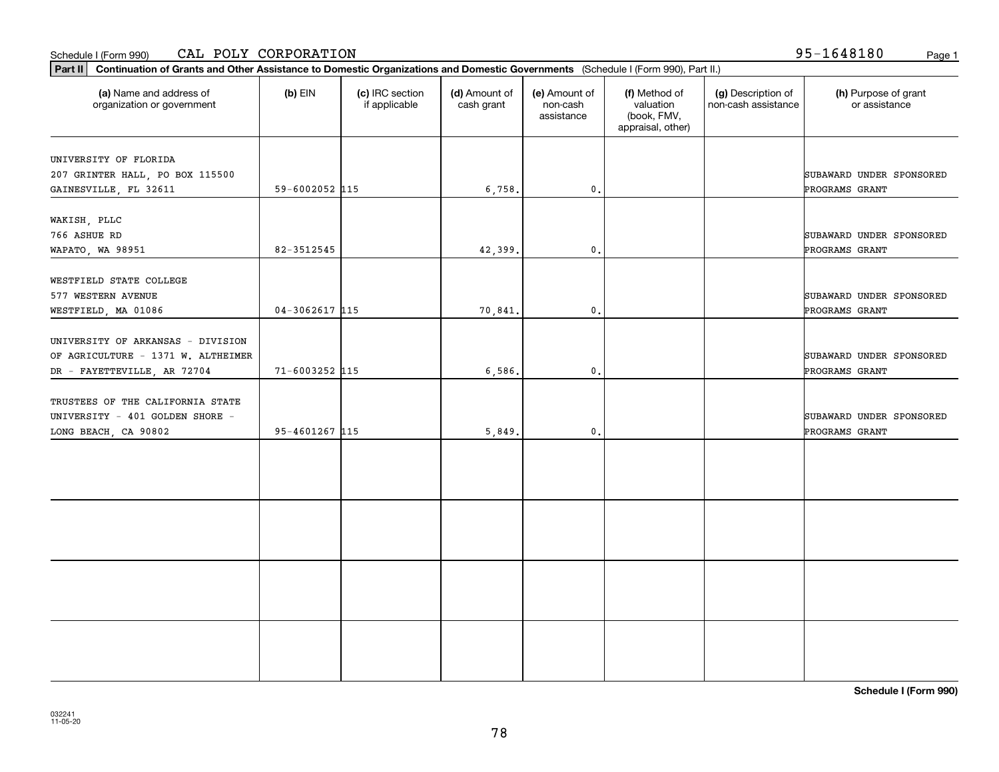### Schedule I (Form 990) Page 1 CAL POLY CORPORATION

|  | 95-1648180 |  |
|--|------------|--|
|  |            |  |

| Part II   Continuation of Grants and Other Assistance to Domestic Organizations and Domestic Governments (Schedule I (Form 990), Part II.) |                    |                                  |                             |                                         |                                                                |                                           |                                       |
|--------------------------------------------------------------------------------------------------------------------------------------------|--------------------|----------------------------------|-----------------------------|-----------------------------------------|----------------------------------------------------------------|-------------------------------------------|---------------------------------------|
| (a) Name and address of<br>organization or government                                                                                      | $(b)$ EIN          | (c) IRC section<br>if applicable | (d) Amount of<br>cash grant | (e) Amount of<br>non-cash<br>assistance | (f) Method of<br>valuation<br>(book, FMV,<br>appraisal, other) | (g) Description of<br>non-cash assistance | (h) Purpose of grant<br>or assistance |
|                                                                                                                                            |                    |                                  |                             |                                         |                                                                |                                           |                                       |
| UNIVERSITY OF FLORIDA                                                                                                                      |                    |                                  |                             |                                         |                                                                |                                           | SUBAWARD UNDER SPONSORED              |
| 207 GRINTER HALL, PO BOX 115500<br>GAINESVILLE, FL 32611                                                                                   | 59-6002052 115     |                                  | 6,758.                      | $\mathfrak{o}$ .                        |                                                                |                                           | PROGRAMS GRANT                        |
|                                                                                                                                            |                    |                                  |                             |                                         |                                                                |                                           |                                       |
| WAKISH, PLLC                                                                                                                               |                    |                                  |                             |                                         |                                                                |                                           |                                       |
| 766 ASHUE RD                                                                                                                               |                    |                                  |                             |                                         |                                                                |                                           | SUBAWARD UNDER SPONSORED              |
| WAPATO, WA 98951                                                                                                                           | 82-3512545         |                                  | 42,399.                     | 0.                                      |                                                                |                                           | PROGRAMS GRANT                        |
|                                                                                                                                            |                    |                                  |                             |                                         |                                                                |                                           |                                       |
| WESTFIELD STATE COLLEGE                                                                                                                    |                    |                                  |                             |                                         |                                                                |                                           |                                       |
| 577 WESTERN AVENUE                                                                                                                         |                    |                                  |                             |                                         |                                                                |                                           | SUBAWARD UNDER SPONSORED              |
| WESTFIELD, MA 01086                                                                                                                        | $04 - 3062617$ 115 |                                  | 70,841.                     | $\mathfrak{o}$ .                        |                                                                |                                           | PROGRAMS GRANT                        |
|                                                                                                                                            |                    |                                  |                             |                                         |                                                                |                                           |                                       |
| UNIVERSITY OF ARKANSAS - DIVISION                                                                                                          |                    |                                  |                             |                                         |                                                                |                                           |                                       |
| OF AGRICULTURE - 1371 W. ALTHEIMER                                                                                                         |                    |                                  |                             |                                         |                                                                |                                           | SUBAWARD UNDER SPONSORED              |
| DR - FAYETTEVILLE, AR 72704                                                                                                                | 71-6003252 115     |                                  | 6,586.                      | $\mathfrak o$ .                         |                                                                |                                           | PROGRAMS GRANT                        |
|                                                                                                                                            |                    |                                  |                             |                                         |                                                                |                                           |                                       |
| TRUSTEES OF THE CALIFORNIA STATE                                                                                                           |                    |                                  |                             |                                         |                                                                |                                           |                                       |
| UNIVERSITY - 401 GOLDEN SHORE -                                                                                                            |                    |                                  |                             |                                         |                                                                |                                           | SUBAWARD UNDER SPONSORED              |
| LONG BEACH, CA 90802                                                                                                                       | 95-4601267 115     |                                  | 5,849.                      | 0.                                      |                                                                |                                           | PROGRAMS GRANT                        |
|                                                                                                                                            |                    |                                  |                             |                                         |                                                                |                                           |                                       |
|                                                                                                                                            |                    |                                  |                             |                                         |                                                                |                                           |                                       |
|                                                                                                                                            |                    |                                  |                             |                                         |                                                                |                                           |                                       |
|                                                                                                                                            |                    |                                  |                             |                                         |                                                                |                                           |                                       |
|                                                                                                                                            |                    |                                  |                             |                                         |                                                                |                                           |                                       |
|                                                                                                                                            |                    |                                  |                             |                                         |                                                                |                                           |                                       |
|                                                                                                                                            |                    |                                  |                             |                                         |                                                                |                                           |                                       |
|                                                                                                                                            |                    |                                  |                             |                                         |                                                                |                                           |                                       |
|                                                                                                                                            |                    |                                  |                             |                                         |                                                                |                                           |                                       |
|                                                                                                                                            |                    |                                  |                             |                                         |                                                                |                                           |                                       |
|                                                                                                                                            |                    |                                  |                             |                                         |                                                                |                                           |                                       |
|                                                                                                                                            |                    |                                  |                             |                                         |                                                                |                                           |                                       |
|                                                                                                                                            |                    |                                  |                             |                                         |                                                                |                                           |                                       |
|                                                                                                                                            |                    |                                  |                             |                                         |                                                                |                                           |                                       |
|                                                                                                                                            |                    |                                  |                             |                                         |                                                                |                                           |                                       |
|                                                                                                                                            |                    |                                  |                             |                                         |                                                                |                                           |                                       |

**Schedule I (Form 990)**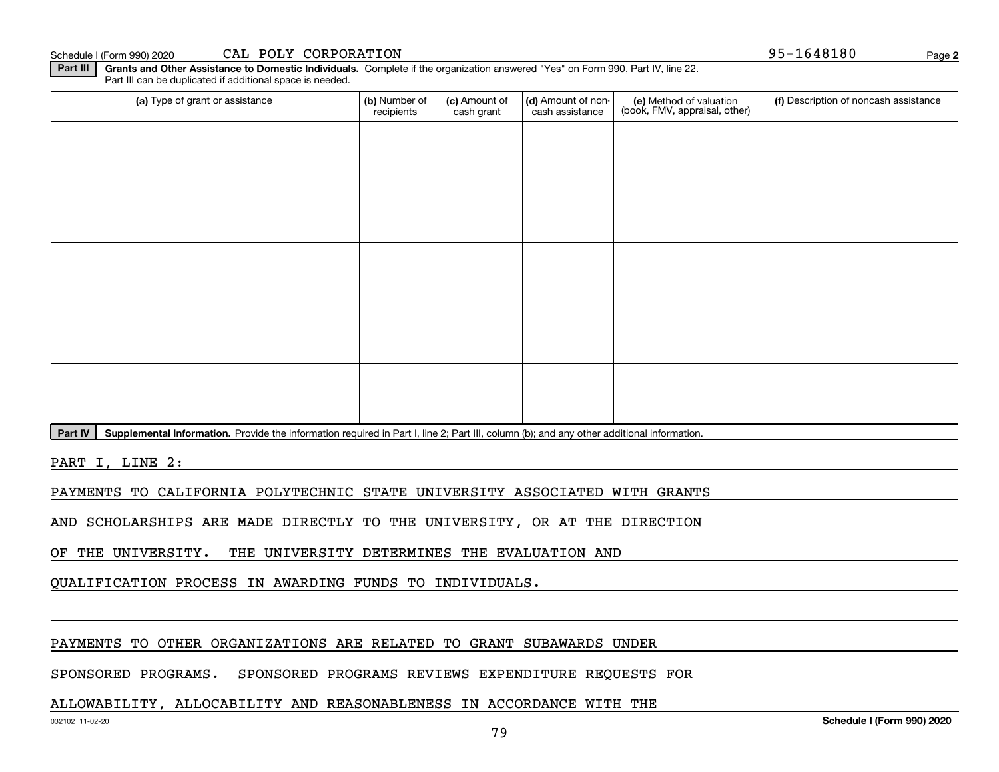Schedule I (Form 990) 2020 **CAL POLY CORPORATION 95-1648180** Page

**Part III** | Grants and Other Assistance to Domestic Individuals. Complete if the organization answered "Yes" on Form 990, Part IV, line 22. Part III can be duplicated if additional space is needed.

| (a) Type of grant or assistance                              | (b) Number of<br>recipients | (c) Amount of<br>cash grant        | (d) Amount of non-<br>cash assistance | (e) Method of valuation<br>(book, FMV, appraisal, other) | (f) Description of noncash assistance |
|--------------------------------------------------------------|-----------------------------|------------------------------------|---------------------------------------|----------------------------------------------------------|---------------------------------------|
|                                                              |                             |                                    |                                       |                                                          |                                       |
|                                                              |                             |                                    |                                       |                                                          |                                       |
|                                                              |                             |                                    |                                       |                                                          |                                       |
|                                                              |                             |                                    |                                       |                                                          |                                       |
|                                                              |                             |                                    |                                       |                                                          |                                       |
|                                                              |                             |                                    |                                       |                                                          |                                       |
|                                                              |                             |                                    |                                       |                                                          |                                       |
|                                                              |                             |                                    |                                       |                                                          |                                       |
|                                                              |                             |                                    |                                       |                                                          |                                       |
|                                                              |                             |                                    |                                       |                                                          |                                       |
| المتارين والمسامين المفعولة والمستحدث والمعارفة<br>$\cdot$ . | .                           | $\sim$ $\sim$ $\sim$ $\sim$ $\sim$ | $\sim$<br>$\sim$ $\sim$<br>$\cdot$ .  |                                                          |                                       |

Part IV | Supplemental Information. Provide the information required in Part I, line 2; Part III, column (b); and any other additional information.

PART I, LINE 2:

PAYMENTS TO CALIFORNIA POLYTECHNIC STATE UNIVERSITY ASSOCIATED WITH GRANTS

AND SCHOLARSHIPS ARE MADE DIRECTLY TO THE UNIVERSITY, OR AT THE DIRECTION

OF THE UNIVERSITY. THE UNIVERSITY DETERMINES THE EVALUATION AND

QUALIFICATION PROCESS IN AWARDING FUNDS TO INDIVIDUALS.

### PAYMENTS TO OTHER ORGANIZATIONS ARE RELATED TO GRANT SUBAWARDS UNDER

### SPONSORED PROGRAMS. SPONSORED PROGRAMS REVIEWS EXPENDITURE REQUESTS FOR

### ALLOWABILITY, ALLOCABILITY AND REASONABLENESS IN ACCORDANCE WITH THE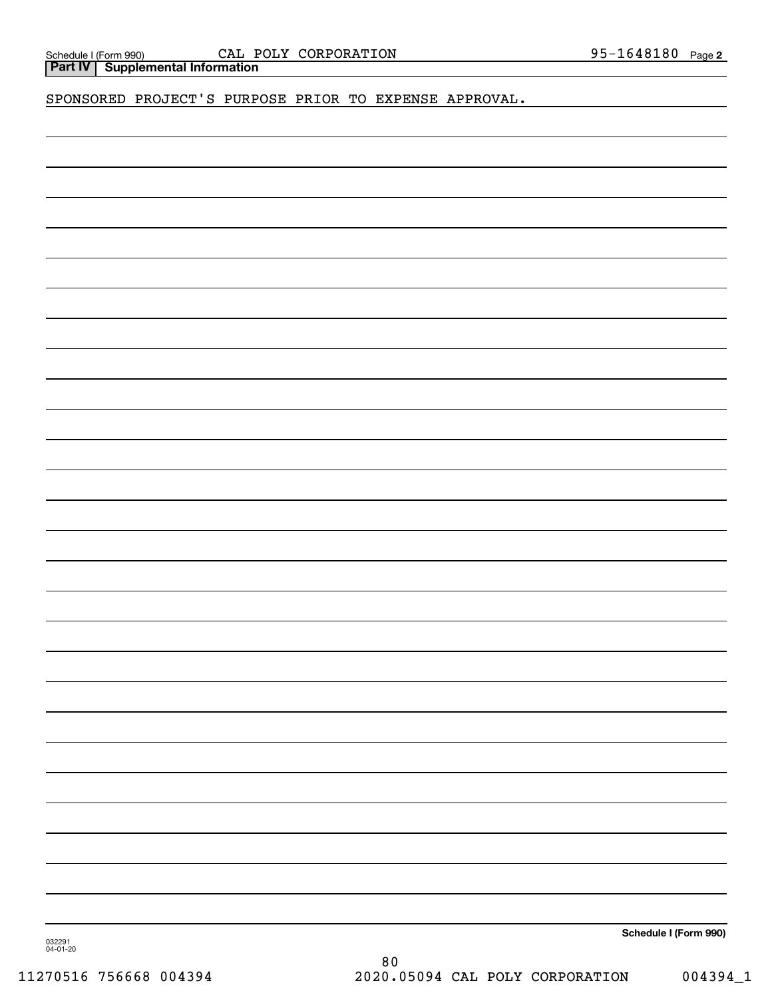| Schedule I (Form 990 |
|----------------------|
|----------------------|

Schedule I (Form 990) CALI POLY CORPORATILON 9 5-I 6 4 8 I 8 U Page **Part IV Supplemental Information** CAL POLY CORPORATION

SPONSORED PROJECT'S PURPOSE PRIOR TO EXPENSE APPROVAL.

**Schedule I (Form 990)**

032291 04-01-20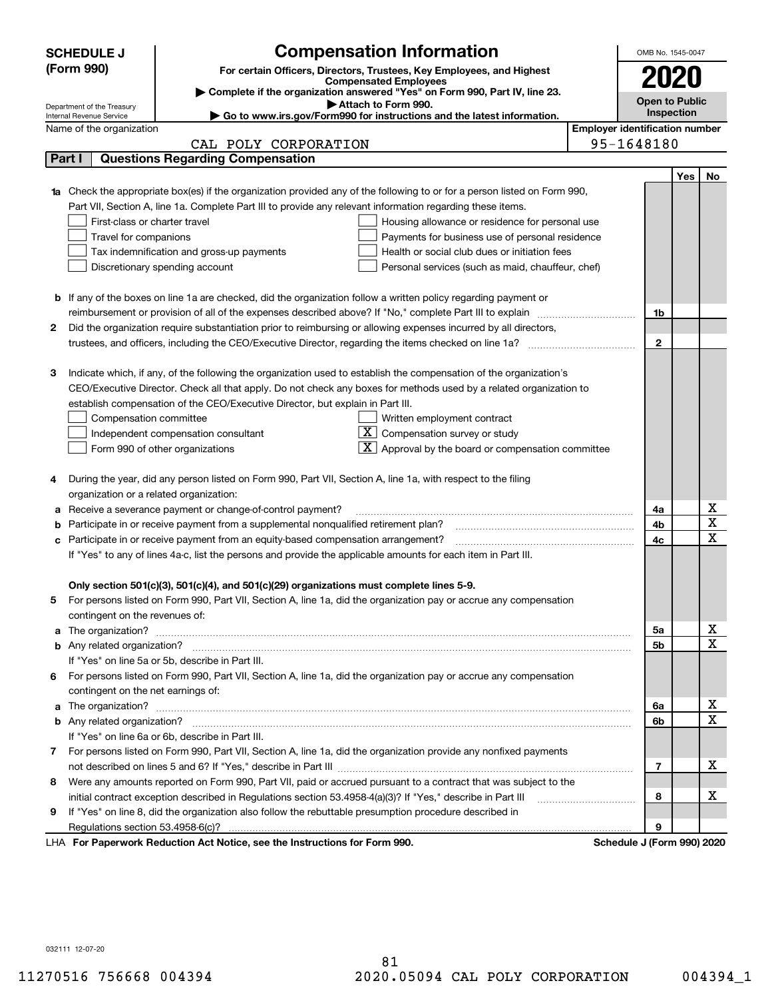| <b>SCHEDULE J</b>        | <b>Compensation Information</b>                                                                                                                                                                                                      |                                       | OMB No. 1545-0047          |     |                  |  |  |  |  |
|--------------------------|--------------------------------------------------------------------------------------------------------------------------------------------------------------------------------------------------------------------------------------|---------------------------------------|----------------------------|-----|------------------|--|--|--|--|
| (Form 990)               | For certain Officers, Directors, Trustees, Key Employees, and Highest                                                                                                                                                                |                                       | 2020                       |     |                  |  |  |  |  |
|                          | <b>Compensated Employees</b><br>Complete if the organization answered "Yes" on Form 990, Part IV, line 23.                                                                                                                           |                                       |                            |     |                  |  |  |  |  |
|                          | <b>Open to Public</b><br>Attach to Form 990.<br>Department of the Treasury                                                                                                                                                           |                                       |                            |     |                  |  |  |  |  |
| Internal Revenue Service | ► Go to www.irs.gov/Form990 for instructions and the latest information.                                                                                                                                                             |                                       | Inspection                 |     |                  |  |  |  |  |
|                          | Name of the organization                                                                                                                                                                                                             | <b>Employer identification number</b> |                            |     |                  |  |  |  |  |
|                          | CAL POLY CORPORATION                                                                                                                                                                                                                 |                                       | 95-1648180                 |     |                  |  |  |  |  |
| Part I                   | <b>Questions Regarding Compensation</b>                                                                                                                                                                                              |                                       |                            |     |                  |  |  |  |  |
|                          |                                                                                                                                                                                                                                      |                                       |                            | Yes | No               |  |  |  |  |
|                          | Check the appropriate box(es) if the organization provided any of the following to or for a person listed on Form 990,                                                                                                               |                                       |                            |     |                  |  |  |  |  |
|                          | Part VII, Section A, line 1a. Complete Part III to provide any relevant information regarding these items.                                                                                                                           |                                       |                            |     |                  |  |  |  |  |
|                          | First-class or charter travel<br>Housing allowance or residence for personal use                                                                                                                                                     |                                       |                            |     |                  |  |  |  |  |
|                          | Travel for companions<br>Payments for business use of personal residence                                                                                                                                                             |                                       |                            |     |                  |  |  |  |  |
|                          | Health or social club dues or initiation fees<br>Tax indemnification and gross-up payments                                                                                                                                           |                                       |                            |     |                  |  |  |  |  |
|                          | Discretionary spending account<br>Personal services (such as maid, chauffeur, chef)                                                                                                                                                  |                                       |                            |     |                  |  |  |  |  |
|                          |                                                                                                                                                                                                                                      |                                       |                            |     |                  |  |  |  |  |
|                          | <b>b</b> If any of the boxes on line 1a are checked, did the organization follow a written policy regarding payment or                                                                                                               |                                       |                            |     |                  |  |  |  |  |
|                          | reimbursement or provision of all of the expenses described above? If "No," complete Part III to explain                                                                                                                             |                                       | 1b                         |     |                  |  |  |  |  |
| 2                        | Did the organization require substantiation prior to reimbursing or allowing expenses incurred by all directors,                                                                                                                     |                                       |                            |     |                  |  |  |  |  |
|                          |                                                                                                                                                                                                                                      |                                       | $\mathbf{2}$               |     |                  |  |  |  |  |
|                          |                                                                                                                                                                                                                                      |                                       |                            |     |                  |  |  |  |  |
| з                        | Indicate which, if any, of the following the organization used to establish the compensation of the organization's                                                                                                                   |                                       |                            |     |                  |  |  |  |  |
|                          | CEO/Executive Director. Check all that apply. Do not check any boxes for methods used by a related organization to                                                                                                                   |                                       |                            |     |                  |  |  |  |  |
|                          | establish compensation of the CEO/Executive Director, but explain in Part III.                                                                                                                                                       |                                       |                            |     |                  |  |  |  |  |
|                          | Compensation committee<br>Written employment contract                                                                                                                                                                                |                                       |                            |     |                  |  |  |  |  |
|                          | $\overline{X}$ Compensation survey or study<br>Independent compensation consultant                                                                                                                                                   |                                       |                            |     |                  |  |  |  |  |
|                          | $\boxed{\textbf{X}}$ Approval by the board or compensation committee<br>Form 990 of other organizations                                                                                                                              |                                       |                            |     |                  |  |  |  |  |
|                          |                                                                                                                                                                                                                                      |                                       |                            |     |                  |  |  |  |  |
| 4                        | During the year, did any person listed on Form 990, Part VII, Section A, line 1a, with respect to the filing                                                                                                                         |                                       |                            |     |                  |  |  |  |  |
|                          | organization or a related organization:                                                                                                                                                                                              |                                       | 4a                         |     | х                |  |  |  |  |
| а                        | Receive a severance payment or change-of-control payment?                                                                                                                                                                            |                                       |                            |     |                  |  |  |  |  |
| b                        | Participate in or receive payment from a supplemental nonqualified retirement plan?                                                                                                                                                  |                                       |                            |     |                  |  |  |  |  |
|                          | Participate in or receive payment from an equity-based compensation arrangement?<br>4c<br>с                                                                                                                                          |                                       |                            |     |                  |  |  |  |  |
|                          | If "Yes" to any of lines 4a-c, list the persons and provide the applicable amounts for each item in Part III.                                                                                                                        |                                       |                            |     |                  |  |  |  |  |
|                          |                                                                                                                                                                                                                                      |                                       |                            |     |                  |  |  |  |  |
|                          | Only section 501(c)(3), 501(c)(4), and 501(c)(29) organizations must complete lines 5-9.                                                                                                                                             |                                       |                            |     |                  |  |  |  |  |
|                          | For persons listed on Form 990, Part VII, Section A, line 1a, did the organization pay or accrue any compensation                                                                                                                    |                                       |                            |     |                  |  |  |  |  |
|                          | contingent on the revenues of:                                                                                                                                                                                                       |                                       |                            |     |                  |  |  |  |  |
| a                        | The organization? <b>With the contract of the contract of the contract of the contract of the contract of the contract of the contract of the contract of the contract of the contract of the contract of the contract of the co</b> |                                       | 5a                         |     | x<br>$\mathbf X$ |  |  |  |  |
|                          |                                                                                                                                                                                                                                      |                                       | 5b                         |     |                  |  |  |  |  |
|                          | If "Yes" on line 5a or 5b, describe in Part III.                                                                                                                                                                                     |                                       |                            |     |                  |  |  |  |  |
|                          | 6 For persons listed on Form 990, Part VII, Section A, line 1a, did the organization pay or accrue any compensation                                                                                                                  |                                       |                            |     |                  |  |  |  |  |
|                          | contingent on the net earnings of:                                                                                                                                                                                                   |                                       |                            |     | х                |  |  |  |  |
| a                        |                                                                                                                                                                                                                                      |                                       | 6a                         |     | $\mathbf X$      |  |  |  |  |
|                          |                                                                                                                                                                                                                                      |                                       | 6b                         |     |                  |  |  |  |  |
|                          | If "Yes" on line 6a or 6b, describe in Part III.                                                                                                                                                                                     |                                       |                            |     |                  |  |  |  |  |
|                          | 7 For persons listed on Form 990, Part VII, Section A, line 1a, did the organization provide any nonfixed payments                                                                                                                   |                                       |                            |     |                  |  |  |  |  |
|                          |                                                                                                                                                                                                                                      |                                       | $\overline{7}$             |     | x                |  |  |  |  |
| 8                        | Were any amounts reported on Form 990, Part VII, paid or accrued pursuant to a contract that was subject to the                                                                                                                      |                                       |                            |     |                  |  |  |  |  |
|                          | initial contract exception described in Regulations section 53.4958-4(a)(3)? If "Yes," describe in Part III                                                                                                                          |                                       | 8                          |     | х                |  |  |  |  |
| 9                        | If "Yes" on line 8, did the organization also follow the rebuttable presumption procedure described in                                                                                                                               |                                       |                            |     |                  |  |  |  |  |
|                          |                                                                                                                                                                                                                                      |                                       | 9                          |     |                  |  |  |  |  |
|                          | LHA For Paperwork Reduction Act Notice, see the Instructions for Form 990.                                                                                                                                                           |                                       | Schedule J (Form 990) 2020 |     |                  |  |  |  |  |

032111 12-07-20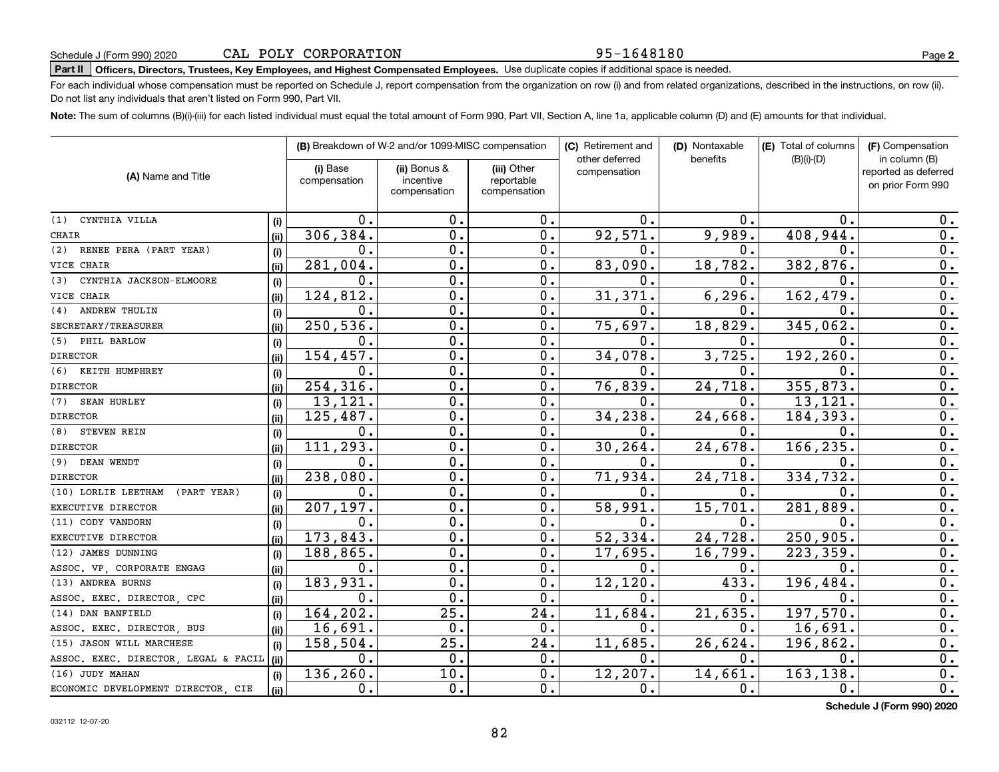### 95-1648180

**2**

# **Part II Officers, Directors, Trustees, Key Employees, and Highest Compensated Employees.**  Schedule J (Form 990) 2020 Page Use duplicate copies if additional space is needed.

For each individual whose compensation must be reported on Schedule J, report compensation from the organization on row (i) and from related organizations, described in the instructions, on row (ii). Do not list any individuals that aren't listed on Form 990, Part VII.

**Note:**  The sum of columns (B)(i)-(iii) for each listed individual must equal the total amount of Form 990, Part VII, Section A, line 1a, applicable column (D) and (E) amounts for that individual.

|                                      |       | (B) Breakdown of W-2 and/or 1099-MISC compensation |                                           | (C) Retirement and                        | (D) Nontaxable                 | (E) Total of columns | (F) Compensation |                                                            |
|--------------------------------------|-------|----------------------------------------------------|-------------------------------------------|-------------------------------------------|--------------------------------|----------------------|------------------|------------------------------------------------------------|
| (A) Name and Title                   |       | (i) Base<br>compensation                           | (ii) Bonus &<br>incentive<br>compensation | (iii) Other<br>reportable<br>compensation | other deferred<br>compensation | benefits             | $(B)(i)-(D)$     | in column (B)<br>reported as deferred<br>on prior Form 990 |
| CYNTHIA VILLA<br>(1)                 | (i)   | 0.                                                 | 0.                                        | 0.                                        | 0.                             | 0.                   | 0.               | 0.                                                         |
| <b>CHAIR</b>                         | (i)   | 306,384.                                           | 0.                                        | 0.                                        | 92,571.                        | 9,989.               | 408,944          | 0.                                                         |
| RENEE PERA (PART YEAR)<br>(2)        | (i)   | 0.                                                 | 0.                                        | $\mathbf 0$ .                             | 0.                             | 0.                   | $\mathbf 0$ .    | $\overline{0}$ .                                           |
| VICE CHAIR                           | (iii) | 281,004.                                           | 0.                                        | $\mathbf 0$ .                             | 83,090.                        | 18,782.              | 382,876.         | 0.                                                         |
| CYNTHIA JACKSON-ELMOORE<br>(3)       | (i)   | 0.                                                 | 0.                                        | 0.                                        | О.                             | 0.                   | 0                | 0.                                                         |
| VICE CHAIR                           | (ii)  | 124,812.                                           | 0.                                        | 0.                                        | 31,371.                        | 6, 296.              | 162,479          | $\overline{0}$ .                                           |
| <b>ANDREW THULIN</b><br>(4)          | (i)   | 0.                                                 | 0.                                        | 0.                                        | 0.                             | 0.                   | $\mathbf{0}$     | 0.                                                         |
| SECRETARY/TREASURER                  | (ii)  | 250,536.                                           | 0.                                        | 0.                                        | 75,697.                        | 18,829.              | 345,062.         | $\mathbf 0$ .                                              |
| (5) PHIL BARLOW                      | (i)   | 0.                                                 | $\mathbf 0$ .                             | 0.                                        | Ω.                             | 0.                   | $\Omega$ .       | $0$ .                                                      |
| <b>DIRECTOR</b>                      | (i)   | 154,457.                                           | 0.                                        | 0.                                        | 34,078.                        | 3,725.               | 192,260          | $\overline{0}$ .                                           |
| (6) KEITH HUMPHREY                   | (i)   | 0.                                                 | 0.                                        | 0.                                        | Ο.                             | 0.                   | 0                | $\overline{0}$ .                                           |
| <b>DIRECTOR</b>                      | (ii)  | 254,316.                                           | 0.                                        | 0.                                        | 76,839.                        | 24,718.              | 355,873          | 0.                                                         |
| (7)<br><b>SEAN HURLEY</b>            | (i)   | 13,121.                                            | $\overline{0}$ .                          | 0.                                        | 0.                             | $\mathbf{0}$ .       | 13,121           | $\overline{0}$ .                                           |
| <b>DIRECTOR</b>                      | (i)   | 125,487.                                           | 0.                                        | 0.                                        | 34,238.                        | 24,668.              | 184,393          | 0.                                                         |
| STEVEN REIN<br>(8)                   | (i)   | $\mathbf 0$ .                                      | $\mathbf 0$ .                             | 0.                                        | О.                             | 0.                   | 0                | 0.                                                         |
| <b>DIRECTOR</b>                      | (ii)  | 111,293.                                           | $\overline{0}$ .                          | $\overline{0}$ .                          | 30, 264.                       | 24,678.              | 166,235          | $\overline{0}$ .                                           |
| DEAN WENDT<br>(9)                    | (i)   | $\mathbf 0$ .                                      | 0.                                        | 0.                                        | $\mathbf 0$ .                  | 0.                   | $\mathbf 0$ .    | $\overline{0}$ .                                           |
| <b>DIRECTOR</b>                      | (ii)  | 238,080                                            | 0.                                        | 0.                                        | 71,934.                        | 24,718.              | 334,732          | $\overline{0}$ .                                           |
| (10) LORLIE LEETHAM<br>(PART YEAR)   | (i)   | 0.                                                 | 0.                                        | 0.                                        | 0.                             | $0$ .                | $\mathbf{0}$     | 0.                                                         |
| EXECUTIVE DIRECTOR                   | (ii)  | 207,197.                                           | 0.                                        | 0.                                        | 58,991.                        | 15,701.              | 281,889          | 0.                                                         |
| (11) CODY VANDORN                    | (i)   | $\mathbf 0$ .                                      | $\mathbf 0$ .                             | $\mathbf 0$ .                             | $\mathbf 0$ .                  | 0.                   | $\mathbf 0$ .    | 0.                                                         |
| EXECUTIVE DIRECTOR                   | (ii)  | 173,843.                                           | О.                                        | 0.                                        | 52,334.                        | 24,728.              | 250,905          | 0.                                                         |
| (12) JAMES DUNNING                   | (i)   | 188,865.                                           | $\mathbf 0$ .                             | 0.                                        | 17,695.                        | 16,799.              | 223,359.         | $\overline{0}$ .                                           |
| ASSOC. VP, CORPORATE ENGAG           | (ii)  | 0.                                                 | $\mathbf 0$ .                             | $\mathbf 0$ .                             | 0.                             | $\mathbf 0$ .        | 0                | $\mathbf 0$ .                                              |
| (13) ANDREA BURNS                    | (i)   | 183,931.                                           | $\mathbf 0$ .                             | 0.                                        | 12, 120.                       | 433.                 | 196, 484         | $\mathbf 0$ .                                              |
| ASSOC. EXEC. DIRECTOR CPC            | (i)   | $\mathbf 0$ .                                      | $\Omega$ .                                | 0.                                        | $\mathbf{0}$ .                 | $\mathbf 0$ .        | $\mathbf 0$ .    | $\mathbf 0$ .                                              |
| (14) DAN BANFIELD                    | (i)   | 164, 202.                                          | $\overline{25}$                           | 24.                                       | 11,684.                        | 21,635.              | 197,570          | $\mathbf 0$ .                                              |
| ASSOC. EXEC. DIRECTOR, BUS           | (ii)  | 16,691.                                            | $\mathbf 0$ .                             | $\mathbf 0$ .                             | 0.                             | $\mathbf 0$ .        | 16,691           | 0.                                                         |
| (15) JASON WILL MARCHESE             | (i)   | 158,504.                                           | 25.                                       | 24.                                       | 11,685.                        | 26,624.              | 196, 862         | 0.                                                         |
| ASSOC. EXEC. DIRECTOR, LEGAL & FACIL | (ii)  | 0.                                                 | 0.                                        | $\mathbf 0$ .                             | 0.                             | 0.                   | $\mathbf 0$ .    | $\overline{0}$ .                                           |
| (16) JUDY MAHAN                      | (i)   | 136,260.                                           | 10.                                       | 0.                                        | 12,207.                        | 14,661.              | 163,138          | 0.                                                         |
| ECONOMIC DEVELOPMENT DIRECTOR, CIE   | (ii)  | 0.                                                 | 0.                                        | 0.                                        | 0.                             | 0.                   | 0.               | 0.                                                         |

**Schedule J (Form 990) 2020**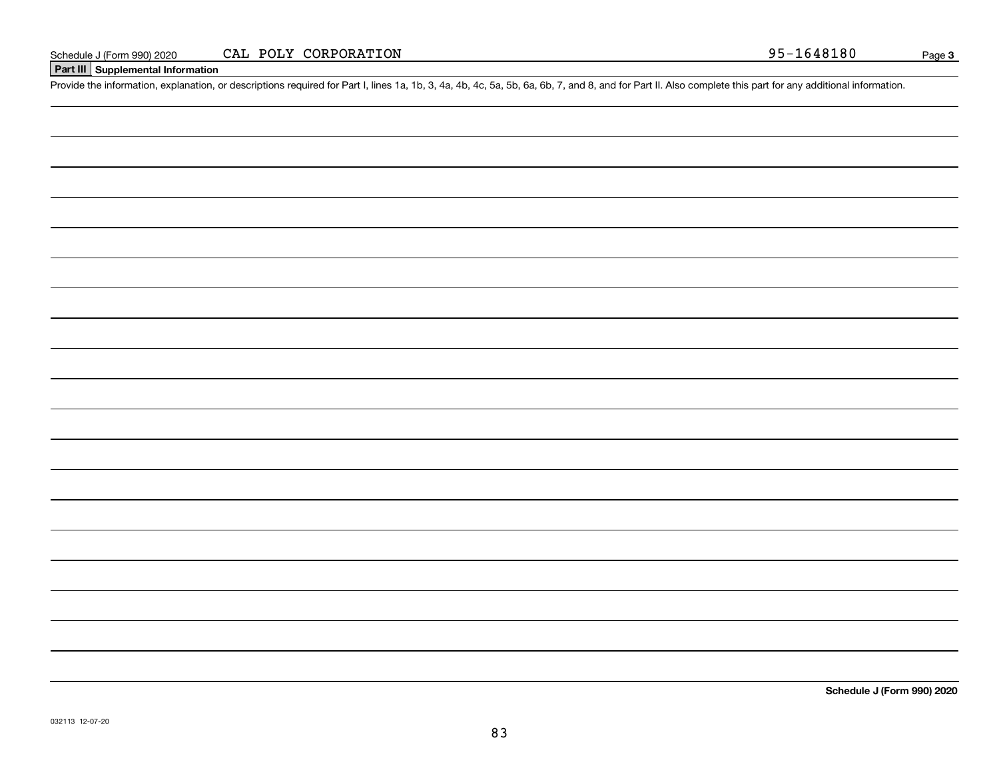## **Part III Supplemental Information**

Schedule J (Form 990) 2020 CAL POLY CORPORATION 95-1648180<br>Part III Supplemental Information<br>Provide the information, explanation, or descriptions required for Part I, lines 1a, 1b, 3, 4a, 4b, 4c, 5a, 5b, 6a, 6b, 7, and 8,

**Schedule J (Form 990) 2020**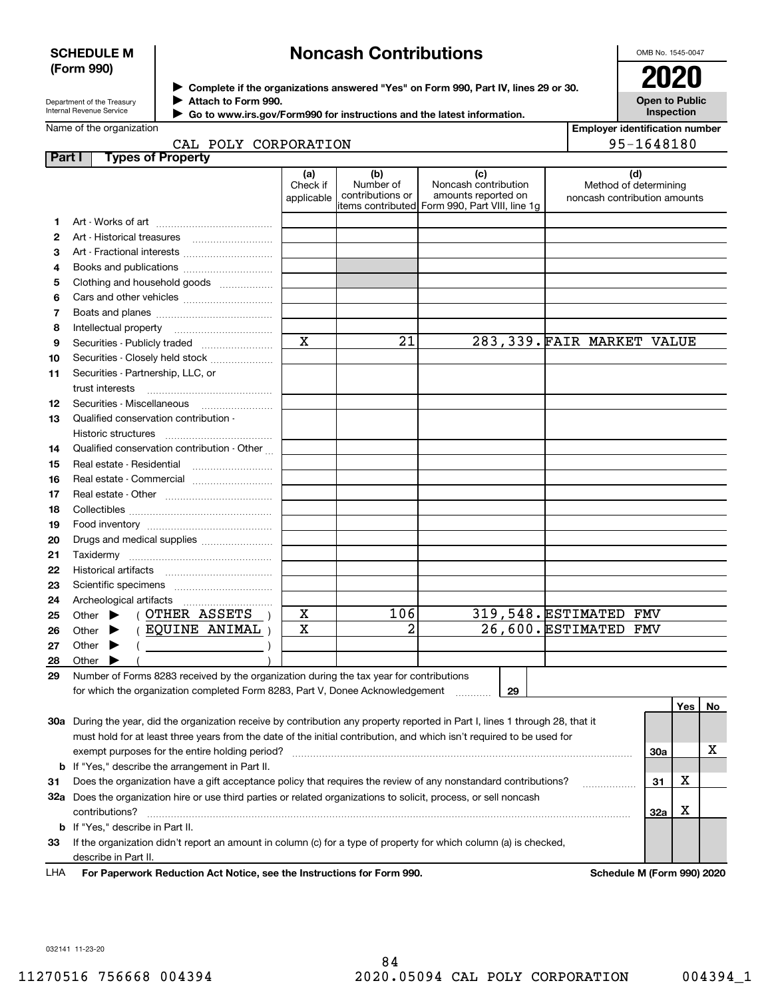### **SCHEDULE M (Form 990)**

# **Noncash Contributions**

OMB No. 1545-0047

| Department of the Treasury      |
|---------------------------------|
| <b>Internal Revenue Service</b> |

**Complete if the organizations answered "Yes" on Form 990, Part IV, lines 29 or 30.** <sup>J</sup>**2020 Attach to Form 990.** J

 **Go to www.irs.gov/Form990 for instructions and the latest information.** J

| ZUZU                                       |  |
|--------------------------------------------|--|
| <b>Open to Public</b><br><b>Inspection</b> |  |

|  | CAT DOIV CORRORATON |  |
|--|---------------------|--|

| <b>Employer identification number</b> |
|---------------------------------------|
| 95-1648180                            |

|        | سمب<br>LOUI COVEQUATION                                                                                                        |                               |                                      |                                                                                                      |                                                       | −⊥∪≞∪⊥∪∪   |     |    |
|--------|--------------------------------------------------------------------------------------------------------------------------------|-------------------------------|--------------------------------------|------------------------------------------------------------------------------------------------------|-------------------------------------------------------|------------|-----|----|
| Part I | <b>Types of Property</b>                                                                                                       |                               |                                      |                                                                                                      |                                                       |            |     |    |
|        |                                                                                                                                | (a)<br>Check if<br>applicable | (b)<br>Number of<br>contributions or | (c)<br>Noncash contribution<br>amounts reported on<br>items contributed Form 990, Part VIII, line 1g | Method of determining<br>noncash contribution amounts | (d)        |     |    |
| 1      |                                                                                                                                |                               |                                      |                                                                                                      |                                                       |            |     |    |
| 2      |                                                                                                                                |                               |                                      |                                                                                                      |                                                       |            |     |    |
| з      | Art - Fractional interests                                                                                                     |                               |                                      |                                                                                                      |                                                       |            |     |    |
| 4      | Books and publications                                                                                                         |                               |                                      |                                                                                                      |                                                       |            |     |    |
| 5      | Clothing and household goods                                                                                                   |                               |                                      |                                                                                                      |                                                       |            |     |    |
| 6      |                                                                                                                                |                               |                                      |                                                                                                      |                                                       |            |     |    |
| 7      |                                                                                                                                |                               |                                      |                                                                                                      |                                                       |            |     |    |
| 8      | Intellectual property                                                                                                          |                               |                                      |                                                                                                      |                                                       |            |     |    |
| 9      | Securities - Publicly traded                                                                                                   | X                             | $\overline{21}$                      |                                                                                                      | 283, 339. FAIR MARKET VALUE                           |            |     |    |
| 10     | Securities - Closely held stock                                                                                                |                               |                                      |                                                                                                      |                                                       |            |     |    |
| 11     | Securities - Partnership, LLC, or                                                                                              |                               |                                      |                                                                                                      |                                                       |            |     |    |
|        | trust interests                                                                                                                |                               |                                      |                                                                                                      |                                                       |            |     |    |
| 12     | Securities - Miscellaneous                                                                                                     |                               |                                      |                                                                                                      |                                                       |            |     |    |
| 13     | Qualified conservation contribution -                                                                                          |                               |                                      |                                                                                                      |                                                       |            |     |    |
|        |                                                                                                                                |                               |                                      |                                                                                                      |                                                       |            |     |    |
| 14     | Qualified conservation contribution - Other                                                                                    |                               |                                      |                                                                                                      |                                                       |            |     |    |
| 15     | Real estate - Residential                                                                                                      |                               |                                      |                                                                                                      |                                                       |            |     |    |
| 16     | Real estate - Commercial                                                                                                       |                               |                                      |                                                                                                      |                                                       |            |     |    |
| 17     |                                                                                                                                |                               |                                      |                                                                                                      |                                                       |            |     |    |
| 18     |                                                                                                                                |                               |                                      |                                                                                                      |                                                       |            |     |    |
| 19     |                                                                                                                                |                               |                                      |                                                                                                      |                                                       |            |     |    |
| 20     | Drugs and medical supplies                                                                                                     |                               |                                      |                                                                                                      |                                                       |            |     |    |
| 21     |                                                                                                                                |                               |                                      |                                                                                                      |                                                       |            |     |    |
| 22     |                                                                                                                                |                               |                                      |                                                                                                      |                                                       |            |     |    |
| 23     |                                                                                                                                |                               |                                      |                                                                                                      |                                                       |            |     |    |
| 24     |                                                                                                                                |                               |                                      |                                                                                                      |                                                       |            |     |    |
| 25     | ( OTHER ASSETS<br>Other $\blacktriangleright$                                                                                  | X                             | 106                                  |                                                                                                      | 319,548. ESTIMATED                                    | FMV        |     |    |
| 26     | (EQUINE ANIMAL)<br>Other $\blacktriangleright$                                                                                 | $\mathbf x$                   | $\overline{2}$                       |                                                                                                      | 26,600. ESTIMATED                                     | <b>FMV</b> |     |    |
| 27     | Other $\blacktriangleright$<br>$($ )                                                                                           |                               |                                      |                                                                                                      |                                                       |            |     |    |
| 28     | Other<br>▶                                                                                                                     |                               |                                      |                                                                                                      |                                                       |            |     |    |
| 29     | Number of Forms 8283 received by the organization during the tax year for contributions                                        |                               |                                      |                                                                                                      |                                                       |            |     |    |
|        | for which the organization completed Form 8283, Part V, Donee Acknowledgement                                                  |                               |                                      | 29                                                                                                   |                                                       |            |     |    |
|        |                                                                                                                                |                               |                                      |                                                                                                      |                                                       |            | Yes | No |
|        | 30a During the year, did the organization receive by contribution any property reported in Part I, lines 1 through 28, that it |                               |                                      |                                                                                                      |                                                       |            |     |    |
|        | must hold for at least three years from the date of the initial contribution, and which isn't required to be used for          |                               |                                      |                                                                                                      |                                                       |            |     |    |
|        | exempt purposes for the entire holding period?                                                                                 |                               |                                      |                                                                                                      |                                                       | 30a        |     | x  |
|        | <b>b</b> If "Yes," describe the arrangement in Part II.                                                                        |                               |                                      |                                                                                                      |                                                       |            |     |    |
| 31     | Does the organization have a gift acceptance policy that requires the review of any nonstandard contributions?                 |                               |                                      |                                                                                                      | .                                                     | 31         | x   |    |
|        |                                                                                                                                |                               |                                      |                                                                                                      |                                                       |            |     |    |

**33**If the organization didn't report an amount in column (c) for a type of property for which column (a) is checked, describe in Part II.

contributions? ~~~~~~~~~~~~~~~~~~~~~~~~~~~~~~~~~~~~~~~~~~~~~~~~~~~~~~

**32 a** Does the organization hire or use third parties or related organizations to solicit, process, or sell noncash

**For Paperwork Reduction Act Notice, see the Instructions for Form 990. Schedule M (Form 990) 2020** LHA

**32a**

X

032141 11-23-20

**b**If "Yes," describe in Part II.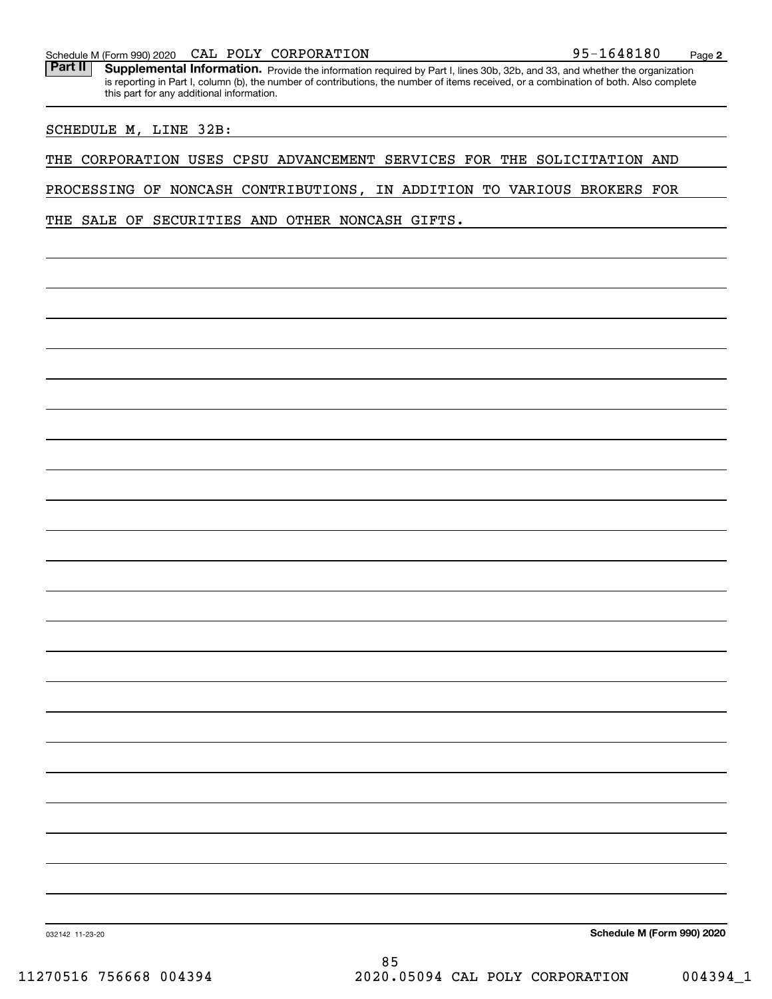| Schedule M (Form 990) 2020 | POLY<br>CAL | CORPORATION | 1648180<br>$95 -$ | Page |  |
|----------------------------|-------------|-------------|-------------------|------|--|
|----------------------------|-------------|-------------|-------------------|------|--|

Part II | Supplemental Information. Provide the information required by Part I, lines 30b, 32b, and 33, and whether the organization is reporting in Part I, column (b), the number of contributions, the number of items received, or a combination of both. Also complete this part for any additional information.

### SCHEDULE M, LINE 32B:

THE CORPORATION USES CPSU ADVANCEMENT SERVICES FOR THE SOLICITATION AND

PROCESSING OF NONCASH CONTRIBUTIONS, IN ADDITION TO VARIOUS BROKERS FOR

THE SALE OF SECURITIES AND OTHER NONCASH GIFTS.

**Schedule M (Form 990) 2020**

032142 11-23-20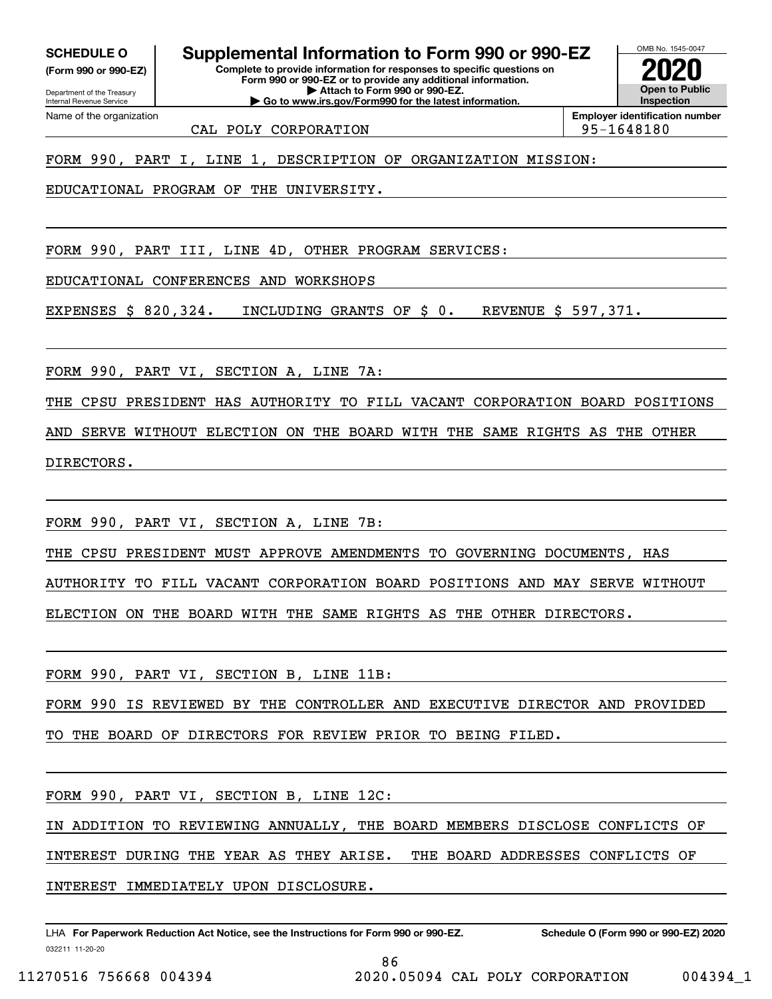**(Form 990 or 990-EZ)**

Department of the Treasury Internal Revenue Service Name of the organization

**SCHEDULE O Supplemental Information to Form 990 or 990-EZ**

**Complete to provide information for responses to specific questions on Form 990 or 990-EZ or to provide any additional information. | Attach to Form 990 or 990-EZ. | Go to www.irs.gov/Form990 for the latest information.**



CAL POLY CORPORATION 95-1648180

FORM 990, PART I, LINE 1, DESCRIPTION OF ORGANIZATION MISSION:

EDUCATIONAL PROGRAM OF THE UNIVERSITY.

FORM 990, PART III, LINE 4D, OTHER PROGRAM SERVICES:

EDUCATIONAL CONFERENCES AND WORKSHOPS

EXPENSES \$ 820,324. INCLUDING GRANTS OF \$ 0. REVENUE \$ 597,371.

FORM 990, PART VI, SECTION A, LINE 7A:

THE CPSU PRESIDENT HAS AUTHORITY TO FILL VACANT CORPORATION BOARD POSITIONS

AND SERVE WITHOUT ELECTION ON THE BOARD WITH THE SAME RIGHTS AS THE OTHER

DIRECTORS.

FORM 990, PART VI, SECTION A, LINE 7B:

THE CPSU PRESIDENT MUST APPROVE AMENDMENTS TO GOVERNING DOCUMENTS, HAS

AUTHORITY TO FILL VACANT CORPORATION BOARD POSITIONS AND MAY SERVE WITHOUT

ELECTION ON THE BOARD WITH THE SAME RIGHTS AS THE OTHER DIRECTORS.

FORM 990, PART VI, SECTION B, LINE 11B:

FORM 990 IS REVIEWED BY THE CONTROLLER AND EXECUTIVE DIRECTOR AND PROVIDED

TO THE BOARD OF DIRECTORS FOR REVIEW PRIOR TO BEING FILED.

FORM 990, PART VI, SECTION B, LINE 12C:

IN ADDITION TO REVIEWING ANNUALLY, THE BOARD MEMBERS DISCLOSE CONFLICTS OF

INTEREST DURING THE YEAR AS THEY ARISE. THE BOARD ADDRESSES CONFLICTS OF

INTEREST IMMEDIATELY UPON DISCLOSURE.

032211 11-20-20 LHA For Paperwork Reduction Act Notice, see the Instructions for Form 990 or 990-EZ. Schedule O (Form 990 or 990-EZ) 2020

86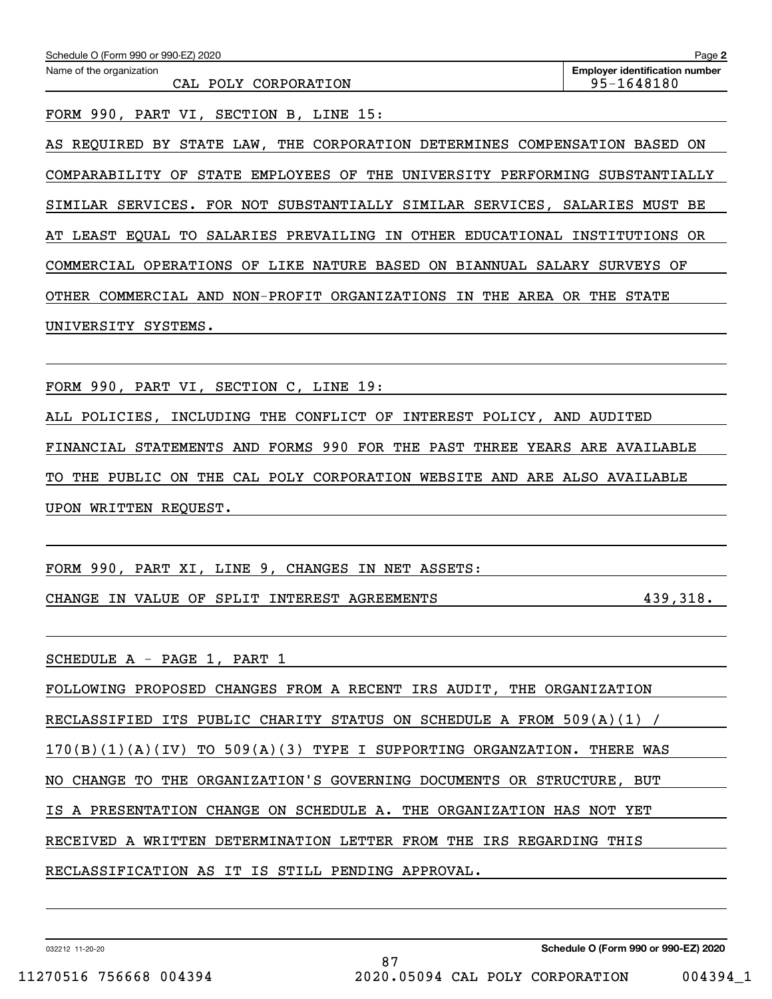| Name of the organization<br>CAL POLY CORPORATION                            | <b>Employer identification number</b><br>95-1648180 |
|-----------------------------------------------------------------------------|-----------------------------------------------------|
| FORM 990, PART VI, SECTION B, LINE 15:                                      |                                                     |
| AS REQUIRED BY STATE LAW, THE CORPORATION DETERMINES COMPENSATION           | BASED ON                                            |
| COMPARABILITY OF STATE EMPLOYEES OF THE UNIVERSITY PERFORMING SUBSTANTIALLY |                                                     |

AT LEAST EQUAL TO SALARIES PREVAILING IN OTHER EDUCATIONAL INSTITUTIONS OR COMMERCIAL OPERATIONS OF LIKE NATURE BASED ON BIANNUAL SALARY SURVEYS OF OTHER COMMERCIAL AND NON-PROFIT ORGANIZATIONS IN THE AREA OR THE STATE UNIVERSITY SYSTEMS.

FORM 990, PART VI, SECTION C, LINE 19:

ALL POLICIES, INCLUDING THE CONFLICT OF INTEREST POLICY, AND AUDITED FINANCIAL STATEMENTS AND FORMS 990 FOR THE PAST THREE YEARS ARE AVAILABLE TO THE PUBLIC ON THE CAL POLY CORPORATION WEBSITE AND ARE ALSO AVAILABLE UPON WRITTEN REQUEST.

FORM 990, PART XI, LINE 9, CHANGES IN NET ASSETS:

CHANGE IN VALUE OF SPLIT INTEREST AGREEMENTS 439,318.

SCHEDULE A - PAGE 1, PART 1

FOLLOWING PROPOSED CHANGES FROM A RECENT IRS AUDIT, THE ORGANIZATION RECLASSIFIED ITS PUBLIC CHARITY STATUS ON SCHEDULE A FROM 509(A)(1) / 170(B)(1)(A)(IV) TO 509(A)(3) TYPE I SUPPORTING ORGANZATION. THERE WAS NO CHANGE TO THE ORGANIZATION'S GOVERNING DOCUMENTS OR STRUCTURE, BUT IS A PRESENTATION CHANGE ON SCHEDULE A. THE ORGANIZATION HAS NOT YET RECEIVED A WRITTEN DETERMINATION LETTER FROM THE IRS REGARDING THIS RECLASSIFICATION AS IT IS STILL PENDING APPROVAL.

032212 11-20-20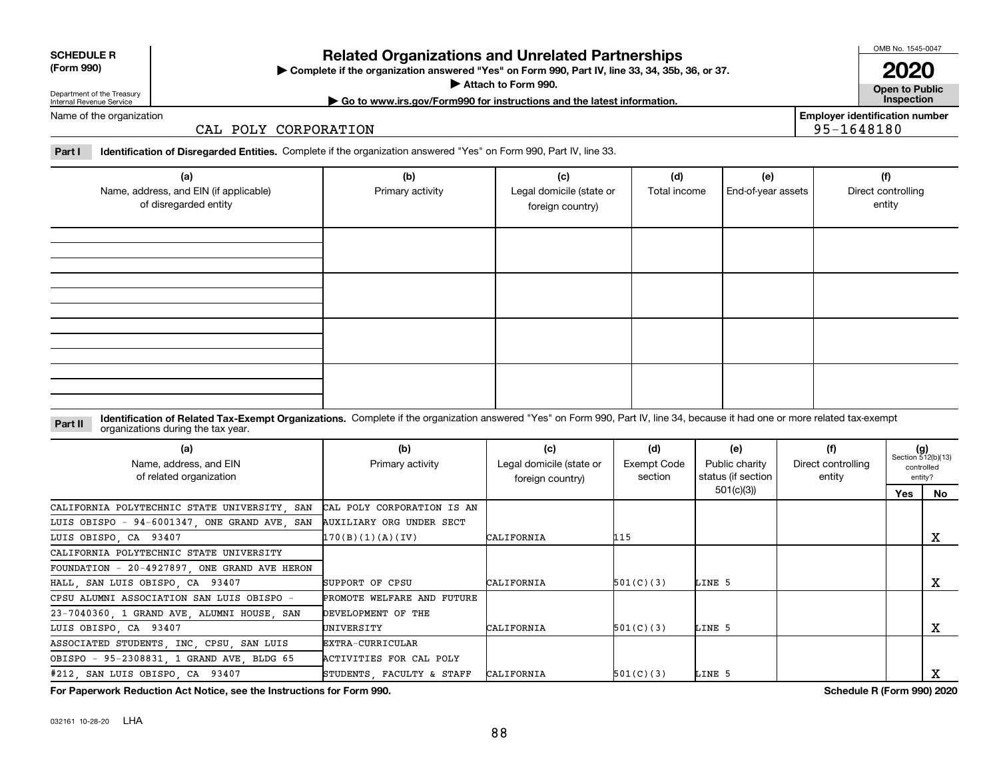032161 10-28-20 LHA

## **Related Organizations and Unrelated Partnerships**

**Complete if the organization answered "Yes" on Form 990, Part IV, line 33, 34, 35b, 36, or 37.** |

**Attach to Form 990.**  |

# Department of the Treasury Internal Revenue Service

**| Go to www.irs.gov/Form990 for instructions and the latest information. Inspection**

Name of the organization

### CAL POLY CORPORATION

**Part I Identification of Disregarded Entities.**  Complete if the organization answered "Yes" on Form 990, Part IV, line 33.

| (a)<br>Name, address, and EIN (if applicable)<br>of disregarded entity | (b)<br>Primary activity | (c)<br>Legal domicile (state or<br>foreign country) | (d)<br>Total income | (e)<br>End-of-year assets | (f)<br>Direct controlling<br>entity |
|------------------------------------------------------------------------|-------------------------|-----------------------------------------------------|---------------------|---------------------------|-------------------------------------|
|                                                                        |                         |                                                     |                     |                           |                                     |
|                                                                        |                         |                                                     |                     |                           |                                     |
|                                                                        |                         |                                                     |                     |                           |                                     |
|                                                                        |                         |                                                     |                     |                           |                                     |

### **Identification of Related Tax-Exempt Organizations.** Complete if the organization answered "Yes" on Form 990, Part IV, line 34, because it had one or more related tax-exempt **Part II** organizations during the tax year.

| (a)<br>Name, address, and EIN<br>of related organization | (b)<br>Primary activity    | (c)<br>Legal domicile (state or<br>foreign country) | (d)<br>Exempt Code<br>section | (e)<br>Public charity<br>status (if section | (f)<br>Direct controlling<br>entity |     | $(g)$<br>Section 512(b)(13)<br>controlled<br>entity? |
|----------------------------------------------------------|----------------------------|-----------------------------------------------------|-------------------------------|---------------------------------------------|-------------------------------------|-----|------------------------------------------------------|
|                                                          |                            |                                                     |                               | 501(c)(3)                                   |                                     | Yes | No.                                                  |
| CALIFORNIA POLYTECHNIC STATE UNIVERSITY, SAN             | CAL POLY CORPORATION IS AN |                                                     |                               |                                             |                                     |     |                                                      |
| LUIS OBISPO - 94-6001347, ONE GRAND AVE, SAN             | AUXILIARY ORG UNDER SECT   |                                                     |                               |                                             |                                     |     |                                                      |
| LUIS OBISPO, CA 93407                                    | 170(B)(1)(A)(IV)           | CALIFORNIA                                          | 115                           |                                             |                                     |     | x                                                    |
| CALIFORNIA POLYTECHNIC STATE UNIVERSITY                  |                            |                                                     |                               |                                             |                                     |     |                                                      |
| FOUNDATION - 20-4927897, ONE GRAND AVE HERON             |                            |                                                     |                               |                                             |                                     |     |                                                      |
| HALL SAN LUIS OBISPO CA 93407                            | SUPPORT OF CPSU            | CALIFORNIA                                          | 501(C)(3)                     | LINE 5                                      |                                     |     | x                                                    |
| CPSU ALUMNI ASSOCIATION SAN LUIS OBISPO -                | PROMOTE WELFARE AND FUTURE |                                                     |                               |                                             |                                     |     |                                                      |
| 23-7040360, 1 GRAND AVE, ALUMNI HOUSE, SAN               | DEVELOPMENT OF THE         |                                                     |                               |                                             |                                     |     |                                                      |
| LUIS OBISPO, CA 93407                                    | UNIVERSITY                 | CALIFORNIA                                          | 501(C)(3)                     | LINE 5                                      |                                     |     | х                                                    |
| ASSOCIATED STUDENTS, INC, CPSU, SAN LUIS                 | EXTRA-CURRICULAR           |                                                     |                               |                                             |                                     |     |                                                      |
| OBISPO - 95-2308831, 1 GRAND AVE, BLDG 65                | ACTIVITIES FOR CAL POLY    |                                                     |                               |                                             |                                     |     |                                                      |
| #212, SAN LUIS OBISPO, CA 93407                          | STUDENTS FACULTY & STAFF   | CALIFORNIA                                          | 501(C)(3)                     | LINE 5                                      |                                     |     |                                                      |

**For Paperwork Reduction Act Notice, see the Instructions for Form 990. Schedule R (Form 990) 2020**

OMB No. 1545-0047

**Open to Public 2020**

**Employer identification number**

95-1648180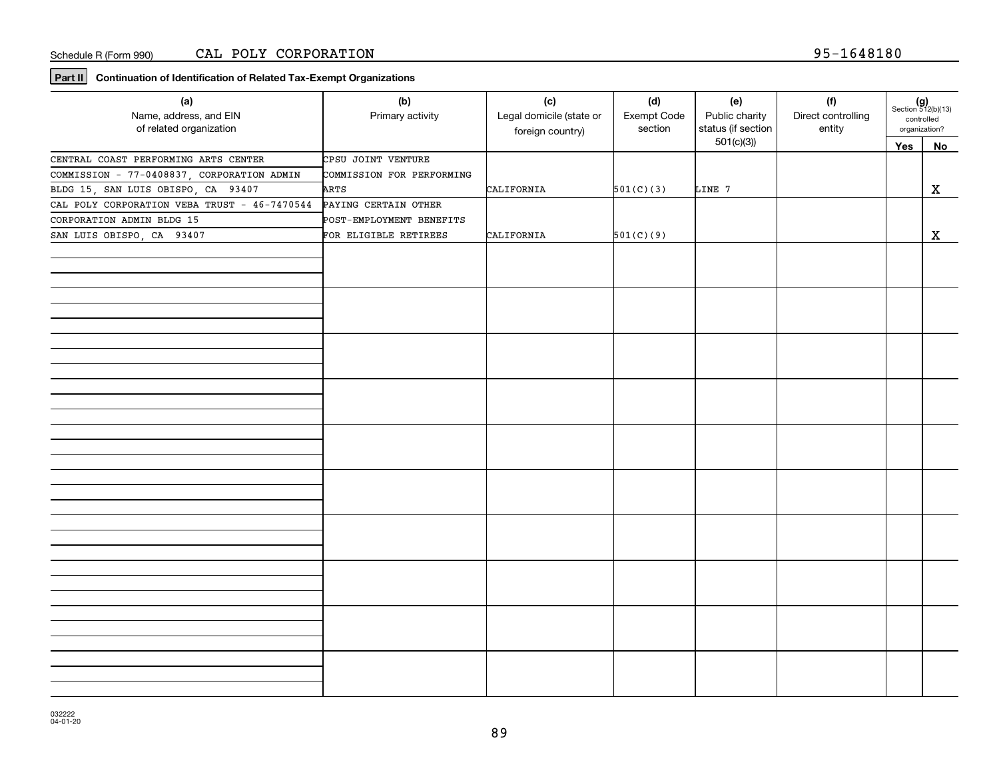**Part II Continuation of Identification of Related Tax-Exempt Organizations**

| (a)<br>Name, address, and EIN<br>of related organization | (b)<br>Primary activity   | (c)<br>Legal domicile (state or<br>foreign country) | (d)<br>Exempt Code<br>section | (e)<br>Public charity<br>status (if section | (f)<br>Direct controlling<br>entity | $(g)$<br>Section 512(b)(13)<br>organization? | controlled |
|----------------------------------------------------------|---------------------------|-----------------------------------------------------|-------------------------------|---------------------------------------------|-------------------------------------|----------------------------------------------|------------|
|                                                          |                           |                                                     |                               | 501(c)(3)                                   |                                     | Yes                                          | No         |
| CENTRAL COAST PERFORMING ARTS CENTER                     | CPSU JOINT VENTURE        |                                                     |                               |                                             |                                     |                                              |            |
| COMMISSION - 77-0408837, CORPORATION ADMIN               | COMMISSION FOR PERFORMING |                                                     |                               |                                             |                                     |                                              |            |
| BLDG 15, SAN LUIS OBISPO, CA 93407                       | ARTS                      | CALIFORNIA                                          | 501(C)(3)                     | LINE 7                                      |                                     |                                              | X          |
| CAL POLY CORPORATION VEBA TRUST - 46-7470544             | PAYING CERTAIN OTHER      |                                                     |                               |                                             |                                     |                                              |            |
| CORPORATION ADMIN BLDG 15                                | POST-EMPLOYMENT BENEFITS  |                                                     |                               |                                             |                                     |                                              |            |
| SAN LUIS OBISPO, CA 93407                                | FOR ELIGIBLE RETIREES     | CALIFORNIA                                          | 501(C)(9)                     |                                             |                                     |                                              | X          |
|                                                          |                           |                                                     |                               |                                             |                                     |                                              |            |
|                                                          |                           |                                                     |                               |                                             |                                     |                                              |            |
|                                                          |                           |                                                     |                               |                                             |                                     |                                              |            |
|                                                          |                           |                                                     |                               |                                             |                                     |                                              |            |
|                                                          |                           |                                                     |                               |                                             |                                     |                                              |            |
|                                                          |                           |                                                     |                               |                                             |                                     |                                              |            |
|                                                          |                           |                                                     |                               |                                             |                                     |                                              |            |
|                                                          |                           |                                                     |                               |                                             |                                     |                                              |            |
|                                                          |                           |                                                     |                               |                                             |                                     |                                              |            |
|                                                          |                           |                                                     |                               |                                             |                                     |                                              |            |
|                                                          |                           |                                                     |                               |                                             |                                     |                                              |            |
|                                                          |                           |                                                     |                               |                                             |                                     |                                              |            |
|                                                          |                           |                                                     |                               |                                             |                                     |                                              |            |
|                                                          |                           |                                                     |                               |                                             |                                     |                                              |            |
|                                                          |                           |                                                     |                               |                                             |                                     |                                              |            |
|                                                          |                           |                                                     |                               |                                             |                                     |                                              |            |
|                                                          |                           |                                                     |                               |                                             |                                     |                                              |            |
|                                                          |                           |                                                     |                               |                                             |                                     |                                              |            |
|                                                          |                           |                                                     |                               |                                             |                                     |                                              |            |
|                                                          |                           |                                                     |                               |                                             |                                     |                                              |            |
|                                                          |                           |                                                     |                               |                                             |                                     |                                              |            |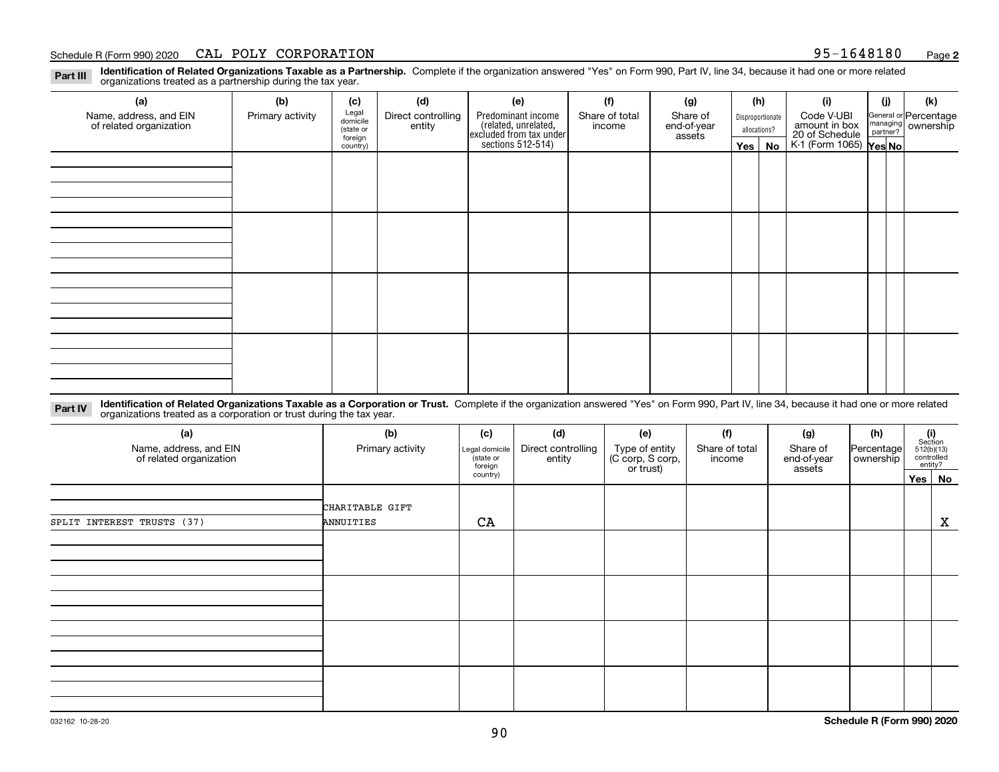### Schedule R (Form 990) 2020 CAL POLY CORPORATION 95-1648180 <sub>Page</sub>

**Identification of Related Organizations Taxable as a Partnership.** Complete if the organization answered "Yes" on Form 990, Part IV, line 34, because it had one or more related **Part III** organizations treated as a partnership during the tax year.

| (a)                                               | (b)              | (c)                  | (d)                          | (e)                                                                  | (f)                      | (g)                     |         | (h)              | (i)                                                       | (i) | (k)                                                       |  |  |  |  |  |  |  |  |  |  |
|---------------------------------------------------|------------------|----------------------|------------------------------|----------------------------------------------------------------------|--------------------------|-------------------------|---------|------------------|-----------------------------------------------------------|-----|-----------------------------------------------------------|--|--|--|--|--|--|--|--|--|--|
| Name, address, and EIN<br>of related organization | Primary activity | Legal<br>domicile    | Direct controlling<br>entity | Predominant income                                                   | Share of total<br>income | Share of<br>end-of-year |         | Disproportionate | Code V-UBI                                                |     | General or Percentage<br>managing<br>partner?<br>partner? |  |  |  |  |  |  |  |  |  |  |
|                                                   |                  | (state or<br>foreign |                              |                                                                      |                          | assets                  |         | allocations?     |                                                           |     |                                                           |  |  |  |  |  |  |  |  |  |  |
|                                                   |                  | country)             |                              | (related, unrelated,<br>excluded from tax under<br>sections 512-514) |                          |                         | Yes $ $ | No               | amount in box<br>20 of Schedule<br>K-1 (Form 1065) Yes No |     |                                                           |  |  |  |  |  |  |  |  |  |  |
|                                                   |                  |                      |                              |                                                                      |                          |                         |         |                  |                                                           |     |                                                           |  |  |  |  |  |  |  |  |  |  |
|                                                   |                  |                      |                              |                                                                      |                          |                         |         |                  |                                                           |     |                                                           |  |  |  |  |  |  |  |  |  |  |
|                                                   |                  |                      |                              |                                                                      |                          |                         |         |                  |                                                           |     |                                                           |  |  |  |  |  |  |  |  |  |  |
|                                                   |                  |                      |                              |                                                                      |                          |                         |         |                  |                                                           |     |                                                           |  |  |  |  |  |  |  |  |  |  |
|                                                   |                  |                      |                              |                                                                      |                          |                         |         |                  |                                                           |     |                                                           |  |  |  |  |  |  |  |  |  |  |
|                                                   |                  |                      |                              |                                                                      |                          |                         |         |                  |                                                           |     |                                                           |  |  |  |  |  |  |  |  |  |  |
|                                                   |                  |                      |                              |                                                                      |                          |                         |         |                  |                                                           |     |                                                           |  |  |  |  |  |  |  |  |  |  |
|                                                   |                  |                      |                              |                                                                      |                          |                         |         |                  |                                                           |     |                                                           |  |  |  |  |  |  |  |  |  |  |
|                                                   |                  |                      |                              |                                                                      |                          |                         |         |                  |                                                           |     |                                                           |  |  |  |  |  |  |  |  |  |  |
|                                                   |                  |                      |                              |                                                                      |                          |                         |         |                  |                                                           |     |                                                           |  |  |  |  |  |  |  |  |  |  |
|                                                   |                  |                      |                              |                                                                      |                          |                         |         |                  |                                                           |     |                                                           |  |  |  |  |  |  |  |  |  |  |
|                                                   |                  |                      |                              |                                                                      |                          |                         |         |                  |                                                           |     |                                                           |  |  |  |  |  |  |  |  |  |  |
|                                                   |                  |                      |                              |                                                                      |                          |                         |         |                  |                                                           |     |                                                           |  |  |  |  |  |  |  |  |  |  |
|                                                   |                  |                      |                              |                                                                      |                          |                         |         |                  |                                                           |     |                                                           |  |  |  |  |  |  |  |  |  |  |
|                                                   |                  |                      |                              |                                                                      |                          |                         |         |                  |                                                           |     |                                                           |  |  |  |  |  |  |  |  |  |  |
|                                                   |                  |                      |                              |                                                                      |                          |                         |         |                  |                                                           |     |                                                           |  |  |  |  |  |  |  |  |  |  |
|                                                   |                  |                      |                              |                                                                      |                          |                         |         |                  |                                                           |     |                                                           |  |  |  |  |  |  |  |  |  |  |

**Identification of Related Organizations Taxable as a Corporation or Trust.** Complete if the organization answered "Yes" on Form 990, Part IV, line 34, because it had one or more related **Part IV** organizations treated as a corporation or trust during the tax year.

| (a)<br>Name, address, and EIN<br>of related organization | (b)<br>Primary activity | (c)<br>Legal domicile<br>(state or<br>foreign | (d)<br>Direct controlling<br>entity | (e)<br>Type of entity<br>(C corp, S corp,<br>or trust) | (f)<br>Share of total<br>income | (g)<br>Share of<br>end-of-year<br>assets | (h)<br> Percentage <br>ownership | $\begin{array}{c} \textbf{(i)}\\ \text{Section}\\ 512 \text{(b)} \text{(13)}\\ \text{controlled}\end{array}$ | entity?   |
|----------------------------------------------------------|-------------------------|-----------------------------------------------|-------------------------------------|--------------------------------------------------------|---------------------------------|------------------------------------------|----------------------------------|--------------------------------------------------------------------------------------------------------------|-----------|
|                                                          |                         | country)                                      |                                     |                                                        |                                 |                                          |                                  | Yes                                                                                                          | <b>No</b> |
|                                                          | CHARITABLE GIFT         |                                               |                                     |                                                        |                                 |                                          |                                  |                                                                                                              |           |
| SPLIT INTEREST TRUSTS (37)                               | ANNUITIES               | CA                                            |                                     |                                                        |                                 |                                          |                                  |                                                                                                              | X         |
|                                                          |                         |                                               |                                     |                                                        |                                 |                                          |                                  |                                                                                                              |           |
|                                                          |                         |                                               |                                     |                                                        |                                 |                                          |                                  |                                                                                                              |           |
|                                                          |                         |                                               |                                     |                                                        |                                 |                                          |                                  |                                                                                                              |           |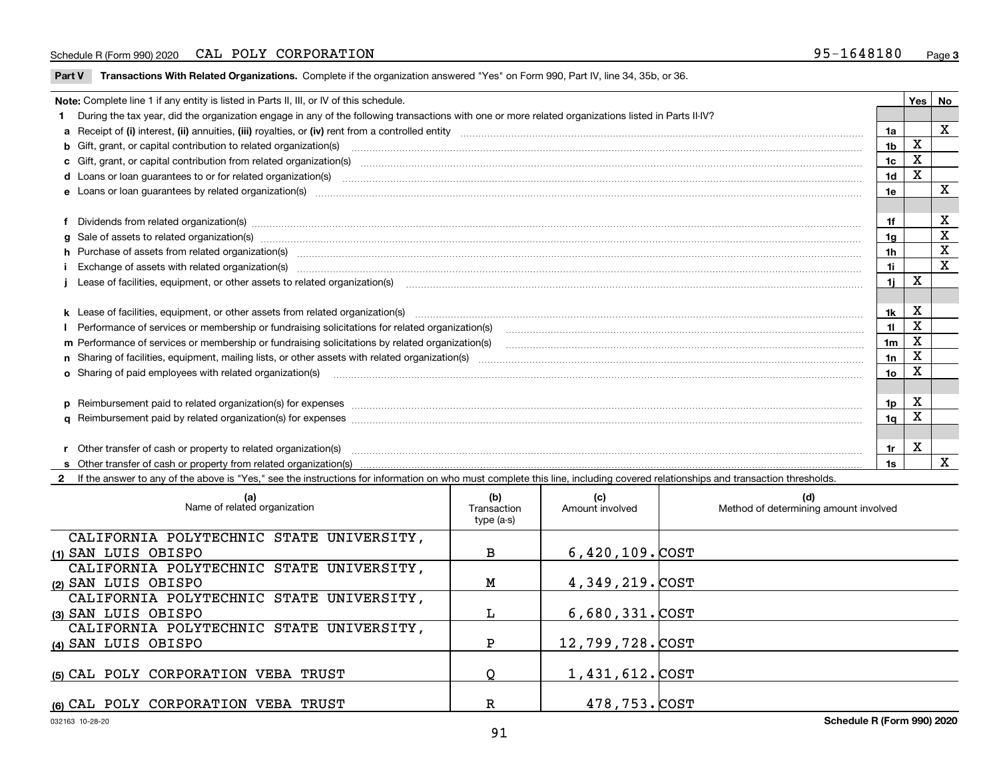### Schedule R (Form 990) 2020 CAL POLY CORPORATION 95-1648180 <sub>Page</sub>

**Part V** T**ransactions With Related Organizations.** Complete if the organization answered "Yes" on Form 990, Part IV, line 34, 35b, or 36.

| Note: Complete line 1 if any entity is listed in Parts II, III, or IV of this schedule. |                                                                                                                                                                                                                                |                |   |              |  |
|-----------------------------------------------------------------------------------------|--------------------------------------------------------------------------------------------------------------------------------------------------------------------------------------------------------------------------------|----------------|---|--------------|--|
|                                                                                         | During the tax year, did the organization engage in any of the following transactions with one or more related organizations listed in Parts II-IV?                                                                            |                |   |              |  |
|                                                                                         |                                                                                                                                                                                                                                | 1a             |   | X            |  |
|                                                                                         |                                                                                                                                                                                                                                | 1 <sub>b</sub> | X |              |  |
|                                                                                         | c Gift, grant, or capital contribution from related organization(s) manufaction contribution from related organization(s) manufaction contribution from related organization(s) manufaction manufaction contribution from rela | 1c             | X |              |  |
|                                                                                         |                                                                                                                                                                                                                                | 1d             | X |              |  |
|                                                                                         |                                                                                                                                                                                                                                | 1e             |   | х            |  |
|                                                                                         |                                                                                                                                                                                                                                |                |   |              |  |
|                                                                                         | f Dividends from related organization(s) manufactured contains and contained and contained contained and contained and contained and contained and contained and contained and contained and contained and contained and conta | 1f             |   | х            |  |
|                                                                                         | g Sale of assets to related organization(s) material contents and content and content of the set of assets to related organization(s)                                                                                          | 1g             |   | X            |  |
|                                                                                         | h Purchase of assets from related organization(s) manufactured and content to the content of the content of the content of the content of the content of the content of the content of the content of the content of the conte | 1h             |   | X            |  |
|                                                                                         | Exchange of assets with related organization(s) www.assettion.com/www.assettion.com/www.assettion.com/www.assettion.com/www.assettion.com/www.assettion.com/www.assettion.com/www.assettion.com/www.assettion.com/www.assettio | 1i.            |   | X            |  |
|                                                                                         |                                                                                                                                                                                                                                | 11             | x |              |  |
|                                                                                         |                                                                                                                                                                                                                                |                |   |              |  |
|                                                                                         | k Lease of facilities, equipment, or other assets from related organization(s) manufaction content and content to the content of facilities, equipment, or other assets from related organization(s) manufaction content and c | 1k             | X |              |  |
|                                                                                         |                                                                                                                                                                                                                                | 11             | X |              |  |
|                                                                                         |                                                                                                                                                                                                                                | 1 <sub>m</sub> | X |              |  |
|                                                                                         |                                                                                                                                                                                                                                | 1n             | X |              |  |
|                                                                                         | o Sharing of paid employees with related organization(s) manufactured and content to the content of the content of the content of the content of the content of the content of the content of the content of the content of th | 1o             | X |              |  |
|                                                                                         |                                                                                                                                                                                                                                |                |   |              |  |
|                                                                                         | p Reimbursement paid to related organization(s) for expenses [1111] and manufacture manufacture manufacture manufacture manufacture manufacture manufacture manufacture manufacture manufacture manufacture manufacture manufa | 1p             | X |              |  |
|                                                                                         |                                                                                                                                                                                                                                | 1q             | x |              |  |
|                                                                                         |                                                                                                                                                                                                                                |                |   |              |  |
|                                                                                         | r Other transfer of cash or property to related organization(s)                                                                                                                                                                | 1r             | х |              |  |
|                                                                                         |                                                                                                                                                                                                                                | 1s             |   | $\mathbf{x}$ |  |

**2**If the answer to any of the above is "Yes," see the instructions for information on who must complete this line, including covered relationships and transaction thresholds.

| (a)<br>Name of related organization      | (b)<br>Transaction<br>type (a-s) | (c)<br>Amount involved | (d)<br>Method of determining amount involved |
|------------------------------------------|----------------------------------|------------------------|----------------------------------------------|
| CALIFORNIA POLYTECHNIC STATE UNIVERSITY, |                                  |                        |                                              |
| (1) SAN LUIS OBISPO                      | в                                | $6,420,109$ . $COST$   |                                              |
| CALIFORNIA POLYTECHNIC STATE UNIVERSITY, |                                  |                        |                                              |
| (2) SAN LUIS OBISPO                      | Μ                                | 4,349,219.COST         |                                              |
| CALIFORNIA POLYTECHNIC STATE UNIVERSITY, |                                  |                        |                                              |
| (3) SAN LUIS OBISPO                      | L                                | $6,680,331.$ COST      |                                              |
| CALIFORNIA POLYTECHNIC STATE UNIVERSITY, |                                  |                        |                                              |
| (4) SAN LUIS OBISPO                      | P                                | 12,799,728.COST        |                                              |
| (5) CAL POLY CORPORATION VEBA TRUST      |                                  | 1,431,612.COST         |                                              |
| (6) CAL POLY CORPORATION VEBA TRUST      | R                                | 478,753.COST           |                                              |

 $\overline{\phantom{0}}$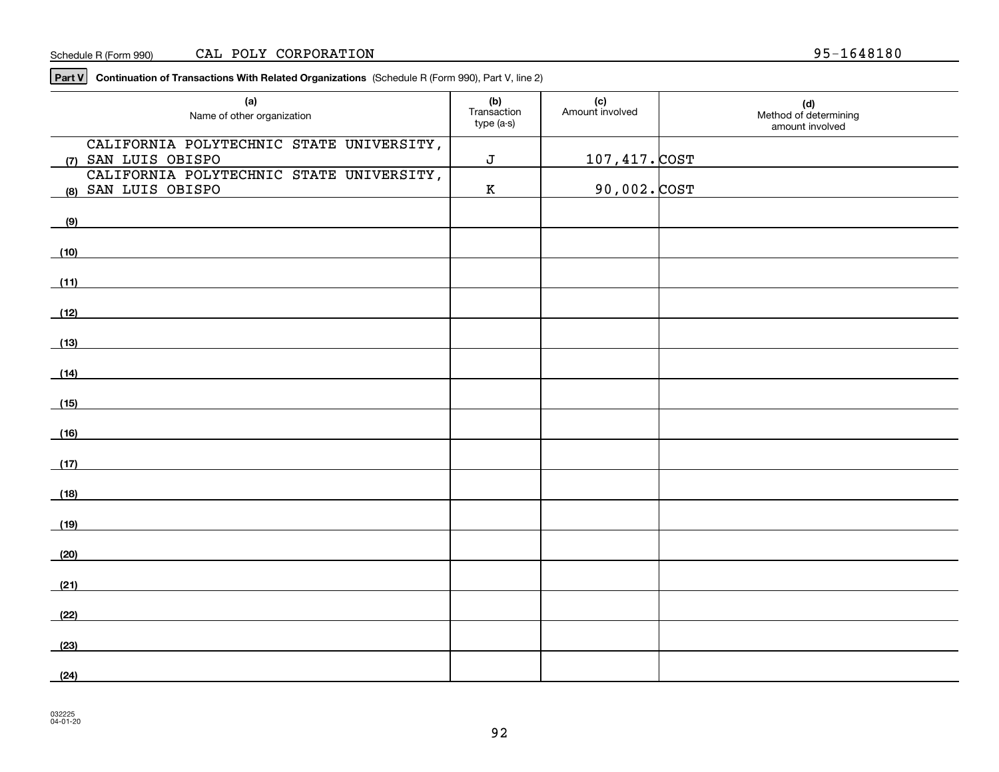### Schedule R (Form 990) CAL POLY CORPORATION 95-1648180

**Part V Continuation of Transactions With Related Organizations**  (Schedule R (Form 990), Part V, line 2)

| (a)<br>Name of other organization                                                                                             | (b)<br>Transaction<br>type (a-s) | (c)<br>Amount involved | (d)<br>Method of determining<br>amount involved |
|-------------------------------------------------------------------------------------------------------------------------------|----------------------------------|------------------------|-------------------------------------------------|
| CALIFORNIA POLYTECHNIC STATE UNIVERSITY,<br>(7) SAN LUIS OBISPO                                                               | $\bf J$                          | <u> 107,417. COST</u>  |                                                 |
| CALIFORNIA POLYTECHNIC STATE UNIVERSITY,<br>(8) SAN LUIS OBISPO                                                               | $\,$ K                           | <u>90,002. COST</u>    |                                                 |
| (9)                                                                                                                           |                                  |                        |                                                 |
| (10)                                                                                                                          |                                  |                        |                                                 |
| (11)                                                                                                                          |                                  |                        |                                                 |
| (12)<br>the control of the control of the control of the control of the control of the control of                             |                                  |                        |                                                 |
| (13)<br><u> 1989 - Johann Harry Harry Harry Harry Harry Harry Harry Harry Harry Harry Harry Harry Harry Harry Harry Harry</u> |                                  |                        |                                                 |
| (14)                                                                                                                          |                                  |                        |                                                 |
| (15)                                                                                                                          |                                  |                        |                                                 |
| (16)                                                                                                                          |                                  |                        |                                                 |
| (17)                                                                                                                          |                                  |                        |                                                 |
| (18)                                                                                                                          |                                  |                        |                                                 |
| (19)                                                                                                                          |                                  |                        |                                                 |
| (20)                                                                                                                          |                                  |                        |                                                 |
| (21)                                                                                                                          |                                  |                        |                                                 |
| (22)                                                                                                                          |                                  |                        |                                                 |
| (23)                                                                                                                          |                                  |                        |                                                 |
| (24)                                                                                                                          |                                  |                        |                                                 |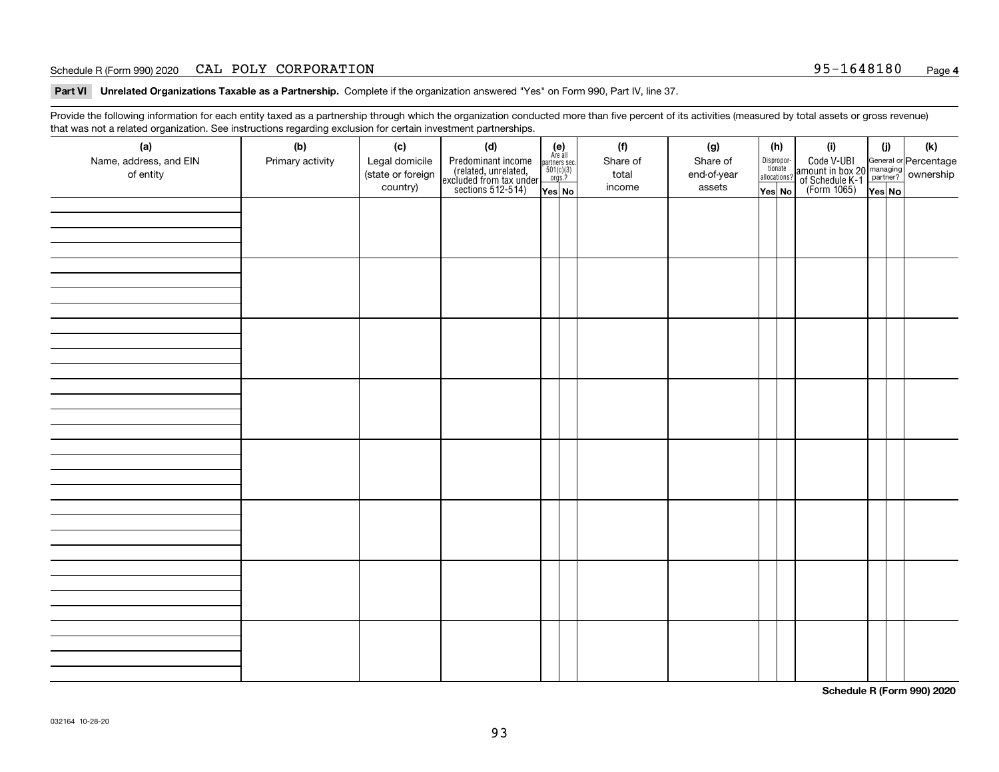### Schedule R (Form 990) 2020 CAL POLY CORPORATION 95-1648180 <sub>Page</sub>

**Part VI Unrelated Organizations Taxable as a Partnership. Complete if the organization answered "Yes" on Form 990, Part IV, line 37.** 

Provide the following information for each entity taxed as a partnership through which the organization conducted more than five percent of its activities (measured by total assets or gross revenue) that was not a related organization. See instructions regarding exclusion for certain investment partnerships.

| - - - - -<br>(a)<br>Name, address, and EIN<br>of entity | − ອ−<br>(b)<br>Primary activity | (c)<br>Legal domicile<br>(state or foreign<br>country) | (d)<br>Predominant income<br>(related, unrelated,<br>excluded from tax under<br>sections 512-514) | $\begin{array}{c} \textbf{(e)}\\ \text{Area all} \\ \text{partners sec.}\\ 501(c)(3) \\ \text{orgs.?} \end{array}$<br>Yes No | (f)<br>Share of<br>total<br>income | (g)<br>Share of<br>end-of-year<br>assets | (h)<br>Dispropor-<br>tionate<br>allocations?<br>Yes No | (i)<br>Code V-UBI<br>amount in box 20 managing<br>of Schedule K-1<br>(Form 1065)<br>$\overline{Yes}$ No | (i)<br>Yes No | (k) |
|---------------------------------------------------------|---------------------------------|--------------------------------------------------------|---------------------------------------------------------------------------------------------------|------------------------------------------------------------------------------------------------------------------------------|------------------------------------|------------------------------------------|--------------------------------------------------------|---------------------------------------------------------------------------------------------------------|---------------|-----|
|                                                         |                                 |                                                        |                                                                                                   |                                                                                                                              |                                    |                                          |                                                        |                                                                                                         |               |     |
|                                                         |                                 |                                                        |                                                                                                   |                                                                                                                              |                                    |                                          |                                                        |                                                                                                         |               |     |
|                                                         |                                 |                                                        |                                                                                                   |                                                                                                                              |                                    |                                          |                                                        |                                                                                                         |               |     |
|                                                         |                                 |                                                        |                                                                                                   |                                                                                                                              |                                    |                                          |                                                        |                                                                                                         |               |     |
|                                                         |                                 |                                                        |                                                                                                   |                                                                                                                              |                                    |                                          |                                                        |                                                                                                         |               |     |
|                                                         |                                 |                                                        |                                                                                                   |                                                                                                                              |                                    |                                          |                                                        |                                                                                                         |               |     |
|                                                         |                                 |                                                        |                                                                                                   |                                                                                                                              |                                    |                                          |                                                        |                                                                                                         |               |     |
|                                                         |                                 |                                                        |                                                                                                   |                                                                                                                              |                                    |                                          |                                                        |                                                                                                         |               |     |

**Schedule R (Form 990) 2020**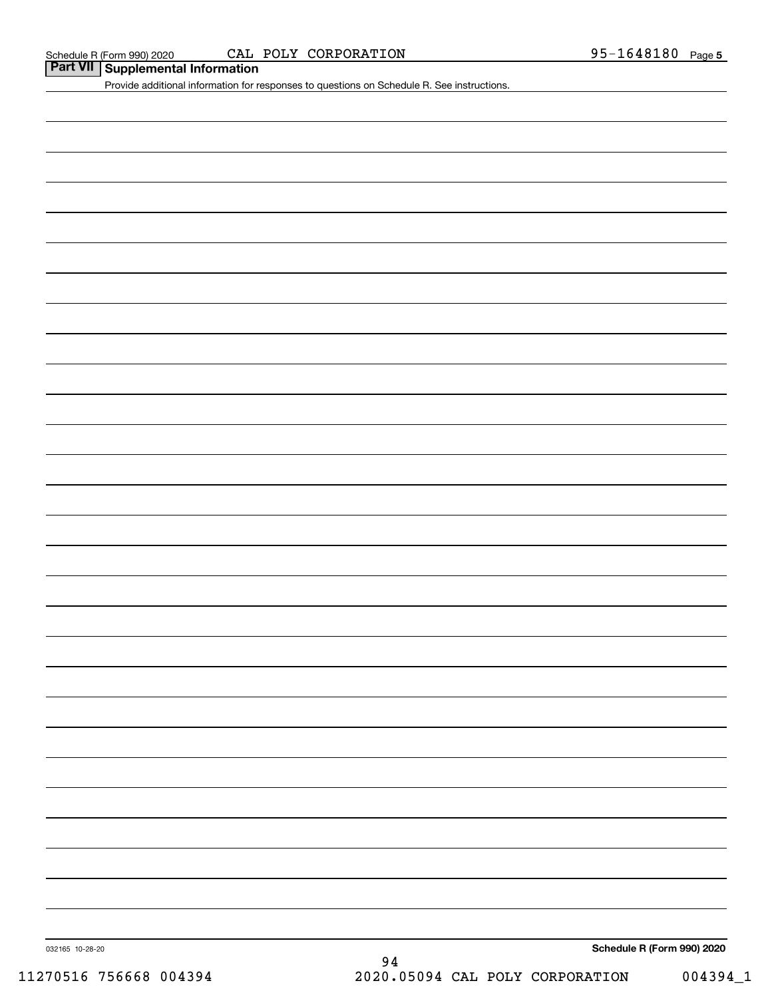### Schedule R (Form 990) 2020 CAL POLY CORPORATION 95-1648180 <sub>Page</sub>

## **Part VII Supplemental Information**

Provide additional information for responses to questions on Schedule R. See instructions.

032165 10-28-20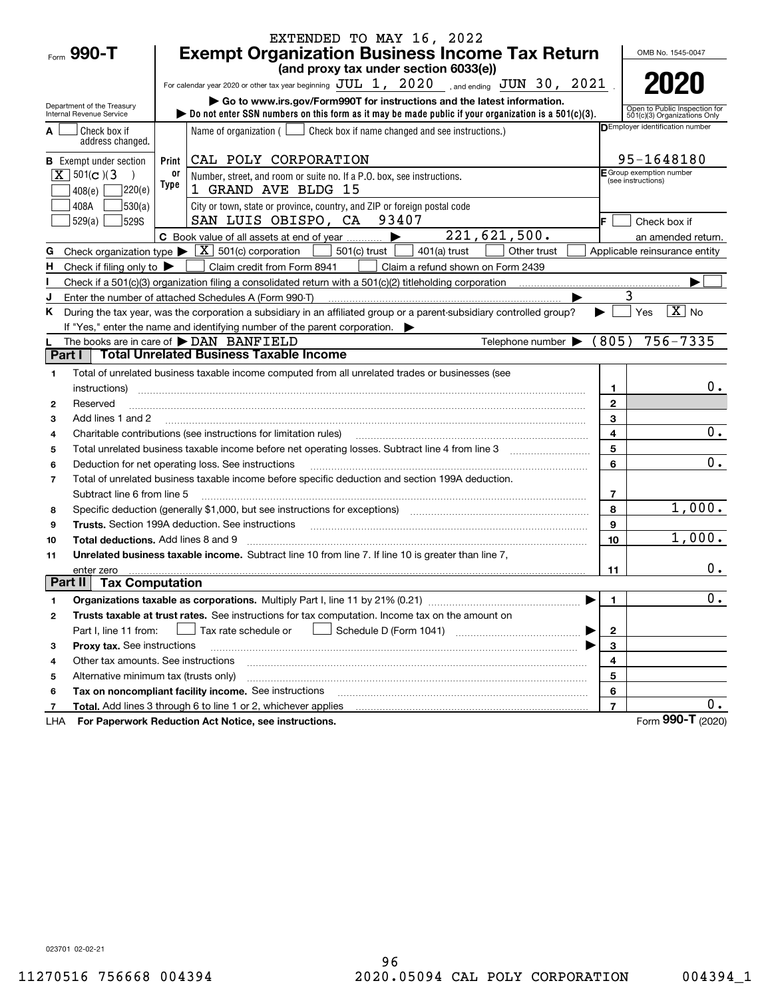|                                                    |            | EXTENDED TO MAY 16, 2022                                                                                                                                                                                                       |                   |                                                               |
|----------------------------------------------------|------------|--------------------------------------------------------------------------------------------------------------------------------------------------------------------------------------------------------------------------------|-------------------|---------------------------------------------------------------|
| Form 990-T                                         |            | <b>Exempt Organization Business Income Tax Return</b>                                                                                                                                                                          |                   | OMB No. 1545-0047                                             |
|                                                    |            | (and proxy tax under section 6033(e))                                                                                                                                                                                          |                   |                                                               |
|                                                    |            | For calendar year 2020 or other tax year beginning $JUL$ $1, 2020$ , and ending $JUN$ $30, 2021$ .                                                                                                                             |                   |                                                               |
| Department of the Treasury                         |            |                                                                                                                                                                                                                                |                   |                                                               |
| Internal Revenue Service                           |            | bo not enter SSN numbers on this form as it may be made public if your organization is a $501(c)(3)$ .                                                                                                                         |                   | Open to Public Inspection for<br>501(c)(3) Organizations Only |
| Check box if<br>A<br>address changed.              |            | Name of organization $($ $\Box$ Check box if name changed and see instructions.)                                                                                                                                               |                   | <b>DEmployer identification number</b>                        |
| <b>B</b> Exempt under section                      | Print      | CAL POLY CORPORATION                                                                                                                                                                                                           |                   | 95-1648180                                                    |
| $X \ 501(c)$ (3<br>7220(e)<br>408(e)               | 0ľ<br>Type | Number, street, and room or suite no. If a P.O. box, see instructions.<br>1 GRAND AVE BLDG 15                                                                                                                                  |                   | F Group exemption number<br>(see instructions)                |
| 530(a) <br>408A                                    |            | City or town, state or province, country, and ZIP or foreign postal code                                                                                                                                                       |                   |                                                               |
| 529(a)<br><b>529S</b>                              |            | SAN LUIS OBISPO, CA 93407                                                                                                                                                                                                      | IF.               | Check box if                                                  |
|                                                    |            | $\overline{221,621,500}$ .<br>C Book value of all assets at end of year                                                                                                                                                        |                   | an amended return.                                            |
| G                                                  |            | Check organization type $\blacktriangleright \boxed{\textbf{X}}$ 501(c) corporation<br>501(c) trust<br>Other trust<br>$401(a)$ trust                                                                                           |                   | Applicable reinsurance entity                                 |
| H<br>Check if filing only to $\blacktriangleright$ |            | Claim credit from Form 8941<br>Claim a refund shown on Form 2439                                                                                                                                                               |                   |                                                               |
|                                                    |            | Check if a 501(c)(3) organization filing a consolidated return with a 501(c)(2) titleholding corporation                                                                                                                       |                   |                                                               |
| J                                                  |            | Enter the number of attached Schedules A (Form 990-T)                                                                                                                                                                          |                   | 3                                                             |
| ĸ.                                                 |            | During the tax year, was the corporation a subsidiary in an affiliated group or a parent-subsidiary controlled group?<br>If "Yes," enter the name and identifying number of the parent corporation.                            |                   | $\sqrt{X}$ No<br>Yes                                          |
|                                                    |            | Telephone number $\blacktriangleright$ (805)<br>The books are in care of $\blacktriangleright$ DAN BANFIELD                                                                                                                    |                   | $756 - 7335$                                                  |
| Part I                                             |            | <b>Total Unrelated Business Taxable Income</b>                                                                                                                                                                                 |                   |                                                               |
|                                                    |            |                                                                                                                                                                                                                                |                   |                                                               |
| 1                                                  |            | Total of unrelated business taxable income computed from all unrelated trades or businesses (see                                                                                                                               |                   | $0$ .                                                         |
| instructions)<br>Reserved                          |            |                                                                                                                                                                                                                                | 1<br>$\mathbf{2}$ |                                                               |
| 2<br>Add lines 1 and 2                             |            |                                                                                                                                                                                                                                | 3                 |                                                               |
| 3<br>4                                             |            | Charitable contributions (see instructions for limitation rules) [11] manufactured contributions (see instructions for limitation rules) [11] manufactured contributions (see instructions for limitation rules) [11] manufact | 4                 | 0.                                                            |
| 5                                                  |            |                                                                                                                                                                                                                                | 5                 |                                                               |
| 6                                                  |            | Deduction for net operating loss. See instructions                                                                                                                                                                             | 6                 | 0.                                                            |
| $\overline{7}$                                     |            | Total of unrelated business taxable income before specific deduction and section 199A deduction.                                                                                                                               |                   |                                                               |
| Subtract line 6 from line 5                        |            |                                                                                                                                                                                                                                | 7                 |                                                               |
| 8                                                  |            | Specific deduction (generally \$1,000, but see instructions for exceptions) manufactured in the substitution of                                                                                                                | 8                 | 1,000.                                                        |
| 9                                                  |            | Trusts. Section 199A deduction. See instructions [11] material material material material material material material material material material material material material material material material material material materi | 9                 |                                                               |
| <b>Total deductions.</b> Add lines 8 and 9<br>10   |            |                                                                                                                                                                                                                                | 10                | 1,000.                                                        |
| 11                                                 |            | Unrelated business taxable income. Subtract line 10 from line 7. If line 10 is greater than line 7,                                                                                                                            |                   |                                                               |
| enter zero                                         |            |                                                                                                                                                                                                                                | 11                | 0.                                                            |
| Part II<br><b>Tax Computation</b>                  |            |                                                                                                                                                                                                                                |                   |                                                               |
| 1                                                  |            |                                                                                                                                                                                                                                | $\mathbf{1}$      | 0.                                                            |
| 2                                                  |            | Trusts taxable at trust rates. See instructions for tax computation. Income tax on the amount on                                                                                                                               |                   |                                                               |
| Part I, line 11 from:                              |            | Tax rate schedule or                                                                                                                                                                                                           | $\mathbf{2}$      |                                                               |
| Proxy tax. See instructions<br>з                   |            |                                                                                                                                                                                                                                | 3                 |                                                               |
| Other tax amounts. See instructions<br>4           |            |                                                                                                                                                                                                                                | 4                 |                                                               |
| Alternative minimum tax (trusts only)<br>5         |            |                                                                                                                                                                                                                                | 5                 |                                                               |
| 6                                                  |            | Tax on noncompliant facility income. See instructions                                                                                                                                                                          | 6                 |                                                               |
| 7                                                  |            |                                                                                                                                                                                                                                | $\overline{7}$    | $0$ .                                                         |
| LHA                                                |            | For Paperwork Reduction Act Notice, see instructions.                                                                                                                                                                          |                   | Form 990-T (2020)                                             |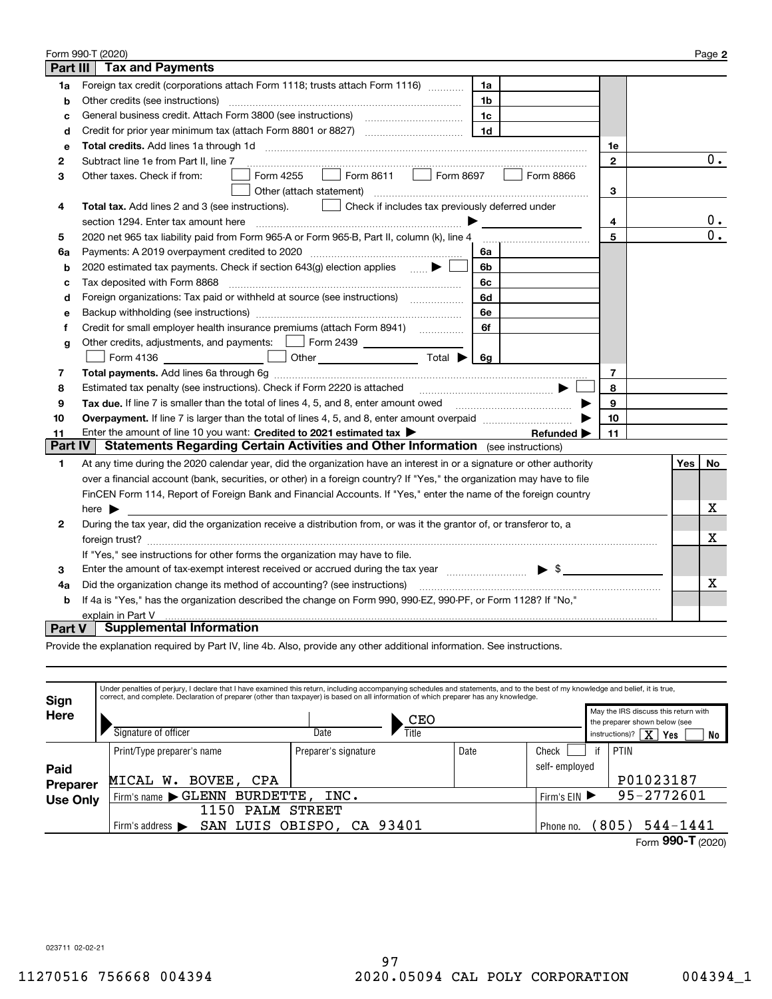|                   | Form 990-T (2020)                                                                                                                                                                                                              |              |  |     | Page 2           |  |  |  |
|-------------------|--------------------------------------------------------------------------------------------------------------------------------------------------------------------------------------------------------------------------------|--------------|--|-----|------------------|--|--|--|
| <b>Part III</b>   | <b>Tax and Payments</b>                                                                                                                                                                                                        |              |  |     |                  |  |  |  |
| 1a                | Foreign tax credit (corporations attach Form 1118; trusts attach Form 1116) [[[[[[[[[[[[[[[[[[[[[[[[<br>1a                                                                                                                     |              |  |     |                  |  |  |  |
| b                 | Other credits (see instructions)<br>1b                                                                                                                                                                                         |              |  |     |                  |  |  |  |
| c                 | General business credit. Attach Form 3800 (see instructions) maturing continuing and all planning and the dist<br>1c                                                                                                           |              |  |     |                  |  |  |  |
| d                 | 1 <sub>d</sub>                                                                                                                                                                                                                 |              |  |     |                  |  |  |  |
| e                 |                                                                                                                                                                                                                                | 1e           |  |     |                  |  |  |  |
| 2                 | Subtract line 1e from Part II, line 7                                                                                                                                                                                          | $\mathbf{2}$ |  |     | $0$ .            |  |  |  |
| 3                 | Form 8697<br>Form 8611<br>Form 8866<br>Form 4255<br>Other taxes. Check if from:<br>$\mathbf{1}$                                                                                                                                |              |  |     |                  |  |  |  |
|                   | Other (attach statement)                                                                                                                                                                                                       | 3            |  |     |                  |  |  |  |
| 4                 | Check if includes tax previously deferred under<br>Total tax. Add lines 2 and 3 (see instructions).                                                                                                                            |              |  |     |                  |  |  |  |
|                   | section 1294. Enter tax amount here                                                                                                                                                                                            | 4            |  |     | $\mathbf{0}$ .   |  |  |  |
| 5                 | 2020 net 965 tax liability paid from Form 965-A or Form 965-B, Part II, column (k), line 4                                                                                                                                     | 5            |  |     | $\overline{0}$ . |  |  |  |
| 6a                | Payments: A 2019 overpayment credited to 2020 [11] [11] maximum materials: A 2019 overpayment credited to 2020<br>6a                                                                                                           |              |  |     |                  |  |  |  |
| b                 | 2020 estimated tax payments. Check if section 643(g) election applies $\bullet$<br>6b                                                                                                                                          |              |  |     |                  |  |  |  |
| с                 | Tax deposited with Form 8868<br>6c                                                                                                                                                                                             |              |  |     |                  |  |  |  |
| d                 | Foreign organizations: Tax paid or withheld at source (see instructions) [<br>6d                                                                                                                                               |              |  |     |                  |  |  |  |
| e                 | 6e                                                                                                                                                                                                                             |              |  |     |                  |  |  |  |
| f                 | Credit for small employer health insurance premiums (attach Form 8941)<br>6f                                                                                                                                                   |              |  |     |                  |  |  |  |
| g                 | Other credits, adjustments, and payments:   Form 2439                                                                                                                                                                          |              |  |     |                  |  |  |  |
|                   | Other $\overline{\hspace{1cm}}$ Total $\blacktriangleright$ $\begin{array}{ c c c c }\hline \hspace{1.5cm}6g\end{array}$<br>Form 4136                                                                                          |              |  |     |                  |  |  |  |
| 7                 |                                                                                                                                                                                                                                | 7            |  |     |                  |  |  |  |
| 8                 | Estimated tax penalty (see instructions). Check if Form 2220 is attached                                                                                                                                                       | 8            |  |     |                  |  |  |  |
| 9                 | Tax due. If line 7 is smaller than the total of lines 4, 5, and 8, enter amount owed <b>Face and Conservers</b> 1.                                                                                                             | 9            |  |     |                  |  |  |  |
| 10                |                                                                                                                                                                                                                                | 10           |  |     |                  |  |  |  |
| 11                | Enter the amount of line 10 you want: Credited to 2021 estimated tax<br>Refunded >                                                                                                                                             | 11           |  |     |                  |  |  |  |
| <b>Part IV</b>    | Statements Regarding Certain Activities and Other Information (see instructions)                                                                                                                                               |              |  |     |                  |  |  |  |
| $\mathbf{1}$      | At any time during the 2020 calendar year, did the organization have an interest in or a signature or other authority                                                                                                          |              |  | Yes | No               |  |  |  |
|                   | over a financial account (bank, securities, or other) in a foreign country? If "Yes," the organization may have to file                                                                                                        |              |  |     |                  |  |  |  |
|                   | FinCEN Form 114, Report of Foreign Bank and Financial Accounts. If "Yes," enter the name of the foreign country                                                                                                                |              |  |     |                  |  |  |  |
|                   | here $\blacktriangleright$                                                                                                                                                                                                     |              |  |     | x                |  |  |  |
| 2                 | During the tax year, did the organization receive a distribution from, or was it the grantor of, or transferor to, a                                                                                                           |              |  |     |                  |  |  |  |
|                   |                                                                                                                                                                                                                                |              |  |     |                  |  |  |  |
|                   | If "Yes," see instructions for other forms the organization may have to file.                                                                                                                                                  |              |  |     |                  |  |  |  |
| 3                 | Enter the amount of tax-exempt interest received or accrued during the tax year match states and the summary states and states are the amount of tax-exempt interest received or accrued during the tax year matches and state |              |  |     |                  |  |  |  |
| 4a                | Did the organization change its method of accounting? (see instructions)                                                                                                                                                       |              |  |     |                  |  |  |  |
| b                 | If 4a is "Yes," has the organization described the change on Form 990, 990-EZ, 990-PF, or Form 1128? If "No,"                                                                                                                  |              |  |     |                  |  |  |  |
| explain in Part V |                                                                                                                                                                                                                                |              |  |     |                  |  |  |  |
| <b>Part V</b>     | <b>Supplemental Information</b>                                                                                                                                                                                                |              |  |     |                  |  |  |  |

Provide the explanation required by Part IV, line 4b. Also, provide any other additional information. See instructions.

| Sign            | Under penalties of perjury, I declare that I have examined this return, including accompanying schedules and statements, and to the best of my knowledge and belief, it is true,<br>correct, and complete. Declaration of preparer (other than taxpayer) is based on all information of which preparer has any knowledge. |                      |       |                       |                                                                       |                   |  |
|-----------------|---------------------------------------------------------------------------------------------------------------------------------------------------------------------------------------------------------------------------------------------------------------------------------------------------------------------------|----------------------|-------|-----------------------|-----------------------------------------------------------------------|-------------------|--|
| <b>Here</b>     |                                                                                                                                                                                                                                                                                                                           |                      | CEO   |                       | May the IRS discuss this return with<br>the preparer shown below (see |                   |  |
|                 | Signature of officer                                                                                                                                                                                                                                                                                                      | Date                 | Title |                       | $\overline{\mathbf{x}}$<br>instructions)?<br>Yes<br>No                |                   |  |
|                 | Print/Type preparer's name                                                                                                                                                                                                                                                                                                | Preparer's signature | Date  | Check                 | if                                                                    | PTIN              |  |
| Paid            |                                                                                                                                                                                                                                                                                                                           |                      |       | self-emploved         |                                                                       |                   |  |
| <b>Preparer</b> | BOVEE, CPA<br>MICAL W.                                                                                                                                                                                                                                                                                                    |                      |       |                       |                                                                       | P01023187         |  |
| <b>Use Only</b> | Firm's name GLENN                                                                                                                                                                                                                                                                                                         | INC.<br>BURDETTE,    |       |                       |                                                                       |                   |  |
|                 | <b>PALM</b><br>1150                                                                                                                                                                                                                                                                                                       | <b>STREET</b>        |       |                       |                                                                       |                   |  |
|                 | OBISPO, CA 93401<br>SAN LUIS<br>Firm's address $\blacktriangleright$                                                                                                                                                                                                                                                      | Phone no.            |       | $544 - 1441$<br>(805) |                                                                       |                   |  |
|                 |                                                                                                                                                                                                                                                                                                                           |                      |       |                       |                                                                       | Form 990-T (2020) |  |

023711 02-02-21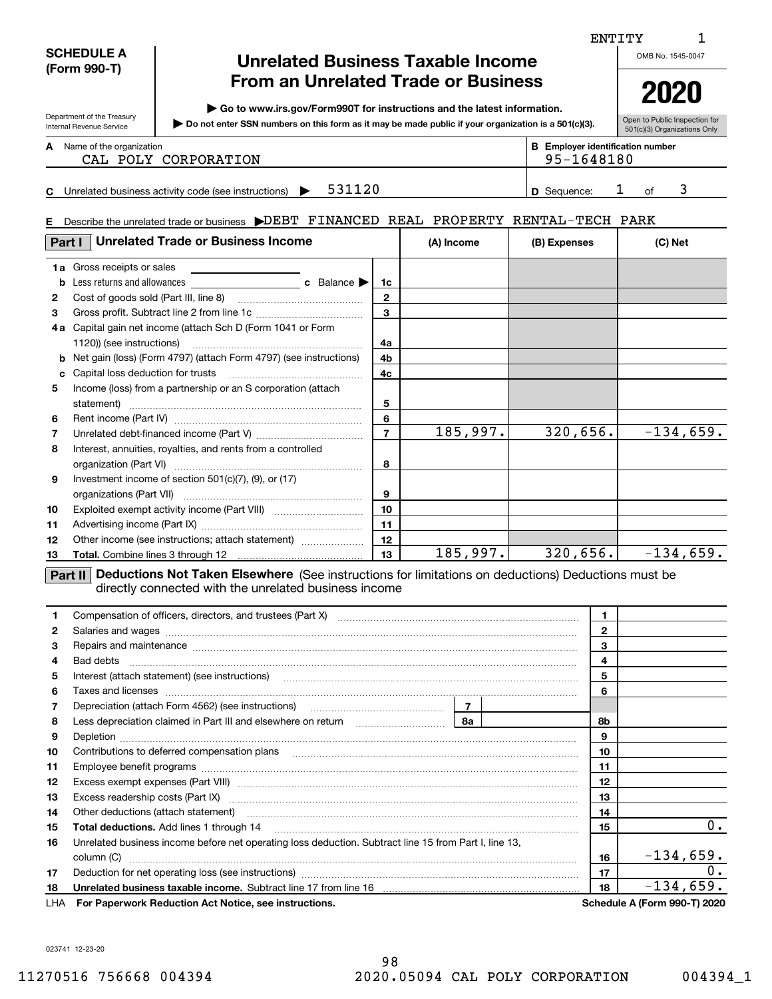| <b>From an Unrelated Trade or Business</b><br>2020<br>Go to www.irs.gov/Form990T for instructions and the latest information.<br>Department of the Treasury<br>Do not enter SSN numbers on this form as it may be made public if your organization is a 501(c)(3).<br>Internal Revenue Service<br>501(c)(3) Organizations Only<br><b>B</b> Employer identification number<br><b>A</b> Name of the organization<br>95-1648180<br>CAL POLY CORPORATION<br>3<br>531120<br>$\mathbf{I}$<br>C Unrelated business activity code (see instructions) $\blacktriangleright$<br><b>D</b> Sequence:<br>of<br>E Describe the unrelated trade or business DEBT FINANCED REAL PROPERTY RENTAL-TECH PARK<br><b>Unrelated Trade or Business Income</b><br>Part I<br>(A) Income<br>(B) Expenses<br>(C) Net<br><b>1a</b> Gross receipts or sales<br>b<br>1c<br>$\mathbf{2}$<br>2<br>$\mathbf{3}$<br>3<br>4a Capital gain net income (attach Sch D (Form 1041 or Form<br>4a<br><b>b</b> Net gain (loss) (Form 4797) (attach Form 4797) (see instructions)<br>4b<br>4c<br>c<br>Income (loss) from a partnership or an S corporation (attach<br>5<br>5<br>6<br>6<br>$\overline{320,656}.$<br>185,997.<br>$-134,659.$<br>$\overline{7}$<br>7<br>Interest, annuities, royalties, and rents from a controlled<br>8<br>8<br>Investment income of section 501(c)(7), (9), or (17)<br>9<br>9<br>10<br>10<br>11<br>11<br>12<br>Other income (see instructions; attach statement)<br>12<br>$185,997.$ 320,656. $-134,659.$<br>13<br>13<br>Part II Deductions Not Taken Elsewhere (See instructions for limitations on deductions) Deductions must be<br>directly connected with the unrelated business income<br>Compensation of officers, directors, and trustees (Part X) [11] [2010] [2010] [2010] [2010] [2010] [2010] [2010] [2010] [2010] [2010] [2010] [2010] [2010] [2010] [2010] [2010] [2010] [2010] [2010] [2010] [2010] [2010] [201<br>1<br>1.<br>$\mathbf{2}$<br>2<br>Salaries and wages with the continuum contract of the contract of the contract of the contract of the contract of the contract of the contract of the contract of the contract of the contract of the contract of the contract<br>3<br>Repairs and maintenance measurements are all and the series and maintenance measurements and maintenance measurements.<br>з<br>$\overline{\mathbf{4}}$<br>4<br>5<br>5<br>6<br>6<br>Taxes and licenses <b>communications</b> and international contract of the contract of the contract of the contract of the contract of the contract of the contract of the contract of the contract of the contract of the contract<br>$\overline{7}$<br>7<br>Depreciation (attach Form 4562) (see instructions) maturing contain the preciation (attach Form 4562)<br>8a<br>8<br>8b<br>9<br>9<br>10<br>10<br>11<br>11<br>12<br>12<br>13<br>13<br>Other deductions (attach statement) material contracts and a statement of the statement of the statement of the<br>14<br>14<br>15<br>15<br>Unrelated business income before net operating loss deduction. Subtract line 15 from Part I, line 13,<br>16<br>$-134,659.$<br>16<br>17<br>17<br>Unrelated business taxable income. Subtract line 17 from line 16 [19] [19] www.communicallyness.com | <b>SCHEDULE A</b><br><b>Unrelated Business Taxable Income</b><br>(Form 990-T) |  |  |  |  |  |  | OMB No. 1545-0047 |                               |
|----------------------------------------------------------------------------------------------------------------------------------------------------------------------------------------------------------------------------------------------------------------------------------------------------------------------------------------------------------------------------------------------------------------------------------------------------------------------------------------------------------------------------------------------------------------------------------------------------------------------------------------------------------------------------------------------------------------------------------------------------------------------------------------------------------------------------------------------------------------------------------------------------------------------------------------------------------------------------------------------------------------------------------------------------------------------------------------------------------------------------------------------------------------------------------------------------------------------------------------------------------------------------------------------------------------------------------------------------------------------------------------------------------------------------------------------------------------------------------------------------------------------------------------------------------------------------------------------------------------------------------------------------------------------------------------------------------------------------------------------------------------------------------------------------------------------------------------------------------------------------------------------------------------------------------------------------------------------------------------------------------------------------------------------------------------------------------------------------------------------------------------------------------------------------------------------------------------------------------------------------------------------------------------------------------------------------------------------------------------------------------------------------------------------------------------------------------------------------------------------------------------------------------------------------------------------------------------------------------------------------------------------------------------------------------------------------------------------------------------------------------------------------------------------------------------------------------------------------------------------------------------------------------------------------------------------------------------------------------------------------------------------------------------------------------------------------------------------------------------------------------------------------------------------------------------------------------------------------------|-------------------------------------------------------------------------------|--|--|--|--|--|--|-------------------|-------------------------------|
|                                                                                                                                                                                                                                                                                                                                                                                                                                                                                                                                                                                                                                                                                                                                                                                                                                                                                                                                                                                                                                                                                                                                                                                                                                                                                                                                                                                                                                                                                                                                                                                                                                                                                                                                                                                                                                                                                                                                                                                                                                                                                                                                                                                                                                                                                                                                                                                                                                                                                                                                                                                                                                                                                                                                                                                                                                                                                                                                                                                                                                                                                                                                                                                                                                  |                                                                               |  |  |  |  |  |  |                   |                               |
|                                                                                                                                                                                                                                                                                                                                                                                                                                                                                                                                                                                                                                                                                                                                                                                                                                                                                                                                                                                                                                                                                                                                                                                                                                                                                                                                                                                                                                                                                                                                                                                                                                                                                                                                                                                                                                                                                                                                                                                                                                                                                                                                                                                                                                                                                                                                                                                                                                                                                                                                                                                                                                                                                                                                                                                                                                                                                                                                                                                                                                                                                                                                                                                                                                  |                                                                               |  |  |  |  |  |  |                   | Open to Public Inspection for |
|                                                                                                                                                                                                                                                                                                                                                                                                                                                                                                                                                                                                                                                                                                                                                                                                                                                                                                                                                                                                                                                                                                                                                                                                                                                                                                                                                                                                                                                                                                                                                                                                                                                                                                                                                                                                                                                                                                                                                                                                                                                                                                                                                                                                                                                                                                                                                                                                                                                                                                                                                                                                                                                                                                                                                                                                                                                                                                                                                                                                                                                                                                                                                                                                                                  |                                                                               |  |  |  |  |  |  |                   |                               |
|                                                                                                                                                                                                                                                                                                                                                                                                                                                                                                                                                                                                                                                                                                                                                                                                                                                                                                                                                                                                                                                                                                                                                                                                                                                                                                                                                                                                                                                                                                                                                                                                                                                                                                                                                                                                                                                                                                                                                                                                                                                                                                                                                                                                                                                                                                                                                                                                                                                                                                                                                                                                                                                                                                                                                                                                                                                                                                                                                                                                                                                                                                                                                                                                                                  |                                                                               |  |  |  |  |  |  |                   |                               |
|                                                                                                                                                                                                                                                                                                                                                                                                                                                                                                                                                                                                                                                                                                                                                                                                                                                                                                                                                                                                                                                                                                                                                                                                                                                                                                                                                                                                                                                                                                                                                                                                                                                                                                                                                                                                                                                                                                                                                                                                                                                                                                                                                                                                                                                                                                                                                                                                                                                                                                                                                                                                                                                                                                                                                                                                                                                                                                                                                                                                                                                                                                                                                                                                                                  |                                                                               |  |  |  |  |  |  |                   |                               |
|                                                                                                                                                                                                                                                                                                                                                                                                                                                                                                                                                                                                                                                                                                                                                                                                                                                                                                                                                                                                                                                                                                                                                                                                                                                                                                                                                                                                                                                                                                                                                                                                                                                                                                                                                                                                                                                                                                                                                                                                                                                                                                                                                                                                                                                                                                                                                                                                                                                                                                                                                                                                                                                                                                                                                                                                                                                                                                                                                                                                                                                                                                                                                                                                                                  |                                                                               |  |  |  |  |  |  |                   |                               |
|                                                                                                                                                                                                                                                                                                                                                                                                                                                                                                                                                                                                                                                                                                                                                                                                                                                                                                                                                                                                                                                                                                                                                                                                                                                                                                                                                                                                                                                                                                                                                                                                                                                                                                                                                                                                                                                                                                                                                                                                                                                                                                                                                                                                                                                                                                                                                                                                                                                                                                                                                                                                                                                                                                                                                                                                                                                                                                                                                                                                                                                                                                                                                                                                                                  |                                                                               |  |  |  |  |  |  |                   |                               |
|                                                                                                                                                                                                                                                                                                                                                                                                                                                                                                                                                                                                                                                                                                                                                                                                                                                                                                                                                                                                                                                                                                                                                                                                                                                                                                                                                                                                                                                                                                                                                                                                                                                                                                                                                                                                                                                                                                                                                                                                                                                                                                                                                                                                                                                                                                                                                                                                                                                                                                                                                                                                                                                                                                                                                                                                                                                                                                                                                                                                                                                                                                                                                                                                                                  |                                                                               |  |  |  |  |  |  |                   |                               |
|                                                                                                                                                                                                                                                                                                                                                                                                                                                                                                                                                                                                                                                                                                                                                                                                                                                                                                                                                                                                                                                                                                                                                                                                                                                                                                                                                                                                                                                                                                                                                                                                                                                                                                                                                                                                                                                                                                                                                                                                                                                                                                                                                                                                                                                                                                                                                                                                                                                                                                                                                                                                                                                                                                                                                                                                                                                                                                                                                                                                                                                                                                                                                                                                                                  |                                                                               |  |  |  |  |  |  |                   |                               |
|                                                                                                                                                                                                                                                                                                                                                                                                                                                                                                                                                                                                                                                                                                                                                                                                                                                                                                                                                                                                                                                                                                                                                                                                                                                                                                                                                                                                                                                                                                                                                                                                                                                                                                                                                                                                                                                                                                                                                                                                                                                                                                                                                                                                                                                                                                                                                                                                                                                                                                                                                                                                                                                                                                                                                                                                                                                                                                                                                                                                                                                                                                                                                                                                                                  |                                                                               |  |  |  |  |  |  |                   |                               |
|                                                                                                                                                                                                                                                                                                                                                                                                                                                                                                                                                                                                                                                                                                                                                                                                                                                                                                                                                                                                                                                                                                                                                                                                                                                                                                                                                                                                                                                                                                                                                                                                                                                                                                                                                                                                                                                                                                                                                                                                                                                                                                                                                                                                                                                                                                                                                                                                                                                                                                                                                                                                                                                                                                                                                                                                                                                                                                                                                                                                                                                                                                                                                                                                                                  |                                                                               |  |  |  |  |  |  |                   |                               |
|                                                                                                                                                                                                                                                                                                                                                                                                                                                                                                                                                                                                                                                                                                                                                                                                                                                                                                                                                                                                                                                                                                                                                                                                                                                                                                                                                                                                                                                                                                                                                                                                                                                                                                                                                                                                                                                                                                                                                                                                                                                                                                                                                                                                                                                                                                                                                                                                                                                                                                                                                                                                                                                                                                                                                                                                                                                                                                                                                                                                                                                                                                                                                                                                                                  |                                                                               |  |  |  |  |  |  |                   |                               |
|                                                                                                                                                                                                                                                                                                                                                                                                                                                                                                                                                                                                                                                                                                                                                                                                                                                                                                                                                                                                                                                                                                                                                                                                                                                                                                                                                                                                                                                                                                                                                                                                                                                                                                                                                                                                                                                                                                                                                                                                                                                                                                                                                                                                                                                                                                                                                                                                                                                                                                                                                                                                                                                                                                                                                                                                                                                                                                                                                                                                                                                                                                                                                                                                                                  |                                                                               |  |  |  |  |  |  |                   |                               |
|                                                                                                                                                                                                                                                                                                                                                                                                                                                                                                                                                                                                                                                                                                                                                                                                                                                                                                                                                                                                                                                                                                                                                                                                                                                                                                                                                                                                                                                                                                                                                                                                                                                                                                                                                                                                                                                                                                                                                                                                                                                                                                                                                                                                                                                                                                                                                                                                                                                                                                                                                                                                                                                                                                                                                                                                                                                                                                                                                                                                                                                                                                                                                                                                                                  |                                                                               |  |  |  |  |  |  |                   |                               |
|                                                                                                                                                                                                                                                                                                                                                                                                                                                                                                                                                                                                                                                                                                                                                                                                                                                                                                                                                                                                                                                                                                                                                                                                                                                                                                                                                                                                                                                                                                                                                                                                                                                                                                                                                                                                                                                                                                                                                                                                                                                                                                                                                                                                                                                                                                                                                                                                                                                                                                                                                                                                                                                                                                                                                                                                                                                                                                                                                                                                                                                                                                                                                                                                                                  |                                                                               |  |  |  |  |  |  |                   |                               |
|                                                                                                                                                                                                                                                                                                                                                                                                                                                                                                                                                                                                                                                                                                                                                                                                                                                                                                                                                                                                                                                                                                                                                                                                                                                                                                                                                                                                                                                                                                                                                                                                                                                                                                                                                                                                                                                                                                                                                                                                                                                                                                                                                                                                                                                                                                                                                                                                                                                                                                                                                                                                                                                                                                                                                                                                                                                                                                                                                                                                                                                                                                                                                                                                                                  |                                                                               |  |  |  |  |  |  |                   |                               |
|                                                                                                                                                                                                                                                                                                                                                                                                                                                                                                                                                                                                                                                                                                                                                                                                                                                                                                                                                                                                                                                                                                                                                                                                                                                                                                                                                                                                                                                                                                                                                                                                                                                                                                                                                                                                                                                                                                                                                                                                                                                                                                                                                                                                                                                                                                                                                                                                                                                                                                                                                                                                                                                                                                                                                                                                                                                                                                                                                                                                                                                                                                                                                                                                                                  |                                                                               |  |  |  |  |  |  |                   |                               |
|                                                                                                                                                                                                                                                                                                                                                                                                                                                                                                                                                                                                                                                                                                                                                                                                                                                                                                                                                                                                                                                                                                                                                                                                                                                                                                                                                                                                                                                                                                                                                                                                                                                                                                                                                                                                                                                                                                                                                                                                                                                                                                                                                                                                                                                                                                                                                                                                                                                                                                                                                                                                                                                                                                                                                                                                                                                                                                                                                                                                                                                                                                                                                                                                                                  |                                                                               |  |  |  |  |  |  |                   |                               |
|                                                                                                                                                                                                                                                                                                                                                                                                                                                                                                                                                                                                                                                                                                                                                                                                                                                                                                                                                                                                                                                                                                                                                                                                                                                                                                                                                                                                                                                                                                                                                                                                                                                                                                                                                                                                                                                                                                                                                                                                                                                                                                                                                                                                                                                                                                                                                                                                                                                                                                                                                                                                                                                                                                                                                                                                                                                                                                                                                                                                                                                                                                                                                                                                                                  |                                                                               |  |  |  |  |  |  |                   |                               |
|                                                                                                                                                                                                                                                                                                                                                                                                                                                                                                                                                                                                                                                                                                                                                                                                                                                                                                                                                                                                                                                                                                                                                                                                                                                                                                                                                                                                                                                                                                                                                                                                                                                                                                                                                                                                                                                                                                                                                                                                                                                                                                                                                                                                                                                                                                                                                                                                                                                                                                                                                                                                                                                                                                                                                                                                                                                                                                                                                                                                                                                                                                                                                                                                                                  |                                                                               |  |  |  |  |  |  |                   |                               |
|                                                                                                                                                                                                                                                                                                                                                                                                                                                                                                                                                                                                                                                                                                                                                                                                                                                                                                                                                                                                                                                                                                                                                                                                                                                                                                                                                                                                                                                                                                                                                                                                                                                                                                                                                                                                                                                                                                                                                                                                                                                                                                                                                                                                                                                                                                                                                                                                                                                                                                                                                                                                                                                                                                                                                                                                                                                                                                                                                                                                                                                                                                                                                                                                                                  |                                                                               |  |  |  |  |  |  |                   |                               |
|                                                                                                                                                                                                                                                                                                                                                                                                                                                                                                                                                                                                                                                                                                                                                                                                                                                                                                                                                                                                                                                                                                                                                                                                                                                                                                                                                                                                                                                                                                                                                                                                                                                                                                                                                                                                                                                                                                                                                                                                                                                                                                                                                                                                                                                                                                                                                                                                                                                                                                                                                                                                                                                                                                                                                                                                                                                                                                                                                                                                                                                                                                                                                                                                                                  |                                                                               |  |  |  |  |  |  |                   |                               |
|                                                                                                                                                                                                                                                                                                                                                                                                                                                                                                                                                                                                                                                                                                                                                                                                                                                                                                                                                                                                                                                                                                                                                                                                                                                                                                                                                                                                                                                                                                                                                                                                                                                                                                                                                                                                                                                                                                                                                                                                                                                                                                                                                                                                                                                                                                                                                                                                                                                                                                                                                                                                                                                                                                                                                                                                                                                                                                                                                                                                                                                                                                                                                                                                                                  |                                                                               |  |  |  |  |  |  |                   |                               |
|                                                                                                                                                                                                                                                                                                                                                                                                                                                                                                                                                                                                                                                                                                                                                                                                                                                                                                                                                                                                                                                                                                                                                                                                                                                                                                                                                                                                                                                                                                                                                                                                                                                                                                                                                                                                                                                                                                                                                                                                                                                                                                                                                                                                                                                                                                                                                                                                                                                                                                                                                                                                                                                                                                                                                                                                                                                                                                                                                                                                                                                                                                                                                                                                                                  |                                                                               |  |  |  |  |  |  |                   |                               |
|                                                                                                                                                                                                                                                                                                                                                                                                                                                                                                                                                                                                                                                                                                                                                                                                                                                                                                                                                                                                                                                                                                                                                                                                                                                                                                                                                                                                                                                                                                                                                                                                                                                                                                                                                                                                                                                                                                                                                                                                                                                                                                                                                                                                                                                                                                                                                                                                                                                                                                                                                                                                                                                                                                                                                                                                                                                                                                                                                                                                                                                                                                                                                                                                                                  |                                                                               |  |  |  |  |  |  |                   |                               |
|                                                                                                                                                                                                                                                                                                                                                                                                                                                                                                                                                                                                                                                                                                                                                                                                                                                                                                                                                                                                                                                                                                                                                                                                                                                                                                                                                                                                                                                                                                                                                                                                                                                                                                                                                                                                                                                                                                                                                                                                                                                                                                                                                                                                                                                                                                                                                                                                                                                                                                                                                                                                                                                                                                                                                                                                                                                                                                                                                                                                                                                                                                                                                                                                                                  |                                                                               |  |  |  |  |  |  |                   |                               |
|                                                                                                                                                                                                                                                                                                                                                                                                                                                                                                                                                                                                                                                                                                                                                                                                                                                                                                                                                                                                                                                                                                                                                                                                                                                                                                                                                                                                                                                                                                                                                                                                                                                                                                                                                                                                                                                                                                                                                                                                                                                                                                                                                                                                                                                                                                                                                                                                                                                                                                                                                                                                                                                                                                                                                                                                                                                                                                                                                                                                                                                                                                                                                                                                                                  |                                                                               |  |  |  |  |  |  |                   |                               |
|                                                                                                                                                                                                                                                                                                                                                                                                                                                                                                                                                                                                                                                                                                                                                                                                                                                                                                                                                                                                                                                                                                                                                                                                                                                                                                                                                                                                                                                                                                                                                                                                                                                                                                                                                                                                                                                                                                                                                                                                                                                                                                                                                                                                                                                                                                                                                                                                                                                                                                                                                                                                                                                                                                                                                                                                                                                                                                                                                                                                                                                                                                                                                                                                                                  |                                                                               |  |  |  |  |  |  |                   |                               |
|                                                                                                                                                                                                                                                                                                                                                                                                                                                                                                                                                                                                                                                                                                                                                                                                                                                                                                                                                                                                                                                                                                                                                                                                                                                                                                                                                                                                                                                                                                                                                                                                                                                                                                                                                                                                                                                                                                                                                                                                                                                                                                                                                                                                                                                                                                                                                                                                                                                                                                                                                                                                                                                                                                                                                                                                                                                                                                                                                                                                                                                                                                                                                                                                                                  |                                                                               |  |  |  |  |  |  |                   |                               |
|                                                                                                                                                                                                                                                                                                                                                                                                                                                                                                                                                                                                                                                                                                                                                                                                                                                                                                                                                                                                                                                                                                                                                                                                                                                                                                                                                                                                                                                                                                                                                                                                                                                                                                                                                                                                                                                                                                                                                                                                                                                                                                                                                                                                                                                                                                                                                                                                                                                                                                                                                                                                                                                                                                                                                                                                                                                                                                                                                                                                                                                                                                                                                                                                                                  |                                                                               |  |  |  |  |  |  |                   |                               |
|                                                                                                                                                                                                                                                                                                                                                                                                                                                                                                                                                                                                                                                                                                                                                                                                                                                                                                                                                                                                                                                                                                                                                                                                                                                                                                                                                                                                                                                                                                                                                                                                                                                                                                                                                                                                                                                                                                                                                                                                                                                                                                                                                                                                                                                                                                                                                                                                                                                                                                                                                                                                                                                                                                                                                                                                                                                                                                                                                                                                                                                                                                                                                                                                                                  |                                                                               |  |  |  |  |  |  |                   |                               |
|                                                                                                                                                                                                                                                                                                                                                                                                                                                                                                                                                                                                                                                                                                                                                                                                                                                                                                                                                                                                                                                                                                                                                                                                                                                                                                                                                                                                                                                                                                                                                                                                                                                                                                                                                                                                                                                                                                                                                                                                                                                                                                                                                                                                                                                                                                                                                                                                                                                                                                                                                                                                                                                                                                                                                                                                                                                                                                                                                                                                                                                                                                                                                                                                                                  |                                                                               |  |  |  |  |  |  |                   |                               |
|                                                                                                                                                                                                                                                                                                                                                                                                                                                                                                                                                                                                                                                                                                                                                                                                                                                                                                                                                                                                                                                                                                                                                                                                                                                                                                                                                                                                                                                                                                                                                                                                                                                                                                                                                                                                                                                                                                                                                                                                                                                                                                                                                                                                                                                                                                                                                                                                                                                                                                                                                                                                                                                                                                                                                                                                                                                                                                                                                                                                                                                                                                                                                                                                                                  |                                                                               |  |  |  |  |  |  |                   |                               |
|                                                                                                                                                                                                                                                                                                                                                                                                                                                                                                                                                                                                                                                                                                                                                                                                                                                                                                                                                                                                                                                                                                                                                                                                                                                                                                                                                                                                                                                                                                                                                                                                                                                                                                                                                                                                                                                                                                                                                                                                                                                                                                                                                                                                                                                                                                                                                                                                                                                                                                                                                                                                                                                                                                                                                                                                                                                                                                                                                                                                                                                                                                                                                                                                                                  |                                                                               |  |  |  |  |  |  |                   |                               |
|                                                                                                                                                                                                                                                                                                                                                                                                                                                                                                                                                                                                                                                                                                                                                                                                                                                                                                                                                                                                                                                                                                                                                                                                                                                                                                                                                                                                                                                                                                                                                                                                                                                                                                                                                                                                                                                                                                                                                                                                                                                                                                                                                                                                                                                                                                                                                                                                                                                                                                                                                                                                                                                                                                                                                                                                                                                                                                                                                                                                                                                                                                                                                                                                                                  |                                                                               |  |  |  |  |  |  |                   |                               |
|                                                                                                                                                                                                                                                                                                                                                                                                                                                                                                                                                                                                                                                                                                                                                                                                                                                                                                                                                                                                                                                                                                                                                                                                                                                                                                                                                                                                                                                                                                                                                                                                                                                                                                                                                                                                                                                                                                                                                                                                                                                                                                                                                                                                                                                                                                                                                                                                                                                                                                                                                                                                                                                                                                                                                                                                                                                                                                                                                                                                                                                                                                                                                                                                                                  |                                                                               |  |  |  |  |  |  |                   |                               |
|                                                                                                                                                                                                                                                                                                                                                                                                                                                                                                                                                                                                                                                                                                                                                                                                                                                                                                                                                                                                                                                                                                                                                                                                                                                                                                                                                                                                                                                                                                                                                                                                                                                                                                                                                                                                                                                                                                                                                                                                                                                                                                                                                                                                                                                                                                                                                                                                                                                                                                                                                                                                                                                                                                                                                                                                                                                                                                                                                                                                                                                                                                                                                                                                                                  |                                                                               |  |  |  |  |  |  |                   |                               |
|                                                                                                                                                                                                                                                                                                                                                                                                                                                                                                                                                                                                                                                                                                                                                                                                                                                                                                                                                                                                                                                                                                                                                                                                                                                                                                                                                                                                                                                                                                                                                                                                                                                                                                                                                                                                                                                                                                                                                                                                                                                                                                                                                                                                                                                                                                                                                                                                                                                                                                                                                                                                                                                                                                                                                                                                                                                                                                                                                                                                                                                                                                                                                                                                                                  |                                                                               |  |  |  |  |  |  |                   |                               |
|                                                                                                                                                                                                                                                                                                                                                                                                                                                                                                                                                                                                                                                                                                                                                                                                                                                                                                                                                                                                                                                                                                                                                                                                                                                                                                                                                                                                                                                                                                                                                                                                                                                                                                                                                                                                                                                                                                                                                                                                                                                                                                                                                                                                                                                                                                                                                                                                                                                                                                                                                                                                                                                                                                                                                                                                                                                                                                                                                                                                                                                                                                                                                                                                                                  |                                                                               |  |  |  |  |  |  |                   |                               |
|                                                                                                                                                                                                                                                                                                                                                                                                                                                                                                                                                                                                                                                                                                                                                                                                                                                                                                                                                                                                                                                                                                                                                                                                                                                                                                                                                                                                                                                                                                                                                                                                                                                                                                                                                                                                                                                                                                                                                                                                                                                                                                                                                                                                                                                                                                                                                                                                                                                                                                                                                                                                                                                                                                                                                                                                                                                                                                                                                                                                                                                                                                                                                                                                                                  |                                                                               |  |  |  |  |  |  |                   |                               |
|                                                                                                                                                                                                                                                                                                                                                                                                                                                                                                                                                                                                                                                                                                                                                                                                                                                                                                                                                                                                                                                                                                                                                                                                                                                                                                                                                                                                                                                                                                                                                                                                                                                                                                                                                                                                                                                                                                                                                                                                                                                                                                                                                                                                                                                                                                                                                                                                                                                                                                                                                                                                                                                                                                                                                                                                                                                                                                                                                                                                                                                                                                                                                                                                                                  |                                                                               |  |  |  |  |  |  |                   |                               |
|                                                                                                                                                                                                                                                                                                                                                                                                                                                                                                                                                                                                                                                                                                                                                                                                                                                                                                                                                                                                                                                                                                                                                                                                                                                                                                                                                                                                                                                                                                                                                                                                                                                                                                                                                                                                                                                                                                                                                                                                                                                                                                                                                                                                                                                                                                                                                                                                                                                                                                                                                                                                                                                                                                                                                                                                                                                                                                                                                                                                                                                                                                                                                                                                                                  |                                                                               |  |  |  |  |  |  |                   |                               |
|                                                                                                                                                                                                                                                                                                                                                                                                                                                                                                                                                                                                                                                                                                                                                                                                                                                                                                                                                                                                                                                                                                                                                                                                                                                                                                                                                                                                                                                                                                                                                                                                                                                                                                                                                                                                                                                                                                                                                                                                                                                                                                                                                                                                                                                                                                                                                                                                                                                                                                                                                                                                                                                                                                                                                                                                                                                                                                                                                                                                                                                                                                                                                                                                                                  |                                                                               |  |  |  |  |  |  |                   | $\overline{0}$ .              |
|                                                                                                                                                                                                                                                                                                                                                                                                                                                                                                                                                                                                                                                                                                                                                                                                                                                                                                                                                                                                                                                                                                                                                                                                                                                                                                                                                                                                                                                                                                                                                                                                                                                                                                                                                                                                                                                                                                                                                                                                                                                                                                                                                                                                                                                                                                                                                                                                                                                                                                                                                                                                                                                                                                                                                                                                                                                                                                                                                                                                                                                                                                                                                                                                                                  |                                                                               |  |  |  |  |  |  |                   |                               |
|                                                                                                                                                                                                                                                                                                                                                                                                                                                                                                                                                                                                                                                                                                                                                                                                                                                                                                                                                                                                                                                                                                                                                                                                                                                                                                                                                                                                                                                                                                                                                                                                                                                                                                                                                                                                                                                                                                                                                                                                                                                                                                                                                                                                                                                                                                                                                                                                                                                                                                                                                                                                                                                                                                                                                                                                                                                                                                                                                                                                                                                                                                                                                                                                                                  |                                                                               |  |  |  |  |  |  |                   |                               |
|                                                                                                                                                                                                                                                                                                                                                                                                                                                                                                                                                                                                                                                                                                                                                                                                                                                                                                                                                                                                                                                                                                                                                                                                                                                                                                                                                                                                                                                                                                                                                                                                                                                                                                                                                                                                                                                                                                                                                                                                                                                                                                                                                                                                                                                                                                                                                                                                                                                                                                                                                                                                                                                                                                                                                                                                                                                                                                                                                                                                                                                                                                                                                                                                                                  |                                                                               |  |  |  |  |  |  |                   | 0.                            |
|                                                                                                                                                                                                                                                                                                                                                                                                                                                                                                                                                                                                                                                                                                                                                                                                                                                                                                                                                                                                                                                                                                                                                                                                                                                                                                                                                                                                                                                                                                                                                                                                                                                                                                                                                                                                                                                                                                                                                                                                                                                                                                                                                                                                                                                                                                                                                                                                                                                                                                                                                                                                                                                                                                                                                                                                                                                                                                                                                                                                                                                                                                                                                                                                                                  | 18                                                                            |  |  |  |  |  |  | 18                | $-134,659.$                   |
| For Paperwork Reduction Act Notice, see instructions.<br>Schedule A (Form 990-T) 2020<br>LHA                                                                                                                                                                                                                                                                                                                                                                                                                                                                                                                                                                                                                                                                                                                                                                                                                                                                                                                                                                                                                                                                                                                                                                                                                                                                                                                                                                                                                                                                                                                                                                                                                                                                                                                                                                                                                                                                                                                                                                                                                                                                                                                                                                                                                                                                                                                                                                                                                                                                                                                                                                                                                                                                                                                                                                                                                                                                                                                                                                                                                                                                                                                                     |                                                                               |  |  |  |  |  |  |                   |                               |

023741 12-23-20

1 ENTITY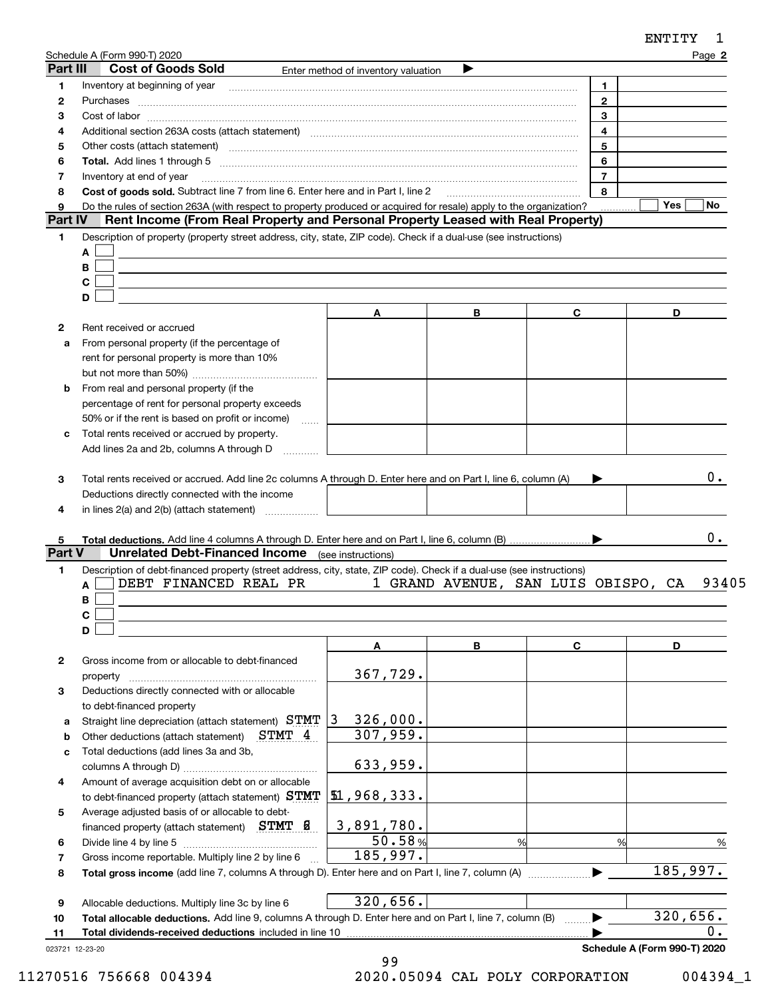|         | <b>Cost of Goods Sold</b>                                                                                                                                                                                                                      | Enter method of inventory valuation | ▶ |                     |                    |
|---------|------------------------------------------------------------------------------------------------------------------------------------------------------------------------------------------------------------------------------------------------|-------------------------------------|---|---------------------|--------------------|
|         | Inventory at beginning of year entertainment contains and the state of year and the state of year and the state of year and the state of the state of the state of the state of the state of the state of the state of the sta                 |                                     |   | $\mathbf{1}$        |                    |
|         |                                                                                                                                                                                                                                                |                                     |   | $\overline{2}$<br>3 |                    |
|         | $Cost of labor  \label{thm:main}$<br>Additional section 263A costs (attach statement) material content content and according terms and according te                                                                                            |                                     |   | 4                   |                    |
|         |                                                                                                                                                                                                                                                |                                     |   | 5                   |                    |
|         | Total. Add lines 1 through 5 [11] manuscription and the contract of the contract of the contract of the contract of the contract of the contract of the contract of the contract of the contract of the contract of the contra                 |                                     |   | 6                   |                    |
|         | Inventory at end of year                                                                                                                                                                                                                       |                                     |   | $\overline{7}$      |                    |
|         | Cost of goods sold. Subtract line 7 from line 6. Enter here and in Part I, line 2                                                                                                                                                              |                                     |   | 8                   |                    |
| Part IV | Do the rules of section 263A (with respect to property produced or acquired for resale) apply to the organization?                                                                                                                             |                                     |   | .                   | Yes  <br><b>No</b> |
|         | Rent Income (From Real Property and Personal Property Leased with Real Property)<br>Description of property (property street address, city, state, ZIP code). Check if a dual-use (see instructions)                                           |                                     |   |                     |                    |
| A       |                                                                                                                                                                                                                                                |                                     |   |                     |                    |
| B       |                                                                                                                                                                                                                                                |                                     |   |                     |                    |
| C       |                                                                                                                                                                                                                                                |                                     |   |                     |                    |
| D       |                                                                                                                                                                                                                                                |                                     |   |                     |                    |
|         |                                                                                                                                                                                                                                                | A                                   | в | C                   | D                  |
|         | Rent received or accrued                                                                                                                                                                                                                       |                                     |   |                     |                    |
|         | From personal property (if the percentage of                                                                                                                                                                                                   |                                     |   |                     |                    |
|         | rent for personal property is more than 10%                                                                                                                                                                                                    |                                     |   |                     |                    |
|         | From real and personal property (if the                                                                                                                                                                                                        |                                     |   |                     |                    |
|         | percentage of rent for personal property exceeds                                                                                                                                                                                               |                                     |   |                     |                    |
|         | 50% or if the rent is based on profit or income)                                                                                                                                                                                               |                                     |   |                     |                    |
|         | Total rents received or accrued by property.                                                                                                                                                                                                   |                                     |   |                     |                    |
|         | Add lines 2a and 2b, columns A through D                                                                                                                                                                                                       |                                     |   |                     |                    |
|         | in lines 2(a) and 2(b) (attach statement)                                                                                                                                                                                                      |                                     |   |                     |                    |
| A<br>В  | <b>Unrelated Debt-Financed Income</b> (see instructions)<br>Description of debt-financed property (street address, city, state, ZIP code). Check if a dual-use (see instructions)<br>DEBT FINANCED REAL PR 1 GRAND AVENUE, SAN LUIS OBISPO, CA |                                     |   |                     |                    |
| C       |                                                                                                                                                                                                                                                |                                     |   |                     |                    |
| D       |                                                                                                                                                                                                                                                | A                                   | В | C                   | D                  |
| Part V  | Gross income from or allocable to debt-financed                                                                                                                                                                                                |                                     |   |                     |                    |
|         |                                                                                                                                                                                                                                                | 367,729.                            |   |                     |                    |
|         | Deductions directly connected with or allocable                                                                                                                                                                                                |                                     |   |                     |                    |
|         | to debt-financed property                                                                                                                                                                                                                      |                                     |   |                     |                    |
|         | Straight line depreciation (attach statement) STMT 3                                                                                                                                                                                           | 326,000.                            |   |                     | 0.<br>93405        |
|         | $STMT_4$<br>Other deductions (attach statement)                                                                                                                                                                                                | 307,959.                            |   |                     |                    |
|         | Total deductions (add lines 3a and 3b,                                                                                                                                                                                                         | 633,959.                            |   |                     |                    |
|         | Amount of average acquisition debt on or allocable                                                                                                                                                                                             |                                     |   |                     |                    |
|         | to debt-financed property (attach statement) STMT                                                                                                                                                                                              | 1,968,333.                          |   |                     |                    |
|         | Average adjusted basis of or allocable to debt-                                                                                                                                                                                                |                                     |   |                     |                    |
|         | financed property (attach statement) $STMT$ $B$                                                                                                                                                                                                | 3,891,780.                          |   |                     |                    |
|         |                                                                                                                                                                                                                                                | 50.58%                              | % | %                   |                    |
|         | Gross income reportable. Multiply line 2 by line 6                                                                                                                                                                                             | 185,997.                            |   |                     |                    |
|         |                                                                                                                                                                                                                                                |                                     |   |                     | 185,997.           |
|         | Allocable deductions. Multiply line 3c by line 6<br>Total allocable deductions. Add line 9, columns A through D. Enter here and on Part I, line 7, column (B)                                                                                  | 320,656.                            |   |                     | 320, 656.          |

023721 12-23-20

99 11270516 756668 004394 2020.05094 CAL POLY CORPORATION 004394\_1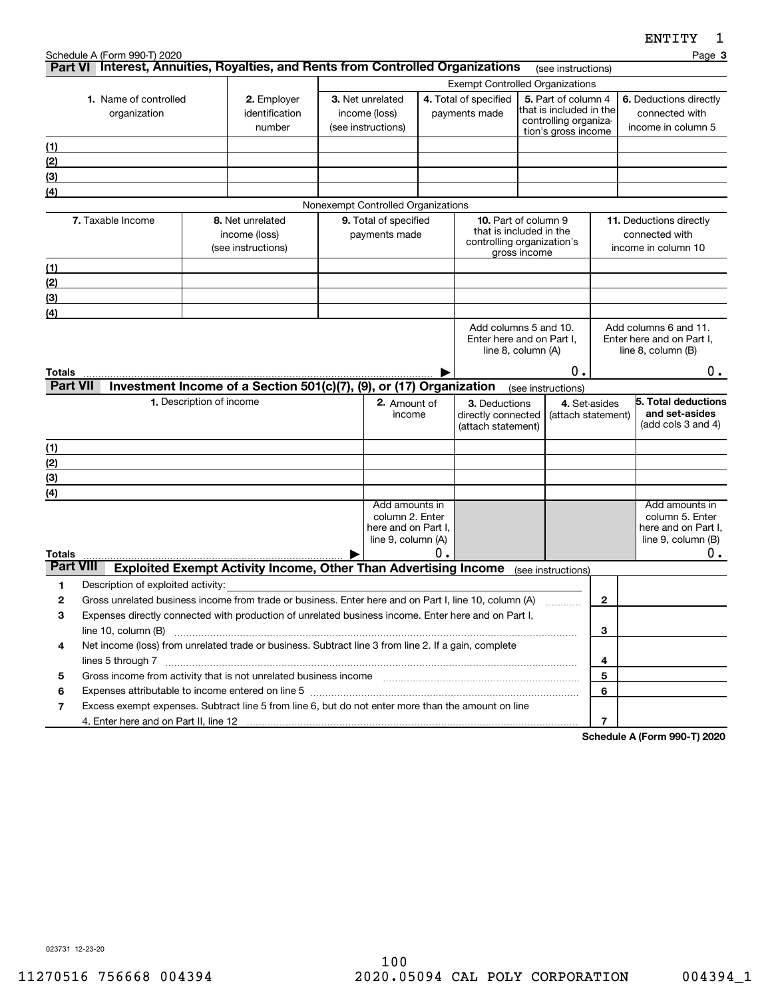|                  |                                                                                                                                                                                                                                                     |                          |                                                                        |  |                                                                                |    |                                                                                                                                          |  |                                     |                | <b>FIATTI</b>                                                                             |
|------------------|-----------------------------------------------------------------------------------------------------------------------------------------------------------------------------------------------------------------------------------------------------|--------------------------|------------------------------------------------------------------------|--|--------------------------------------------------------------------------------|----|------------------------------------------------------------------------------------------------------------------------------------------|--|-------------------------------------|----------------|-------------------------------------------------------------------------------------------|
|                  | Schedule A (Form 990-T) 2020<br>Part VI Interest, Annuities, Royalties, and Rents from Controlled Organizations                                                                                                                                     |                          |                                                                        |  |                                                                                |    |                                                                                                                                          |  | (see instructions)                  |                | Page 3                                                                                    |
|                  |                                                                                                                                                                                                                                                     |                          |                                                                        |  | <b>Exempt Controlled Organizations</b>                                         |    |                                                                                                                                          |  |                                     |                |                                                                                           |
|                  | 1. Name of controlled<br>organization                                                                                                                                                                                                               |                          | 2. Employer<br>identification<br>number                                |  | 3. Net unrelated<br>income (loss)<br>(see instructions)                        |    | 4. Total of specified<br>5. Part of column 4<br>that is included in the<br>payments made<br>controlling organiza-<br>tion's gross income |  |                                     |                | 6. Deductions directly<br>connected with<br>income in column 5                            |
| (1)              |                                                                                                                                                                                                                                                     |                          |                                                                        |  |                                                                                |    |                                                                                                                                          |  |                                     |                |                                                                                           |
| (2)              |                                                                                                                                                                                                                                                     |                          |                                                                        |  |                                                                                |    |                                                                                                                                          |  |                                     |                |                                                                                           |
| (3)              |                                                                                                                                                                                                                                                     |                          |                                                                        |  |                                                                                |    |                                                                                                                                          |  |                                     |                |                                                                                           |
| $\overline{(4)}$ |                                                                                                                                                                                                                                                     |                          |                                                                        |  |                                                                                |    |                                                                                                                                          |  |                                     |                |                                                                                           |
|                  |                                                                                                                                                                                                                                                     |                          |                                                                        |  | Nonexempt Controlled Organizations                                             |    |                                                                                                                                          |  |                                     |                |                                                                                           |
|                  | 7. Taxable Income                                                                                                                                                                                                                                   |                          | 8. Net unrelated<br>income (loss)<br>(see instructions)                |  | 9. Total of specified<br>payments made                                         |    | <b>10.</b> Part of column 9<br>that is included in the<br>controlling organization's<br>gross income                                     |  |                                     |                | 11. Deductions directly<br>connected with<br>income in column 10                          |
| (1)              |                                                                                                                                                                                                                                                     |                          |                                                                        |  |                                                                                |    |                                                                                                                                          |  |                                     |                |                                                                                           |
| (2)              |                                                                                                                                                                                                                                                     |                          |                                                                        |  |                                                                                |    |                                                                                                                                          |  |                                     |                |                                                                                           |
| (3)              |                                                                                                                                                                                                                                                     |                          |                                                                        |  |                                                                                |    |                                                                                                                                          |  |                                     |                |                                                                                           |
| (4)              |                                                                                                                                                                                                                                                     |                          |                                                                        |  |                                                                                |    |                                                                                                                                          |  |                                     |                |                                                                                           |
| Totals           |                                                                                                                                                                                                                                                     |                          |                                                                        |  |                                                                                |    | Enter here and on Part I,<br>line 8, column (A)                                                                                          |  | 0.                                  |                | Enter here and on Part I.<br>line $8$ , column $(B)$<br>$0$ .                             |
| <b>Part VII</b>  |                                                                                                                                                                                                                                                     |                          | Investment Income of a Section 501(c)(7), (9), or (17) Organization    |  |                                                                                |    |                                                                                                                                          |  | (see instructions)                  |                |                                                                                           |
|                  |                                                                                                                                                                                                                                                     | 1. Description of income |                                                                        |  | 2. Amount of<br>income                                                         |    | 3. Deductions<br>directly connected<br>(attach statement)                                                                                |  | 4. Set-asides<br>(attach statement) |                | 5. Total deductions<br>and set-asides<br>(add cols 3 and 4)                               |
| (1)              |                                                                                                                                                                                                                                                     |                          |                                                                        |  |                                                                                |    |                                                                                                                                          |  |                                     |                |                                                                                           |
| (2)              |                                                                                                                                                                                                                                                     |                          |                                                                        |  |                                                                                |    |                                                                                                                                          |  |                                     |                |                                                                                           |
| $\frac{1}{(3)}$  |                                                                                                                                                                                                                                                     |                          |                                                                        |  |                                                                                |    |                                                                                                                                          |  |                                     |                |                                                                                           |
| (4)              |                                                                                                                                                                                                                                                     |                          |                                                                        |  |                                                                                |    |                                                                                                                                          |  |                                     |                |                                                                                           |
| <b>Totals</b>    |                                                                                                                                                                                                                                                     |                          |                                                                        |  | Add amounts in<br>column 2. Enter<br>here and on Part I.<br>line 9, column (A) | О. |                                                                                                                                          |  |                                     |                | Add amounts in<br>column 5. Enter<br>here and on Part I.<br>line $9$ , column $(B)$<br>0. |
| <b>Part VIII</b> |                                                                                                                                                                                                                                                     |                          | <b>Exploited Exempt Activity Income, Other Than Advertising Income</b> |  |                                                                                |    |                                                                                                                                          |  | (see instructions)                  |                |                                                                                           |
| 1                | Description of exploited activity:                                                                                                                                                                                                                  |                          |                                                                        |  |                                                                                |    |                                                                                                                                          |  |                                     |                |                                                                                           |
| 2                | Gross unrelated business income from trade or business. Enter here and on Part I, line 10, column (A)                                                                                                                                               |                          |                                                                        |  |                                                                                |    |                                                                                                                                          |  |                                     | $\mathbf{2}$   |                                                                                           |
| з                | Expenses directly connected with production of unrelated business income. Enter here and on Part I,                                                                                                                                                 |                          |                                                                        |  |                                                                                |    |                                                                                                                                          |  |                                     |                |                                                                                           |
|                  | line 10, column (B)                                                                                                                                                                                                                                 |                          |                                                                        |  |                                                                                |    |                                                                                                                                          |  |                                     | 3              |                                                                                           |
| 4                | Net income (loss) from unrelated trade or business. Subtract line 3 from line 2. If a gain, complete                                                                                                                                                |                          |                                                                        |  |                                                                                |    |                                                                                                                                          |  |                                     |                |                                                                                           |
|                  | lines 5 through 7                                                                                                                                                                                                                                   |                          |                                                                        |  |                                                                                |    |                                                                                                                                          |  |                                     | 4              |                                                                                           |
| 5                | Gross income from activity that is not unrelated business income [11] [11] content material contents income from activity that is not unrelated business income [11] [11] $\alpha$ [12] $\alpha$ [12] $\alpha$ [12] $\alpha$ [12] $\alpha$ [12] $\$ |                          |                                                                        |  |                                                                                |    |                                                                                                                                          |  |                                     | 5              |                                                                                           |
| 6                | Expenses attributable to income entered on line 5 [111] [12] manufacture attributable to income entered on line 5                                                                                                                                   |                          |                                                                        |  |                                                                                |    |                                                                                                                                          |  |                                     | 6              |                                                                                           |
| 7                | Excess exempt expenses. Subtract line 5 from line 6, but do not enter more than the amount on line                                                                                                                                                  |                          |                                                                        |  |                                                                                |    |                                                                                                                                          |  |                                     |                |                                                                                           |
|                  |                                                                                                                                                                                                                                                     |                          |                                                                        |  |                                                                                |    |                                                                                                                                          |  |                                     | $\overline{7}$ |                                                                                           |

**Schedule A (Form 990-T) 2020**

023731 12-23-20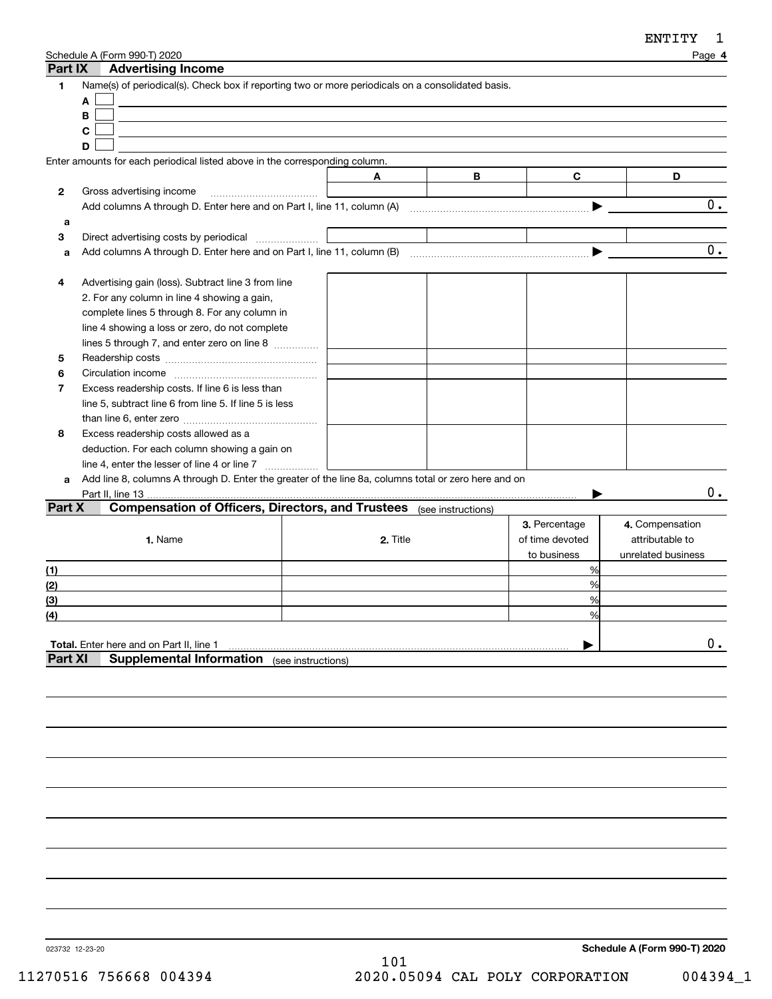| Part IX                                 | Schedule A (Form 990-T) 2020<br><b>Advertising Income</b>                                                                                                                                                                                                                                                                                                                                                                                                                                                                                                        |                    |   |                                                 | Page 4                                                   |
|-----------------------------------------|------------------------------------------------------------------------------------------------------------------------------------------------------------------------------------------------------------------------------------------------------------------------------------------------------------------------------------------------------------------------------------------------------------------------------------------------------------------------------------------------------------------------------------------------------------------|--------------------|---|-------------------------------------------------|----------------------------------------------------------|
| 1                                       | Name(s) of periodical(s). Check box if reporting two or more periodicals on a consolidated basis.<br>A<br>B<br>С<br>D                                                                                                                                                                                                                                                                                                                                                                                                                                            |                    |   |                                                 |                                                          |
|                                         | Enter amounts for each periodical listed above in the corresponding column.                                                                                                                                                                                                                                                                                                                                                                                                                                                                                      |                    |   |                                                 |                                                          |
|                                         |                                                                                                                                                                                                                                                                                                                                                                                                                                                                                                                                                                  | A                  | В | C                                               | D                                                        |
| 2                                       | Gross advertising income                                                                                                                                                                                                                                                                                                                                                                                                                                                                                                                                         |                    |   |                                                 |                                                          |
|                                         |                                                                                                                                                                                                                                                                                                                                                                                                                                                                                                                                                                  |                    |   |                                                 | 0.                                                       |
| a                                       |                                                                                                                                                                                                                                                                                                                                                                                                                                                                                                                                                                  |                    |   |                                                 |                                                          |
| 3                                       |                                                                                                                                                                                                                                                                                                                                                                                                                                                                                                                                                                  |                    |   |                                                 |                                                          |
| a                                       | Add columns A through D. Enter here and on Part I, line 11, column (B)                                                                                                                                                                                                                                                                                                                                                                                                                                                                                           |                    |   |                                                 | $\overline{0}$ .                                         |
| 4<br>5<br>6<br>$\overline{7}$<br>8<br>a | Advertising gain (loss). Subtract line 3 from line<br>2. For any column in line 4 showing a gain,<br>complete lines 5 through 8. For any column in<br>line 4 showing a loss or zero, do not complete<br>lines 5 through 7, and enter zero on line 8<br>Excess readership costs. If line 6 is less than<br>line 5, subtract line 6 from line 5. If line 5 is less<br>Excess readership costs allowed as a<br>deduction. For each column showing a gain on<br>Add line 8, columns A through D. Enter the greater of the line 8a, columns total or zero here and on |                    |   |                                                 |                                                          |
|                                         | Part II, line 13                                                                                                                                                                                                                                                                                                                                                                                                                                                                                                                                                 |                    |   |                                                 | 0.                                                       |
| Part X                                  | Compensation of Officers, Directors, and Trustees (see instructions)<br>1. Name                                                                                                                                                                                                                                                                                                                                                                                                                                                                                  | 2. Title           |   | 3. Percentage<br>of time devoted<br>to business | 4. Compensation<br>attributable to<br>unrelated business |
| (1)                                     |                                                                                                                                                                                                                                                                                                                                                                                                                                                                                                                                                                  |                    |   | %                                               |                                                          |
| (2)                                     |                                                                                                                                                                                                                                                                                                                                                                                                                                                                                                                                                                  |                    |   | %                                               |                                                          |
| (3)                                     |                                                                                                                                                                                                                                                                                                                                                                                                                                                                                                                                                                  |                    |   | %                                               |                                                          |
| (4)                                     |                                                                                                                                                                                                                                                                                                                                                                                                                                                                                                                                                                  |                    |   | %                                               |                                                          |
| <b>Part XI</b>                          | Total. Enter here and on Part II, line 1<br><b>Supplemental Information</b>                                                                                                                                                                                                                                                                                                                                                                                                                                                                                      | (see instructions) |   |                                                 | 0.                                                       |
|                                         |                                                                                                                                                                                                                                                                                                                                                                                                                                                                                                                                                                  |                    |   |                                                 |                                                          |

023732 12-23-20

**Schedule A (Form 990-T) 2020**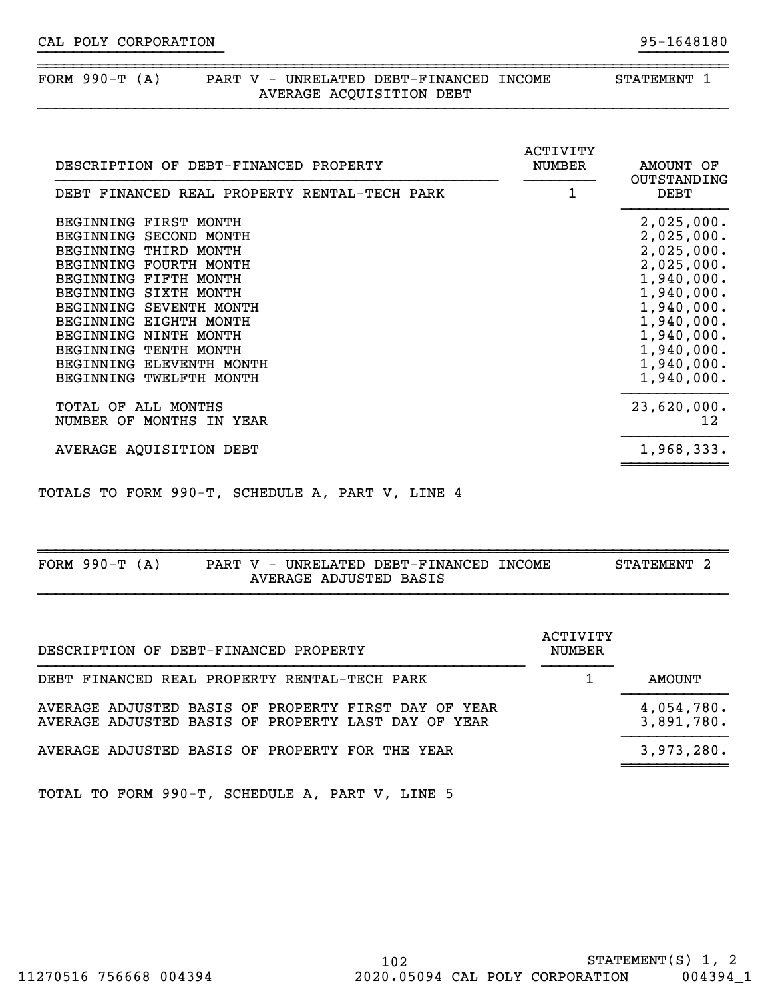## FORM 990-T (A) PART V - UNRELATED DEBT-FINANCED INCOME STATEMENT 1 AVERAGE ACQUISITION DEBT

| DESCRIPTION OF DEBT-FINANCED PROPERTY                                                                                                                                                                                                                                                                              | ACTIVITY<br><b>NUMBER</b> | AMOUNT OF<br>OUTSTANDING                                                                                                                                             |
|--------------------------------------------------------------------------------------------------------------------------------------------------------------------------------------------------------------------------------------------------------------------------------------------------------------------|---------------------------|----------------------------------------------------------------------------------------------------------------------------------------------------------------------|
| DEBT FINANCED REAL PROPERTY RENTAL-TECH PARK                                                                                                                                                                                                                                                                       | 1                         | DEBT                                                                                                                                                                 |
| BEGINNING FIRST MONTH<br>BEGINNING SECOND MONTH<br>BEGINNING THIRD MONTH<br>BEGINNING FOURTH MONTH<br>BEGINNING FIFTH MONTH<br>BEGINNING SIXTH MONTH<br>BEGINNING SEVENTH MONTH<br>BEGINNING EIGHTH MONTH<br>BEGINNING NINTH MONTH<br>BEGINNING TENTH MONTH<br>BEGINNING ELEVENTH MONTH<br>BEGINNING TWELFTH MONTH |                           | 2,025,000.<br>2,025,000.<br>2,025,000.<br>2,025,000.<br>1,940,000.<br>1,940,000.<br>1,940,000.<br>1,940,000.<br>1,940,000.<br>1,940,000.<br>1,940,000.<br>1,940,000. |
| TOTAL OF ALL MONTHS<br>NUMBER OF MONTHS IN YEAR                                                                                                                                                                                                                                                                    |                           | 23,620,000.<br>12                                                                                                                                                    |
| AVERAGE AQUISITION DEBT                                                                                                                                                                                                                                                                                            |                           | 1,968,333.                                                                                                                                                           |

}}}}}}}}}}}}}}}}}}}}} }}}}}}}}}}

~~~~~~~~~~~~~~~~~~~~~~~~~~~~~~~~~~~~~~~~~~~~~~~~~~~~~~~~~~~~~~~~~~~~~~~~~~~~~~

TOTALS TO FORM 990-T, SCHEDULE A, PART V, LINE 4

| 990-ፓ<br>FORM<br>$\Delta'$ | ٦7<br>PART | UNRELATED DEBT-FINANCED | TNCOME | STATEMENT |
|----------------------------|------------|-------------------------|--------|-----------|
|                            | AVERAGE    | ADJUSTED BASIS          |        |           |

| DESCRIPTION OF DEBT-FINANCED PROPERTY                                                                       | ACTIVITY<br><b>NUMBER</b> |                          |
|-------------------------------------------------------------------------------------------------------------|---------------------------|--------------------------|
| DEBT FINANCED REAL PROPERTY RENTAL-TECH PARK                                                                |                           | AMOUNT                   |
| AVERAGE ADJUSTED BASIS OF PROPERTY FIRST DAY OF YEAR<br>AVERAGE ADJUSTED BASIS OF PROPERTY LAST DAY OF YEAR |                           | 4,054,780.<br>3,891,780. |
| AVERAGE ADJUSTED BASIS OF PROPERTY FOR THE YEAR                                                             |                           | 3,973,280.               |
|                                                                                                             |                           |                          |

TOTAL TO FORM 990-T, SCHEDULE A, PART V, LINE 5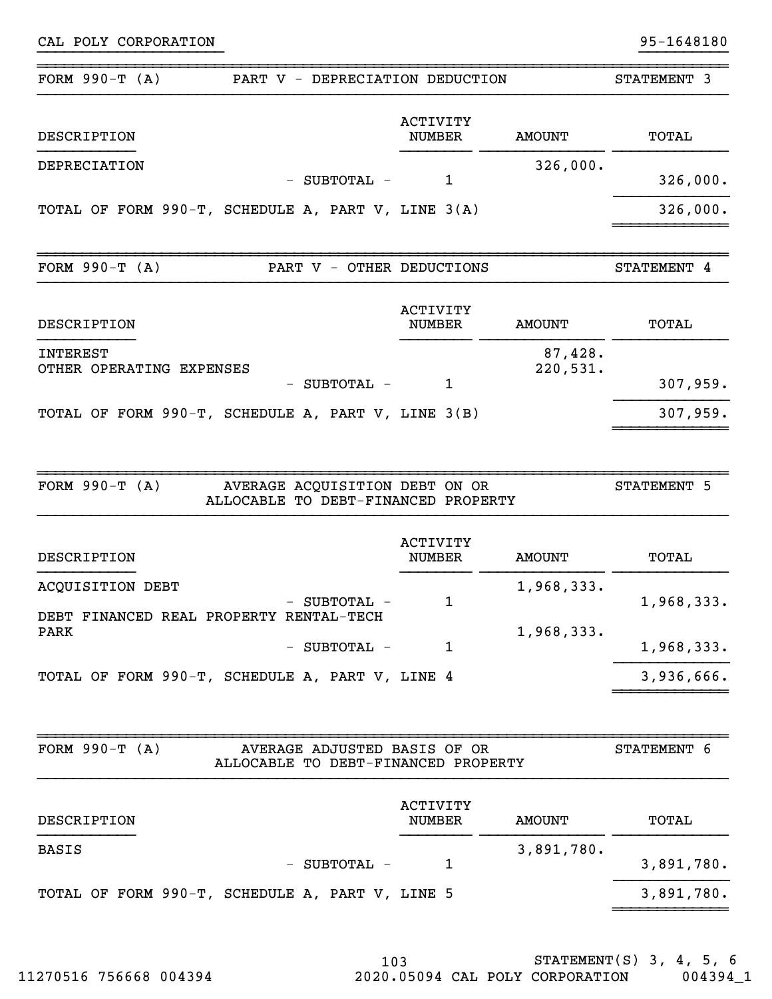| FORM $990-T (A)$<br>PART V - DEPRECIATION DEDUCTION                                       |                                  |                             | STATEMENT 3         |
|-------------------------------------------------------------------------------------------|----------------------------------|-----------------------------|---------------------|
| DESCRIPTION                                                                               | <b>ACTIVITY</b><br><b>NUMBER</b> | <b>AMOUNT</b>               | TOTAL               |
| DEPRECIATION<br>- SUBTOTAL -                                                              | 1                                | 326,000.                    | 326,000.            |
| TOTAL OF FORM 990-T, SCHEDULE A, PART V, LINE $3(A)$                                      |                                  |                             | 326,000.            |
| FORM $990-T (A)$<br>PART V - OTHER DEDUCTIONS                                             |                                  |                             | STATEMENT 4         |
| DESCRIPTION                                                                               | <b>ACTIVITY</b><br><b>NUMBER</b> | <b>AMOUNT</b>               | TOTAL               |
| <b>INTEREST</b><br>OTHER OPERATING EXPENSES<br>SUBTOTAL -<br>$-$                          | 1                                | 87,428.<br>220,531.         | 307,959.            |
| TOTAL OF FORM 990-T, SCHEDULE A, PART V, LINE 3(B)                                        |                                  |                             | 307,959.            |
|                                                                                           |                                  |                             |                     |
| FORM $990-T (A)$<br>AVERAGE ACQUISITION DEBT ON OR<br>ALLOCABLE TO DEBT-FINANCED PROPERTY | <b>ACTIVITY</b>                  |                             | STATEMENT 5         |
| DESCRIPTION<br>ACQUISITION DEBT<br>SUBTOTAL -                                             | <b>NUMBER</b><br>1               | <b>AMOUNT</b><br>1,968,333. | TOTAL<br>1,968,333. |
| DEBT FINANCED REAL PROPERTY RENTAL-TECH<br><b>PARK</b><br>- SUBTOTAL -                    | 1                                | 1,968,333.                  | 1,968,333.          |
| TOTAL OF FORM 990-T, SCHEDULE A, PART V, LINE 4                                           |                                  |                             | 3,936,666.          |
| FORM $990-T (A)$<br>AVERAGE ADJUSTED BASIS OF OR<br>ALLOCABLE TO DEBT-FINANCED PROPERTY   |                                  |                             | STATEMENT 6         |
| DESCRIPTION                                                                               | ACTIVITY<br><b>NUMBER</b>        | <b>AMOUNT</b>               | TOTAL               |
| <b>BASIS</b><br>- SUBTOTAL -                                                              | $\mathbf{1}$                     | 3,891,780.                  | 3,891,780.          |

}}}}}}}}}}}}}}}}}}}}} }}}}}}}}}}

103 STATEMENT(S) 3, 4, 5, 6 11270516 756668 004394 2020.05094 CAL POLY CORPORATION 004394\_1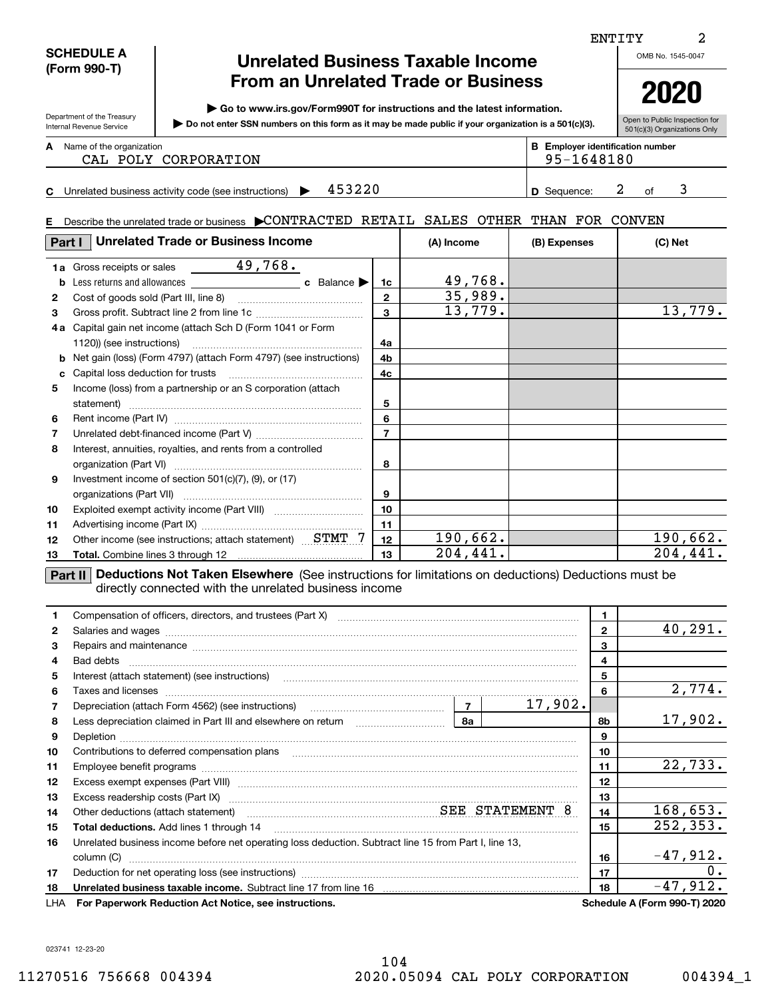# **Unrelated Business Taxable Income From an Unrelated Trade or Business**

**| Go to www.irs.gov/Form990T for instructions and the latest information.**

**Do not enter SSN numbers on this form as it may be made public if your organization is a 501(c)(3). |** 

Open to Public Inspection for 501(c)(3) Organizations Only

**2020**

Name of the organization **mumber and the organization number contracts the organization number BEEnployer identification number A**

Department of the Treasury Internal Revenue Service

**SCHEDULE A (Form 990-T)**

**E**

|  | CAL POLY CORPORATION | 95-1648180 |
|--|----------------------|------------|
|  |                      |            |

**C4**53220 **1 D** Sequence: 2 of 3 Unrelated business activity code (see instructions)  $\blacktriangleright$  453220 **D** Sequence: 2 of

### Describe the unrelated trade or business  $\blacktriangleright$  CONTRACTED RETAIL SALES OTHER THAN FOR CONVEN

| Part I | <b>Unrelated Trade or Business Income</b>                                  |                | (A) Income | (B) Expenses | (C) Net  |
|--------|----------------------------------------------------------------------------|----------------|------------|--------------|----------|
| b      |                                                                            | 1c             | 49,768.    |              |          |
| 2      |                                                                            | $\mathbf{2}$   | 35,989.    |              |          |
| 3      |                                                                            | $\mathbf{a}$   | 13,779.    |              | 13,779.  |
| 4a.    | Capital gain net income (attach Sch D (Form 1041 or Form                   |                |            |              |          |
|        |                                                                            | 4a             |            |              |          |
|        | <b>b</b> Net gain (loss) (Form 4797) (attach Form 4797) (see instructions) | 4b             |            |              |          |
| c      |                                                                            | 4 <sub>c</sub> |            |              |          |
| 5.     | Income (loss) from a partnership or an S corporation (attach               |                |            |              |          |
|        |                                                                            | 5              |            |              |          |
| 6      |                                                                            | 6              |            |              |          |
| 7      |                                                                            | $\overline{7}$ |            |              |          |
| 8      | Interest, annuities, royalties, and rents from a controlled                |                |            |              |          |
|        |                                                                            | 8              |            |              |          |
| 9      | Investment income of section 501(c)(7), (9), or (17)                       |                |            |              |          |
|        |                                                                            | 9              |            |              |          |
| 10     |                                                                            | 10             |            |              |          |
| 11     |                                                                            | 11             |            |              |          |
| 12     | Other income (see instructions; attach statement) STMT /                   | 12             | 190,662.   |              | 190,662. |
| 13     |                                                                            | 13             | 204,441.   |              | 204,441  |

**Part II** Deductions Not Taken Elsewhere (See instructions for limitations on deductions) Deductions must be directly connected with the unrelated business income

| 1. |                                                                                                                | 1  |         |              |                                     |
|----|----------------------------------------------------------------------------------------------------------------|----|---------|--------------|-------------------------------------|
| 2  |                                                                                                                |    |         | $\mathbf{2}$ | 40, 291.                            |
| 3  | Repairs and maintenance material content and maintenance material content and maintenance material content and |    |         | 3            |                                     |
| 4  |                                                                                                                |    |         | 4            |                                     |
| 5  | Interest (attach statement) (see instructions)                                                                 |    |         | 5            |                                     |
| 6  |                                                                                                                |    |         | 6            | 2,774.                              |
| 7  |                                                                                                                |    | 17,902. |              |                                     |
| 8  | Less depreciation claimed in Part III and elsewhere on return [1, 1, 1, 1, 1, 1, 1, 1, 1, 1, 1, 1, 1           | 8а |         | 8b           | 17,902.                             |
| 9  |                                                                                                                |    |         | 9            |                                     |
| 10 | Contributions to deferred compensation plans                                                                   |    |         | 10           |                                     |
| 11 |                                                                                                                |    |         | 11           | 22,733.                             |
| 12 |                                                                                                                |    |         | 12           |                                     |
| 13 | Excess readership costs (Part IX) [11] [2000] [2000] [2010] [3000] [3000] [3000] [3000] [3000] [3000] [3000] [ |    |         | 13           |                                     |
| 14 | Other deductions (attach statement) manufactured manufactured SEE STATEMENT 8                                  |    |         | 14           | 168, 653.                           |
| 15 | <b>Total deductions.</b> Add lines 1 through 14                                                                |    |         | 15           | 252, 353.                           |
| 16 | Unrelated business income before net operating loss deduction. Subtract line 15 from Part I, line 13,          |    |         |              |                                     |
|    | column (C)                                                                                                     |    |         | 16           | $-47,912.$                          |
| 17 |                                                                                                                |    |         | 17           | 0.                                  |
| 18 |                                                                                                                |    |         | 18           | $-47,912.$                          |
|    | LHA For Paperwork Reduction Act Notice, see instructions.                                                      |    |         |              | <b>Schedule A (Form 990-T) 2020</b> |

023741 12-23-20

ENTITY

OMB No. 1545-0047

2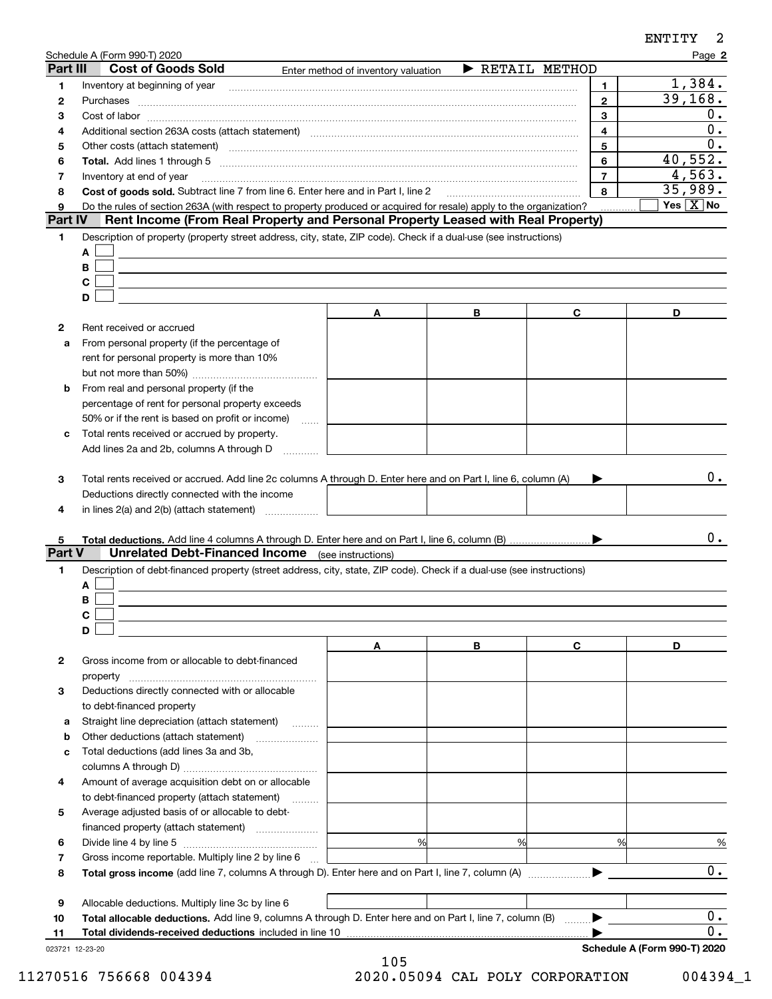|                       | Schedule A (Form 990-T) 2020                                                                                                                                                                                                                                             |                                     |                                     |                         | Page 2                        |
|-----------------------|--------------------------------------------------------------------------------------------------------------------------------------------------------------------------------------------------------------------------------------------------------------------------|-------------------------------------|-------------------------------------|-------------------------|-------------------------------|
| Part III              | <b>Cost of Goods Sold</b>                                                                                                                                                                                                                                                | Enter method of inventory valuation | $\blacktriangleright$ RETAIL METHOD |                         |                               |
| 1                     |                                                                                                                                                                                                                                                                          |                                     |                                     | 1                       | 1,384.                        |
| 2                     | Purchases                                                                                                                                                                                                                                                                |                                     |                                     | $\mathbf{2}$            | 39, 168.                      |
| з                     |                                                                                                                                                                                                                                                                          |                                     |                                     | 3                       | 0.                            |
| 4                     | Additional section 263A costs (attach statement) material content and according to the Additional section 263A                                                                                                                                                           |                                     |                                     | $\overline{\mathbf{4}}$ | 0.<br>0.                      |
| 5                     | Other costs (attach statement) manufactured and contract and contract and contract and contract and contract and contract and contract and contract and contract and contract and contract and contract and contract and contr                                           |                                     |                                     | 5                       |                               |
| 6                     |                                                                                                                                                                                                                                                                          |                                     |                                     | 6                       | 40,552.                       |
| 7                     | Inventory at end of year                                                                                                                                                                                                                                                 |                                     |                                     | $\overline{7}$          | 4,563.                        |
| 8                     | Cost of goods sold. Subtract line 7 from line 6. Enter here and in Part I, line 2                                                                                                                                                                                        |                                     |                                     | 8                       | 35,989.<br>Yes $\boxed{X}$ No |
| 9<br><b>Part IV</b>   | Do the rules of section 263A (with respect to property produced or acquired for resale) apply to the organization?<br>Rent Income (From Real Property and Personal Property Leased with Real Property)                                                                   |                                     |                                     |                         |                               |
| 1                     | Description of property (property street address, city, state, ZIP code). Check if a dual-use (see instructions)<br>A<br>В<br>$\mathbf c$<br>D                                                                                                                           |                                     |                                     |                         |                               |
|                       |                                                                                                                                                                                                                                                                          | A                                   | В                                   | C                       | D                             |
| 2                     | Rent received or accrued                                                                                                                                                                                                                                                 |                                     |                                     |                         |                               |
| a                     | From personal property (if the percentage of                                                                                                                                                                                                                             |                                     |                                     |                         |                               |
|                       | rent for personal property is more than 10%                                                                                                                                                                                                                              |                                     |                                     |                         |                               |
|                       |                                                                                                                                                                                                                                                                          |                                     |                                     |                         |                               |
| b                     | From real and personal property (if the                                                                                                                                                                                                                                  |                                     |                                     |                         |                               |
|                       | percentage of rent for personal property exceeds                                                                                                                                                                                                                         |                                     |                                     |                         |                               |
|                       | 50% or if the rent is based on profit or income)                                                                                                                                                                                                                         | $\sim$                              |                                     |                         |                               |
| c                     | Total rents received or accrued by property.                                                                                                                                                                                                                             |                                     |                                     |                         |                               |
|                       | Add lines 2a and 2b, columns A through D                                                                                                                                                                                                                                 |                                     |                                     |                         |                               |
| 3<br>4<br>5<br>Part V | Total rents received or accrued. Add line 2c columns A through D. Enter here and on Part I, line 6, column (A)<br>Deductions directly connected with the income<br>in lines 2(a) and 2(b) (attach statement)<br><b>Unrelated Debt-Financed Income</b> (see instructions) |                                     |                                     |                         | $0$ .<br>0.                   |
| 1.                    | Description of debt-financed property (street address, city, state, ZIP code). Check if a dual-use (see instructions)                                                                                                                                                    |                                     |                                     |                         |                               |
|                       | A                                                                                                                                                                                                                                                                        |                                     |                                     |                         |                               |
|                       | В                                                                                                                                                                                                                                                                        |                                     |                                     |                         |                               |
|                       | С<br>D                                                                                                                                                                                                                                                                   |                                     |                                     |                         |                               |
|                       |                                                                                                                                                                                                                                                                          | A                                   | В                                   | С                       | D                             |
| 2                     | Gross income from or allocable to debt-financed                                                                                                                                                                                                                          |                                     |                                     |                         |                               |
|                       |                                                                                                                                                                                                                                                                          |                                     |                                     |                         |                               |
| з                     | property<br>Deductions directly connected with or allocable                                                                                                                                                                                                              |                                     |                                     |                         |                               |
|                       | to debt-financed property                                                                                                                                                                                                                                                |                                     |                                     |                         |                               |
| a                     | Straight line depreciation (attach statement)                                                                                                                                                                                                                            |                                     |                                     |                         |                               |
| b                     | Other deductions (attach statement)                                                                                                                                                                                                                                      |                                     |                                     |                         |                               |
| c                     | Total deductions (add lines 3a and 3b,                                                                                                                                                                                                                                   |                                     |                                     |                         |                               |
|                       |                                                                                                                                                                                                                                                                          |                                     |                                     |                         |                               |
| 4                     | Amount of average acquisition debt on or allocable                                                                                                                                                                                                                       |                                     |                                     |                         |                               |
|                       | to debt-financed property (attach statement)                                                                                                                                                                                                                             |                                     |                                     |                         |                               |
| 5                     | Average adjusted basis of or allocable to debt-                                                                                                                                                                                                                          |                                     |                                     |                         |                               |
|                       |                                                                                                                                                                                                                                                                          |                                     |                                     |                         |                               |
| 6                     |                                                                                                                                                                                                                                                                          | %                                   | %                                   | %                       | %                             |
| 7                     | Gross income reportable. Multiply line 2 by line 6                                                                                                                                                                                                                       |                                     |                                     |                         |                               |
| 8                     |                                                                                                                                                                                                                                                                          |                                     |                                     |                         | 0.                            |
|                       |                                                                                                                                                                                                                                                                          |                                     |                                     |                         |                               |
| 9                     | Allocable deductions. Multiply line 3c by line 6                                                                                                                                                                                                                         |                                     |                                     |                         |                               |
| 10                    | Total allocable deductions. Add line 9, columns A through D. Enter here and on Part I, line 7, column (B)                                                                                                                                                                |                                     |                                     |                         | $0$ .                         |
| 11                    | Total dividends-received deductions included in line 10                                                                                                                                                                                                                  |                                     |                                     |                         | $\overline{0}$ .              |
| 023721 12-23-20       |                                                                                                                                                                                                                                                                          |                                     |                                     |                         | Schedule A (Form 990-T) 2020  |

ENTITY

2

<sup>105</sup> 11270516 756668 004394 2020.05094 CAL POLY CORPORATION 004394\_1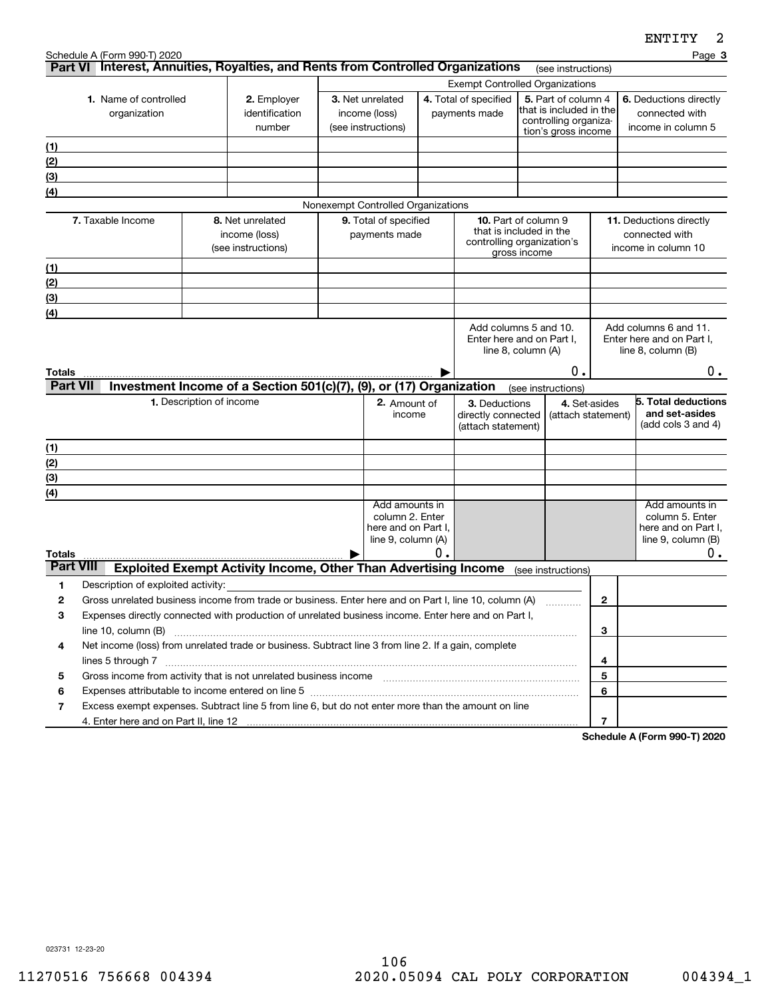|                  | Schedule A (Form 990-T) 2020                                                                                                                                                                                                  |                          |                                                                                    |                                        |                                                                                |    |                                                                                      |                    |                                                                                                |   | ᆄᇅᆠᆠᆠ<br>Page 3                                                                           |
|------------------|-------------------------------------------------------------------------------------------------------------------------------------------------------------------------------------------------------------------------------|--------------------------|------------------------------------------------------------------------------------|----------------------------------------|--------------------------------------------------------------------------------|----|--------------------------------------------------------------------------------------|--------------------|------------------------------------------------------------------------------------------------|---|-------------------------------------------------------------------------------------------|
|                  | Part VI Interest, Annuities, Royalties, and Rents from Controlled Organizations                                                                                                                                               |                          |                                                                                    |                                        |                                                                                |    |                                                                                      |                    | (see instructions)                                                                             |   |                                                                                           |
|                  |                                                                                                                                                                                                                               |                          |                                                                                    | <b>Exempt Controlled Organizations</b> |                                                                                |    |                                                                                      |                    |                                                                                                |   |                                                                                           |
|                  | 1. Name of controlled<br>organization                                                                                                                                                                                         |                          | 2. Employer<br>identification<br>number                                            |                                        | 3. Net unrelated<br>income (loss)<br>(see instructions)                        |    | 4. Total of specified<br>payments made                                               |                    | 5. Part of column 4<br>that is included in the<br>controlling organiza-<br>tion's gross income |   | 6. Deductions directly<br>connected with<br>income in column 5                            |
| <u>(1)</u>       |                                                                                                                                                                                                                               |                          |                                                                                    |                                        |                                                                                |    |                                                                                      |                    |                                                                                                |   |                                                                                           |
| (2)              |                                                                                                                                                                                                                               |                          |                                                                                    |                                        |                                                                                |    |                                                                                      |                    |                                                                                                |   |                                                                                           |
| (3)              |                                                                                                                                                                                                                               |                          |                                                                                    |                                        |                                                                                |    |                                                                                      |                    |                                                                                                |   |                                                                                           |
| (4)              |                                                                                                                                                                                                                               |                          |                                                                                    |                                        |                                                                                |    |                                                                                      |                    |                                                                                                |   |                                                                                           |
|                  |                                                                                                                                                                                                                               |                          |                                                                                    |                                        | Nonexempt Controlled Organizations                                             |    |                                                                                      |                    |                                                                                                |   |                                                                                           |
|                  | 7. Taxable Income                                                                                                                                                                                                             |                          | 8. Net unrelated<br>income (loss)<br>(see instructions)                            |                                        | 9. Total of specified<br>payments made                                         |    | <b>10.</b> Part of column 9<br>that is included in the<br>controlling organization's | gross income       |                                                                                                |   | 11. Deductions directly<br>connected with<br>income in column 10                          |
| (1)              |                                                                                                                                                                                                                               |                          |                                                                                    |                                        |                                                                                |    |                                                                                      |                    |                                                                                                |   |                                                                                           |
| (2)              |                                                                                                                                                                                                                               |                          |                                                                                    |                                        |                                                                                |    |                                                                                      |                    |                                                                                                |   |                                                                                           |
| (3)              |                                                                                                                                                                                                                               |                          |                                                                                    |                                        |                                                                                |    |                                                                                      |                    |                                                                                                |   |                                                                                           |
| (4)              |                                                                                                                                                                                                                               |                          |                                                                                    |                                        |                                                                                |    |                                                                                      |                    |                                                                                                |   |                                                                                           |
| Totals           |                                                                                                                                                                                                                               |                          |                                                                                    |                                        |                                                                                |    | Enter here and on Part I.                                                            | line 8, column (A) | 0.                                                                                             |   | Enter here and on Part I,<br>line $8$ , column $(B)$<br>$0$ .                             |
| <b>Part VII</b>  |                                                                                                                                                                                                                               |                          | Investment Income of a Section 501(c)(7), (9), or (17) Organization                |                                        |                                                                                |    |                                                                                      | (see instructions) |                                                                                                |   |                                                                                           |
|                  |                                                                                                                                                                                                                               | 1. Description of income |                                                                                    |                                        | 2. Amount of<br>income                                                         |    | 3. Deductions<br>directly connected<br>(attach statement)                            |                    | 4. Set-asides<br>(attach statement)                                                            |   | 5. Total deductions<br>and set-asides<br>(add cols 3 and 4)                               |
| (1)              |                                                                                                                                                                                                                               |                          |                                                                                    |                                        |                                                                                |    |                                                                                      |                    |                                                                                                |   |                                                                                           |
| (2)              |                                                                                                                                                                                                                               |                          |                                                                                    |                                        |                                                                                |    |                                                                                      |                    |                                                                                                |   |                                                                                           |
| (3)              |                                                                                                                                                                                                                               |                          |                                                                                    |                                        |                                                                                |    |                                                                                      |                    |                                                                                                |   |                                                                                           |
| (4)              |                                                                                                                                                                                                                               |                          |                                                                                    |                                        |                                                                                |    |                                                                                      |                    |                                                                                                |   |                                                                                           |
| Totals           |                                                                                                                                                                                                                               |                          |                                                                                    |                                        | Add amounts in<br>column 2. Enter<br>here and on Part I,<br>line 9, column (A) | Ο. |                                                                                      |                    |                                                                                                |   | Add amounts in<br>column 5. Enter<br>here and on Part I,<br>line $9$ , column $(B)$<br>0. |
| <b>Part VIII</b> |                                                                                                                                                                                                                               |                          | Exploited Exempt Activity Income, Other Than Advertising Income (see instructions) |                                        |                                                                                |    |                                                                                      |                    |                                                                                                |   |                                                                                           |
| 1                | Description of exploited activity:                                                                                                                                                                                            |                          |                                                                                    |                                        |                                                                                |    |                                                                                      |                    |                                                                                                |   |                                                                                           |
| 2                | Gross unrelated business income from trade or business. Enter here and on Part I, line 10, column (A)                                                                                                                         |                          |                                                                                    |                                        |                                                                                |    |                                                                                      |                    |                                                                                                | 2 |                                                                                           |
| 3                | Expenses directly connected with production of unrelated business income. Enter here and on Part I,                                                                                                                           |                          |                                                                                    |                                        |                                                                                |    |                                                                                      |                    |                                                                                                | 3 |                                                                                           |
| 4                | Net income (loss) from unrelated trade or business. Subtract line 3 from line 2. If a gain, complete                                                                                                                          |                          |                                                                                    |                                        |                                                                                |    |                                                                                      |                    |                                                                                                | 4 |                                                                                           |
| 5                |                                                                                                                                                                                                                               |                          |                                                                                    |                                        |                                                                                |    |                                                                                      |                    |                                                                                                | 5 |                                                                                           |
| 6                | Expenses attributable to income entered on line 5 [11] manufacture in the contract of the set of the set of the set of the set of the set of the set of the set of the set of the set of the set of the set of the set of the |                          |                                                                                    |                                        |                                                                                |    |                                                                                      |                    |                                                                                                | 6 |                                                                                           |
| 7                | Excess exempt expenses. Subtract line 5 from line 6, but do not enter more than the amount on line                                                                                                                            |                          |                                                                                    |                                        |                                                                                |    |                                                                                      |                    |                                                                                                |   |                                                                                           |
|                  |                                                                                                                                                                                                                               |                          |                                                                                    |                                        |                                                                                |    |                                                                                      |                    |                                                                                                | 7 |                                                                                           |

**Schedule A (Form 990-T) 2020**

023731 12-23-20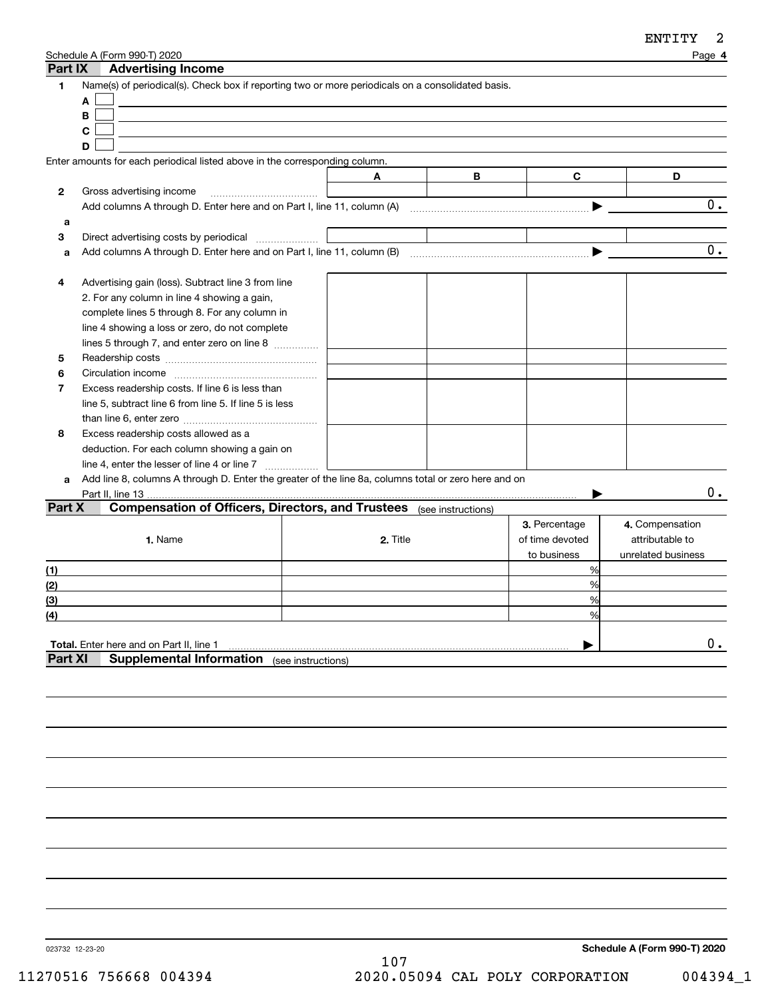| Part IX      | Schedule A (Form 990-T) 2020<br><b>Advertising Income</b>                                            |          |   |                 | Page 4             |
|--------------|------------------------------------------------------------------------------------------------------|----------|---|-----------------|--------------------|
| 1            | Name(s) of periodical(s). Check box if reporting two or more periodicals on a consolidated basis.    |          |   |                 |                    |
|              | A                                                                                                    |          |   |                 |                    |
|              | В                                                                                                    |          |   |                 |                    |
|              | C                                                                                                    |          |   |                 |                    |
|              | D                                                                                                    |          |   |                 |                    |
|              | Enter amounts for each periodical listed above in the corresponding column.                          |          |   |                 |                    |
|              |                                                                                                      | A        | B | C               | D                  |
| $\mathbf{2}$ | Gross advertising income                                                                             |          |   |                 |                    |
|              | Add columns A through D. Enter here and on Part I, line 11, column $(A)$                             |          |   |                 | 0.                 |
| a            |                                                                                                      |          |   |                 |                    |
| 3            | Direct advertising costs by periodical                                                               |          |   |                 |                    |
| a            |                                                                                                      |          |   |                 | 0.                 |
|              |                                                                                                      |          |   |                 |                    |
| 4            | Advertising gain (loss). Subtract line 3 from line                                                   |          |   |                 |                    |
|              | 2. For any column in line 4 showing a gain,                                                          |          |   |                 |                    |
|              | complete lines 5 through 8. For any column in                                                        |          |   |                 |                    |
|              | line 4 showing a loss or zero, do not complete                                                       |          |   |                 |                    |
|              | lines 5 through 7, and enter zero on line 8                                                          |          |   |                 |                    |
| 5            |                                                                                                      |          |   |                 |                    |
| 6            |                                                                                                      |          |   |                 |                    |
| 7            | Excess readership costs. If line 6 is less than                                                      |          |   |                 |                    |
|              | line 5, subtract line 6 from line 5. If line 5 is less                                               |          |   |                 |                    |
|              |                                                                                                      |          |   |                 |                    |
| 8            | Excess readership costs allowed as a                                                                 |          |   |                 |                    |
|              | deduction. For each column showing a gain on                                                         |          |   |                 |                    |
|              | line 4, enter the lesser of line 4 or line 7                                                         |          |   |                 |                    |
| a            | Add line 8, columns A through D. Enter the greater of the line 8a, columns total or zero here and on |          |   |                 |                    |
|              | Part II, line 13                                                                                     |          |   |                 | 0.                 |
| Part X       | <b>Compensation of Officers, Directors, and Trustees</b> (see instructions)                          |          |   |                 |                    |
|              |                                                                                                      |          |   | 3. Percentage   | 4. Compensation    |
|              | 1. Name                                                                                              | 2. Title |   | of time devoted | attributable to    |
|              |                                                                                                      |          |   | to business     | unrelated business |
| (1)          |                                                                                                      |          |   | %               |                    |
| (2)          |                                                                                                      |          |   | %               |                    |
| (3)          |                                                                                                      |          |   | %               |                    |
| (4)          |                                                                                                      |          |   | %               |                    |
|              |                                                                                                      |          |   |                 |                    |
|              | <b>Total.</b> Enter here and on Part II, line 1                                                      |          |   |                 | 0.                 |
| Part XI      | <b>Supplemental Information</b> (see instructions)                                                   |          |   |                 |                    |
|              |                                                                                                      |          |   |                 |                    |
|              |                                                                                                      |          |   |                 |                    |
|              |                                                                                                      |          |   |                 |                    |

023732 12-23-20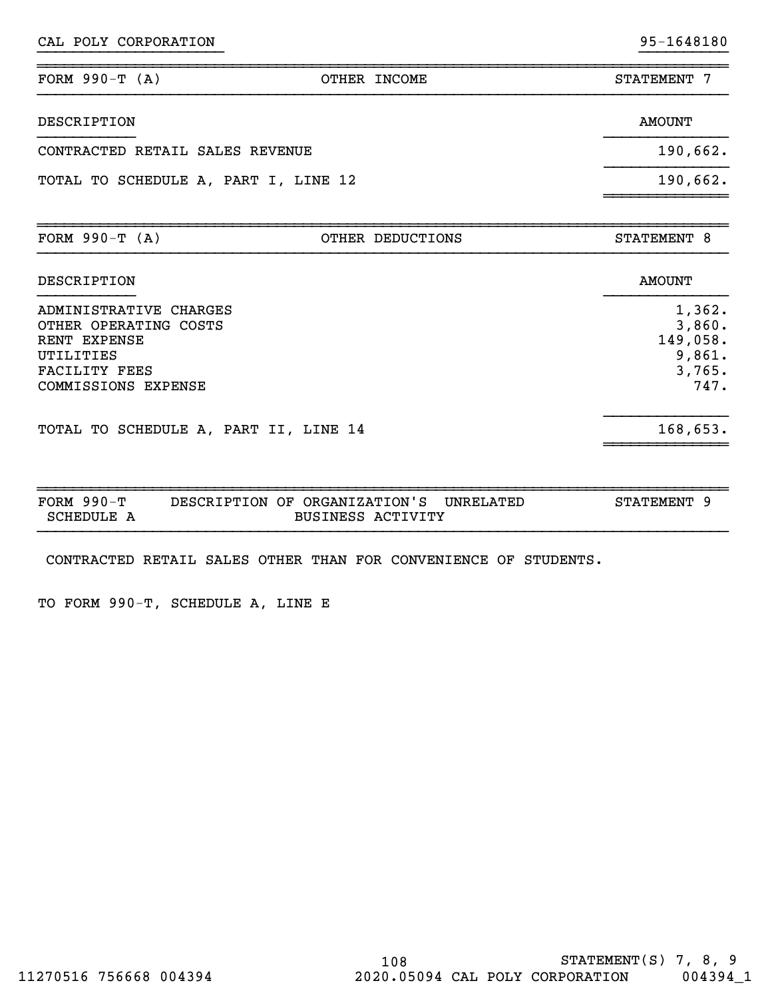CAL POLY CORPORATION 95-1648180

| FORM $990-T (A)$                                                                                                     | OTHER INCOME     | STATEMENT 7                                              |
|----------------------------------------------------------------------------------------------------------------------|------------------|----------------------------------------------------------|
| DESCRIPTION                                                                                                          |                  | <b>AMOUNT</b>                                            |
| CONTRACTED RETAIL SALES REVENUE                                                                                      |                  | 190,662.                                                 |
| TOTAL TO SCHEDULE A, PART I, LINE 12                                                                                 | 190,662.         |                                                          |
| FORM $990-T (A)$                                                                                                     | OTHER DEDUCTIONS | STATEMENT 8                                              |
| DESCRIPTION                                                                                                          |                  | <b>AMOUNT</b>                                            |
| ADMINISTRATIVE CHARGES<br>OTHER OPERATING COSTS<br>RENT EXPENSE<br>UTILITIES<br>FACILITY FEES<br>COMMISSIONS EXPENSE |                  | 1,362.<br>3,860.<br>149,058.<br>9,861.<br>3,765.<br>747. |
| TOTAL TO SCHEDULE A, PART II, LINE 14                                                                                |                  | 168,653.                                                 |

}}}}}}}}}}}}}}}}}}}}} }}}}}}}}}}

| FORM $990-T$ | DESCRIPTION OF ORGANIZATION'S | UNRELATED | <b>STATEMENT</b> |
|--------------|-------------------------------|-----------|------------------|
| SCHEDULE .   | <b>BUSINESS ACTIVITY</b>      |           |                  |

CONTRACTED RETAIL SALES OTHER THAN FOR CONVENIENCE OF STUDENTS.

TO FORM 990-T, SCHEDULE A, LINE E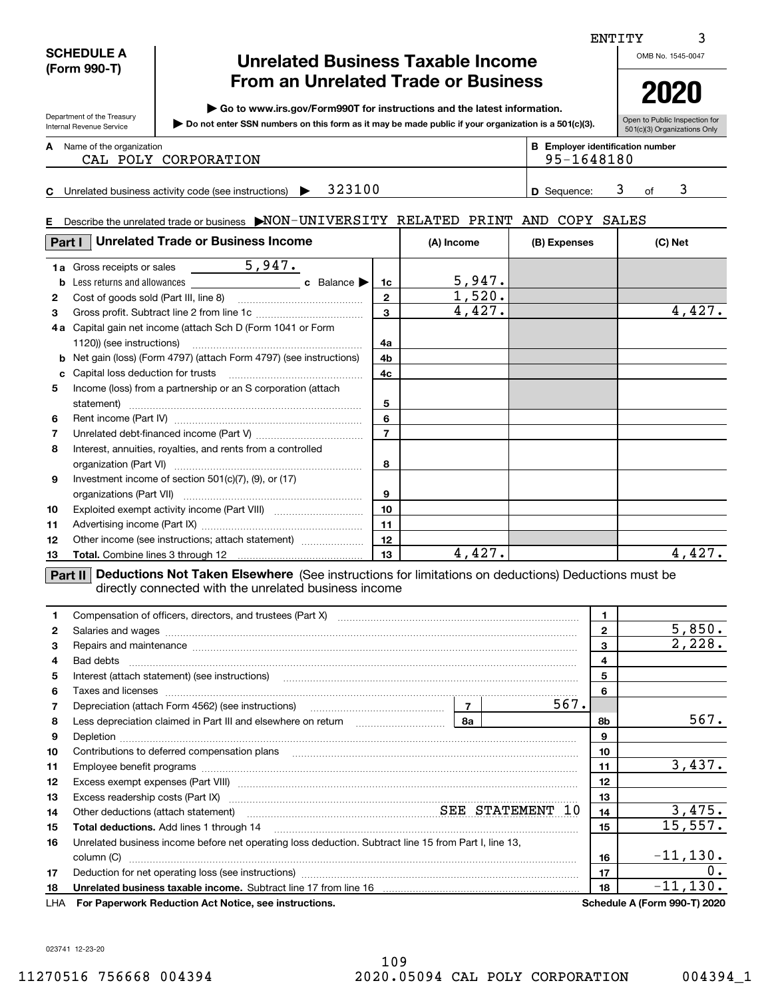|                                            | <b>SCHEDULE A</b><br><b>Unrelated Business Taxable Income</b><br>(Form 990-T)                                                                                                                                  |                                                                                                                                                                                                                                     |                |                         |                    | OMB No. 1545-0047 |                                         |
|--------------------------------------------|----------------------------------------------------------------------------------------------------------------------------------------------------------------------------------------------------------------|-------------------------------------------------------------------------------------------------------------------------------------------------------------------------------------------------------------------------------------|----------------|-------------------------|--------------------|-------------------|-----------------------------------------|
| <b>From an Unrelated Trade or Business</b> |                                                                                                                                                                                                                |                                                                                                                                                                                                                                     |                |                         |                    |                   | 2020                                    |
|                                            | ▶ Go to www.irs.gov/Form990T for instructions and the latest information.<br>Department of the Treasury<br>Do not enter SSN numbers on this form as it may be made public if your organization is a 501(c)(3). |                                                                                                                                                                                                                                     |                |                         |                    |                   | Open to Public Inspection for           |
|                                            | Internal Revenue Service                                                                                                                                                                                       |                                                                                                                                                                                                                                     |                |                         |                    |                   | 501(c)(3) Organizations Only            |
|                                            | A Name of the organization                                                                                                                                                                                     |                                                                                                                                                                                                                                     |                |                         |                    |                   | <b>B</b> Employer identification number |
|                                            |                                                                                                                                                                                                                | CAL POLY CORPORATION                                                                                                                                                                                                                |                |                         | 95-1648180         |                   |                                         |
|                                            |                                                                                                                                                                                                                | C Unrelated business activity code (see instructions) $\blacktriangleright$ 323100                                                                                                                                                  |                |                         | <b>D</b> Sequence: |                   | 3<br>3<br>of                            |
|                                            |                                                                                                                                                                                                                |                                                                                                                                                                                                                                     |                |                         |                    |                   |                                         |
|                                            |                                                                                                                                                                                                                | E Describe the unrelated trade or business MON-UNIVERSITY RELATED PRINT AND COPY SALES                                                                                                                                              |                |                         |                    |                   |                                         |
| Part I                                     |                                                                                                                                                                                                                | <b>Unrelated Trade or Business Income</b>                                                                                                                                                                                           |                | (A) Income              | (B) Expenses       |                   | (C) Net                                 |
|                                            | <b>1a</b> Gross receipts or sales                                                                                                                                                                              | $\frac{5,947.}{2}$                                                                                                                                                                                                                  |                |                         |                    |                   |                                         |
|                                            |                                                                                                                                                                                                                |                                                                                                                                                                                                                                     | 1c             |                         |                    |                   |                                         |
| 2                                          |                                                                                                                                                                                                                |                                                                                                                                                                                                                                     | $\overline{2}$ | $\frac{5,947.}{1,520.}$ |                    |                   |                                         |
| 3                                          |                                                                                                                                                                                                                |                                                                                                                                                                                                                                     | $\overline{3}$ | 4,427.                  |                    |                   | 4,427.                                  |
|                                            |                                                                                                                                                                                                                | 4a Capital gain net income (attach Sch D (Form 1041 or Form                                                                                                                                                                         |                |                         |                    |                   |                                         |
|                                            | 1120)) (see instructions)                                                                                                                                                                                      |                                                                                                                                                                                                                                     | 4a             |                         |                    |                   |                                         |
|                                            |                                                                                                                                                                                                                | <b>b</b> Net gain (loss) (Form 4797) (attach Form 4797) (see instructions)                                                                                                                                                          | 4b             |                         |                    |                   |                                         |
|                                            |                                                                                                                                                                                                                |                                                                                                                                                                                                                                     | 4c             |                         |                    |                   |                                         |
| 5                                          |                                                                                                                                                                                                                | Income (loss) from a partnership or an S corporation (attach                                                                                                                                                                        |                |                         |                    |                   |                                         |
|                                            |                                                                                                                                                                                                                |                                                                                                                                                                                                                                     | 5              |                         |                    |                   |                                         |
| 6                                          |                                                                                                                                                                                                                |                                                                                                                                                                                                                                     | 6              |                         |                    |                   |                                         |
| 7                                          |                                                                                                                                                                                                                |                                                                                                                                                                                                                                     | $\overline{7}$ |                         |                    |                   |                                         |
| 8                                          |                                                                                                                                                                                                                | Interest, annuities, royalties, and rents from a controlled                                                                                                                                                                         |                |                         |                    |                   |                                         |
|                                            |                                                                                                                                                                                                                |                                                                                                                                                                                                                                     | 8              |                         |                    |                   |                                         |
| 9                                          |                                                                                                                                                                                                                | Investment income of section 501(c)(7), (9), or (17)                                                                                                                                                                                |                |                         |                    |                   |                                         |
|                                            |                                                                                                                                                                                                                |                                                                                                                                                                                                                                     | 9              |                         |                    |                   |                                         |
| 10                                         |                                                                                                                                                                                                                |                                                                                                                                                                                                                                     | 10             |                         |                    |                   |                                         |
| 11                                         |                                                                                                                                                                                                                |                                                                                                                                                                                                                                     | 11<br>12       |                         |                    |                   |                                         |
| 12                                         |                                                                                                                                                                                                                | Other income (see instructions; attach statement)                                                                                                                                                                                   | 13             | 4,427.                  |                    |                   | 4,427.                                  |
| 13                                         |                                                                                                                                                                                                                |                                                                                                                                                                                                                                     |                |                         |                    |                   |                                         |
|                                            |                                                                                                                                                                                                                | <b>Part II</b> Deductions Not Taken Elsewhere (See instructions for limitations on deductions) Deductions must be<br>directly connected with the unrelated business income                                                          |                |                         |                    |                   |                                         |
| 1                                          |                                                                                                                                                                                                                |                                                                                                                                                                                                                                     |                |                         |                    | 1                 |                                         |
| 2                                          |                                                                                                                                                                                                                |                                                                                                                                                                                                                                     |                |                         |                    | $\mathbf{2}$      | 5,850.                                  |
| 3                                          |                                                                                                                                                                                                                | Repairs and maintenance measurements are all the contract of the contract of the contract of the contract of the contract of the contract of the contract of the contract of the contract of the contract of the contract of t      |                |                         |                    | 3                 | 2,228.                                  |
| 4                                          |                                                                                                                                                                                                                |                                                                                                                                                                                                                                     |                |                         |                    | 4                 |                                         |
| 5                                          |                                                                                                                                                                                                                | Interest (attach statement) (see instructions) <b>manufactures</b> in the control of the control of the control of the control of the control of the control of the control of the control of the control of the control of the con |                |                         |                    | 5                 |                                         |
| 6                                          |                                                                                                                                                                                                                | Taxes and licenses <b>with a construction of the construction of the construction of the construction</b> of the construction of the construction of the construction of the construction of the construction of the construction o |                |                         |                    | 6                 |                                         |
| 7                                          |                                                                                                                                                                                                                |                                                                                                                                                                                                                                     |                |                         | 567.               |                   |                                         |
| 8                                          |                                                                                                                                                                                                                |                                                                                                                                                                                                                                     |                |                         |                    | 8b                | 567.                                    |
| 9                                          |                                                                                                                                                                                                                |                                                                                                                                                                                                                                     |                |                         |                    | $\boldsymbol{9}$  |                                         |
| 10                                         |                                                                                                                                                                                                                |                                                                                                                                                                                                                                     |                |                         |                    | 10                |                                         |
| 11                                         |                                                                                                                                                                                                                |                                                                                                                                                                                                                                     |                |                         |                    | 11                | 3,437.                                  |
| 12                                         |                                                                                                                                                                                                                |                                                                                                                                                                                                                                     |                |                         |                    | 12                |                                         |
| 13                                         |                                                                                                                                                                                                                | Excess readership costs (Part IX) [11] [2000] [2000] [3000] [3000] [3000] [3000] [3000] [3000] [3000] [3000] [                                                                                                                      |                |                         |                    | 13                |                                         |
| 14                                         |                                                                                                                                                                                                                | Other deductions (attach statement) manufactured and SEE STATEMENT 10                                                                                                                                                               |                |                         |                    | 14                | 3,475.                                  |
| 15                                         |                                                                                                                                                                                                                |                                                                                                                                                                                                                                     |                |                         |                    | 15                | 15,557.                                 |
| 16                                         |                                                                                                                                                                                                                | Unrelated business income before net operating loss deduction. Subtract line 15 from Part I, line 13,                                                                                                                               |                |                         |                    |                   |                                         |
|                                            |                                                                                                                                                                                                                |                                                                                                                                                                                                                                     |                |                         |                    | 16                | $-11, 130.$<br>0.                       |
| 17                                         |                                                                                                                                                                                                                |                                                                                                                                                                                                                                     |                |                         |                    | 17<br>18          | $-11, 130.$                             |
| 18                                         |                                                                                                                                                                                                                |                                                                                                                                                                                                                                     |                |                         |                    |                   | Schedule A (Form 990-T) 2020            |
| LHA                                        |                                                                                                                                                                                                                | For Paperwork Reduction Act Notice, see instructions.                                                                                                                                                                               |                |                         |                    |                   |                                         |

023741 12-23-20

3

ENTITY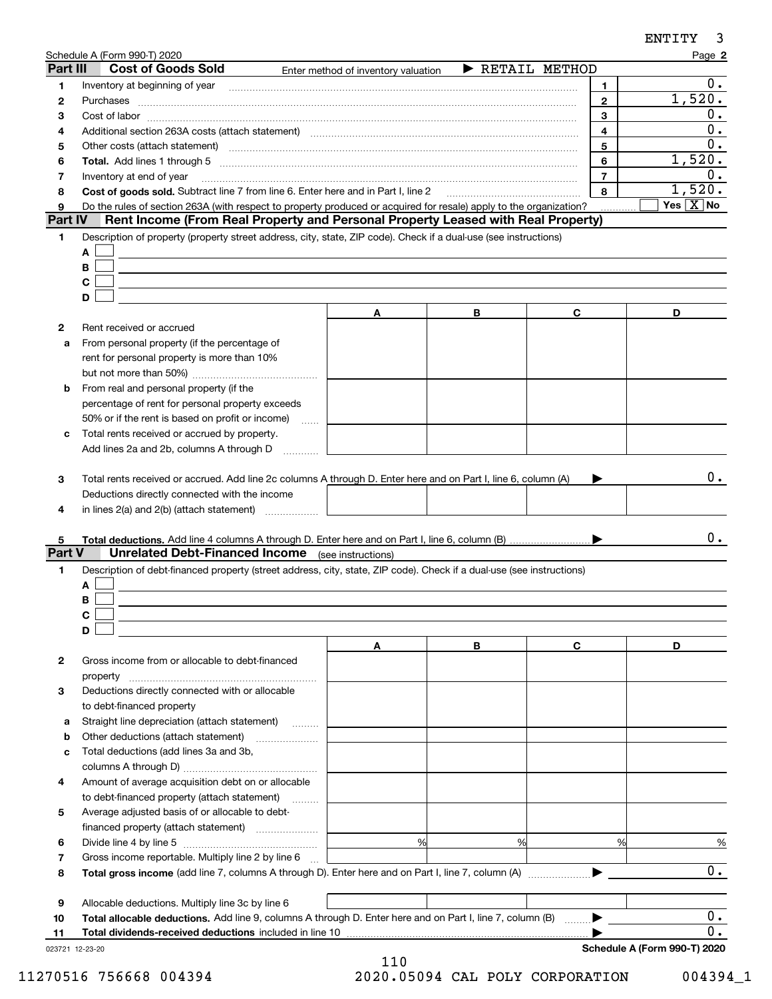|                     | Schedule A (Form 990-T) 2020                                                      |                                                                                                                                                                                                                                |                                     |                | Page 2                              |
|---------------------|-----------------------------------------------------------------------------------|--------------------------------------------------------------------------------------------------------------------------------------------------------------------------------------------------------------------------------|-------------------------------------|----------------|-------------------------------------|
| Part III            | <b>Cost of Goods Sold</b>                                                         | Enter method of inventory valuation                                                                                                                                                                                            | $\blacktriangleright$ RETAIL METHOD |                |                                     |
| 1                   |                                                                                   |                                                                                                                                                                                                                                |                                     | 1.             | 0.                                  |
| 2                   | Purchases                                                                         |                                                                                                                                                                                                                                |                                     | $\overline{2}$ | 1,520.                              |
| З                   |                                                                                   |                                                                                                                                                                                                                                |                                     | 3              | 0.                                  |
| 4                   |                                                                                   | Additional section 263A costs (attach statement) material contracts and according to the Additional section 263A costs (attach statement) material contracts and according to the Additional section of Additional Section 201 |                                     | 4              | 0.                                  |
| 5                   |                                                                                   | Other costs (attach statement) manufactured and contract and contract at the costs (attach statement)                                                                                                                          |                                     | 5              | 0.                                  |
| 6                   |                                                                                   |                                                                                                                                                                                                                                |                                     | 6              | 1,520.                              |
| 7                   | Inventory at end of year                                                          |                                                                                                                                                                                                                                |                                     | $\overline{7}$ | $0$ .                               |
| 8                   | Cost of goods sold. Subtract line 7 from line 6. Enter here and in Part I, line 2 |                                                                                                                                                                                                                                |                                     | 8              | 1,520.<br>Yes $\boxed{\text{X}}$ No |
| 9<br><b>Part IV</b> |                                                                                   | Do the rules of section 263A (with respect to property produced or acquired for resale) apply to the organization?<br>Rent Income (From Real Property and Personal Property Leased with Real Property)                         |                                     |                |                                     |
| 1.                  |                                                                                   | Description of property (property street address, city, state, ZIP code). Check if a dual-use (see instructions)                                                                                                               |                                     |                |                                     |
|                     | A                                                                                 |                                                                                                                                                                                                                                |                                     |                |                                     |
|                     | В                                                                                 |                                                                                                                                                                                                                                |                                     |                |                                     |
|                     | $\mathbf c$                                                                       |                                                                                                                                                                                                                                |                                     |                |                                     |
|                     | D                                                                                 |                                                                                                                                                                                                                                |                                     |                |                                     |
|                     |                                                                                   | Α                                                                                                                                                                                                                              | В                                   | C              | D                                   |
| 2                   | Rent received or accrued                                                          |                                                                                                                                                                                                                                |                                     |                |                                     |
| a                   | From personal property (if the percentage of                                      |                                                                                                                                                                                                                                |                                     |                |                                     |
|                     | rent for personal property is more than 10%                                       |                                                                                                                                                                                                                                |                                     |                |                                     |
|                     |                                                                                   |                                                                                                                                                                                                                                |                                     |                |                                     |
| b                   | From real and personal property (if the                                           |                                                                                                                                                                                                                                |                                     |                |                                     |
|                     | percentage of rent for personal property exceeds                                  |                                                                                                                                                                                                                                |                                     |                |                                     |
|                     | 50% or if the rent is based on profit or income)                                  | $\sim$                                                                                                                                                                                                                         |                                     |                |                                     |
| c                   | Total rents received or accrued by property.                                      |                                                                                                                                                                                                                                |                                     |                |                                     |
|                     | Add lines 2a and 2b, columns A through D                                          |                                                                                                                                                                                                                                |                                     |                |                                     |
|                     |                                                                                   |                                                                                                                                                                                                                                |                                     |                |                                     |
| 3                   |                                                                                   | Total rents received or accrued. Add line 2c columns A through D. Enter here and on Part I, line 6, column (A)                                                                                                                 |                                     |                | $0$ .                               |
|                     | Deductions directly connected with the income                                     |                                                                                                                                                                                                                                |                                     |                |                                     |
| 4                   |                                                                                   |                                                                                                                                                                                                                                |                                     |                |                                     |
|                     |                                                                                   |                                                                                                                                                                                                                                |                                     |                |                                     |
| 5                   |                                                                                   |                                                                                                                                                                                                                                |                                     |                | 0.                                  |
| <b>Part V</b>       | <b>Unrelated Debt-Financed Income</b> (see instructions)                          |                                                                                                                                                                                                                                |                                     |                |                                     |
| 1                   |                                                                                   | Description of debt-financed property (street address, city, state, ZIP code). Check if a dual-use (see instructions)                                                                                                          |                                     |                |                                     |
|                     | A                                                                                 |                                                                                                                                                                                                                                |                                     |                |                                     |
|                     | В                                                                                 |                                                                                                                                                                                                                                |                                     |                |                                     |
|                     | C                                                                                 |                                                                                                                                                                                                                                |                                     |                |                                     |
|                     | D                                                                                 |                                                                                                                                                                                                                                |                                     |                |                                     |
|                     |                                                                                   | Α                                                                                                                                                                                                                              | В                                   | C              | D                                   |
| 2                   | Gross income from or allocable to debt-financed                                   |                                                                                                                                                                                                                                |                                     |                |                                     |
|                     | property                                                                          |                                                                                                                                                                                                                                |                                     |                |                                     |
| з                   | Deductions directly connected with or allocable                                   |                                                                                                                                                                                                                                |                                     |                |                                     |
|                     | to debt-financed property                                                         |                                                                                                                                                                                                                                |                                     |                |                                     |
| а                   | Straight line depreciation (attach statement)                                     |                                                                                                                                                                                                                                |                                     |                |                                     |
| b                   | Other deductions (attach statement)                                               |                                                                                                                                                                                                                                |                                     |                |                                     |
| с                   | Total deductions (add lines 3a and 3b,                                            |                                                                                                                                                                                                                                |                                     |                |                                     |
|                     |                                                                                   |                                                                                                                                                                                                                                |                                     |                |                                     |
| 4                   | Amount of average acquisition debt on or allocable                                |                                                                                                                                                                                                                                |                                     |                |                                     |
|                     | to debt-financed property (attach statement)                                      |                                                                                                                                                                                                                                |                                     |                |                                     |
| 5                   | Average adjusted basis of or allocable to debt-                                   |                                                                                                                                                                                                                                |                                     |                |                                     |
|                     |                                                                                   | %                                                                                                                                                                                                                              | %                                   | %              |                                     |
| 6                   |                                                                                   |                                                                                                                                                                                                                                |                                     |                | $\frac{9}{6}$                       |
| 7                   | Gross income reportable. Multiply line 2 by line 6                                |                                                                                                                                                                                                                                |                                     |                | $0$ .                               |
| 8                   |                                                                                   |                                                                                                                                                                                                                                |                                     |                |                                     |
| 9                   | Allocable deductions. Multiply line 3c by line 6                                  |                                                                                                                                                                                                                                |                                     |                |                                     |
| 10                  |                                                                                   | Total allocable deductions. Add line 9, columns A through D. Enter here and on Part I, line 7, column (B)                                                                                                                      |                                     |                | $0$ .                               |
| 11                  | Total dividends-received deductions included in line 10                           |                                                                                                                                                                                                                                |                                     |                | 0.                                  |
| 023721 12-23-20     |                                                                                   |                                                                                                                                                                                                                                |                                     |                | Schedule A (Form 990-T) 2020        |

110 11270516 756668 004394 2020.05094 CAL POLY CORPORATION 004394\_1

ENTITY

3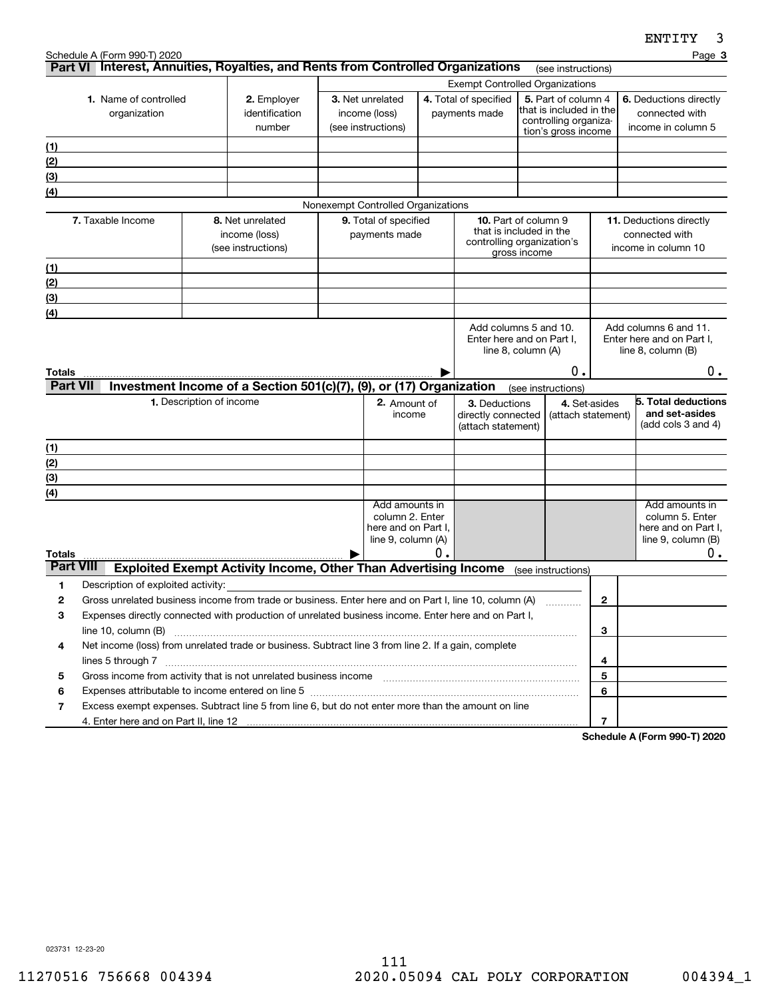|                                       |                                                                                                                                                                                                                                                       |                                                         |                                                                        |  |                                                                                |                                                                                                      |                                                           |                                                                                                |                                     |                                                                | FIJTTT<br>J.                                                                         |
|---------------------------------------|-------------------------------------------------------------------------------------------------------------------------------------------------------------------------------------------------------------------------------------------------------|---------------------------------------------------------|------------------------------------------------------------------------|--|--------------------------------------------------------------------------------|------------------------------------------------------------------------------------------------------|-----------------------------------------------------------|------------------------------------------------------------------------------------------------|-------------------------------------|----------------------------------------------------------------|--------------------------------------------------------------------------------------|
|                                       | Schedule A (Form 990-T) 2020<br>Part VI Interest, Annuities, Royalties, and Rents from Controlled Organizations                                                                                                                                       |                                                         |                                                                        |  |                                                                                |                                                                                                      |                                                           |                                                                                                |                                     |                                                                | Page 3                                                                               |
|                                       |                                                                                                                                                                                                                                                       |                                                         |                                                                        |  |                                                                                |                                                                                                      |                                                           |                                                                                                | (see instructions)                  |                                                                |                                                                                      |
| 1. Name of controlled<br>organization |                                                                                                                                                                                                                                                       | 2. Employer<br>identification<br>number                 | 3. Net unrelated<br>income (loss)<br>(see instructions)                |  |                                                                                | <b>Exempt Controlled Organizations</b><br>4. Total of specified<br>payments made                     |                                                           | 5. Part of column 4<br>that is included in the<br>controlling organiza-<br>tion's gross income |                                     | 6. Deductions directly<br>connected with<br>income in column 5 |                                                                                      |
|                                       |                                                                                                                                                                                                                                                       |                                                         |                                                                        |  |                                                                                |                                                                                                      |                                                           |                                                                                                |                                     |                                                                |                                                                                      |
| (1)<br>(2)                            |                                                                                                                                                                                                                                                       |                                                         |                                                                        |  |                                                                                |                                                                                                      |                                                           |                                                                                                |                                     |                                                                |                                                                                      |
| (3)                                   |                                                                                                                                                                                                                                                       |                                                         |                                                                        |  |                                                                                |                                                                                                      |                                                           |                                                                                                |                                     |                                                                |                                                                                      |
| (4)                                   |                                                                                                                                                                                                                                                       |                                                         |                                                                        |  |                                                                                |                                                                                                      |                                                           |                                                                                                |                                     |                                                                |                                                                                      |
|                                       |                                                                                                                                                                                                                                                       |                                                         |                                                                        |  | Nonexempt Controlled Organizations                                             |                                                                                                      |                                                           |                                                                                                |                                     |                                                                |                                                                                      |
| 7. Taxable Income                     |                                                                                                                                                                                                                                                       | 8. Net unrelated<br>income (loss)<br>(see instructions) | 9. Total of specified<br>payments made                                 |  |                                                                                | <b>10.</b> Part of column 9<br>that is included in the<br>controlling organization's<br>gross income |                                                           | <b>11.</b> Deductions directly<br>connected with<br>income in column 10                        |                                     |                                                                |                                                                                      |
| <u>(1)</u>                            |                                                                                                                                                                                                                                                       |                                                         |                                                                        |  |                                                                                |                                                                                                      |                                                           |                                                                                                |                                     |                                                                |                                                                                      |
| (2)                                   |                                                                                                                                                                                                                                                       |                                                         |                                                                        |  |                                                                                |                                                                                                      |                                                           |                                                                                                |                                     |                                                                |                                                                                      |
| (3)                                   |                                                                                                                                                                                                                                                       |                                                         |                                                                        |  |                                                                                |                                                                                                      |                                                           |                                                                                                |                                     |                                                                |                                                                                      |
| (4)                                   |                                                                                                                                                                                                                                                       |                                                         |                                                                        |  |                                                                                |                                                                                                      |                                                           |                                                                                                |                                     |                                                                |                                                                                      |
| Totals                                |                                                                                                                                                                                                                                                       |                                                         |                                                                        |  |                                                                                |                                                                                                      | Enter here and on Part I.<br>line 8, column (A)           |                                                                                                | Ο.                                  |                                                                | Enter here and on Part I.<br>line $8$ , column $(B)$<br>$0$ .                        |
| <b>Part VII</b>                       |                                                                                                                                                                                                                                                       |                                                         | Investment Income of a Section 501(c)(7), (9), or (17) Organization    |  |                                                                                |                                                                                                      |                                                           |                                                                                                | (see instructions)                  |                                                                |                                                                                      |
|                                       |                                                                                                                                                                                                                                                       | 1. Description of income                                |                                                                        |  | 2. Amount of<br>income                                                         |                                                                                                      | 3. Deductions<br>directly connected<br>(attach statement) |                                                                                                | 4. Set-asides<br>(attach statement) |                                                                | 5. Total deductions<br>and set-asides<br>(add cols $3$ and $4$ )                     |
| (1)                                   |                                                                                                                                                                                                                                                       |                                                         |                                                                        |  |                                                                                |                                                                                                      |                                                           |                                                                                                |                                     |                                                                |                                                                                      |
| (2)                                   |                                                                                                                                                                                                                                                       |                                                         |                                                                        |  |                                                                                |                                                                                                      |                                                           |                                                                                                |                                     |                                                                |                                                                                      |
| (3)                                   |                                                                                                                                                                                                                                                       |                                                         |                                                                        |  |                                                                                |                                                                                                      |                                                           |                                                                                                |                                     |                                                                |                                                                                      |
| (4)                                   |                                                                                                                                                                                                                                                       |                                                         |                                                                        |  |                                                                                |                                                                                                      |                                                           |                                                                                                |                                     |                                                                |                                                                                      |
| Totals                                |                                                                                                                                                                                                                                                       |                                                         |                                                                        |  | Add amounts in<br>column 2. Enter<br>here and on Part I,<br>line 9, column (A) | $\mathfrak o$ .                                                                                      |                                                           |                                                                                                |                                     |                                                                | Add amounts in<br>column 5. Enter<br>here and on Part I.<br>line 9, column (B)<br>0. |
| <b>Part VIII</b>                      |                                                                                                                                                                                                                                                       |                                                         | <b>Exploited Exempt Activity Income, Other Than Advertising Income</b> |  |                                                                                |                                                                                                      |                                                           |                                                                                                | (see instructions)                  |                                                                |                                                                                      |
| 1                                     | Description of exploited activity:                                                                                                                                                                                                                    |                                                         |                                                                        |  |                                                                                |                                                                                                      |                                                           |                                                                                                |                                     |                                                                |                                                                                      |
| 2                                     | Gross unrelated business income from trade or business. Enter here and on Part I, line 10, column (A)                                                                                                                                                 |                                                         |                                                                        |  |                                                                                |                                                                                                      |                                                           |                                                                                                |                                     | 2                                                              |                                                                                      |
| 3                                     | Expenses directly connected with production of unrelated business income. Enter here and on Part I,                                                                                                                                                   |                                                         |                                                                        |  |                                                                                |                                                                                                      |                                                           |                                                                                                |                                     |                                                                |                                                                                      |
|                                       | line $10$ , column $(B)$                                                                                                                                                                                                                              |                                                         |                                                                        |  |                                                                                |                                                                                                      |                                                           |                                                                                                |                                     | 3                                                              |                                                                                      |
| 4                                     | Net income (loss) from unrelated trade or business. Subtract line 3 from line 2. If a gain, complete<br>lines 5 through 7                                                                                                                             |                                                         |                                                                        |  |                                                                                |                                                                                                      |                                                           |                                                                                                |                                     | 4                                                              |                                                                                      |
| 5                                     | Gross income from activity that is not unrelated business income [11] [11] content material content from activity that is not unrelated business income [11] [11] [11] $\alpha$ [11] $\alpha$ [11] $\alpha$ [11] $\alpha$ [11] $\alpha$ [11] $\alpha$ |                                                         |                                                                        |  |                                                                                |                                                                                                      |                                                           |                                                                                                |                                     | 5                                                              |                                                                                      |
| 6                                     |                                                                                                                                                                                                                                                       |                                                         |                                                                        |  |                                                                                |                                                                                                      |                                                           |                                                                                                |                                     | 6                                                              |                                                                                      |
| 7                                     | Excess exempt expenses. Subtract line 5 from line 6, but do not enter more than the amount on line                                                                                                                                                    |                                                         |                                                                        |  |                                                                                |                                                                                                      |                                                           |                                                                                                |                                     |                                                                |                                                                                      |
|                                       | 4. Enter here and on Part II, line 12                                                                                                                                                                                                                 |                                                         |                                                                        |  |                                                                                |                                                                                                      |                                                           |                                                                                                |                                     | 7                                                              |                                                                                      |

**Schedule A (Form 990-T) 2020**

023731 12-23-20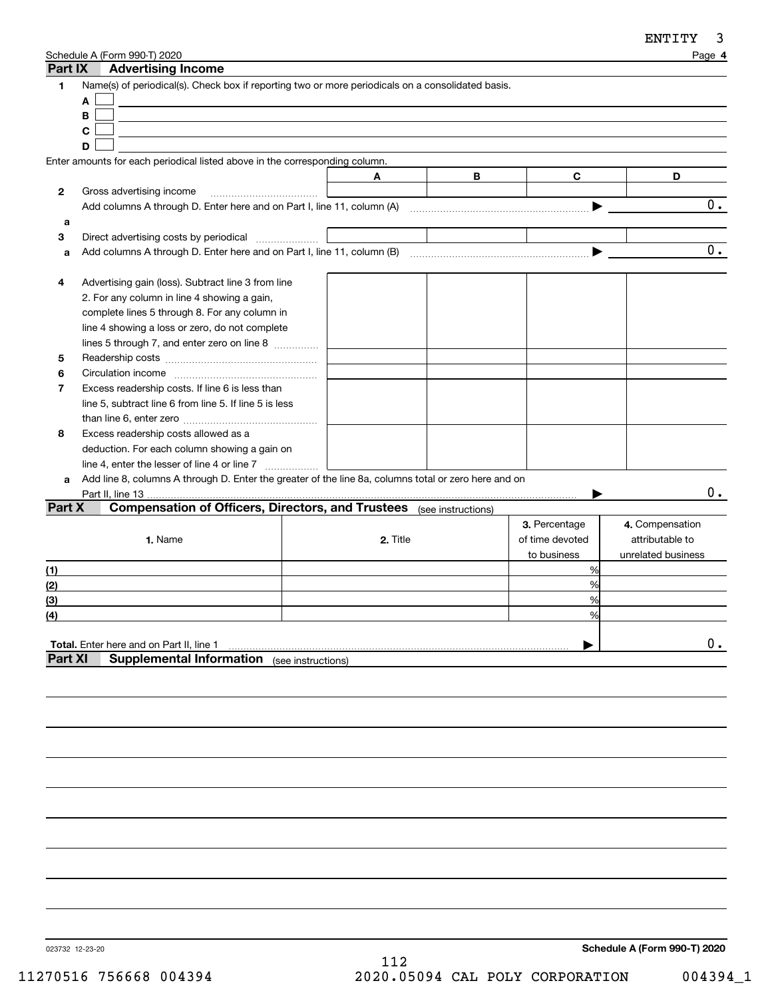| Part IX        | Schedule A (Form 990-T) 2020<br><b>Advertising Income</b>                                            |          |   |                 | Page 4             |
|----------------|------------------------------------------------------------------------------------------------------|----------|---|-----------------|--------------------|
| 1              | Name(s) of periodical(s). Check box if reporting two or more periodicals on a consolidated basis.    |          |   |                 |                    |
|                | Α                                                                                                    |          |   |                 |                    |
|                | В                                                                                                    |          |   |                 |                    |
|                | C                                                                                                    |          |   |                 |                    |
|                | D                                                                                                    |          |   |                 |                    |
|                | Enter amounts for each periodical listed above in the corresponding column.                          |          |   |                 |                    |
|                |                                                                                                      | A        | B | C               | D                  |
| $\mathbf{2}$   | Gross advertising income                                                                             |          |   |                 |                    |
|                |                                                                                                      |          |   |                 | 0.                 |
| a              |                                                                                                      |          |   |                 |                    |
| 3              | Direct advertising costs by periodical                                                               |          |   |                 |                    |
| a              |                                                                                                      |          |   | ▶               | 0.                 |
|                |                                                                                                      |          |   |                 |                    |
| 4              | Advertising gain (loss). Subtract line 3 from line                                                   |          |   |                 |                    |
|                | 2. For any column in line 4 showing a gain,                                                          |          |   |                 |                    |
|                | complete lines 5 through 8. For any column in                                                        |          |   |                 |                    |
|                | line 4 showing a loss or zero, do not complete                                                       |          |   |                 |                    |
|                | lines 5 through 7, and enter zero on line 8                                                          |          |   |                 |                    |
| 5              |                                                                                                      |          |   |                 |                    |
| 6              |                                                                                                      |          |   |                 |                    |
| 7              | Excess readership costs. If line 6 is less than                                                      |          |   |                 |                    |
|                | line 5, subtract line 6 from line 5. If line 5 is less                                               |          |   |                 |                    |
|                |                                                                                                      |          |   |                 |                    |
| 8              | Excess readership costs allowed as a                                                                 |          |   |                 |                    |
|                | deduction. For each column showing a gain on                                                         |          |   |                 |                    |
|                | line 4, enter the lesser of line 4 or line 7                                                         |          |   |                 |                    |
| a              | Add line 8, columns A through D. Enter the greater of the line 8a, columns total or zero here and on |          |   |                 |                    |
|                | Part II, line 13                                                                                     |          |   |                 | 0.                 |
| Part X         | <b>Compensation of Officers, Directors, and Trustees</b> (see instructions)                          |          |   |                 |                    |
|                |                                                                                                      |          |   | 3. Percentage   | 4. Compensation    |
|                | 1. Name                                                                                              | 2. Title |   | of time devoted | attributable to    |
|                |                                                                                                      |          |   | to business     | unrelated business |
| (1)            |                                                                                                      |          |   | %               |                    |
| (2)            |                                                                                                      |          |   | %               |                    |
| (3)            |                                                                                                      |          |   | %               |                    |
| (4)            |                                                                                                      |          |   | %               |                    |
|                |                                                                                                      |          |   |                 |                    |
|                | Total. Enter here and on Part II, line 1                                                             |          |   |                 | 0.                 |
| <b>Part XI</b> | <b>Supplemental Information</b> (see instructions)                                                   |          |   |                 |                    |
|                |                                                                                                      |          |   |                 |                    |
|                |                                                                                                      |          |   |                 |                    |
|                |                                                                                                      |          |   |                 |                    |

023732 12-23-20